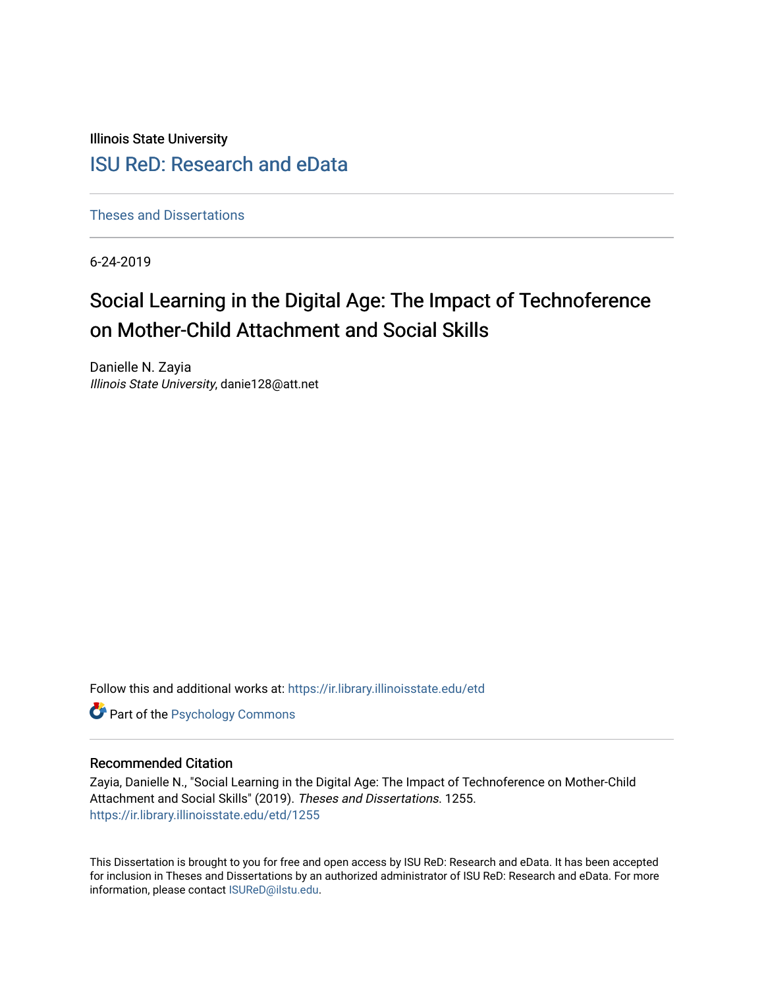Illinois State University

### [ISU ReD: Research and eData](https://ir.library.illinoisstate.edu/)

[Theses and Dissertations](https://ir.library.illinoisstate.edu/etd)

6-24-2019

# Social Learning in the Digital Age: The Impact of Technoference on Mother-Child Attachment and Social Skills

Danielle N. Zayia Illinois State University, danie128@att.net

Follow this and additional works at: [https://ir.library.illinoisstate.edu/etd](https://ir.library.illinoisstate.edu/etd?utm_source=ir.library.illinoisstate.edu%2Fetd%2F1255&utm_medium=PDF&utm_campaign=PDFCoverPages) 

**Part of the Psychology Commons** 

### Recommended Citation

Zayia, Danielle N., "Social Learning in the Digital Age: The Impact of Technoference on Mother-Child Attachment and Social Skills" (2019). Theses and Dissertations. 1255. [https://ir.library.illinoisstate.edu/etd/1255](https://ir.library.illinoisstate.edu/etd/1255?utm_source=ir.library.illinoisstate.edu%2Fetd%2F1255&utm_medium=PDF&utm_campaign=PDFCoverPages) 

This Dissertation is brought to you for free and open access by ISU ReD: Research and eData. It has been accepted for inclusion in Theses and Dissertations by an authorized administrator of ISU ReD: Research and eData. For more information, please contact [ISUReD@ilstu.edu.](mailto:ISUReD@ilstu.edu)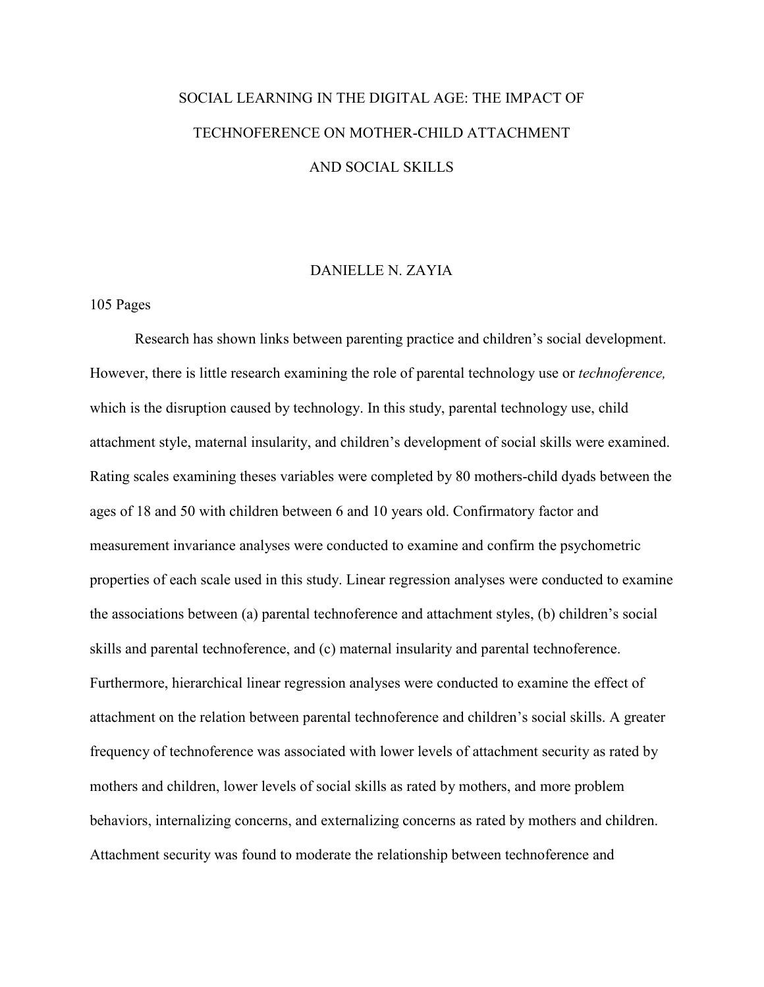# SOCIAL LEARNING IN THE DIGITAL AGE: THE IMPACT OF TECHNOFERENCE ON MOTHER-CHILD ATTACHMENT AND SOCIAL SKILLS

### DANIELLE N. ZAYIA

### 105 Pages

Research has shown links between parenting practice and children's social development. However, there is little research examining the role of parental technology use or *technoference,*  which is the disruption caused by technology. In this study, parental technology use, child attachment style, maternal insularity, and children's development of social skills were examined. Rating scales examining theses variables were completed by 80 mothers-child dyads between the ages of 18 and 50 with children between 6 and 10 years old. Confirmatory factor and measurement invariance analyses were conducted to examine and confirm the psychometric properties of each scale used in this study. Linear regression analyses were conducted to examine the associations between (a) parental technoference and attachment styles, (b) children's social skills and parental technoference, and (c) maternal insularity and parental technoference. Furthermore, hierarchical linear regression analyses were conducted to examine the effect of attachment on the relation between parental technoference and children's social skills. A greater frequency of technoference was associated with lower levels of attachment security as rated by mothers and children, lower levels of social skills as rated by mothers, and more problem behaviors, internalizing concerns, and externalizing concerns as rated by mothers and children. Attachment security was found to moderate the relationship between technoference and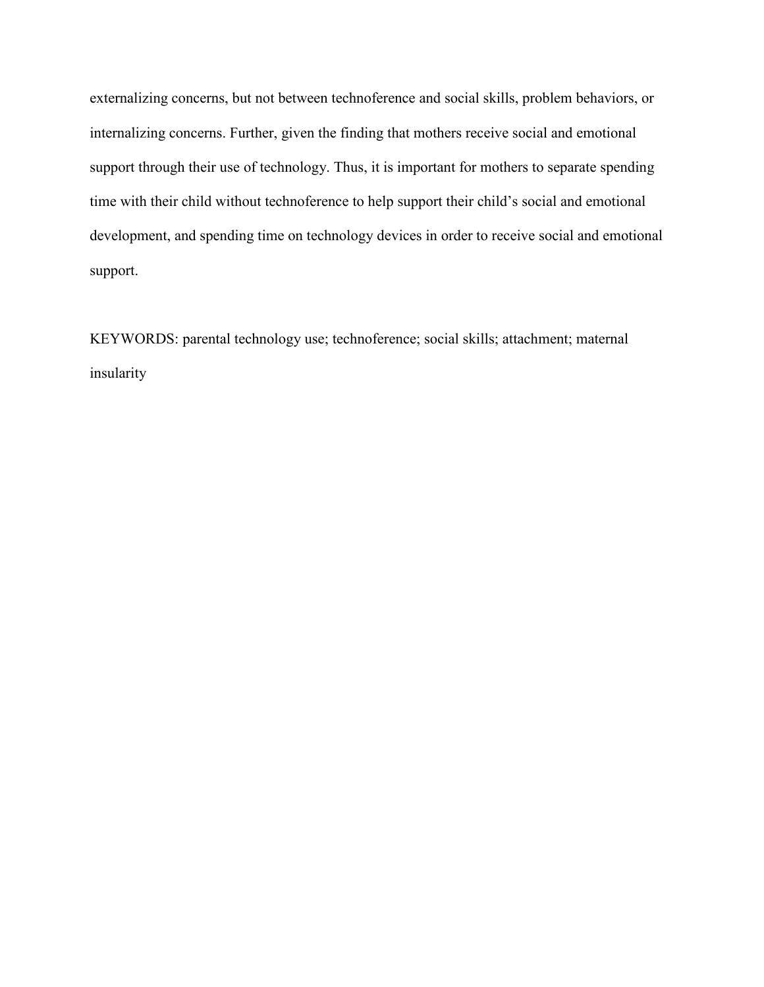externalizing concerns, but not between technoference and social skills, problem behaviors, or internalizing concerns. Further, given the finding that mothers receive social and emotional support through their use of technology. Thus, it is important for mothers to separate spending time with their child without technoference to help support their child's social and emotional development, and spending time on technology devices in order to receive social and emotional support.

KEYWORDS: parental technology use; technoference; social skills; attachment; maternal insularity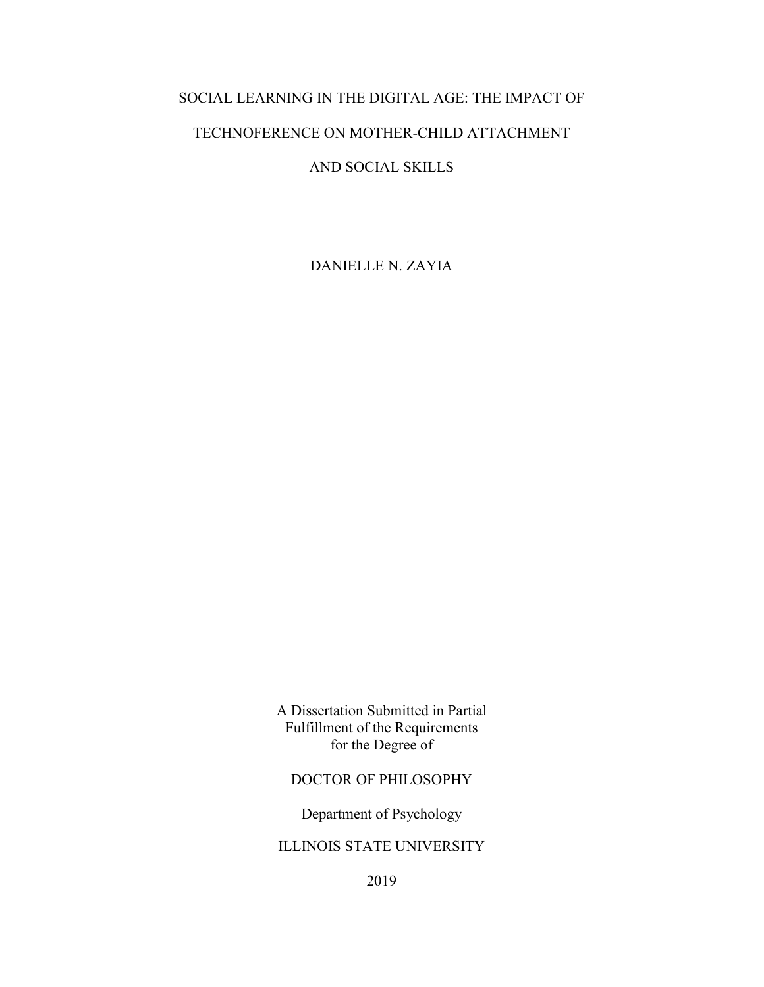### SOCIAL LEARNING IN THE DIGITAL AGE: THE IMPACT OF

### TECHNOFERENCE ON MOTHER-CHILD ATTACHMENT

### AND SOCIAL SKILLS

DANIELLE N. ZAYIA

A Dissertation Submitted in Partial Fulfillment of the Requirements for the Degree of

### DOCTOR OF PHILOSOPHY

Department of Psychology

### ILLINOIS STATE UNIVERSITY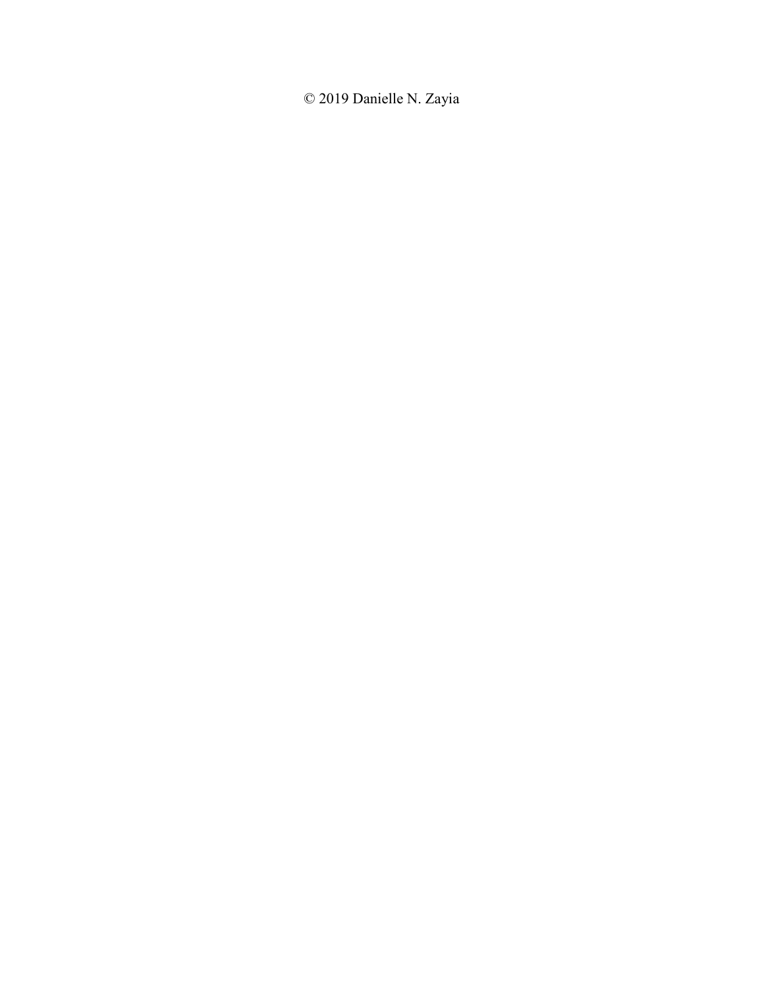© 2019 Danielle N. Zayia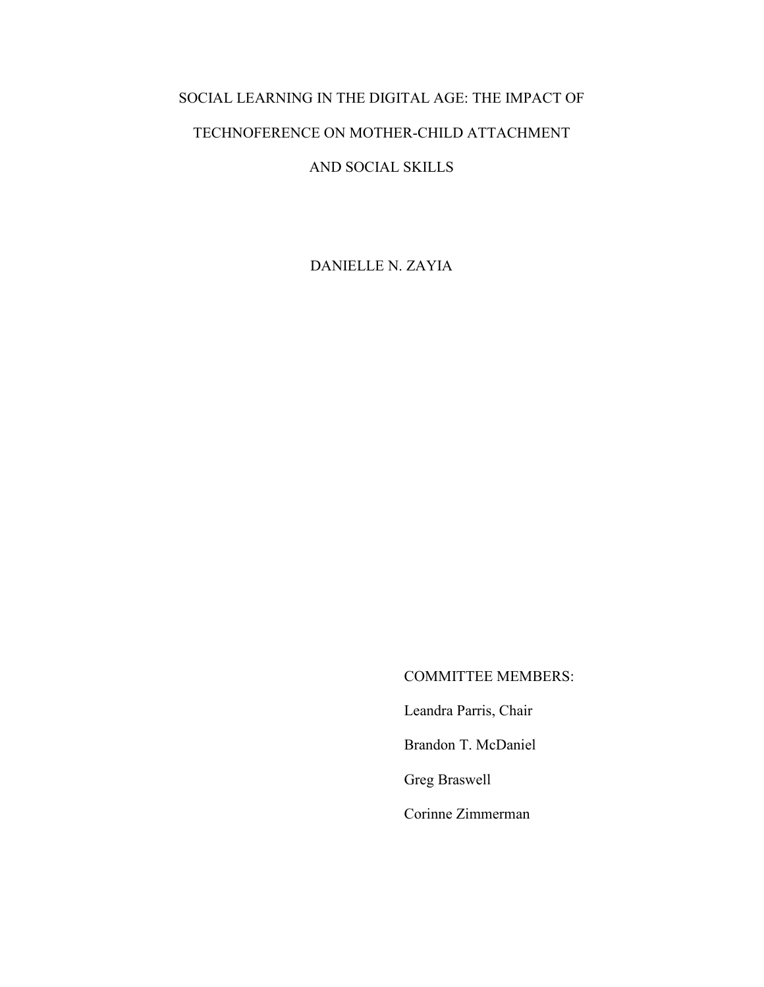## SOCIAL LEARNING IN THE DIGITAL AGE: THE IMPACT OF

### TECHNOFERENCE ON MOTHER-CHILD ATTACHMENT

### AND SOCIAL SKILLS

DANIELLE N. ZAYIA

COMMITTEE MEMBERS:

Leandra Parris, Chair

Brandon T. McDaniel

Greg Braswell

Corinne Zimmerman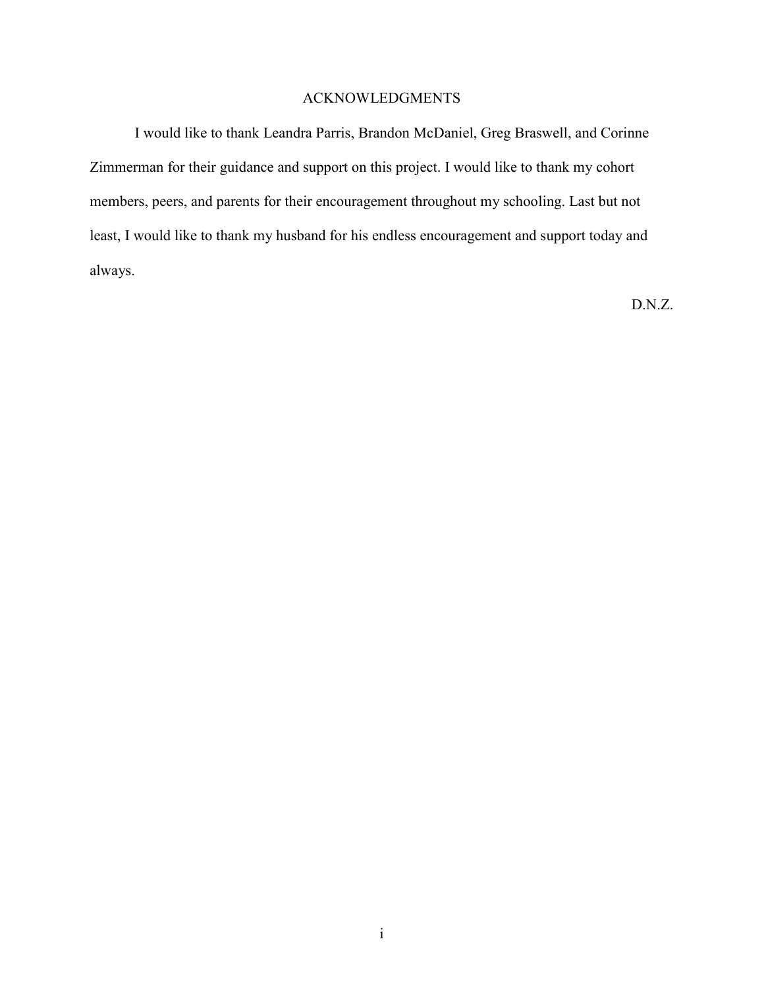### ACKNOWLEDGMENTS

I would like to thank Leandra Parris, Brandon McDaniel, Greg Braswell, and Corinne Zimmerman for their guidance and support on this project. I would like to thank my cohort members, peers, and parents for their encouragement throughout my schooling. Last but not least, I would like to thank my husband for his endless encouragement and support today and always.

D.N.Z.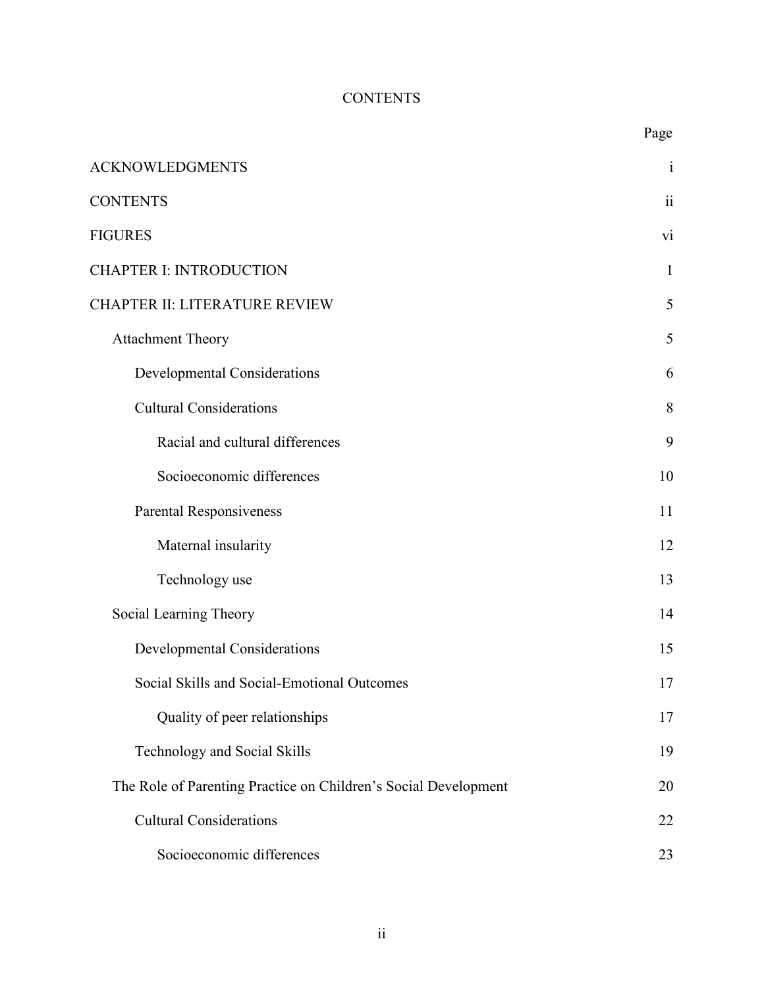### **CONTENTS**

|                                                                 | Page            |
|-----------------------------------------------------------------|-----------------|
| <b>ACKNOWLEDGMENTS</b>                                          | $\mathbf{1}$    |
| <b>CONTENTS</b>                                                 | $\ddot{\rm ii}$ |
| <b>FIGURES</b>                                                  | vi              |
| <b>CHAPTER I: INTRODUCTION</b>                                  | 1               |
| CHAPTER II: LITERATURE REVIEW                                   | 5               |
| Attachment Theory                                               | 5               |
| <b>Developmental Considerations</b>                             | 6               |
| <b>Cultural Considerations</b>                                  | 8               |
| Racial and cultural differences                                 | 9               |
| Socioeconomic differences                                       | 10              |
| Parental Responsiveness                                         | 11              |
| Maternal insularity                                             | 12              |
| Technology use                                                  | 13              |
| Social Learning Theory                                          | 14              |
| <b>Developmental Considerations</b>                             | 15              |
| Social Skills and Social-Emotional Outcomes                     | 17              |
| Quality of peer relationships                                   | 17              |
| Technology and Social Skills                                    | 19              |
| The Role of Parenting Practice on Children's Social Development | 20              |
| <b>Cultural Considerations</b>                                  | 22              |
| Socioeconomic differences                                       | 23              |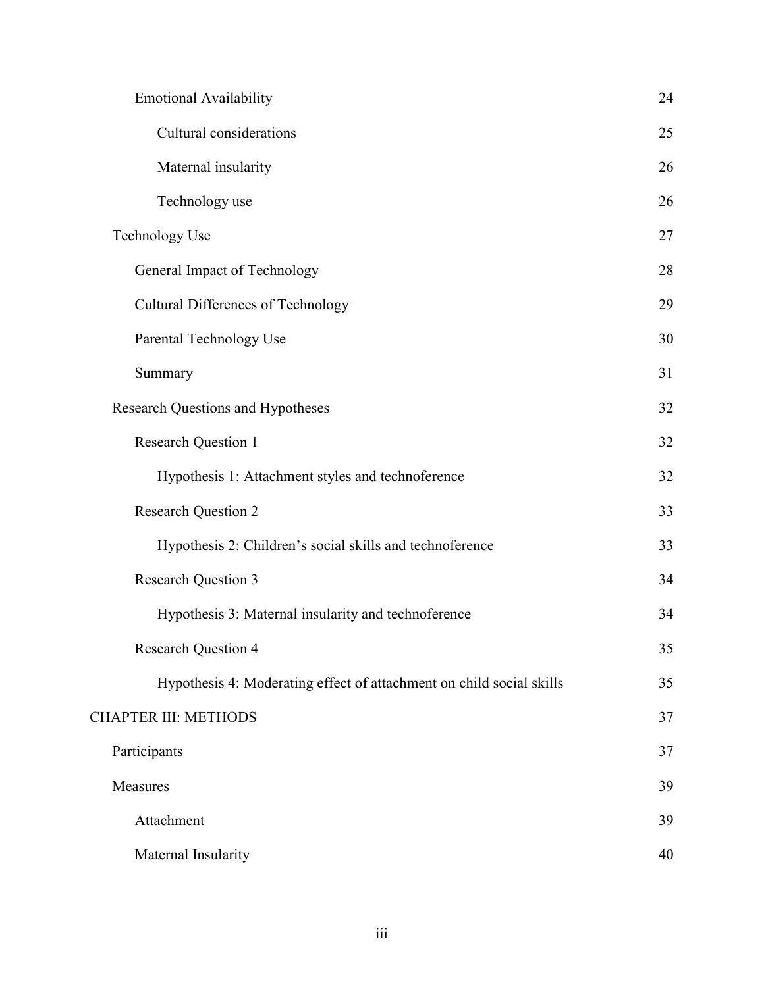| <b>Emotional Availability</b>                                        | 24 |
|----------------------------------------------------------------------|----|
| Cultural considerations                                              | 25 |
| Maternal insularity                                                  | 26 |
| Technology use                                                       | 26 |
| <b>Technology Use</b>                                                | 27 |
| General Impact of Technology                                         | 28 |
| Cultural Differences of Technology                                   | 29 |
| Parental Technology Use                                              | 30 |
| Summary                                                              | 31 |
| <b>Research Questions and Hypotheses</b>                             | 32 |
| <b>Research Question 1</b>                                           | 32 |
| Hypothesis 1: Attachment styles and technoference                    | 32 |
| <b>Research Question 2</b>                                           | 33 |
| Hypothesis 2: Children's social skills and technoference             | 33 |
| <b>Research Question 3</b>                                           | 34 |
| Hypothesis 3: Maternal insularity and technoference                  | 34 |
| <b>Research Question 4</b>                                           | 35 |
| Hypothesis 4: Moderating effect of attachment on child social skills | 35 |
| <b>CHAPTER III: METHODS</b>                                          | 37 |
| Participants                                                         | 37 |
| Measures                                                             | 39 |
| Attachment                                                           | 39 |
| Maternal Insularity                                                  | 40 |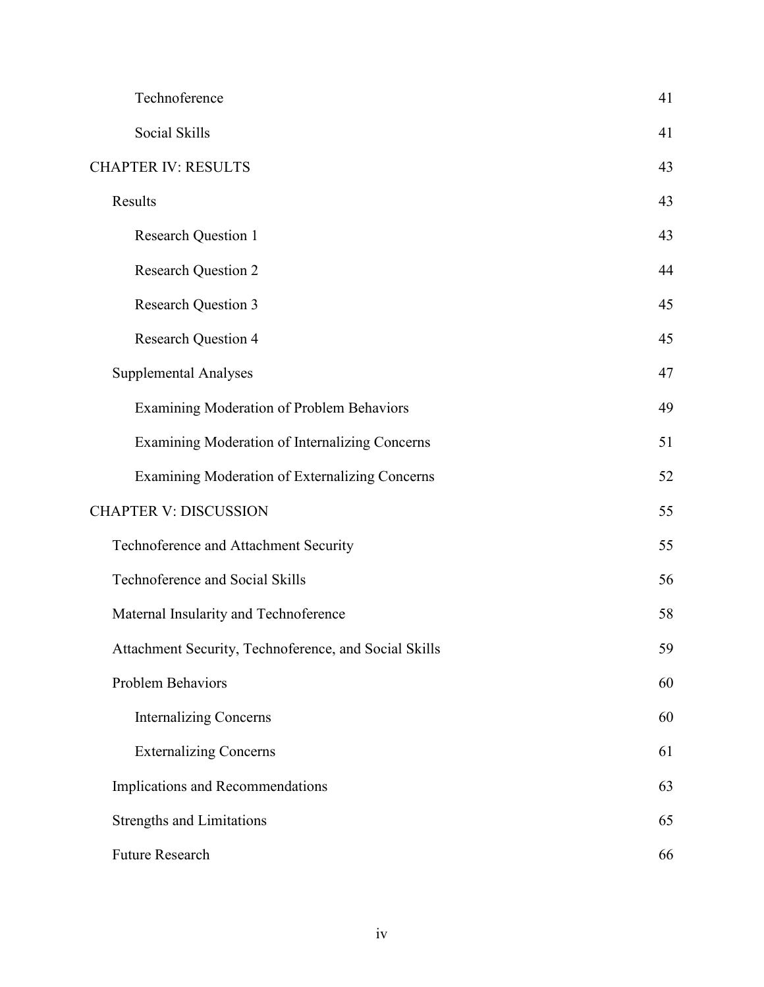| Technoference                                         | 41 |
|-------------------------------------------------------|----|
| Social Skills                                         | 41 |
| <b>CHAPTER IV: RESULTS</b>                            | 43 |
| Results                                               | 43 |
| <b>Research Question 1</b>                            | 43 |
| <b>Research Question 2</b>                            | 44 |
| <b>Research Question 3</b>                            | 45 |
| <b>Research Question 4</b>                            | 45 |
| <b>Supplemental Analyses</b>                          | 47 |
| Examining Moderation of Problem Behaviors             | 49 |
| Examining Moderation of Internalizing Concerns        | 51 |
| Examining Moderation of Externalizing Concerns        | 52 |
| <b>CHAPTER V: DISCUSSION</b>                          | 55 |
| Technoference and Attachment Security                 | 55 |
| Technoference and Social Skills                       | 56 |
| Maternal Insularity and Technoference                 | 58 |
| Attachment Security, Technoference, and Social Skills | 59 |
| Problem Behaviors                                     | 60 |
| <b>Internalizing Concerns</b>                         | 60 |
| <b>Externalizing Concerns</b>                         | 61 |
| Implications and Recommendations                      | 63 |
| <b>Strengths and Limitations</b>                      | 65 |
| <b>Future Research</b>                                | 66 |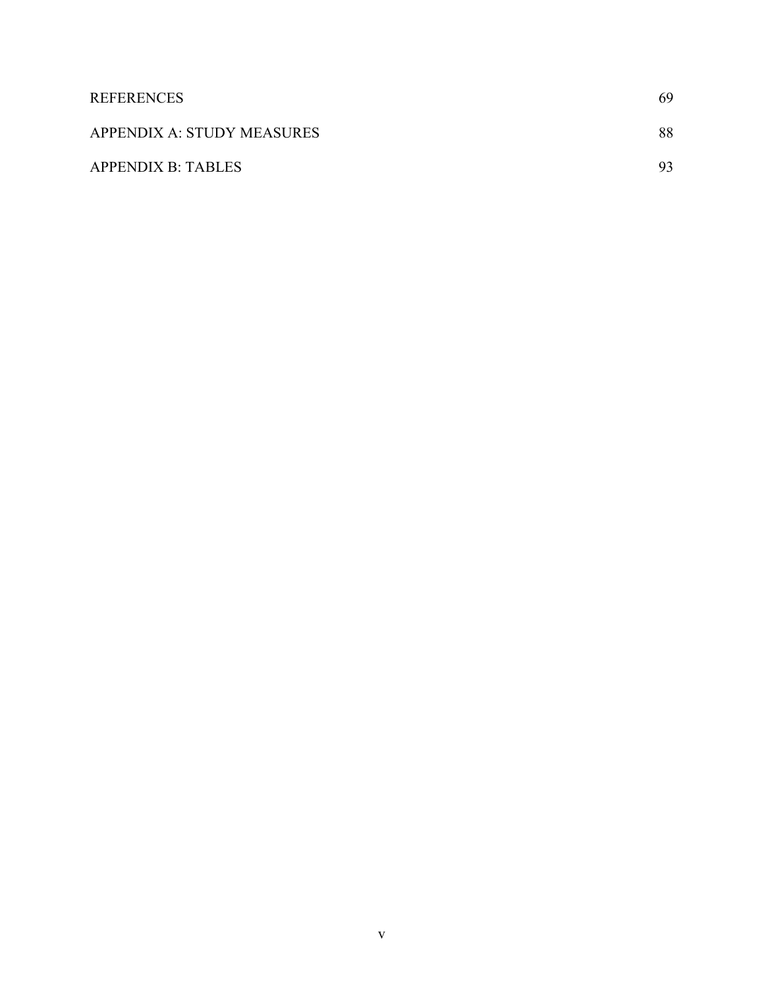| <b>REFERENCES</b>          | 69 |
|----------------------------|----|
| APPENDIX A: STUDY MEASURES | 88 |
| <b>APPENDIX B: TABLES</b>  | 93 |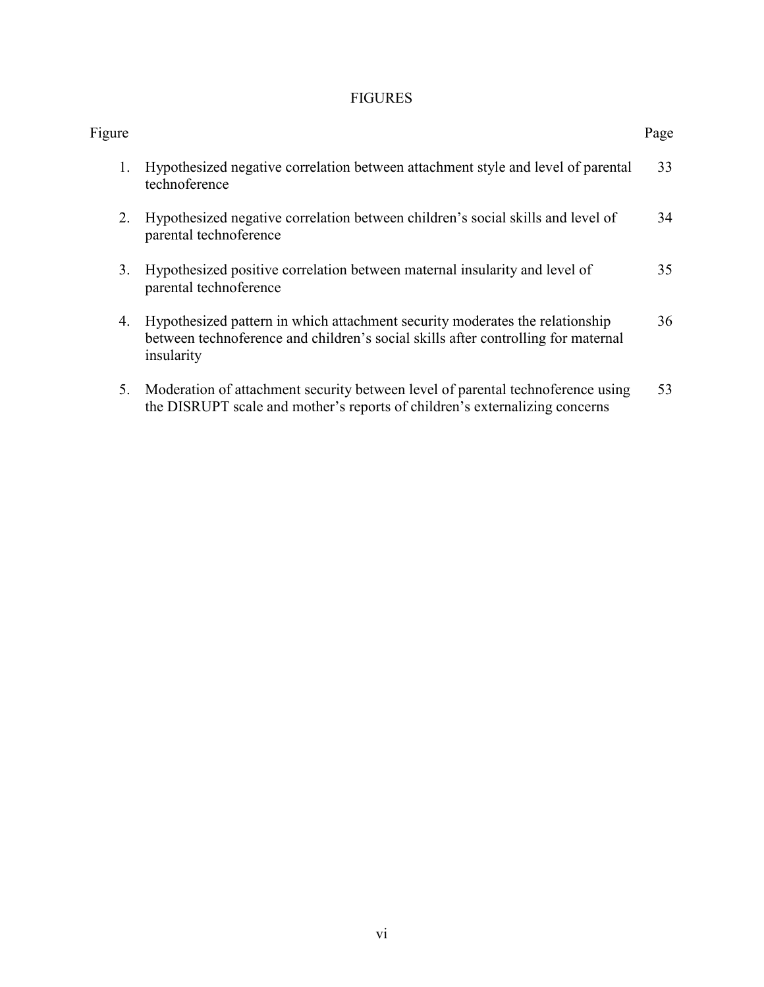### FIGURES

| Figure |                                                                                                                                                                                 | Page |
|--------|---------------------------------------------------------------------------------------------------------------------------------------------------------------------------------|------|
| 1.     | Hypothesized negative correlation between attachment style and level of parental<br>technoference                                                                               | 33   |
| 2.     | Hypothesized negative correlation between children's social skills and level of<br>parental technoference                                                                       | 34   |
| 3.     | Hypothesized positive correlation between maternal insularity and level of<br>parental technoference                                                                            | 35   |
| 4.     | Hypothesized pattern in which attachment security moderates the relationship<br>between technoference and children's social skills after controlling for maternal<br>insularity | 36   |
| 5.     | Moderation of attachment security between level of parental technoference using<br>the DISRUPT scale and mother's reports of children's externalizing concerns                  | 53   |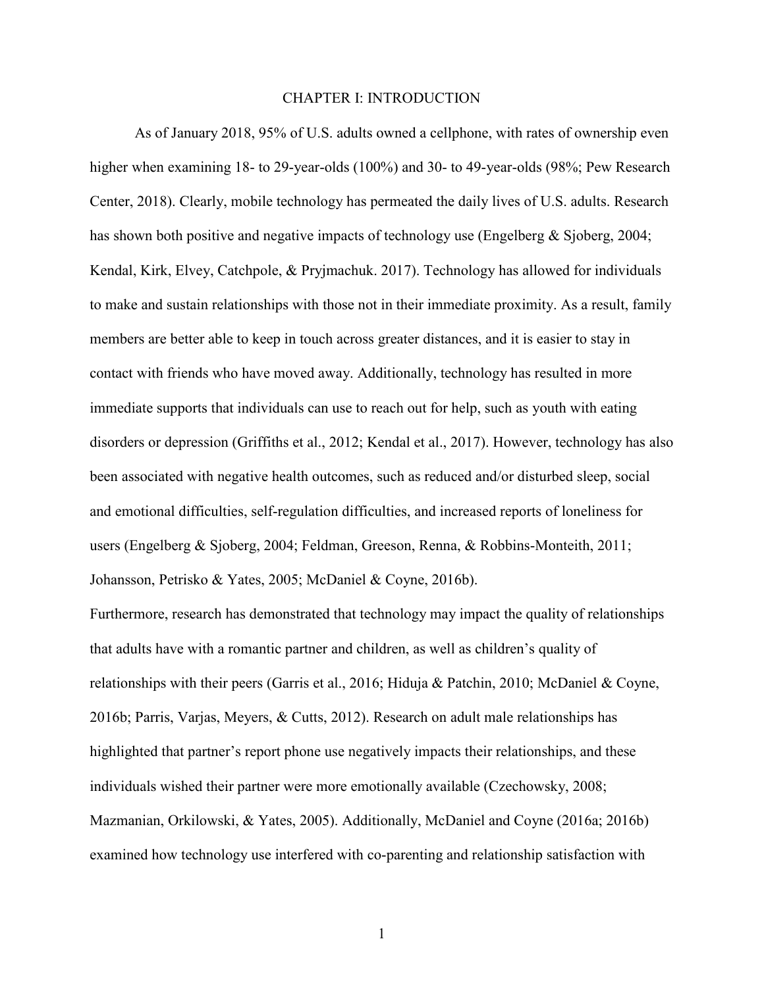### CHAPTER I: INTRODUCTION

As of January 2018, 95% of U.S. adults owned a cellphone, with rates of ownership even higher when examining 18- to 29-year-olds (100%) and 30- to 49-year-olds (98%; Pew Research Center, 2018). Clearly, mobile technology has permeated the daily lives of U.S. adults. Research has shown both positive and negative impacts of technology use (Engelberg & Sjoberg, 2004; Kendal, Kirk, Elvey, Catchpole, & Pryjmachuk. 2017). Technology has allowed for individuals to make and sustain relationships with those not in their immediate proximity. As a result, family members are better able to keep in touch across greater distances, and it is easier to stay in contact with friends who have moved away. Additionally, technology has resulted in more immediate supports that individuals can use to reach out for help, such as youth with eating disorders or depression (Griffiths et al., 2012; Kendal et al., 2017). However, technology has also been associated with negative health outcomes, such as reduced and/or disturbed sleep, social and emotional difficulties, self-regulation difficulties, and increased reports of loneliness for users (Engelberg & Sjoberg, 2004; Feldman, Greeson, Renna, & Robbins-Monteith, 2011; Johansson, Petrisko & Yates, 2005; McDaniel & Coyne, 2016b).

Furthermore, research has demonstrated that technology may impact the quality of relationships that adults have with a romantic partner and children, as well as children's quality of relationships with their peers (Garris et al., 2016; Hiduja & Patchin, 2010; McDaniel & Coyne, 2016b; Parris, Varjas, Meyers, & Cutts, 2012). Research on adult male relationships has highlighted that partner's report phone use negatively impacts their relationships, and these individuals wished their partner were more emotionally available (Czechowsky, 2008; Mazmanian, Orkilowski, & Yates, 2005). Additionally, McDaniel and Coyne (2016a; 2016b) examined how technology use interfered with co-parenting and relationship satisfaction with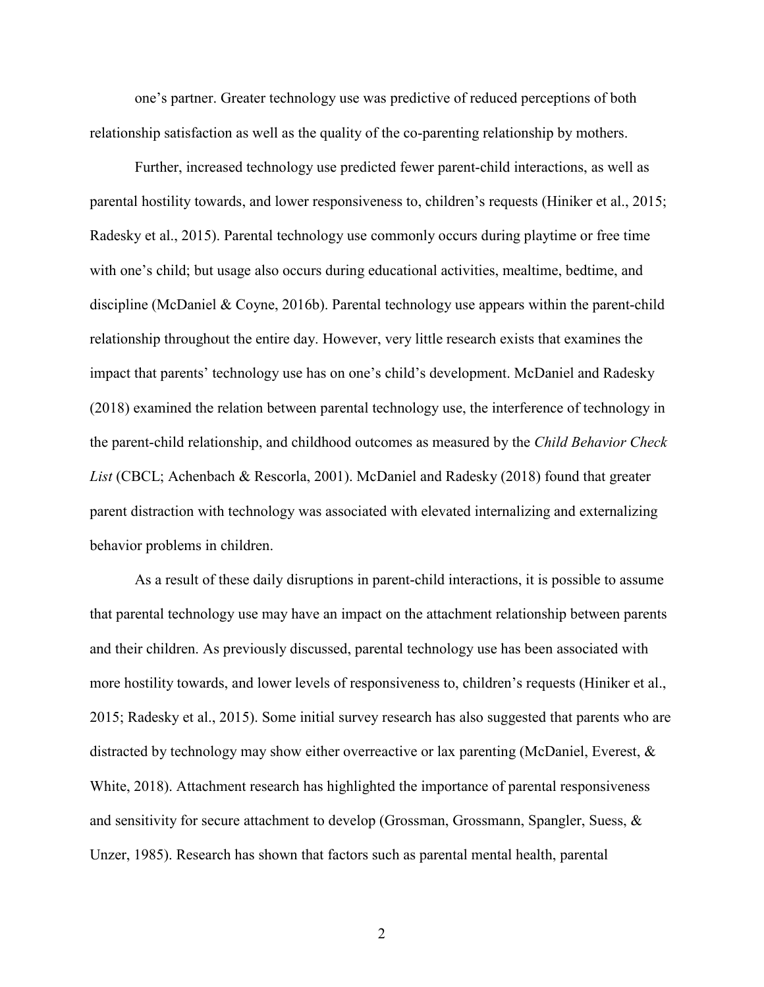one's partner. Greater technology use was predictive of reduced perceptions of both relationship satisfaction as well as the quality of the co-parenting relationship by mothers.

Further, increased technology use predicted fewer parent-child interactions, as well as parental hostility towards, and lower responsiveness to, children's requests (Hiniker et al., 2015; Radesky et al., 2015). Parental technology use commonly occurs during playtime or free time with one's child; but usage also occurs during educational activities, mealtime, bedtime, and discipline (McDaniel & Coyne, 2016b). Parental technology use appears within the parent-child relationship throughout the entire day. However, very little research exists that examines the impact that parents' technology use has on one's child's development. McDaniel and Radesky (2018) examined the relation between parental technology use, the interference of technology in the parent-child relationship, and childhood outcomes as measured by the *Child Behavior Check List* (CBCL; Achenbach & Rescorla, 2001). McDaniel and Radesky (2018) found that greater parent distraction with technology was associated with elevated internalizing and externalizing behavior problems in children.

As a result of these daily disruptions in parent-child interactions, it is possible to assume that parental technology use may have an impact on the attachment relationship between parents and their children. As previously discussed, parental technology use has been associated with more hostility towards, and lower levels of responsiveness to, children's requests (Hiniker et al., 2015; Radesky et al., 2015). Some initial survey research has also suggested that parents who are distracted by technology may show either overreactive or lax parenting (McDaniel, Everest, & White, 2018). Attachment research has highlighted the importance of parental responsiveness and sensitivity for secure attachment to develop (Grossman, Grossmann, Spangler, Suess, & Unzer, 1985). Research has shown that factors such as parental mental health, parental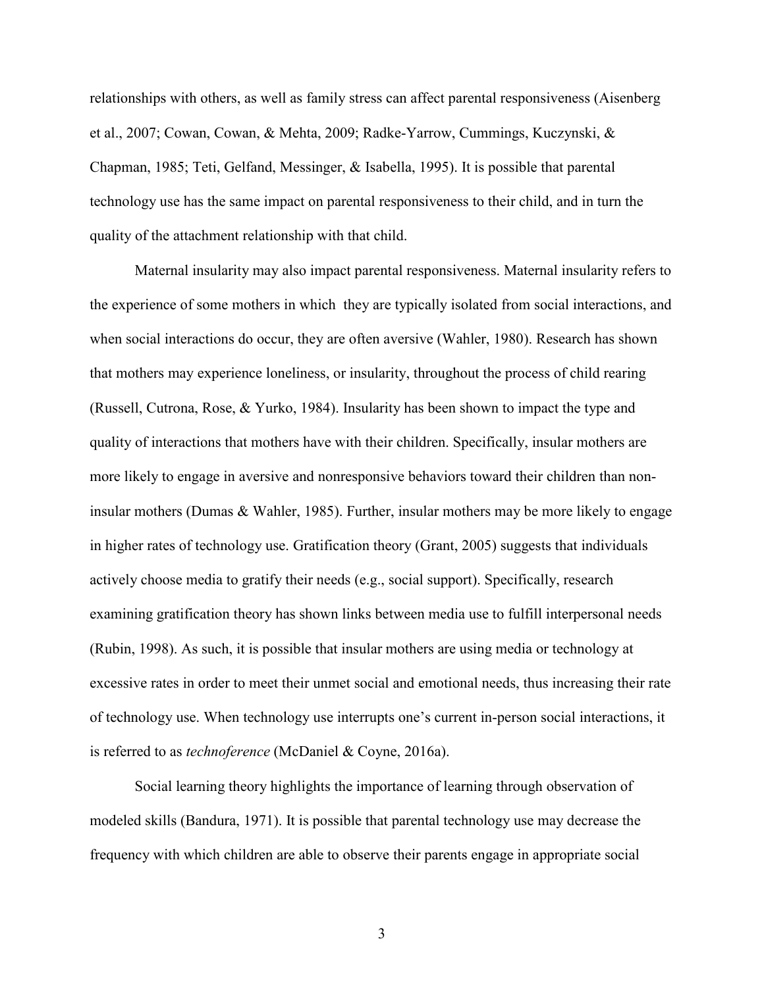relationships with others, as well as family stress can affect parental responsiveness (Aisenberg et al., 2007; Cowan, Cowan, & Mehta, 2009; Radke-Yarrow, Cummings, Kuczynski, & Chapman, 1985; Teti, Gelfand, Messinger, & Isabella, 1995). It is possible that parental technology use has the same impact on parental responsiveness to their child, and in turn the quality of the attachment relationship with that child.

Maternal insularity may also impact parental responsiveness. Maternal insularity refers to the experience of some mothers in which they are typically isolated from social interactions, and when social interactions do occur, they are often aversive (Wahler, 1980). Research has shown that mothers may experience loneliness, or insularity, throughout the process of child rearing (Russell, Cutrona, Rose, & Yurko, 1984). Insularity has been shown to impact the type and quality of interactions that mothers have with their children. Specifically, insular mothers are more likely to engage in aversive and nonresponsive behaviors toward their children than noninsular mothers (Dumas & Wahler, 1985). Further, insular mothers may be more likely to engage in higher rates of technology use. Gratification theory (Grant, 2005) suggests that individuals actively choose media to gratify their needs (e.g., social support). Specifically, research examining gratification theory has shown links between media use to fulfill interpersonal needs (Rubin, 1998). As such, it is possible that insular mothers are using media or technology at excessive rates in order to meet their unmet social and emotional needs, thus increasing their rate of technology use. When technology use interrupts one's current in-person social interactions, it is referred to as *technoference* (McDaniel & Coyne, 2016a).

Social learning theory highlights the importance of learning through observation of modeled skills (Bandura, 1971). It is possible that parental technology use may decrease the frequency with which children are able to observe their parents engage in appropriate social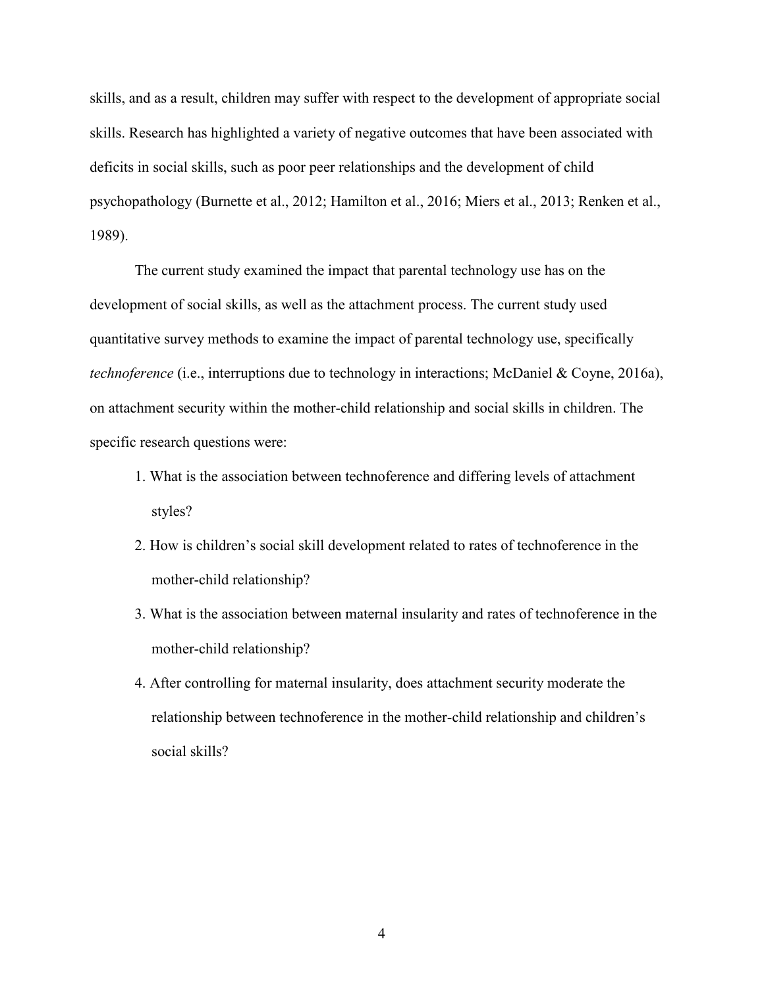skills, and as a result, children may suffer with respect to the development of appropriate social skills. Research has highlighted a variety of negative outcomes that have been associated with deficits in social skills, such as poor peer relationships and the development of child psychopathology (Burnette et al., 2012; Hamilton et al., 2016; Miers et al., 2013; Renken et al., 1989).

The current study examined the impact that parental technology use has on the development of social skills, as well as the attachment process. The current study used quantitative survey methods to examine the impact of parental technology use, specifically *technoference* (i.e., interruptions due to technology in interactions; McDaniel & Coyne, 2016a), on attachment security within the mother-child relationship and social skills in children. The specific research questions were:

- 1. What is the association between technoference and differing levels of attachment styles?
- 2. How is children's social skill development related to rates of technoference in the mother-child relationship?
- 3. What is the association between maternal insularity and rates of technoference in the mother-child relationship?
- 4. After controlling for maternal insularity, does attachment security moderate the relationship between technoference in the mother-child relationship and children's social skills?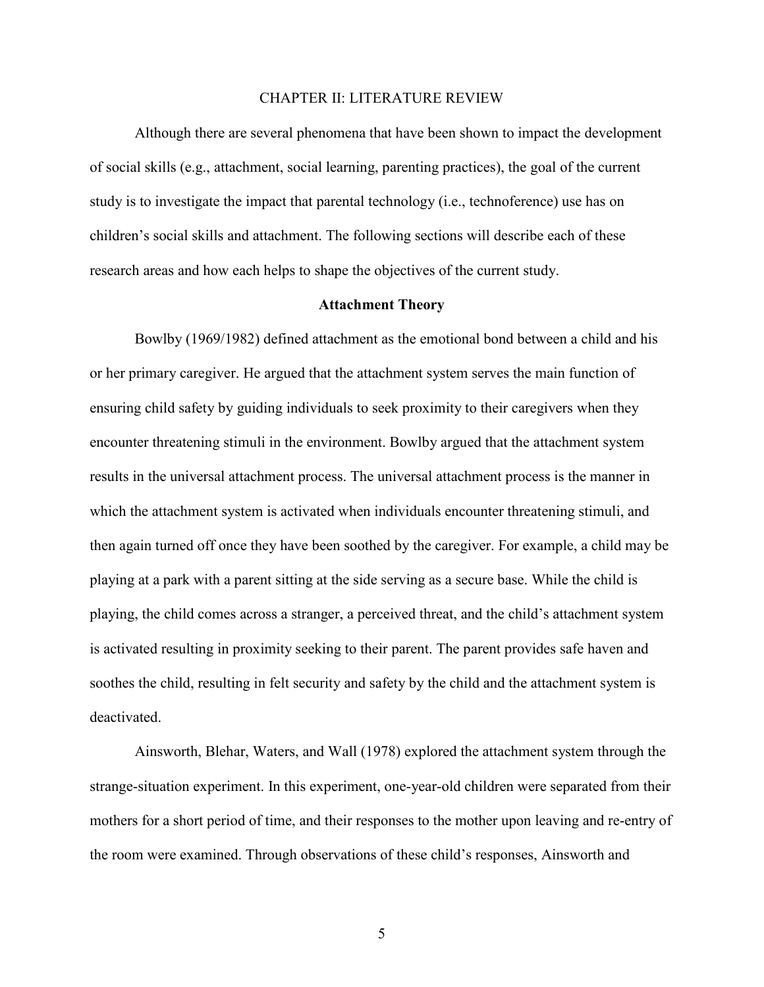#### CHAPTER II: LITERATURE REVIEW

Although there are several phenomena that have been shown to impact the development of social skills (e.g., attachment, social learning, parenting practices), the goal of the current study is to investigate the impact that parental technology (i.e., technoference) use has on children's social skills and attachment. The following sections will describe each of these research areas and how each helps to shape the objectives of the current study.

### **Attachment Theory**

Bowlby (1969/1982) defined attachment as the emotional bond between a child and his or her primary caregiver. He argued that the attachment system serves the main function of ensuring child safety by guiding individuals to seek proximity to their caregivers when they encounter threatening stimuli in the environment. Bowlby argued that the attachment system results in the universal attachment process. The universal attachment process is the manner in which the attachment system is activated when individuals encounter threatening stimuli, and then again turned off once they have been soothed by the caregiver. For example, a child may be playing at a park with a parent sitting at the side serving as a secure base. While the child is playing, the child comes across a stranger, a perceived threat, and the child's attachment system is activated resulting in proximity seeking to their parent. The parent provides safe haven and soothes the child, resulting in felt security and safety by the child and the attachment system is deactivated.

Ainsworth, Blehar, Waters, and Wall (1978) explored the attachment system through the strange-situation experiment. In this experiment, one-year-old children were separated from their mothers for a short period of time, and their responses to the mother upon leaving and re-entry of the room were examined. Through observations of these child's responses, Ainsworth and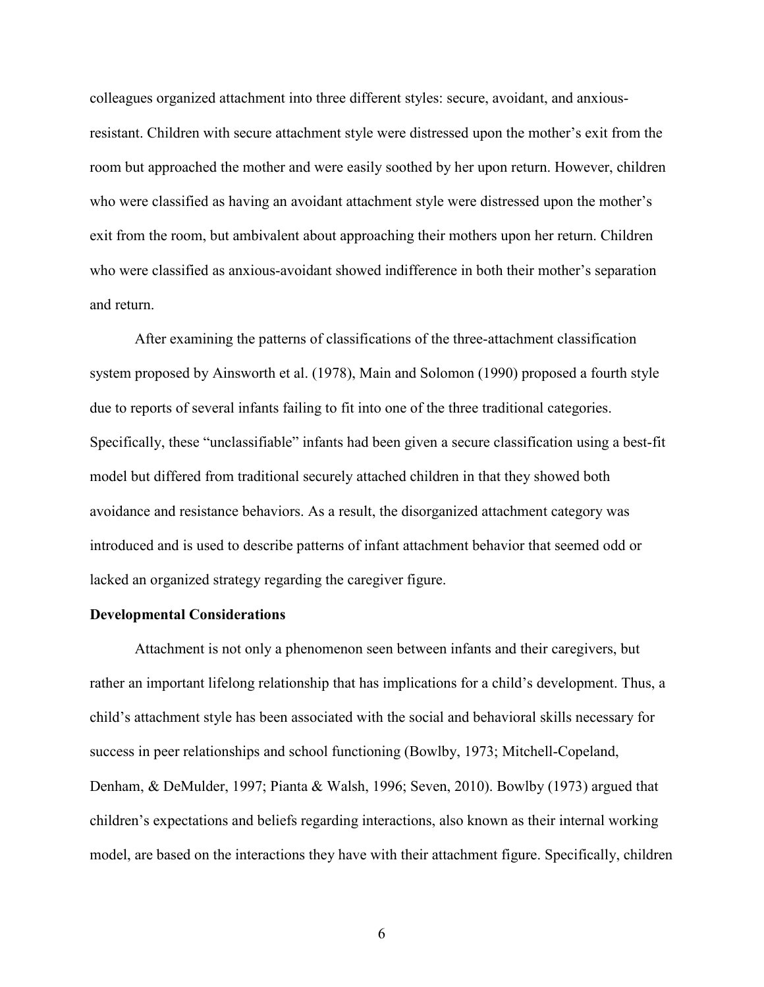colleagues organized attachment into three different styles: secure, avoidant, and anxiousresistant. Children with secure attachment style were distressed upon the mother's exit from the room but approached the mother and were easily soothed by her upon return. However, children who were classified as having an avoidant attachment style were distressed upon the mother's exit from the room, but ambivalent about approaching their mothers upon her return. Children who were classified as anxious-avoidant showed indifference in both their mother's separation and return.

After examining the patterns of classifications of the three-attachment classification system proposed by Ainsworth et al. (1978), Main and Solomon (1990) proposed a fourth style due to reports of several infants failing to fit into one of the three traditional categories. Specifically, these "unclassifiable" infants had been given a secure classification using a best-fit model but differed from traditional securely attached children in that they showed both avoidance and resistance behaviors. As a result, the disorganized attachment category was introduced and is used to describe patterns of infant attachment behavior that seemed odd or lacked an organized strategy regarding the caregiver figure.

### **Developmental Considerations**

Attachment is not only a phenomenon seen between infants and their caregivers, but rather an important lifelong relationship that has implications for a child's development. Thus, a child's attachment style has been associated with the social and behavioral skills necessary for success in peer relationships and school functioning (Bowlby, 1973; Mitchell-Copeland, Denham, & DeMulder, 1997; Pianta & Walsh, 1996; Seven, 2010). Bowlby (1973) argued that children's expectations and beliefs regarding interactions, also known as their internal working model, are based on the interactions they have with their attachment figure. Specifically, children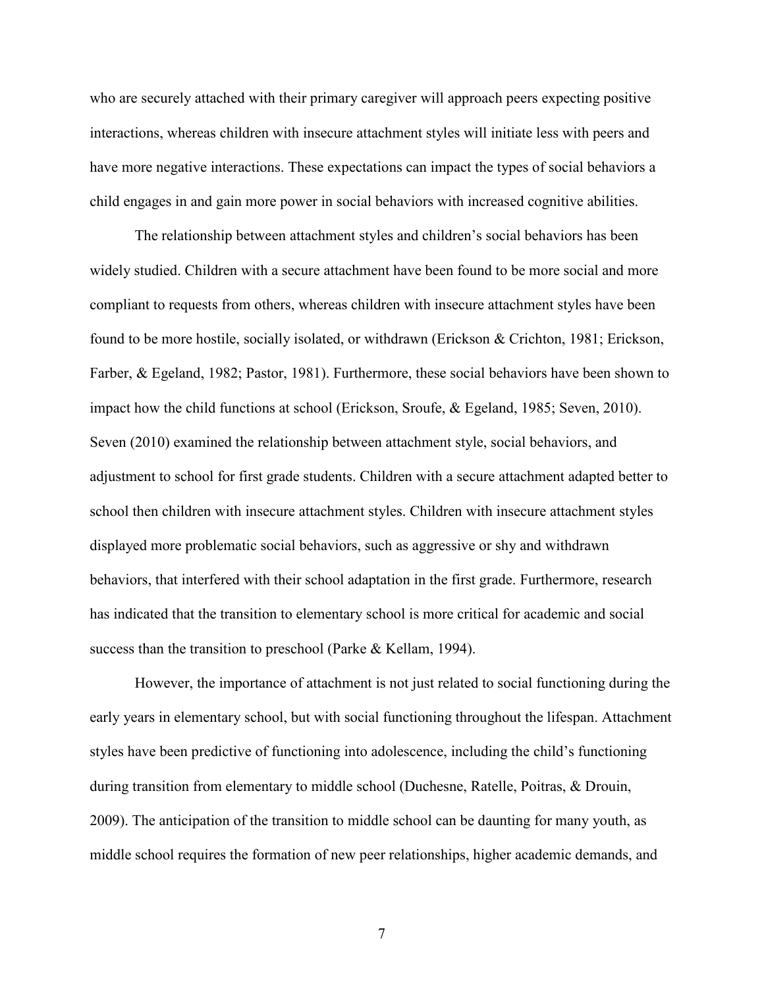who are securely attached with their primary caregiver will approach peers expecting positive interactions, whereas children with insecure attachment styles will initiate less with peers and have more negative interactions. These expectations can impact the types of social behaviors a child engages in and gain more power in social behaviors with increased cognitive abilities.

The relationship between attachment styles and children's social behaviors has been widely studied. Children with a secure attachment have been found to be more social and more compliant to requests from others, whereas children with insecure attachment styles have been found to be more hostile, socially isolated, or withdrawn (Erickson & Crichton, 1981; Erickson, Farber, & Egeland, 1982; Pastor, 1981). Furthermore, these social behaviors have been shown to impact how the child functions at school (Erickson, Sroufe, & Egeland, 1985; Seven, 2010). Seven (2010) examined the relationship between attachment style, social behaviors, and adjustment to school for first grade students. Children with a secure attachment adapted better to school then children with insecure attachment styles. Children with insecure attachment styles displayed more problematic social behaviors, such as aggressive or shy and withdrawn behaviors, that interfered with their school adaptation in the first grade. Furthermore, research has indicated that the transition to elementary school is more critical for academic and social success than the transition to preschool (Parke & Kellam, 1994).

However, the importance of attachment is not just related to social functioning during the early years in elementary school, but with social functioning throughout the lifespan. Attachment styles have been predictive of functioning into adolescence, including the child's functioning during transition from elementary to middle school (Duchesne, Ratelle, Poitras, & Drouin, 2009). The anticipation of the transition to middle school can be daunting for many youth, as middle school requires the formation of new peer relationships, higher academic demands, and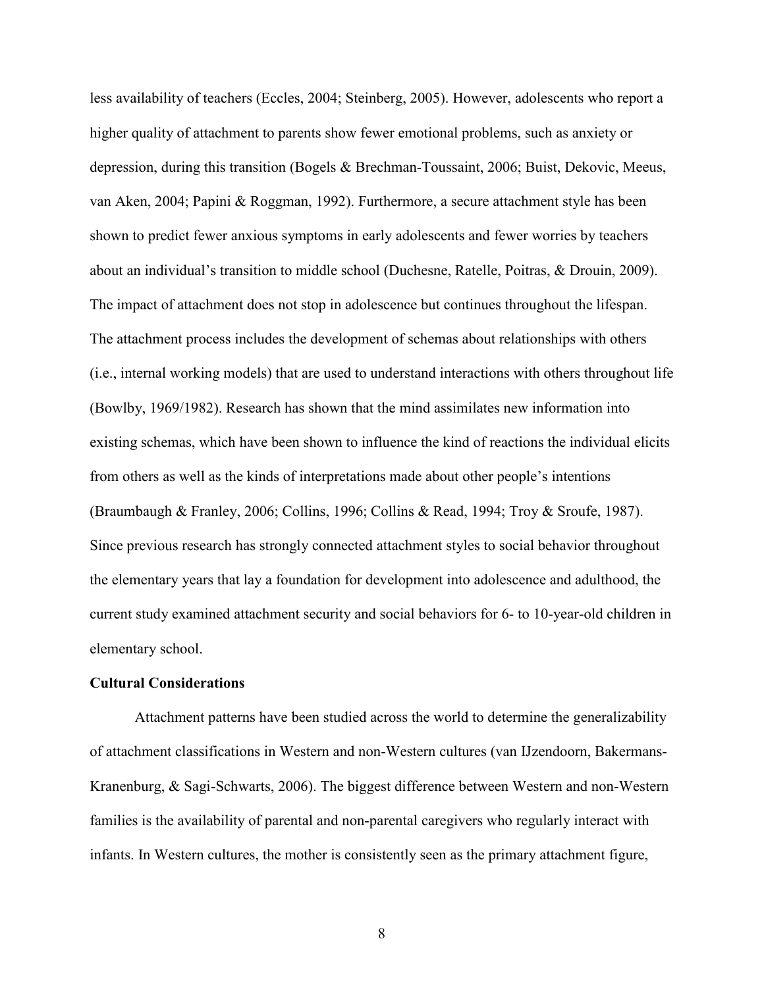less availability of teachers (Eccles, 2004; Steinberg, 2005). However, adolescents who report a higher quality of attachment to parents show fewer emotional problems, such as anxiety or depression, during this transition (Bogels & Brechman-Toussaint, 2006; Buist, Dekovic, Meeus, van Aken, 2004; Papini & Roggman, 1992). Furthermore, a secure attachment style has been shown to predict fewer anxious symptoms in early adolescents and fewer worries by teachers about an individual's transition to middle school (Duchesne, Ratelle, Poitras, & Drouin, 2009). The impact of attachment does not stop in adolescence but continues throughout the lifespan. The attachment process includes the development of schemas about relationships with others (i.e., internal working models) that are used to understand interactions with others throughout life (Bowlby, 1969/1982). Research has shown that the mind assimilates new information into existing schemas, which have been shown to influence the kind of reactions the individual elicits from others as well as the kinds of interpretations made about other people's intentions (Braumbaugh & Franley, 2006; Collins, 1996; Collins & Read, 1994; Troy & Sroufe, 1987). Since previous research has strongly connected attachment styles to social behavior throughout the elementary years that lay a foundation for development into adolescence and adulthood, the current study examined attachment security and social behaviors for 6- to 10-year-old children in elementary school.

### **Cultural Considerations**

Attachment patterns have been studied across the world to determine the generalizability of attachment classifications in Western and non-Western cultures (van IJzendoorn, Bakermans-Kranenburg, & Sagi-Schwarts, 2006). The biggest difference between Western and non-Western families is the availability of parental and non-parental caregivers who regularly interact with infants. In Western cultures, the mother is consistently seen as the primary attachment figure,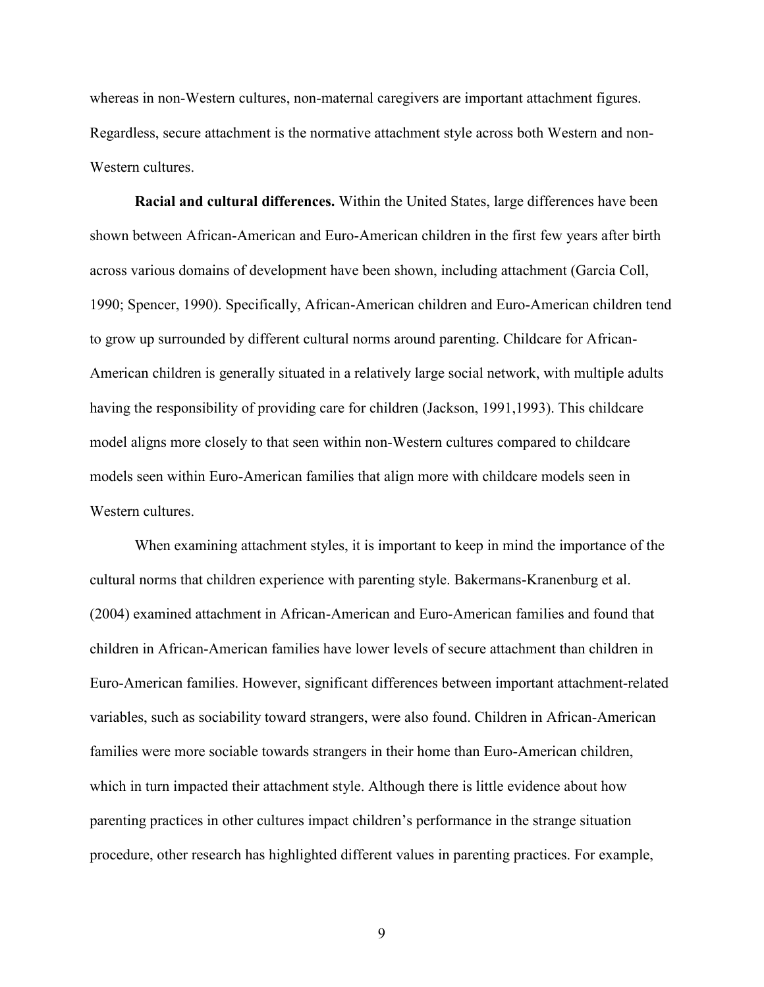whereas in non-Western cultures, non-maternal caregivers are important attachment figures. Regardless, secure attachment is the normative attachment style across both Western and non-Western cultures

**Racial and cultural differences.** Within the United States, large differences have been shown between African-American and Euro-American children in the first few years after birth across various domains of development have been shown, including attachment (Garcia Coll, 1990; Spencer, 1990). Specifically, African-American children and Euro-American children tend to grow up surrounded by different cultural norms around parenting. Childcare for African-American children is generally situated in a relatively large social network, with multiple adults having the responsibility of providing care for children (Jackson, 1991,1993). This childcare model aligns more closely to that seen within non-Western cultures compared to childcare models seen within Euro-American families that align more with childcare models seen in Western cultures.

When examining attachment styles, it is important to keep in mind the importance of the cultural norms that children experience with parenting style. Bakermans-Kranenburg et al. (2004) examined attachment in African-American and Euro-American families and found that children in African-American families have lower levels of secure attachment than children in Euro-American families. However, significant differences between important attachment-related variables, such as sociability toward strangers, were also found. Children in African-American families were more sociable towards strangers in their home than Euro-American children, which in turn impacted their attachment style. Although there is little evidence about how parenting practices in other cultures impact children's performance in the strange situation procedure, other research has highlighted different values in parenting practices. For example,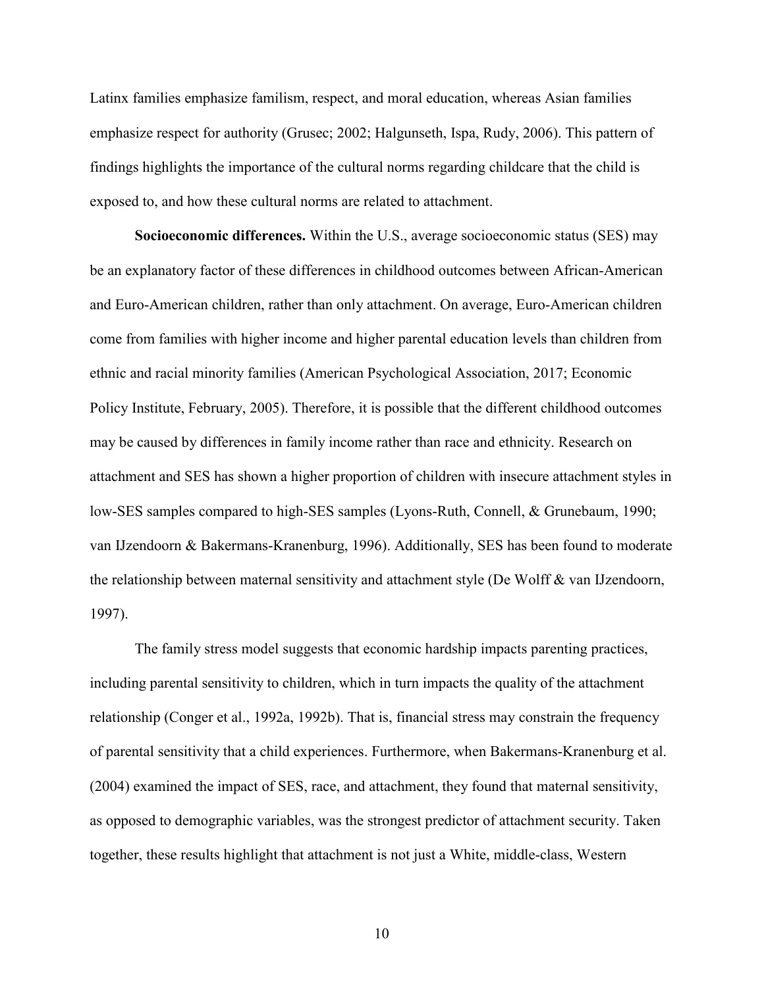Latinx families emphasize familism, respect, and moral education, whereas Asian families emphasize respect for authority (Grusec; 2002; Halgunseth, Ispa, Rudy, 2006). This pattern of findings highlights the importance of the cultural norms regarding childcare that the child is exposed to, and how these cultural norms are related to attachment.

**Socioeconomic differences.** Within the U.S., average socioeconomic status (SES) may be an explanatory factor of these differences in childhood outcomes between African-American and Euro-American children, rather than only attachment. On average, Euro-American children come from families with higher income and higher parental education levels than children from ethnic and racial minority families (American Psychological Association, 2017; Economic Policy Institute, February, 2005). Therefore, it is possible that the different childhood outcomes may be caused by differences in family income rather than race and ethnicity. Research on attachment and SES has shown a higher proportion of children with insecure attachment styles in low-SES samples compared to high-SES samples (Lyons-Ruth, Connell, & Grunebaum, 1990; van IJzendoorn & Bakermans-Kranenburg, 1996). Additionally, SES has been found to moderate the relationship between maternal sensitivity and attachment style (De Wolff & van IJzendoorn, 1997).

The family stress model suggests that economic hardship impacts parenting practices, including parental sensitivity to children, which in turn impacts the quality of the attachment relationship (Conger et al., 1992a, 1992b). That is, financial stress may constrain the frequency of parental sensitivity that a child experiences. Furthermore, when Bakermans-Kranenburg et al. (2004) examined the impact of SES, race, and attachment, they found that maternal sensitivity, as opposed to demographic variables, was the strongest predictor of attachment security. Taken together, these results highlight that attachment is not just a White, middle-class, Western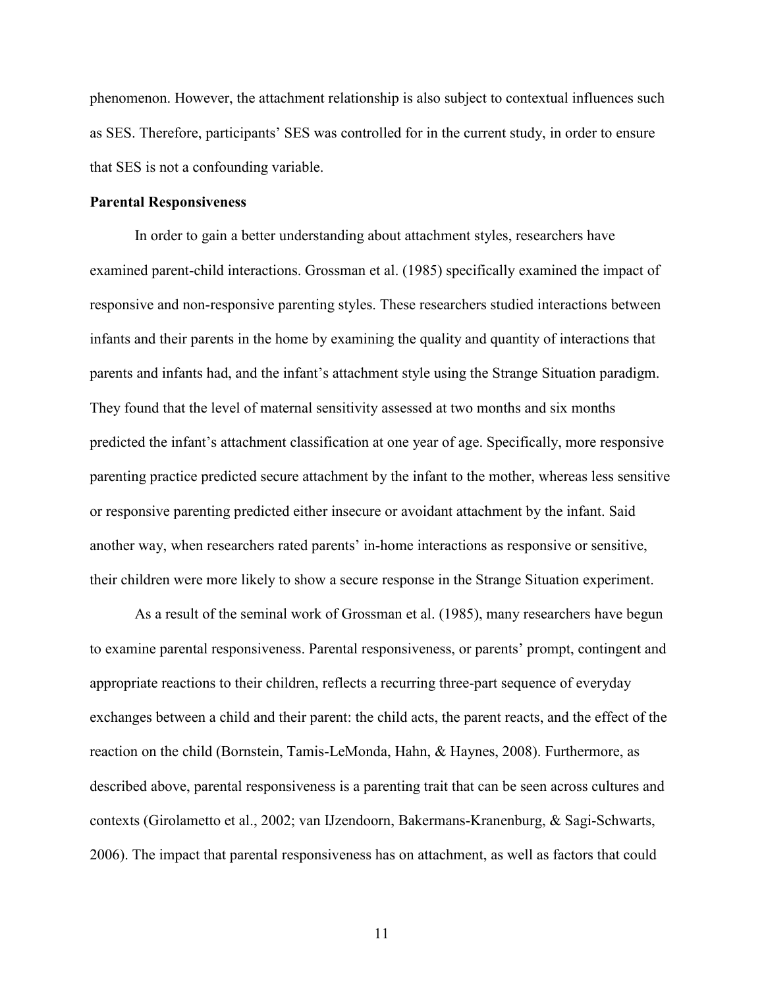phenomenon. However, the attachment relationship is also subject to contextual influences such as SES. Therefore, participants' SES was controlled for in the current study, in order to ensure that SES is not a confounding variable.

### **Parental Responsiveness**

In order to gain a better understanding about attachment styles, researchers have examined parent-child interactions. Grossman et al. (1985) specifically examined the impact of responsive and non-responsive parenting styles. These researchers studied interactions between infants and their parents in the home by examining the quality and quantity of interactions that parents and infants had, and the infant's attachment style using the Strange Situation paradigm. They found that the level of maternal sensitivity assessed at two months and six months predicted the infant's attachment classification at one year of age. Specifically, more responsive parenting practice predicted secure attachment by the infant to the mother, whereas less sensitive or responsive parenting predicted either insecure or avoidant attachment by the infant. Said another way, when researchers rated parents' in-home interactions as responsive or sensitive, their children were more likely to show a secure response in the Strange Situation experiment.

 As a result of the seminal work of Grossman et al. (1985), many researchers have begun to examine parental responsiveness. Parental responsiveness, or parents' prompt, contingent and appropriate reactions to their children, reflects a recurring three-part sequence of everyday exchanges between a child and their parent: the child acts, the parent reacts, and the effect of the reaction on the child (Bornstein, Tamis-LeMonda, Hahn, & Haynes, 2008). Furthermore, as described above, parental responsiveness is a parenting trait that can be seen across cultures and contexts (Girolametto et al., 2002; van IJzendoorn, Bakermans-Kranenburg, & Sagi-Schwarts, 2006). The impact that parental responsiveness has on attachment, as well as factors that could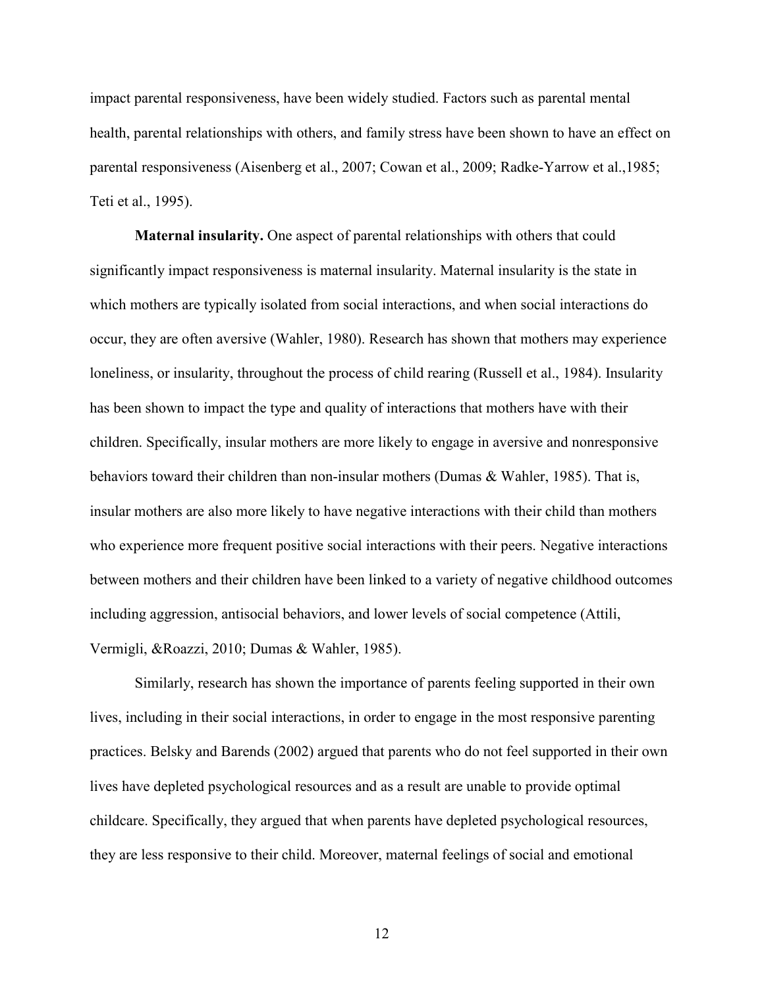impact parental responsiveness, have been widely studied. Factors such as parental mental health, parental relationships with others, and family stress have been shown to have an effect on parental responsiveness (Aisenberg et al., 2007; Cowan et al., 2009; Radke-Yarrow et al.,1985; Teti et al., 1995).

**Maternal insularity.** One aspect of parental relationships with others that could significantly impact responsiveness is maternal insularity. Maternal insularity is the state in which mothers are typically isolated from social interactions, and when social interactions do occur, they are often aversive (Wahler, 1980). Research has shown that mothers may experience loneliness, or insularity, throughout the process of child rearing (Russell et al., 1984). Insularity has been shown to impact the type and quality of interactions that mothers have with their children. Specifically, insular mothers are more likely to engage in aversive and nonresponsive behaviors toward their children than non-insular mothers (Dumas & Wahler, 1985). That is, insular mothers are also more likely to have negative interactions with their child than mothers who experience more frequent positive social interactions with their peers. Negative interactions between mothers and their children have been linked to a variety of negative childhood outcomes including aggression, antisocial behaviors, and lower levels of social competence (Attili, Vermigli, &Roazzi, 2010; Dumas & Wahler, 1985).

Similarly, research has shown the importance of parents feeling supported in their own lives, including in their social interactions, in order to engage in the most responsive parenting practices. Belsky and Barends (2002) argued that parents who do not feel supported in their own lives have depleted psychological resources and as a result are unable to provide optimal childcare. Specifically, they argued that when parents have depleted psychological resources, they are less responsive to their child. Moreover, maternal feelings of social and emotional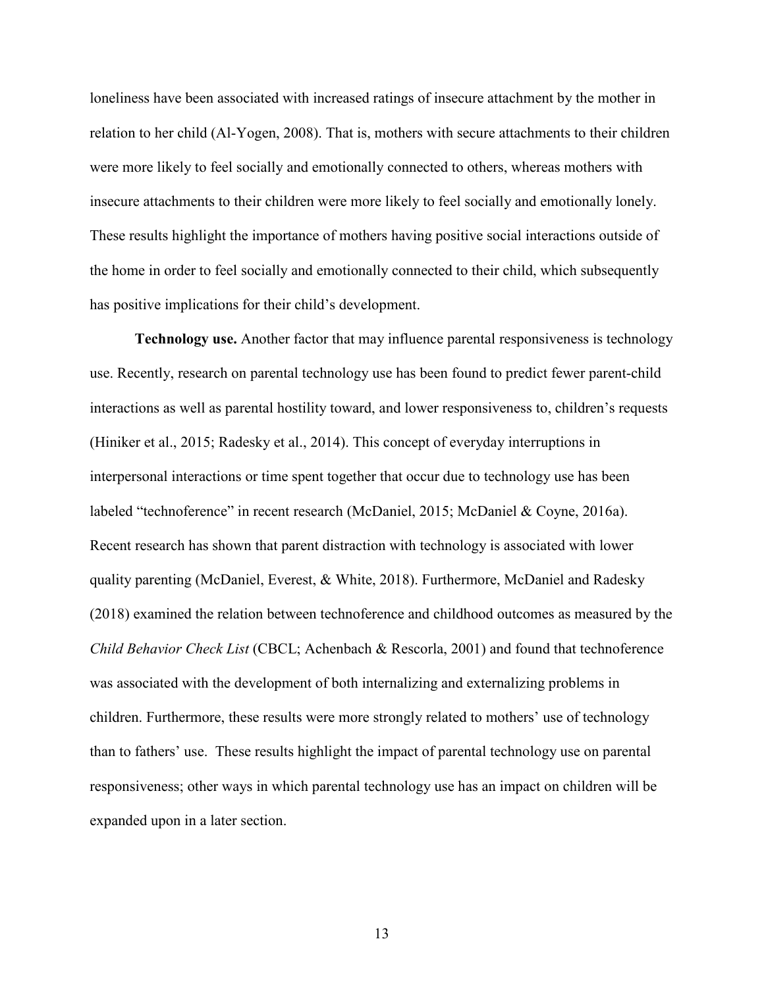loneliness have been associated with increased ratings of insecure attachment by the mother in relation to her child (Al-Yogen, 2008). That is, mothers with secure attachments to their children were more likely to feel socially and emotionally connected to others, whereas mothers with insecure attachments to their children were more likely to feel socially and emotionally lonely. These results highlight the importance of mothers having positive social interactions outside of the home in order to feel socially and emotionally connected to their child, which subsequently has positive implications for their child's development.

**Technology use.** Another factor that may influence parental responsiveness is technology use. Recently, research on parental technology use has been found to predict fewer parent-child interactions as well as parental hostility toward, and lower responsiveness to, children's requests (Hiniker et al., 2015; Radesky et al., 2014). This concept of everyday interruptions in interpersonal interactions or time spent together that occur due to technology use has been labeled "technoference" in recent research (McDaniel, 2015; McDaniel & Coyne, 2016a). Recent research has shown that parent distraction with technology is associated with lower quality parenting (McDaniel, Everest, & White, 2018). Furthermore, McDaniel and Radesky (2018) examined the relation between technoference and childhood outcomes as measured by the *Child Behavior Check List* (CBCL; Achenbach & Rescorla, 2001) and found that technoference was associated with the development of both internalizing and externalizing problems in children. Furthermore, these results were more strongly related to mothers' use of technology than to fathers' use. These results highlight the impact of parental technology use on parental responsiveness; other ways in which parental technology use has an impact on children will be expanded upon in a later section.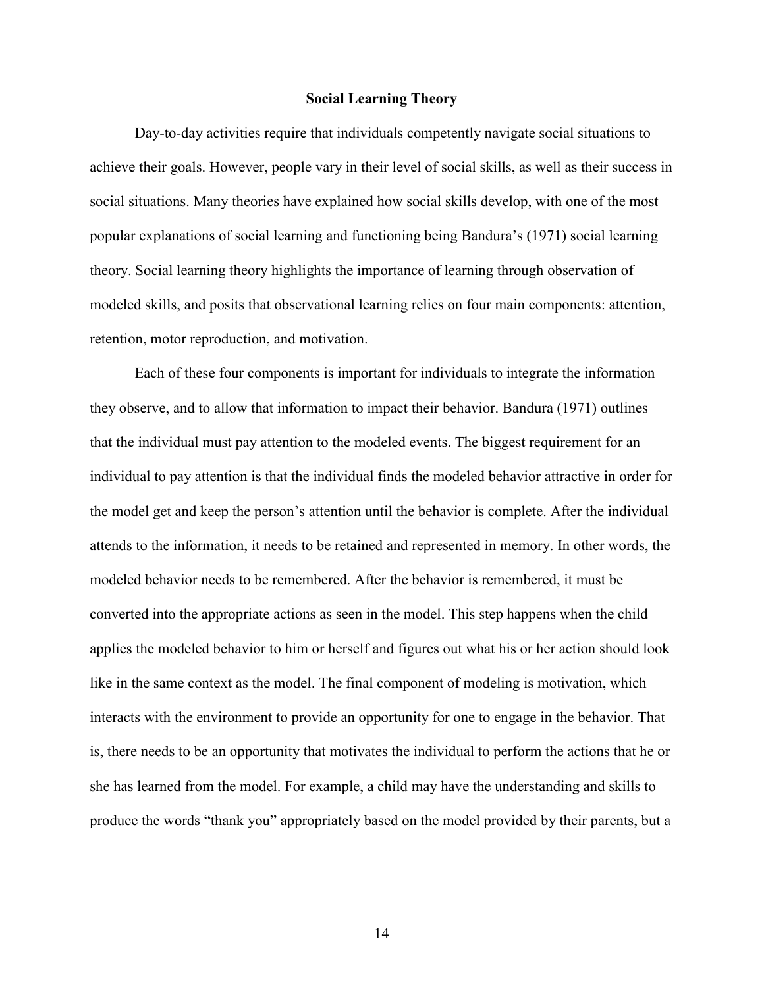### **Social Learning Theory**

 Day-to-day activities require that individuals competently navigate social situations to achieve their goals. However, people vary in their level of social skills, as well as their success in social situations. Many theories have explained how social skills develop, with one of the most popular explanations of social learning and functioning being Bandura's (1971) social learning theory. Social learning theory highlights the importance of learning through observation of modeled skills, and posits that observational learning relies on four main components: attention, retention, motor reproduction, and motivation.

 Each of these four components is important for individuals to integrate the information they observe, and to allow that information to impact their behavior. Bandura (1971) outlines that the individual must pay attention to the modeled events. The biggest requirement for an individual to pay attention is that the individual finds the modeled behavior attractive in order for the model get and keep the person's attention until the behavior is complete. After the individual attends to the information, it needs to be retained and represented in memory. In other words, the modeled behavior needs to be remembered. After the behavior is remembered, it must be converted into the appropriate actions as seen in the model. This step happens when the child applies the modeled behavior to him or herself and figures out what his or her action should look like in the same context as the model. The final component of modeling is motivation, which interacts with the environment to provide an opportunity for one to engage in the behavior. That is, there needs to be an opportunity that motivates the individual to perform the actions that he or she has learned from the model. For example, a child may have the understanding and skills to produce the words "thank you" appropriately based on the model provided by their parents, but a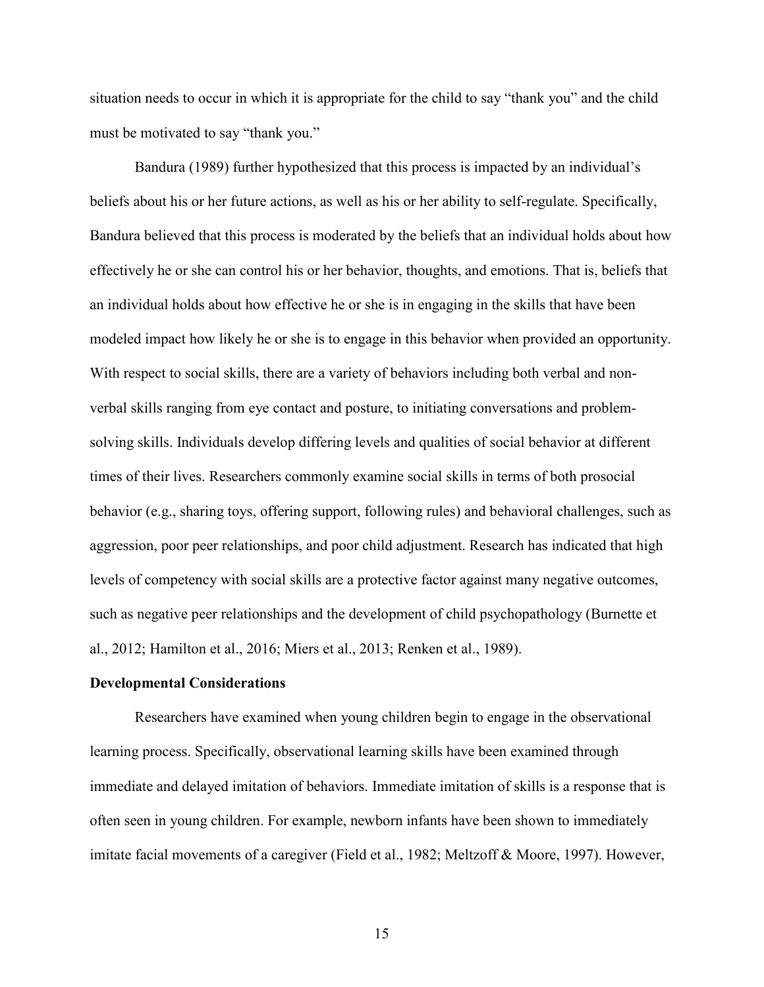situation needs to occur in which it is appropriate for the child to say "thank you" and the child must be motivated to say "thank you."

 Bandura (1989) further hypothesized that this process is impacted by an individual's beliefs about his or her future actions, as well as his or her ability to self-regulate. Specifically, Bandura believed that this process is moderated by the beliefs that an individual holds about how effectively he or she can control his or her behavior, thoughts, and emotions. That is, beliefs that an individual holds about how effective he or she is in engaging in the skills that have been modeled impact how likely he or she is to engage in this behavior when provided an opportunity. With respect to social skills, there are a variety of behaviors including both verbal and nonverbal skills ranging from eye contact and posture, to initiating conversations and problemsolving skills. Individuals develop differing levels and qualities of social behavior at different times of their lives. Researchers commonly examine social skills in terms of both prosocial behavior (e.g., sharing toys, offering support, following rules) and behavioral challenges, such as aggression, poor peer relationships, and poor child adjustment. Research has indicated that high levels of competency with social skills are a protective factor against many negative outcomes, such as negative peer relationships and the development of child psychopathology (Burnette et al., 2012; Hamilton et al., 2016; Miers et al., 2013; Renken et al., 1989).

### **Developmental Considerations**

Researchers have examined when young children begin to engage in the observational learning process. Specifically, observational learning skills have been examined through immediate and delayed imitation of behaviors. Immediate imitation of skills is a response that is often seen in young children. For example, newborn infants have been shown to immediately imitate facial movements of a caregiver (Field et al., 1982; Meltzoff & Moore, 1997). However,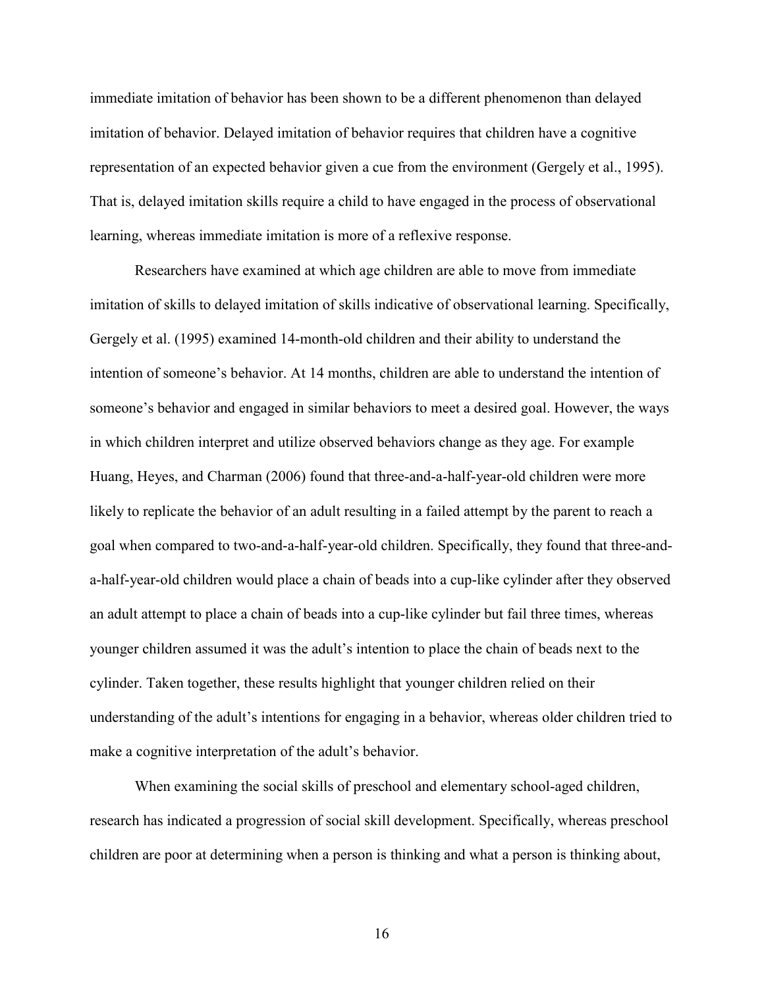immediate imitation of behavior has been shown to be a different phenomenon than delayed imitation of behavior. Delayed imitation of behavior requires that children have a cognitive representation of an expected behavior given a cue from the environment (Gergely et al., 1995). That is, delayed imitation skills require a child to have engaged in the process of observational learning, whereas immediate imitation is more of a reflexive response.

Researchers have examined at which age children are able to move from immediate imitation of skills to delayed imitation of skills indicative of observational learning. Specifically, Gergely et al. (1995) examined 14-month-old children and their ability to understand the intention of someone's behavior. At 14 months, children are able to understand the intention of someone's behavior and engaged in similar behaviors to meet a desired goal. However, the ways in which children interpret and utilize observed behaviors change as they age. For example Huang, Heyes, and Charman (2006) found that three-and-a-half-year-old children were more likely to replicate the behavior of an adult resulting in a failed attempt by the parent to reach a goal when compared to two-and-a-half-year-old children. Specifically, they found that three-anda-half-year-old children would place a chain of beads into a cup-like cylinder after they observed an adult attempt to place a chain of beads into a cup-like cylinder but fail three times, whereas younger children assumed it was the adult's intention to place the chain of beads next to the cylinder. Taken together, these results highlight that younger children relied on their understanding of the adult's intentions for engaging in a behavior, whereas older children tried to make a cognitive interpretation of the adult's behavior.

When examining the social skills of preschool and elementary school-aged children, research has indicated a progression of social skill development. Specifically, whereas preschool children are poor at determining when a person is thinking and what a person is thinking about,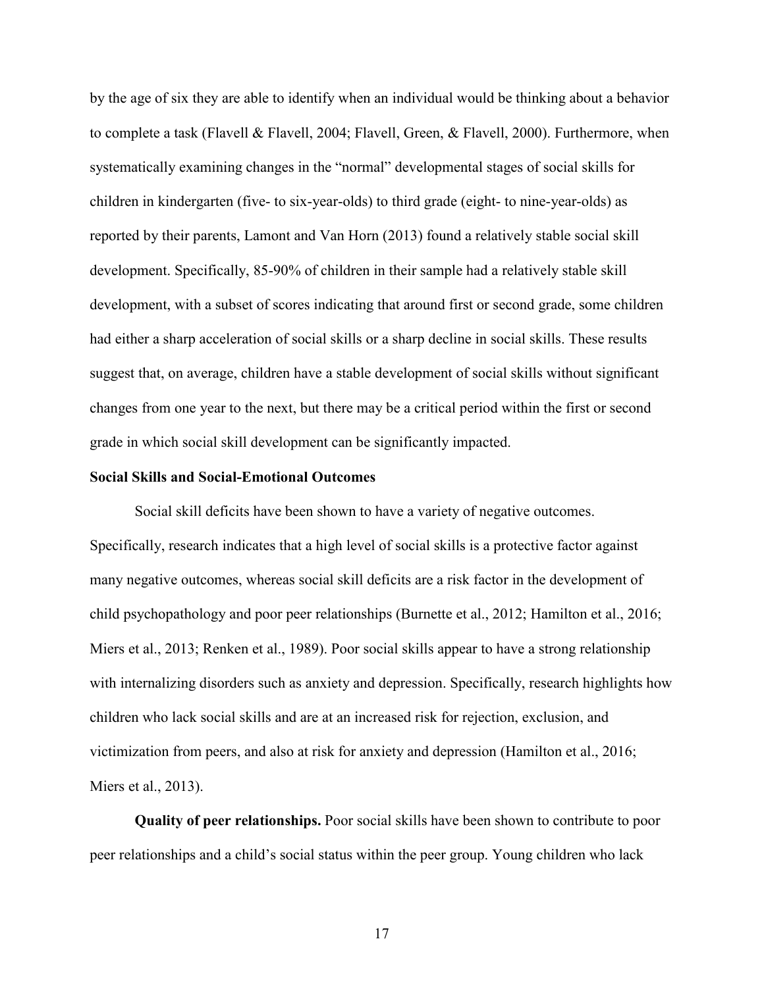by the age of six they are able to identify when an individual would be thinking about a behavior to complete a task (Flavell & Flavell, 2004; Flavell, Green, & Flavell, 2000). Furthermore, when systematically examining changes in the "normal" developmental stages of social skills for children in kindergarten (five- to six-year-olds) to third grade (eight- to nine-year-olds) as reported by their parents, Lamont and Van Horn (2013) found a relatively stable social skill development. Specifically, 85-90% of children in their sample had a relatively stable skill development, with a subset of scores indicating that around first or second grade, some children had either a sharp acceleration of social skills or a sharp decline in social skills. These results suggest that, on average, children have a stable development of social skills without significant changes from one year to the next, but there may be a critical period within the first or second grade in which social skill development can be significantly impacted.

#### **Social Skills and Social-Emotional Outcomes**

Social skill deficits have been shown to have a variety of negative outcomes. Specifically, research indicates that a high level of social skills is a protective factor against many negative outcomes, whereas social skill deficits are a risk factor in the development of child psychopathology and poor peer relationships (Burnette et al., 2012; Hamilton et al., 2016; Miers et al., 2013; Renken et al., 1989). Poor social skills appear to have a strong relationship with internalizing disorders such as anxiety and depression. Specifically, research highlights how children who lack social skills and are at an increased risk for rejection, exclusion, and victimization from peers, and also at risk for anxiety and depression (Hamilton et al., 2016; Miers et al., 2013).

**Quality of peer relationships.** Poor social skills have been shown to contribute to poor peer relationships and a child's social status within the peer group. Young children who lack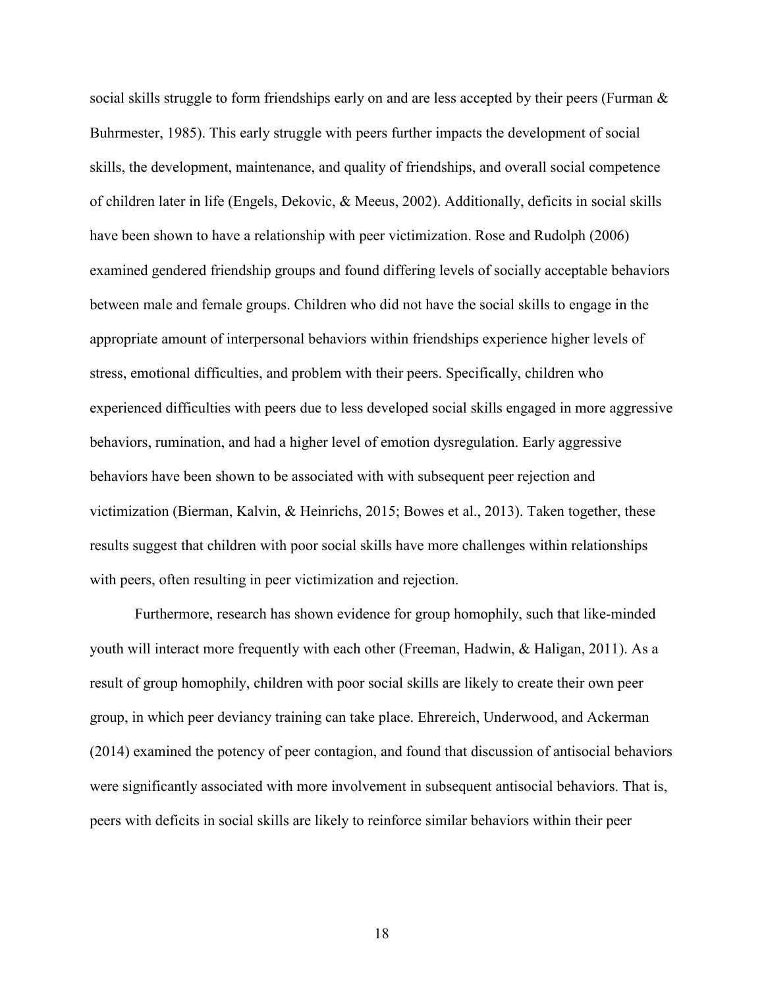social skills struggle to form friendships early on and are less accepted by their peers (Furman  $\&$ Buhrmester, 1985). This early struggle with peers further impacts the development of social skills, the development, maintenance, and quality of friendships, and overall social competence of children later in life (Engels, Dekovic, & Meeus, 2002). Additionally, deficits in social skills have been shown to have a relationship with peer victimization. Rose and Rudolph (2006) examined gendered friendship groups and found differing levels of socially acceptable behaviors between male and female groups. Children who did not have the social skills to engage in the appropriate amount of interpersonal behaviors within friendships experience higher levels of stress, emotional difficulties, and problem with their peers. Specifically, children who experienced difficulties with peers due to less developed social skills engaged in more aggressive behaviors, rumination, and had a higher level of emotion dysregulation. Early aggressive behaviors have been shown to be associated with with subsequent peer rejection and victimization (Bierman, Kalvin, & Heinrichs, 2015; Bowes et al., 2013). Taken together, these results suggest that children with poor social skills have more challenges within relationships with peers, often resulting in peer victimization and rejection.

Furthermore, research has shown evidence for group homophily, such that like-minded youth will interact more frequently with each other (Freeman, Hadwin, & Haligan, 2011). As a result of group homophily, children with poor social skills are likely to create their own peer group, in which peer deviancy training can take place. Ehrereich, Underwood, and Ackerman (2014) examined the potency of peer contagion, and found that discussion of antisocial behaviors were significantly associated with more involvement in subsequent antisocial behaviors. That is, peers with deficits in social skills are likely to reinforce similar behaviors within their peer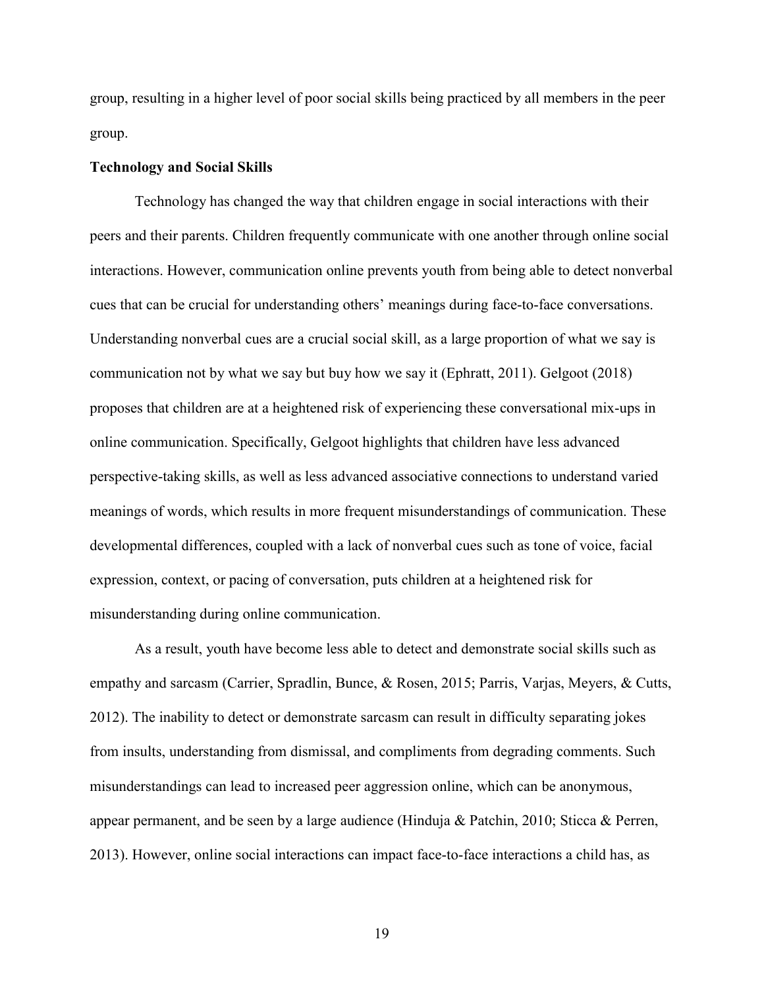group, resulting in a higher level of poor social skills being practiced by all members in the peer group.

### **Technology and Social Skills**

Technology has changed the way that children engage in social interactions with their peers and their parents. Children frequently communicate with one another through online social interactions. However, communication online prevents youth from being able to detect nonverbal cues that can be crucial for understanding others' meanings during face-to-face conversations. Understanding nonverbal cues are a crucial social skill, as a large proportion of what we say is communication not by what we say but buy how we say it (Ephratt, 2011). Gelgoot (2018) proposes that children are at a heightened risk of experiencing these conversational mix-ups in online communication. Specifically, Gelgoot highlights that children have less advanced perspective-taking skills, as well as less advanced associative connections to understand varied meanings of words, which results in more frequent misunderstandings of communication. These developmental differences, coupled with a lack of nonverbal cues such as tone of voice, facial expression, context, or pacing of conversation, puts children at a heightened risk for misunderstanding during online communication.

As a result, youth have become less able to detect and demonstrate social skills such as empathy and sarcasm (Carrier, Spradlin, Bunce, & Rosen, 2015; Parris, Varjas, Meyers, & Cutts, 2012). The inability to detect or demonstrate sarcasm can result in difficulty separating jokes from insults, understanding from dismissal, and compliments from degrading comments. Such misunderstandings can lead to increased peer aggression online, which can be anonymous, appear permanent, and be seen by a large audience (Hinduja & Patchin, 2010; Sticca & Perren, 2013). However, online social interactions can impact face-to-face interactions a child has, as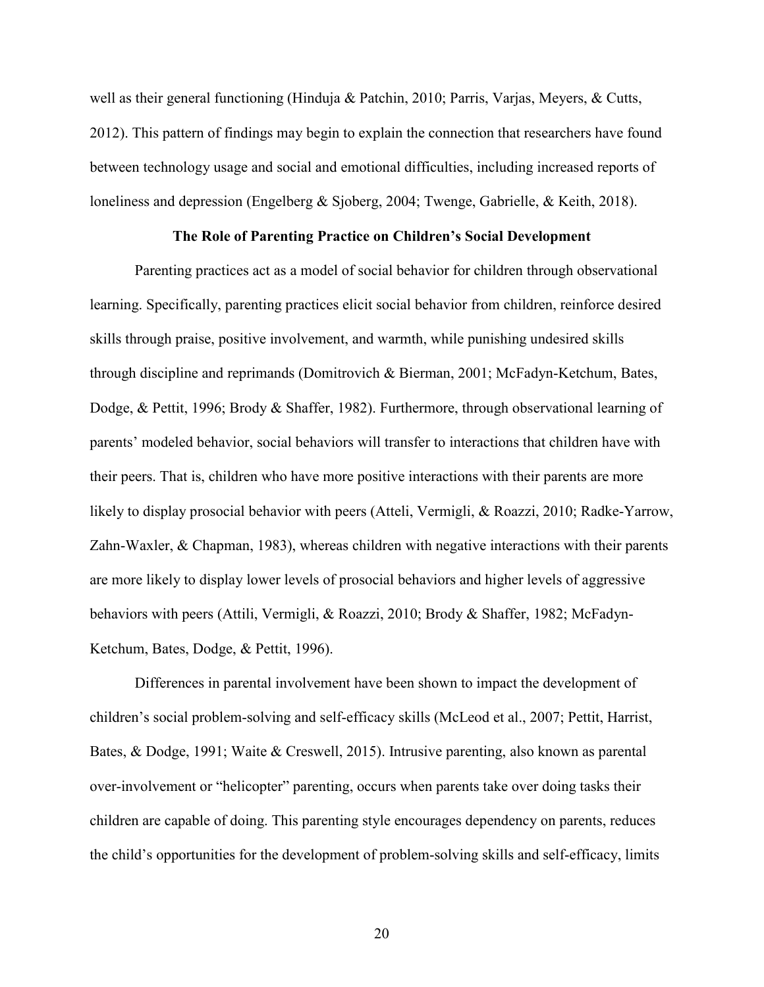well as their general functioning (Hinduja & Patchin, 2010; Parris, Varjas, Meyers, & Cutts, 2012). This pattern of findings may begin to explain the connection that researchers have found between technology usage and social and emotional difficulties, including increased reports of loneliness and depression (Engelberg & Sjoberg, 2004; Twenge, Gabrielle, & Keith, 2018).

### **The Role of Parenting Practice on Children's Social Development**

Parenting practices act as a model of social behavior for children through observational learning. Specifically, parenting practices elicit social behavior from children, reinforce desired skills through praise, positive involvement, and warmth, while punishing undesired skills through discipline and reprimands (Domitrovich & Bierman, 2001; McFadyn-Ketchum, Bates, Dodge, & Pettit, 1996; Brody & Shaffer, 1982). Furthermore, through observational learning of parents' modeled behavior, social behaviors will transfer to interactions that children have with their peers. That is, children who have more positive interactions with their parents are more likely to display prosocial behavior with peers (Atteli, Vermigli, & Roazzi, 2010; Radke-Yarrow, Zahn-Waxler, & Chapman, 1983), whereas children with negative interactions with their parents are more likely to display lower levels of prosocial behaviors and higher levels of aggressive behaviors with peers (Attili, Vermigli, & Roazzi, 2010; Brody & Shaffer, 1982; McFadyn-Ketchum, Bates, Dodge, & Pettit, 1996).

Differences in parental involvement have been shown to impact the development of children's social problem-solving and self-efficacy skills (McLeod et al., 2007; Pettit, Harrist, Bates, & Dodge, 1991; Waite & Creswell, 2015). Intrusive parenting, also known as parental over-involvement or "helicopter" parenting, occurs when parents take over doing tasks their children are capable of doing. This parenting style encourages dependency on parents, reduces the child's opportunities for the development of problem-solving skills and self-efficacy, limits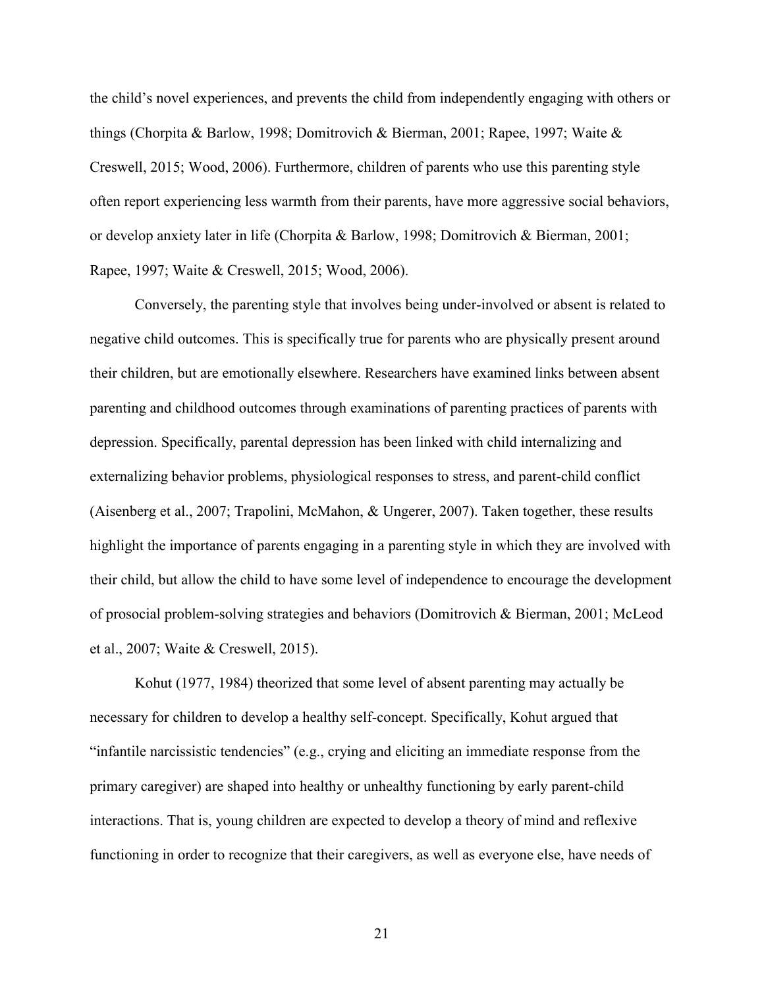the child's novel experiences, and prevents the child from independently engaging with others or things (Chorpita & Barlow, 1998; Domitrovich & Bierman, 2001; Rapee, 1997; Waite & Creswell, 2015; Wood, 2006). Furthermore, children of parents who use this parenting style often report experiencing less warmth from their parents, have more aggressive social behaviors, or develop anxiety later in life (Chorpita & Barlow, 1998; Domitrovich & Bierman, 2001; Rapee, 1997; Waite & Creswell, 2015; Wood, 2006).

Conversely, the parenting style that involves being under-involved or absent is related to negative child outcomes. This is specifically true for parents who are physically present around their children, but are emotionally elsewhere. Researchers have examined links between absent parenting and childhood outcomes through examinations of parenting practices of parents with depression. Specifically, parental depression has been linked with child internalizing and externalizing behavior problems, physiological responses to stress, and parent-child conflict (Aisenberg et al., 2007; Trapolini, McMahon, & Ungerer, 2007). Taken together, these results highlight the importance of parents engaging in a parenting style in which they are involved with their child, but allow the child to have some level of independence to encourage the development of prosocial problem-solving strategies and behaviors (Domitrovich & Bierman, 2001; McLeod et al., 2007; Waite & Creswell, 2015).

Kohut (1977, 1984) theorized that some level of absent parenting may actually be necessary for children to develop a healthy self-concept. Specifically, Kohut argued that "infantile narcissistic tendencies" (e.g., crying and eliciting an immediate response from the primary caregiver) are shaped into healthy or unhealthy functioning by early parent-child interactions. That is, young children are expected to develop a theory of mind and reflexive functioning in order to recognize that their caregivers, as well as everyone else, have needs of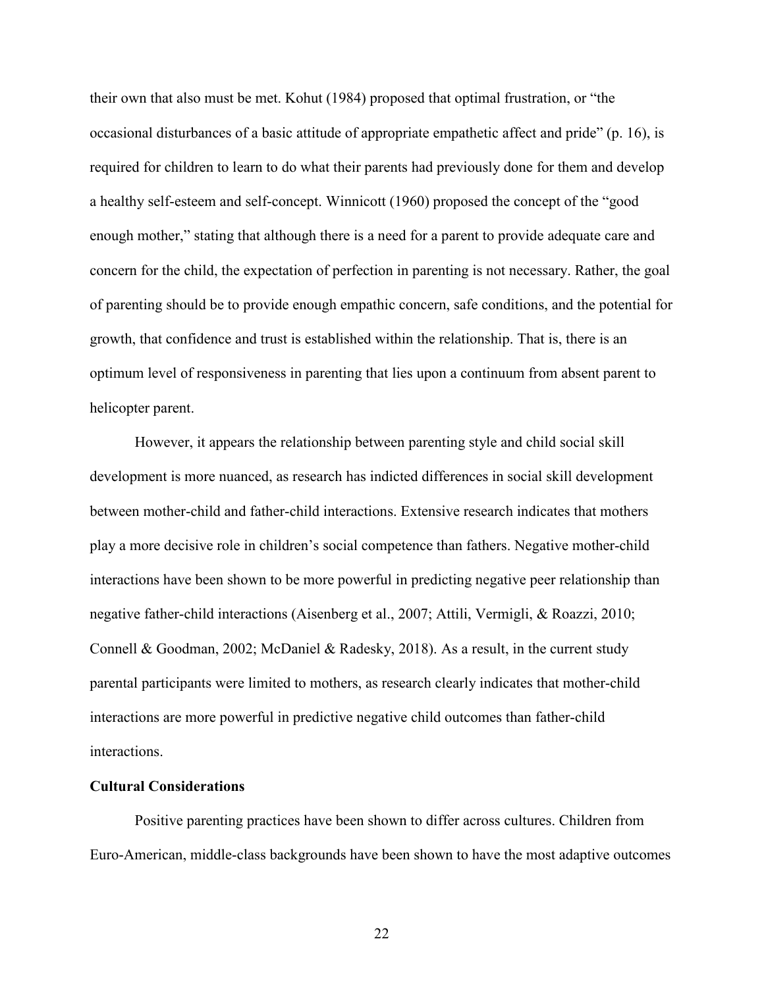their own that also must be met. Kohut (1984) proposed that optimal frustration, or "the occasional disturbances of a basic attitude of appropriate empathetic affect and pride" (p. 16), is required for children to learn to do what their parents had previously done for them and develop a healthy self-esteem and self-concept. Winnicott (1960) proposed the concept of the "good enough mother," stating that although there is a need for a parent to provide adequate care and concern for the child, the expectation of perfection in parenting is not necessary. Rather, the goal of parenting should be to provide enough empathic concern, safe conditions, and the potential for growth, that confidence and trust is established within the relationship. That is, there is an optimum level of responsiveness in parenting that lies upon a continuum from absent parent to helicopter parent.

However, it appears the relationship between parenting style and child social skill development is more nuanced, as research has indicted differences in social skill development between mother-child and father-child interactions. Extensive research indicates that mothers play a more decisive role in children's social competence than fathers. Negative mother-child interactions have been shown to be more powerful in predicting negative peer relationship than negative father-child interactions (Aisenberg et al., 2007; Attili, Vermigli, & Roazzi, 2010; Connell & Goodman, 2002; McDaniel & Radesky, 2018). As a result, in the current study parental participants were limited to mothers, as research clearly indicates that mother-child interactions are more powerful in predictive negative child outcomes than father-child interactions.

### **Cultural Considerations**

Positive parenting practices have been shown to differ across cultures. Children from Euro-American, middle-class backgrounds have been shown to have the most adaptive outcomes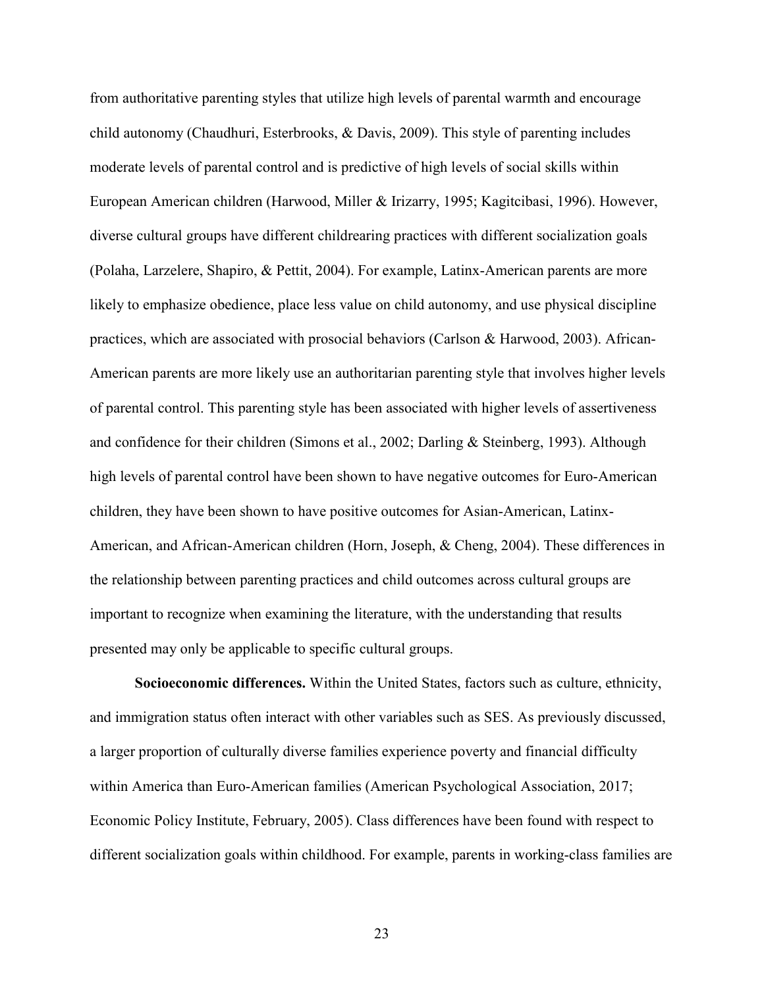from authoritative parenting styles that utilize high levels of parental warmth and encourage child autonomy (Chaudhuri, Esterbrooks, & Davis, 2009). This style of parenting includes moderate levels of parental control and is predictive of high levels of social skills within European American children (Harwood, Miller & Irizarry, 1995; Kagitcibasi, 1996). However, diverse cultural groups have different childrearing practices with different socialization goals (Polaha, Larzelere, Shapiro, & Pettit, 2004). For example, Latinx-American parents are more likely to emphasize obedience, place less value on child autonomy, and use physical discipline practices, which are associated with prosocial behaviors (Carlson & Harwood, 2003). African-American parents are more likely use an authoritarian parenting style that involves higher levels of parental control. This parenting style has been associated with higher levels of assertiveness and confidence for their children (Simons et al., 2002; Darling & Steinberg, 1993). Although high levels of parental control have been shown to have negative outcomes for Euro-American children, they have been shown to have positive outcomes for Asian-American, Latinx-American, and African-American children (Horn, Joseph, & Cheng, 2004). These differences in the relationship between parenting practices and child outcomes across cultural groups are important to recognize when examining the literature, with the understanding that results presented may only be applicable to specific cultural groups.

**Socioeconomic differences.** Within the United States, factors such as culture, ethnicity, and immigration status often interact with other variables such as SES. As previously discussed, a larger proportion of culturally diverse families experience poverty and financial difficulty within America than Euro-American families (American Psychological Association, 2017; Economic Policy Institute, February, 2005). Class differences have been found with respect to different socialization goals within childhood. For example, parents in working-class families are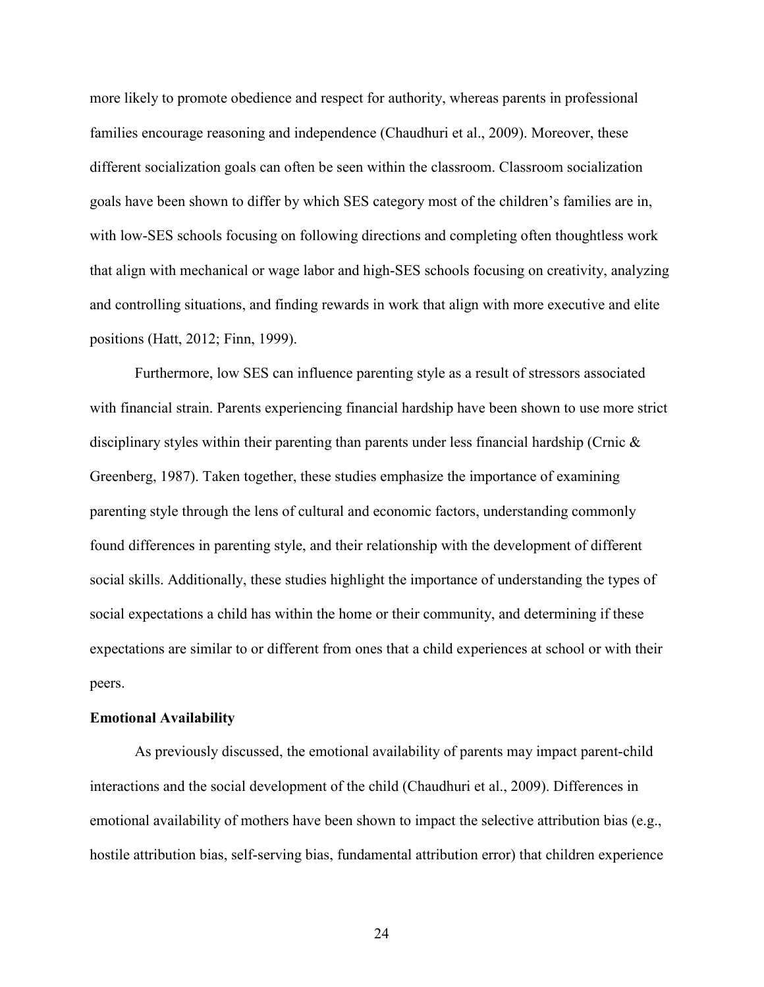more likely to promote obedience and respect for authority, whereas parents in professional families encourage reasoning and independence (Chaudhuri et al., 2009). Moreover, these different socialization goals can often be seen within the classroom. Classroom socialization goals have been shown to differ by which SES category most of the children's families are in, with low-SES schools focusing on following directions and completing often thoughtless work that align with mechanical or wage labor and high-SES schools focusing on creativity, analyzing and controlling situations, and finding rewards in work that align with more executive and elite positions (Hatt, 2012; Finn, 1999).

Furthermore, low SES can influence parenting style as a result of stressors associated with financial strain. Parents experiencing financial hardship have been shown to use more strict disciplinary styles within their parenting than parents under less financial hardship (Crnic & Greenberg, 1987). Taken together, these studies emphasize the importance of examining parenting style through the lens of cultural and economic factors, understanding commonly found differences in parenting style, and their relationship with the development of different social skills. Additionally, these studies highlight the importance of understanding the types of social expectations a child has within the home or their community, and determining if these expectations are similar to or different from ones that a child experiences at school or with their peers.

#### **Emotional Availability**

As previously discussed, the emotional availability of parents may impact parent-child interactions and the social development of the child (Chaudhuri et al., 2009). Differences in emotional availability of mothers have been shown to impact the selective attribution bias (e.g., hostile attribution bias, self-serving bias, fundamental attribution error) that children experience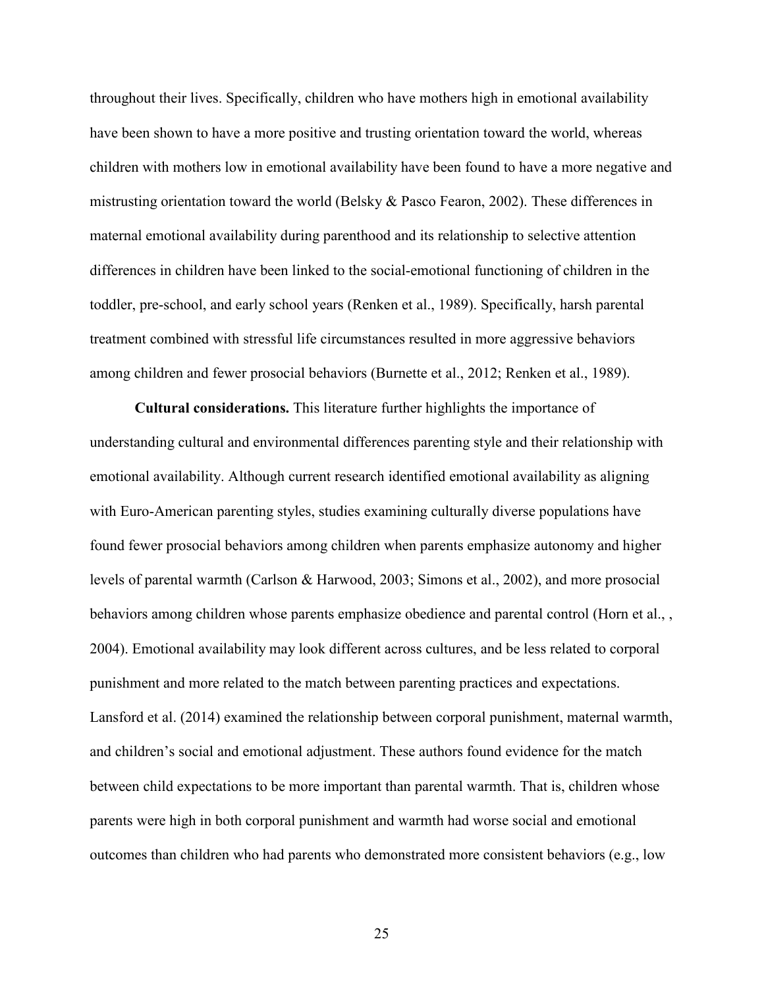throughout their lives. Specifically, children who have mothers high in emotional availability have been shown to have a more positive and trusting orientation toward the world, whereas children with mothers low in emotional availability have been found to have a more negative and mistrusting orientation toward the world (Belsky & Pasco Fearon, 2002). These differences in maternal emotional availability during parenthood and its relationship to selective attention differences in children have been linked to the social-emotional functioning of children in the toddler, pre-school, and early school years (Renken et al., 1989). Specifically, harsh parental treatment combined with stressful life circumstances resulted in more aggressive behaviors among children and fewer prosocial behaviors (Burnette et al., 2012; Renken et al., 1989).

**Cultural considerations.** This literature further highlights the importance of understanding cultural and environmental differences parenting style and their relationship with emotional availability. Although current research identified emotional availability as aligning with Euro-American parenting styles, studies examining culturally diverse populations have found fewer prosocial behaviors among children when parents emphasize autonomy and higher levels of parental warmth (Carlson & Harwood, 2003; Simons et al., 2002), and more prosocial behaviors among children whose parents emphasize obedience and parental control (Horn et al., , 2004). Emotional availability may look different across cultures, and be less related to corporal punishment and more related to the match between parenting practices and expectations. Lansford et al. (2014) examined the relationship between corporal punishment, maternal warmth, and children's social and emotional adjustment. These authors found evidence for the match between child expectations to be more important than parental warmth. That is, children whose parents were high in both corporal punishment and warmth had worse social and emotional outcomes than children who had parents who demonstrated more consistent behaviors (e.g., low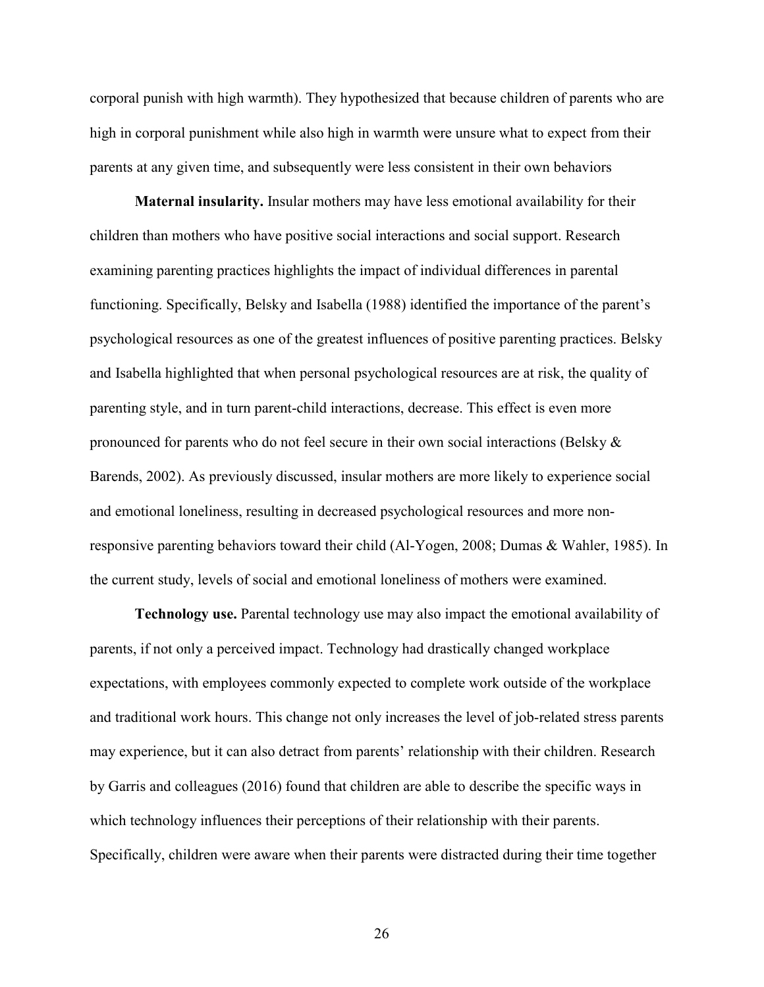corporal punish with high warmth). They hypothesized that because children of parents who are high in corporal punishment while also high in warmth were unsure what to expect from their parents at any given time, and subsequently were less consistent in their own behaviors

**Maternal insularity.** Insular mothers may have less emotional availability for their children than mothers who have positive social interactions and social support. Research examining parenting practices highlights the impact of individual differences in parental functioning. Specifically, Belsky and Isabella (1988) identified the importance of the parent's psychological resources as one of the greatest influences of positive parenting practices. Belsky and Isabella highlighted that when personal psychological resources are at risk, the quality of parenting style, and in turn parent-child interactions, decrease. This effect is even more pronounced for parents who do not feel secure in their own social interactions (Belsky & Barends, 2002). As previously discussed, insular mothers are more likely to experience social and emotional loneliness, resulting in decreased psychological resources and more nonresponsive parenting behaviors toward their child (Al-Yogen, 2008; Dumas & Wahler, 1985). In the current study, levels of social and emotional loneliness of mothers were examined.

**Technology use.** Parental technology use may also impact the emotional availability of parents, if not only a perceived impact. Technology had drastically changed workplace expectations, with employees commonly expected to complete work outside of the workplace and traditional work hours. This change not only increases the level of job-related stress parents may experience, but it can also detract from parents' relationship with their children. Research by Garris and colleagues (2016) found that children are able to describe the specific ways in which technology influences their perceptions of their relationship with their parents. Specifically, children were aware when their parents were distracted during their time together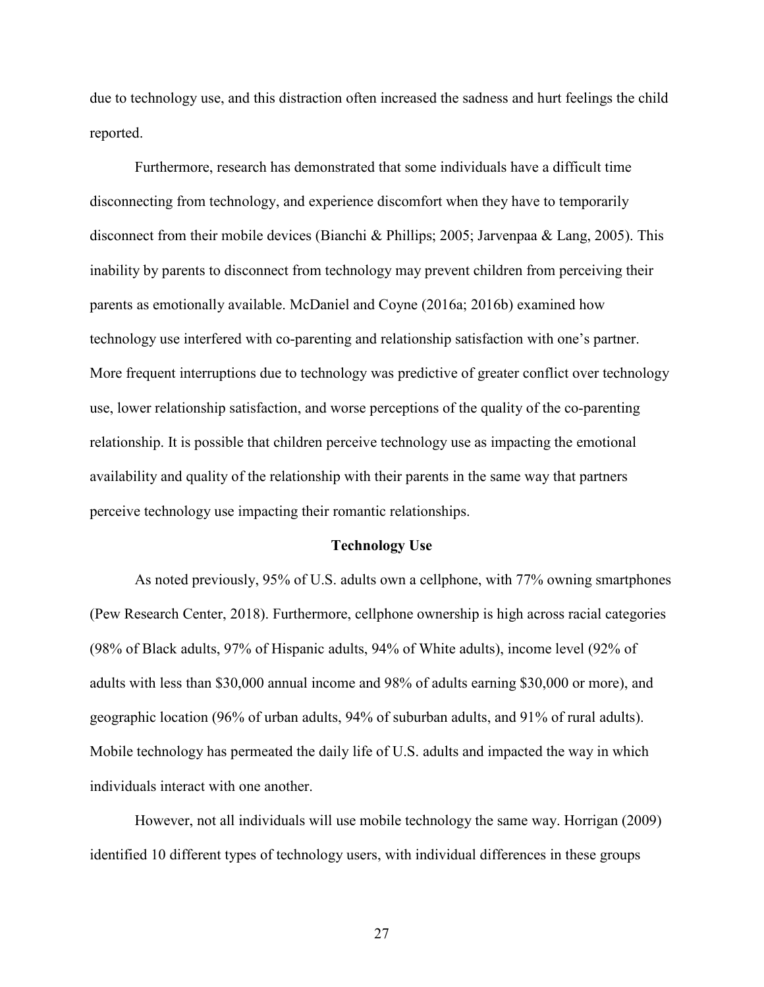due to technology use, and this distraction often increased the sadness and hurt feelings the child reported.

Furthermore, research has demonstrated that some individuals have a difficult time disconnecting from technology, and experience discomfort when they have to temporarily disconnect from their mobile devices (Bianchi & Phillips; 2005; Jarvenpaa & Lang, 2005). This inability by parents to disconnect from technology may prevent children from perceiving their parents as emotionally available. McDaniel and Coyne (2016a; 2016b) examined how technology use interfered with co-parenting and relationship satisfaction with one's partner. More frequent interruptions due to technology was predictive of greater conflict over technology use, lower relationship satisfaction, and worse perceptions of the quality of the co-parenting relationship. It is possible that children perceive technology use as impacting the emotional availability and quality of the relationship with their parents in the same way that partners perceive technology use impacting their romantic relationships.

#### **Technology Use**

As noted previously, 95% of U.S. adults own a cellphone, with 77% owning smartphones (Pew Research Center, 2018). Furthermore, cellphone ownership is high across racial categories (98% of Black adults, 97% of Hispanic adults, 94% of White adults), income level (92% of adults with less than \$30,000 annual income and 98% of adults earning \$30,000 or more), and geographic location (96% of urban adults, 94% of suburban adults, and 91% of rural adults). Mobile technology has permeated the daily life of U.S. adults and impacted the way in which individuals interact with one another.

However, not all individuals will use mobile technology the same way. Horrigan (2009) identified 10 different types of technology users, with individual differences in these groups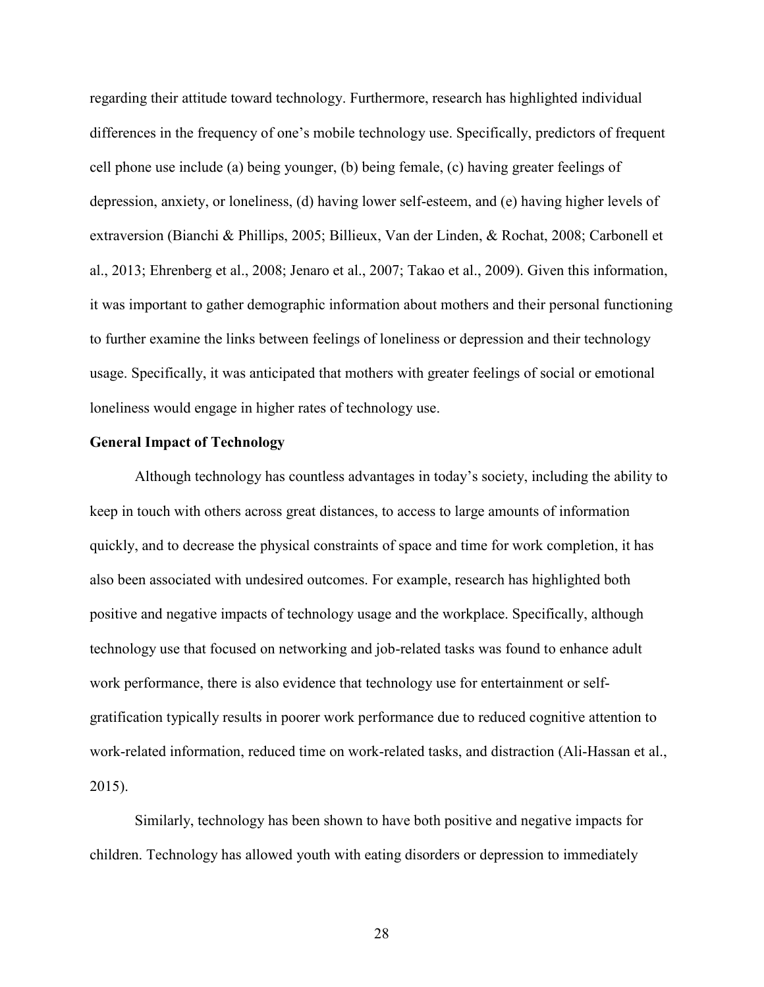regarding their attitude toward technology. Furthermore, research has highlighted individual differences in the frequency of one's mobile technology use. Specifically, predictors of frequent cell phone use include (a) being younger, (b) being female, (c) having greater feelings of depression, anxiety, or loneliness, (d) having lower self-esteem, and (e) having higher levels of extraversion (Bianchi & Phillips, 2005; Billieux, Van der Linden, & Rochat, 2008; Carbonell et al., 2013; Ehrenberg et al., 2008; Jenaro et al., 2007; Takao et al., 2009). Given this information, it was important to gather demographic information about mothers and their personal functioning to further examine the links between feelings of loneliness or depression and their technology usage. Specifically, it was anticipated that mothers with greater feelings of social or emotional loneliness would engage in higher rates of technology use.

### **General Impact of Technology**

Although technology has countless advantages in today's society, including the ability to keep in touch with others across great distances, to access to large amounts of information quickly, and to decrease the physical constraints of space and time for work completion, it has also been associated with undesired outcomes. For example, research has highlighted both positive and negative impacts of technology usage and the workplace. Specifically, although technology use that focused on networking and job-related tasks was found to enhance adult work performance, there is also evidence that technology use for entertainment or selfgratification typically results in poorer work performance due to reduced cognitive attention to work-related information, reduced time on work-related tasks, and distraction (Ali-Hassan et al., 2015).

Similarly, technology has been shown to have both positive and negative impacts for children. Technology has allowed youth with eating disorders or depression to immediately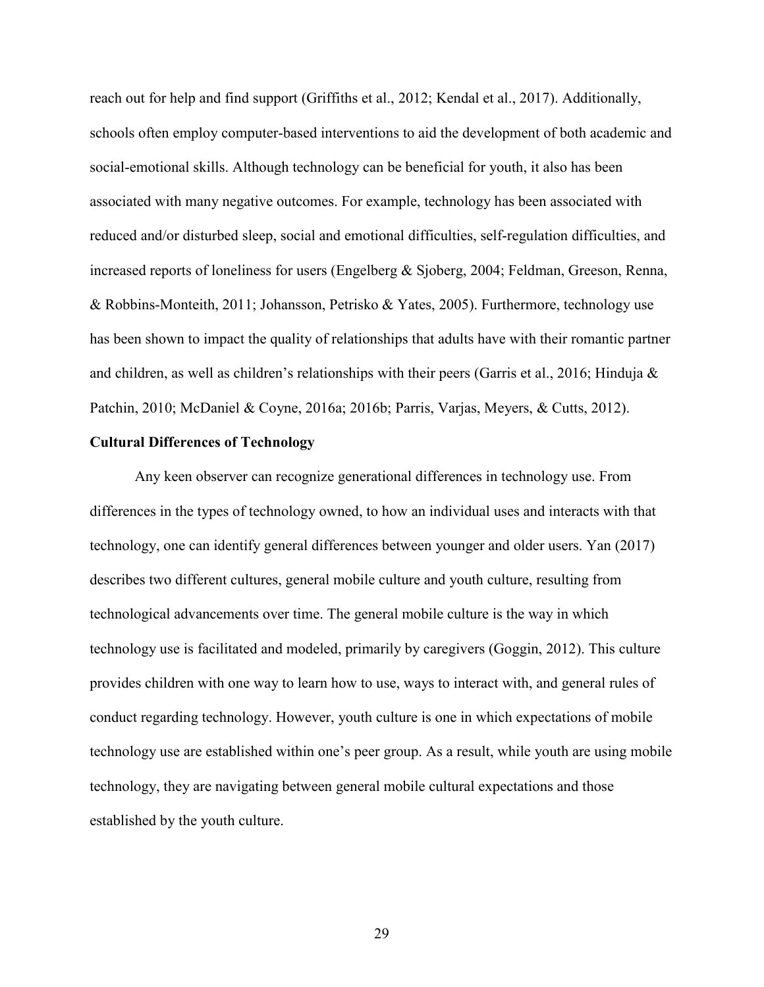reach out for help and find support (Griffiths et al., 2012; Kendal et al., 2017). Additionally, schools often employ computer-based interventions to aid the development of both academic and social-emotional skills. Although technology can be beneficial for youth, it also has been associated with many negative outcomes. For example, technology has been associated with reduced and/or disturbed sleep, social and emotional difficulties, self-regulation difficulties, and increased reports of loneliness for users (Engelberg & Sjoberg, 2004; Feldman, Greeson, Renna, & Robbins-Monteith, 2011; Johansson, Petrisko & Yates, 2005). Furthermore, technology use has been shown to impact the quality of relationships that adults have with their romantic partner and children, as well as children's relationships with their peers (Garris et al., 2016; Hinduja  $\&$ Patchin, 2010; McDaniel & Coyne, 2016a; 2016b; Parris, Varjas, Meyers, & Cutts, 2012).

### **Cultural Differences of Technology**

Any keen observer can recognize generational differences in technology use. From differences in the types of technology owned, to how an individual uses and interacts with that technology, one can identify general differences between younger and older users. Yan (2017) describes two different cultures, general mobile culture and youth culture, resulting from technological advancements over time. The general mobile culture is the way in which technology use is facilitated and modeled, primarily by caregivers (Goggin, 2012). This culture provides children with one way to learn how to use, ways to interact with, and general rules of conduct regarding technology. However, youth culture is one in which expectations of mobile technology use are established within one's peer group. As a result, while youth are using mobile technology, they are navigating between general mobile cultural expectations and those established by the youth culture.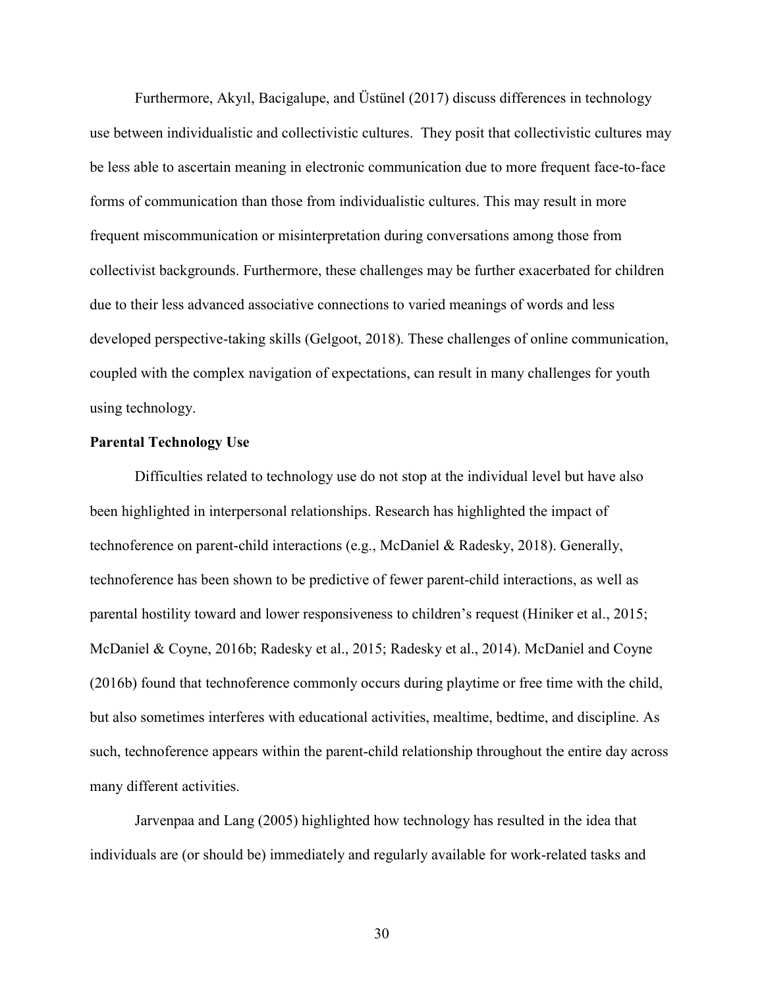Furthermore, Akyıl, Bacigalupe, and Üstünel (2017) discuss differences in technology use between individualistic and collectivistic cultures. They posit that collectivistic cultures may be less able to ascertain meaning in electronic communication due to more frequent face-to-face forms of communication than those from individualistic cultures. This may result in more frequent miscommunication or misinterpretation during conversations among those from collectivist backgrounds. Furthermore, these challenges may be further exacerbated for children due to their less advanced associative connections to varied meanings of words and less developed perspective-taking skills (Gelgoot, 2018). These challenges of online communication, coupled with the complex navigation of expectations, can result in many challenges for youth using technology.

## **Parental Technology Use**

Difficulties related to technology use do not stop at the individual level but have also been highlighted in interpersonal relationships. Research has highlighted the impact of technoference on parent-child interactions (e.g., McDaniel & Radesky, 2018). Generally, technoference has been shown to be predictive of fewer parent-child interactions, as well as parental hostility toward and lower responsiveness to children's request (Hiniker et al., 2015; McDaniel & Coyne, 2016b; Radesky et al., 2015; Radesky et al., 2014). McDaniel and Coyne (2016b) found that technoference commonly occurs during playtime or free time with the child, but also sometimes interferes with educational activities, mealtime, bedtime, and discipline. As such, technoference appears within the parent-child relationship throughout the entire day across many different activities.

Jarvenpaa and Lang (2005) highlighted how technology has resulted in the idea that individuals are (or should be) immediately and regularly available for work-related tasks and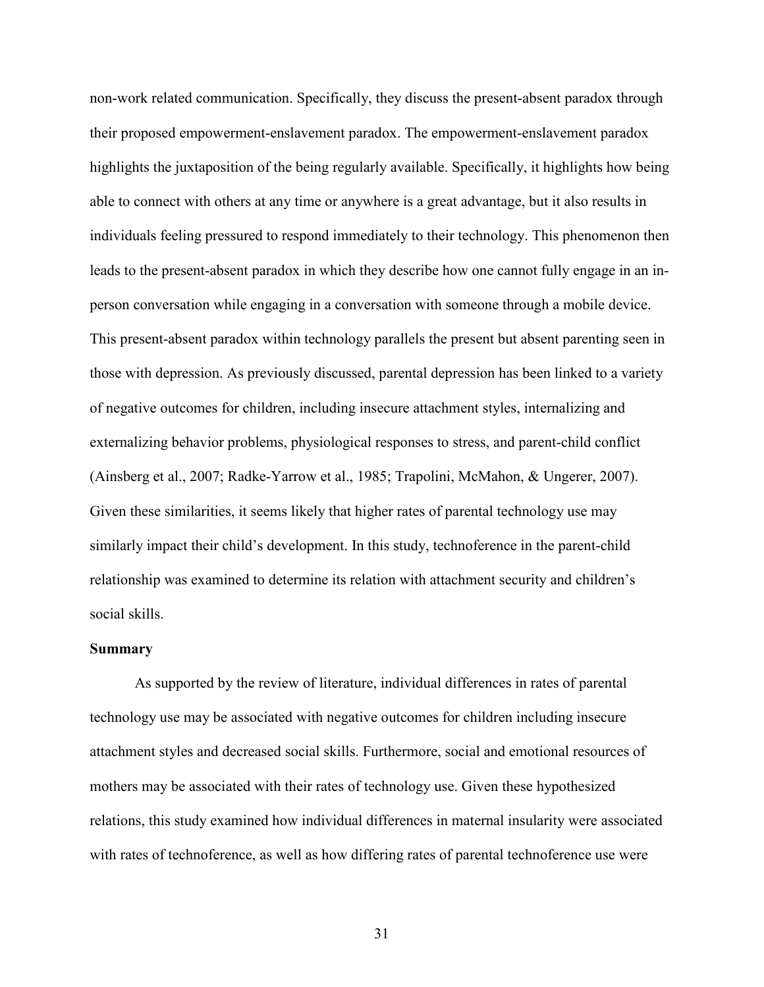non-work related communication. Specifically, they discuss the present-absent paradox through their proposed empowerment-enslavement paradox. The empowerment-enslavement paradox highlights the juxtaposition of the being regularly available. Specifically, it highlights how being able to connect with others at any time or anywhere is a great advantage, but it also results in individuals feeling pressured to respond immediately to their technology. This phenomenon then leads to the present-absent paradox in which they describe how one cannot fully engage in an inperson conversation while engaging in a conversation with someone through a mobile device. This present-absent paradox within technology parallels the present but absent parenting seen in those with depression. As previously discussed, parental depression has been linked to a variety of negative outcomes for children, including insecure attachment styles, internalizing and externalizing behavior problems, physiological responses to stress, and parent-child conflict (Ainsberg et al., 2007; Radke-Yarrow et al., 1985; Trapolini, McMahon, & Ungerer, 2007). Given these similarities, it seems likely that higher rates of parental technology use may similarly impact their child's development. In this study, technoference in the parent-child relationship was examined to determine its relation with attachment security and children's social skills.

#### **Summary**

As supported by the review of literature, individual differences in rates of parental technology use may be associated with negative outcomes for children including insecure attachment styles and decreased social skills. Furthermore, social and emotional resources of mothers may be associated with their rates of technology use. Given these hypothesized relations, this study examined how individual differences in maternal insularity were associated with rates of technoference, as well as how differing rates of parental technoference use were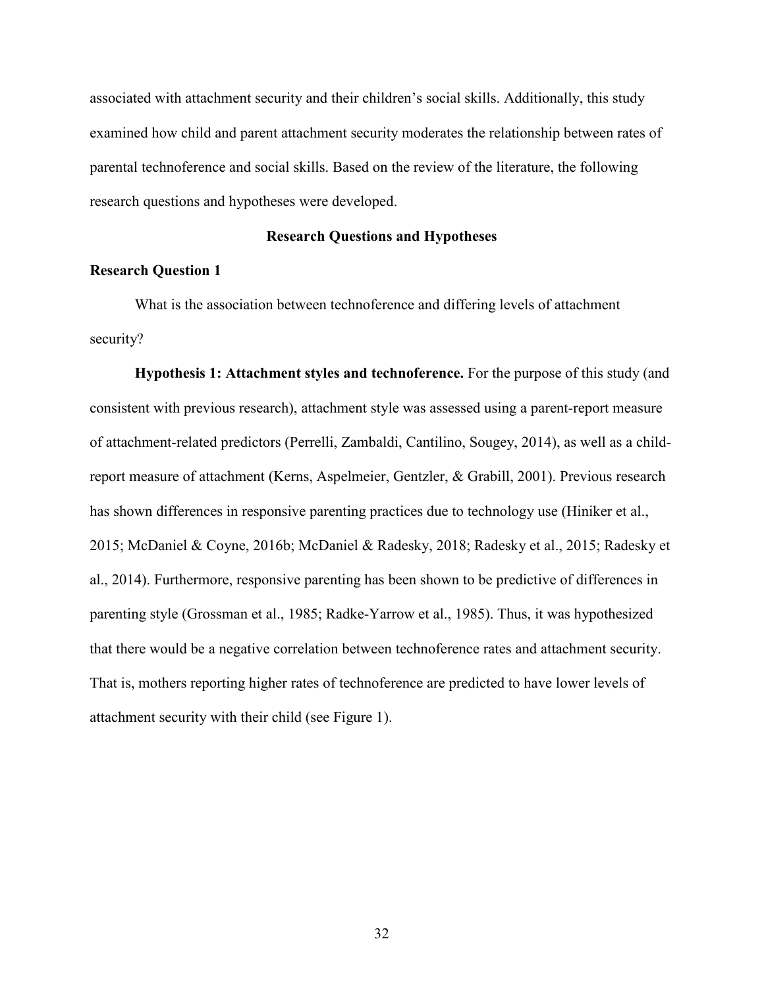associated with attachment security and their children's social skills. Additionally, this study examined how child and parent attachment security moderates the relationship between rates of parental technoference and social skills. Based on the review of the literature, the following research questions and hypotheses were developed.

## **Research Questions and Hypotheses**

# **Research Question 1**

What is the association between technoference and differing levels of attachment security?

**Hypothesis 1: Attachment styles and technoference.** For the purpose of this study (and consistent with previous research), attachment style was assessed using a parent-report measure of attachment-related predictors (Perrelli, Zambaldi, Cantilino, Sougey, 2014), as well as a childreport measure of attachment (Kerns, Aspelmeier, Gentzler, & Grabill, 2001). Previous research has shown differences in responsive parenting practices due to technology use (Hiniker et al., 2015; McDaniel & Coyne, 2016b; McDaniel & Radesky, 2018; Radesky et al., 2015; Radesky et al., 2014). Furthermore, responsive parenting has been shown to be predictive of differences in parenting style (Grossman et al., 1985; Radke-Yarrow et al., 1985). Thus, it was hypothesized that there would be a negative correlation between technoference rates and attachment security. That is, mothers reporting higher rates of technoference are predicted to have lower levels of attachment security with their child (see Figure 1).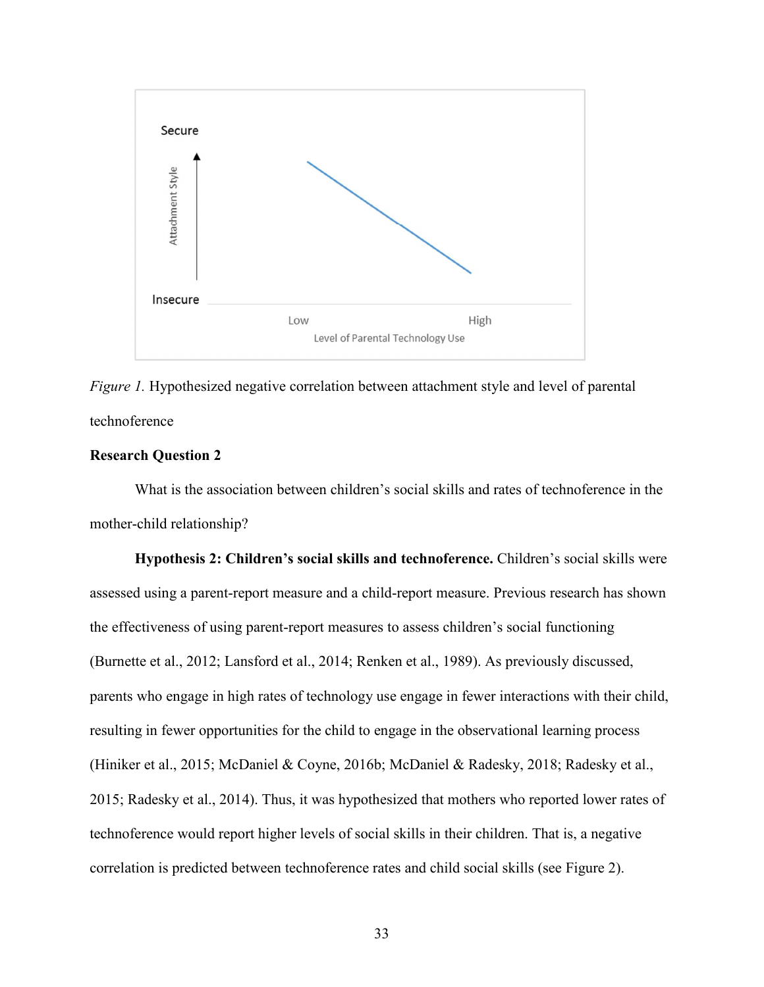

*Figure 1.* Hypothesized negative correlation between attachment style and level of parental technoference

# **Research Question 2**

What is the association between children's social skills and rates of technoference in the mother-child relationship?

**Hypothesis 2: Children's social skills and technoference.** Children's social skills were assessed using a parent-report measure and a child-report measure. Previous research has shown the effectiveness of using parent-report measures to assess children's social functioning (Burnette et al., 2012; Lansford et al., 2014; Renken et al., 1989). As previously discussed, parents who engage in high rates of technology use engage in fewer interactions with their child, resulting in fewer opportunities for the child to engage in the observational learning process (Hiniker et al., 2015; McDaniel & Coyne, 2016b; McDaniel & Radesky, 2018; Radesky et al., 2015; Radesky et al., 2014). Thus, it was hypothesized that mothers who reported lower rates of technoference would report higher levels of social skills in their children. That is, a negative correlation is predicted between technoference rates and child social skills (see Figure 2).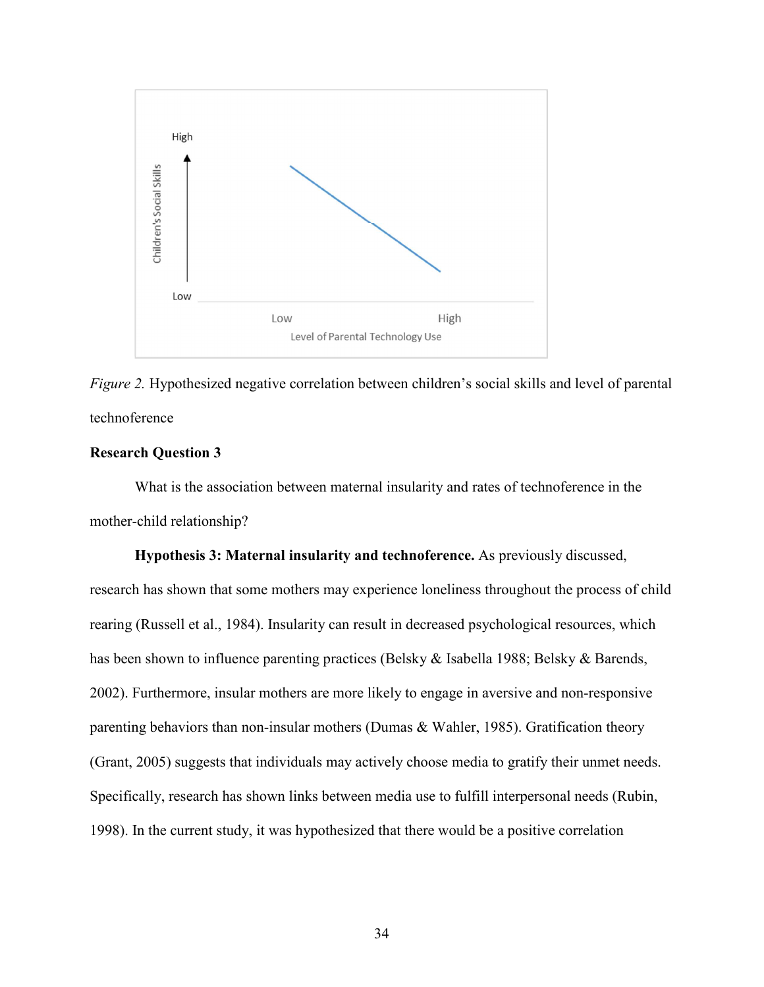

*Figure 2.* Hypothesized negative correlation between children's social skills and level of parental technoference

# **Research Question 3**

What is the association between maternal insularity and rates of technoference in the mother-child relationship?

**Hypothesis 3: Maternal insularity and technoference.** As previously discussed, research has shown that some mothers may experience loneliness throughout the process of child rearing (Russell et al., 1984). Insularity can result in decreased psychological resources, which has been shown to influence parenting practices (Belsky & Isabella 1988; Belsky & Barends, 2002). Furthermore, insular mothers are more likely to engage in aversive and non-responsive parenting behaviors than non-insular mothers (Dumas & Wahler, 1985). Gratification theory (Grant, 2005) suggests that individuals may actively choose media to gratify their unmet needs. Specifically, research has shown links between media use to fulfill interpersonal needs (Rubin, 1998). In the current study, it was hypothesized that there would be a positive correlation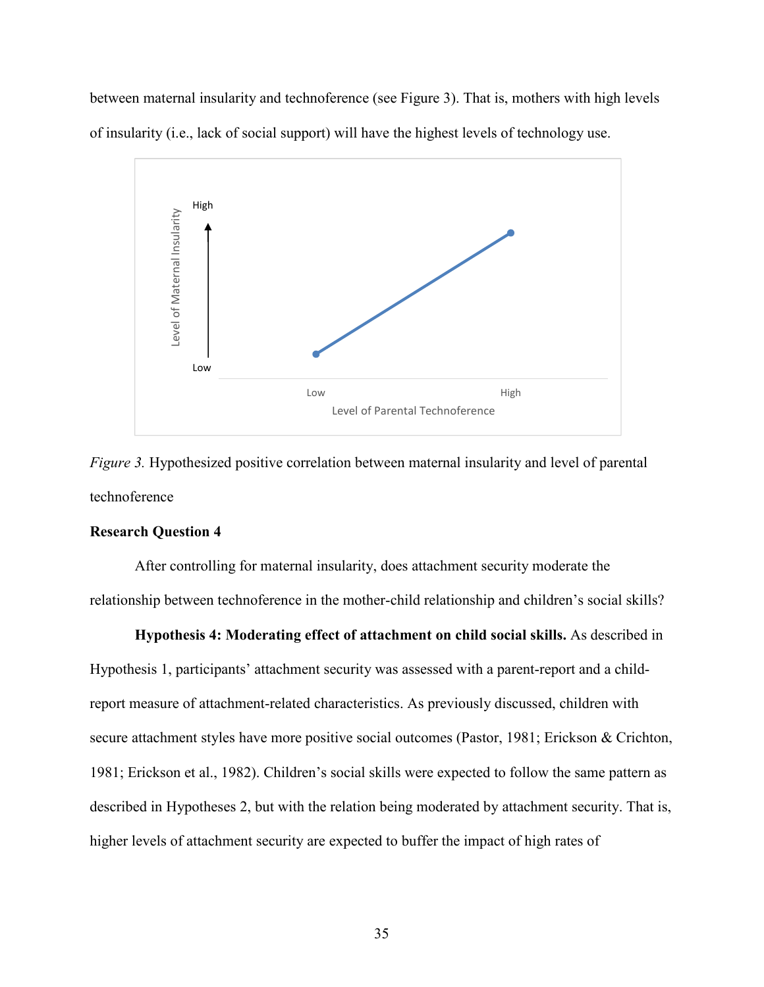between maternal insularity and technoference (see Figure 3). That is, mothers with high levels of insularity (i.e., lack of social support) will have the highest levels of technology use.



*Figure 3.* Hypothesized positive correlation between maternal insularity and level of parental technoference

# **Research Question 4**

After controlling for maternal insularity, does attachment security moderate the relationship between technoference in the mother-child relationship and children's social skills?

**Hypothesis 4: Moderating effect of attachment on child social skills.** As described in Hypothesis 1, participants' attachment security was assessed with a parent-report and a childreport measure of attachment-related characteristics. As previously discussed, children with secure attachment styles have more positive social outcomes (Pastor, 1981; Erickson & Crichton, 1981; Erickson et al., 1982). Children's social skills were expected to follow the same pattern as described in Hypotheses 2, but with the relation being moderated by attachment security. That is, higher levels of attachment security are expected to buffer the impact of high rates of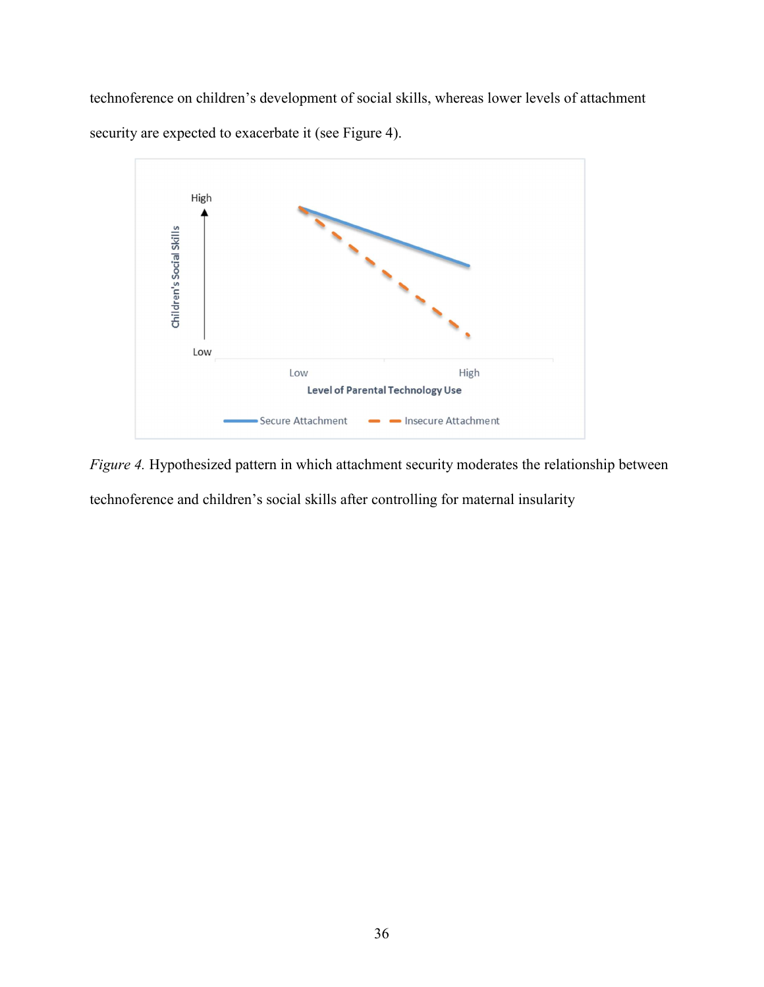technoference on children's development of social skills, whereas lower levels of attachment security are expected to exacerbate it (see Figure 4).



*Figure 4.* Hypothesized pattern in which attachment security moderates the relationship between technoference and children's social skills after controlling for maternal insularity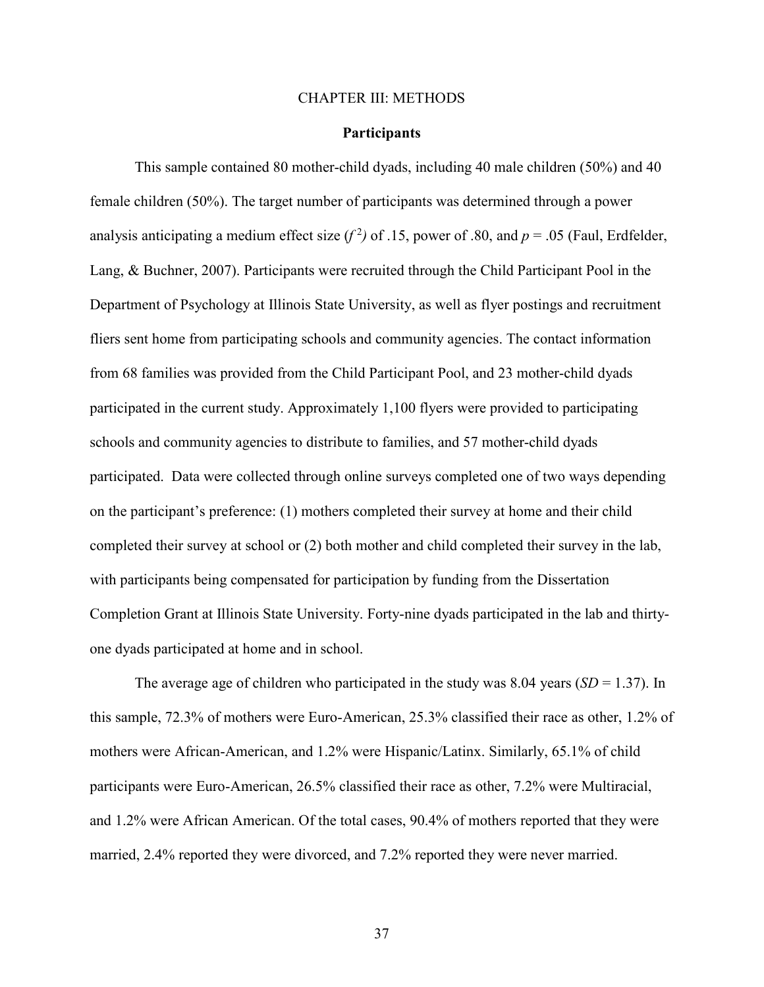#### CHAPTER III: METHODS

### **Participants**

This sample contained 80 mother-child dyads, including 40 male children (50%) and 40 female children (50%). The target number of participants was determined through a power analysis anticipating a medium effect size  $(f^2)$  of .15, power of .80, and  $p = .05$  (Faul, Erdfelder, Lang, & Buchner, 2007). Participants were recruited through the Child Participant Pool in the Department of Psychology at Illinois State University, as well as flyer postings and recruitment fliers sent home from participating schools and community agencies. The contact information from 68 families was provided from the Child Participant Pool, and 23 mother-child dyads participated in the current study. Approximately 1,100 flyers were provided to participating schools and community agencies to distribute to families, and 57 mother-child dyads participated. Data were collected through online surveys completed one of two ways depending on the participant's preference: (1) mothers completed their survey at home and their child completed their survey at school or (2) both mother and child completed their survey in the lab, with participants being compensated for participation by funding from the Dissertation Completion Grant at Illinois State University. Forty-nine dyads participated in the lab and thirtyone dyads participated at home and in school.

The average age of children who participated in the study was 8.04 years  $(SD = 1.37)$ . In this sample, 72.3% of mothers were Euro-American, 25.3% classified their race as other, 1.2% of mothers were African-American, and 1.2% were Hispanic/Latinx. Similarly, 65.1% of child participants were Euro-American, 26.5% classified their race as other, 7.2% were Multiracial, and 1.2% were African American. Of the total cases, 90.4% of mothers reported that they were married, 2.4% reported they were divorced, and 7.2% reported they were never married.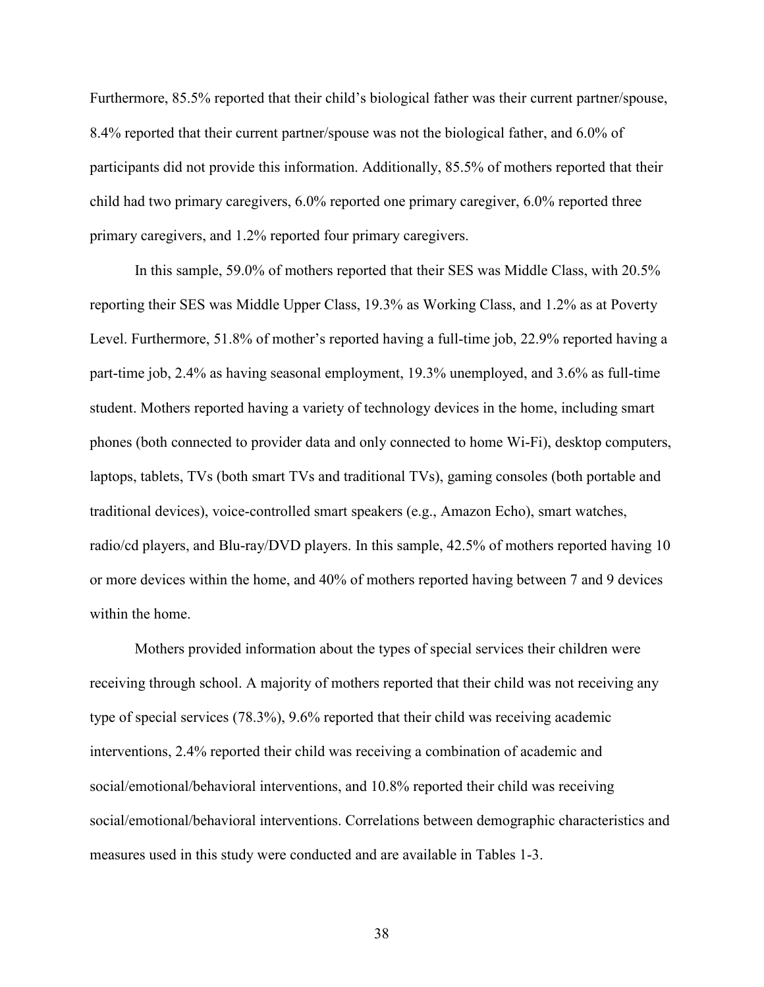Furthermore, 85.5% reported that their child's biological father was their current partner/spouse, 8.4% reported that their current partner/spouse was not the biological father, and 6.0% of participants did not provide this information. Additionally, 85.5% of mothers reported that their child had two primary caregivers, 6.0% reported one primary caregiver, 6.0% reported three primary caregivers, and 1.2% reported four primary caregivers.

In this sample, 59.0% of mothers reported that their SES was Middle Class, with 20.5% reporting their SES was Middle Upper Class, 19.3% as Working Class, and 1.2% as at Poverty Level. Furthermore, 51.8% of mother's reported having a full-time job, 22.9% reported having a part-time job, 2.4% as having seasonal employment, 19.3% unemployed, and 3.6% as full-time student. Mothers reported having a variety of technology devices in the home, including smart phones (both connected to provider data and only connected to home Wi-Fi), desktop computers, laptops, tablets, TVs (both smart TVs and traditional TVs), gaming consoles (both portable and traditional devices), voice-controlled smart speakers (e.g., Amazon Echo), smart watches, radio/cd players, and Blu-ray/DVD players. In this sample, 42.5% of mothers reported having 10 or more devices within the home, and 40% of mothers reported having between 7 and 9 devices within the home.

 Mothers provided information about the types of special services their children were receiving through school. A majority of mothers reported that their child was not receiving any type of special services (78.3%), 9.6% reported that their child was receiving academic interventions, 2.4% reported their child was receiving a combination of academic and social/emotional/behavioral interventions, and 10.8% reported their child was receiving social/emotional/behavioral interventions. Correlations between demographic characteristics and measures used in this study were conducted and are available in Tables 1-3.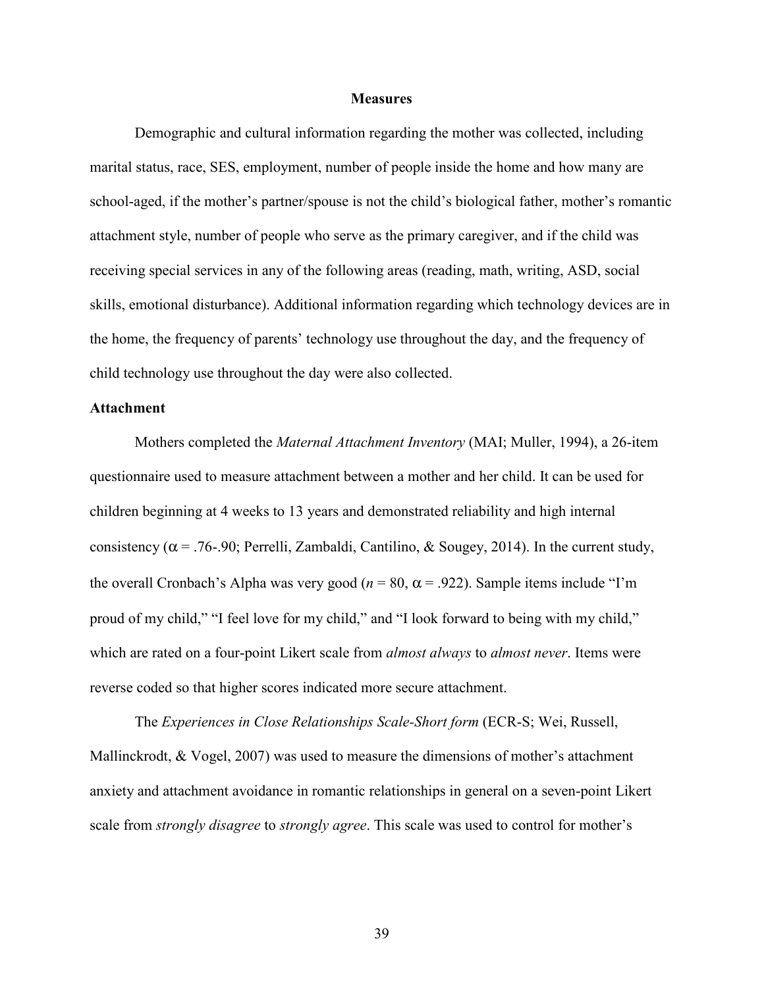#### **Measures**

Demographic and cultural information regarding the mother was collected, including marital status, race, SES, employment, number of people inside the home and how many are school-aged, if the mother's partner/spouse is not the child's biological father, mother's romantic attachment style, number of people who serve as the primary caregiver, and if the child was receiving special services in any of the following areas (reading, math, writing, ASD, social skills, emotional disturbance). Additional information regarding which technology devices are in the home, the frequency of parents' technology use throughout the day, and the frequency of child technology use throughout the day were also collected.

# **Attachment**

Mothers completed the *Maternal Attachment Inventory* (MAI; Muller, 1994), a 26-item questionnaire used to measure attachment between a mother and her child. It can be used for children beginning at 4 weeks to 13 years and demonstrated reliability and high internal consistency ( $\alpha$  = .76-.90; Perrelli, Zambaldi, Cantilino, & Sougey, 2014). In the current study, the overall Cronbach's Alpha was very good ( $n = 80$ ,  $\alpha = .922$ ). Sample items include "I'm proud of my child," "I feel love for my child," and "I look forward to being with my child," which are rated on a four-point Likert scale from *almost always* to *almost never*. Items were reverse coded so that higher scores indicated more secure attachment.

The *Experiences in Close Relationships Scale-Short form* (ECR-S; Wei, Russell, Mallinckrodt, & Vogel, 2007) was used to measure the dimensions of mother's attachment anxiety and attachment avoidance in romantic relationships in general on a seven-point Likert scale from *strongly disagree* to *strongly agree*. This scale was used to control for mother's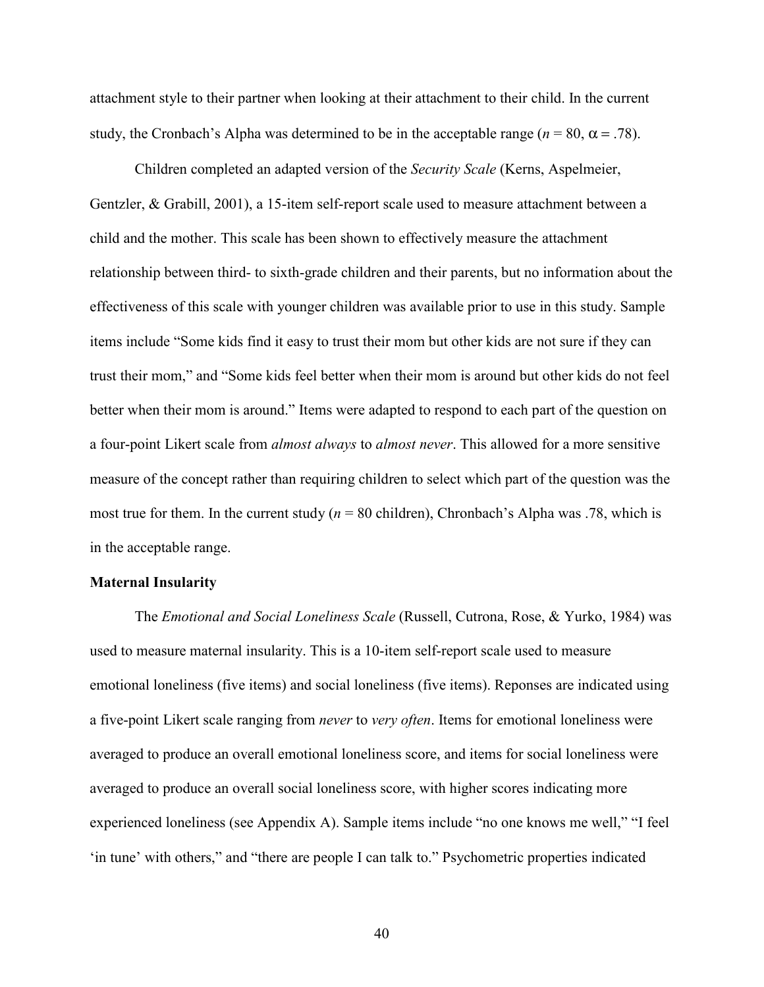attachment style to their partner when looking at their attachment to their child. In the current study, the Cronbach's Alpha was determined to be in the acceptable range ( $n = 80$ ,  $\alpha = .78$ ).

Children completed an adapted version of the *Security Scale* (Kerns, Aspelmeier, Gentzler, & Grabill, 2001), a 15-item self-report scale used to measure attachment between a child and the mother. This scale has been shown to effectively measure the attachment relationship between third- to sixth-grade children and their parents, but no information about the effectiveness of this scale with younger children was available prior to use in this study. Sample items include "Some kids find it easy to trust their mom but other kids are not sure if they can trust their mom," and "Some kids feel better when their mom is around but other kids do not feel better when their mom is around." Items were adapted to respond to each part of the question on a four-point Likert scale from *almost always* to *almost never*. This allowed for a more sensitive measure of the concept rather than requiring children to select which part of the question was the most true for them. In the current study  $(n = 80 \text{ children})$ , Chronbach's Alpha was .78, which is in the acceptable range.

### **Maternal Insularity**

The *Emotional and Social Loneliness Scale* (Russell, Cutrona, Rose, & Yurko, 1984) was used to measure maternal insularity. This is a 10-item self-report scale used to measure emotional loneliness (five items) and social loneliness (five items). Reponses are indicated using a five-point Likert scale ranging from *never* to *very often*. Items for emotional loneliness were averaged to produce an overall emotional loneliness score, and items for social loneliness were averaged to produce an overall social loneliness score, with higher scores indicating more experienced loneliness (see Appendix A). Sample items include "no one knows me well," "I feel 'in tune' with others," and "there are people I can talk to." Psychometric properties indicated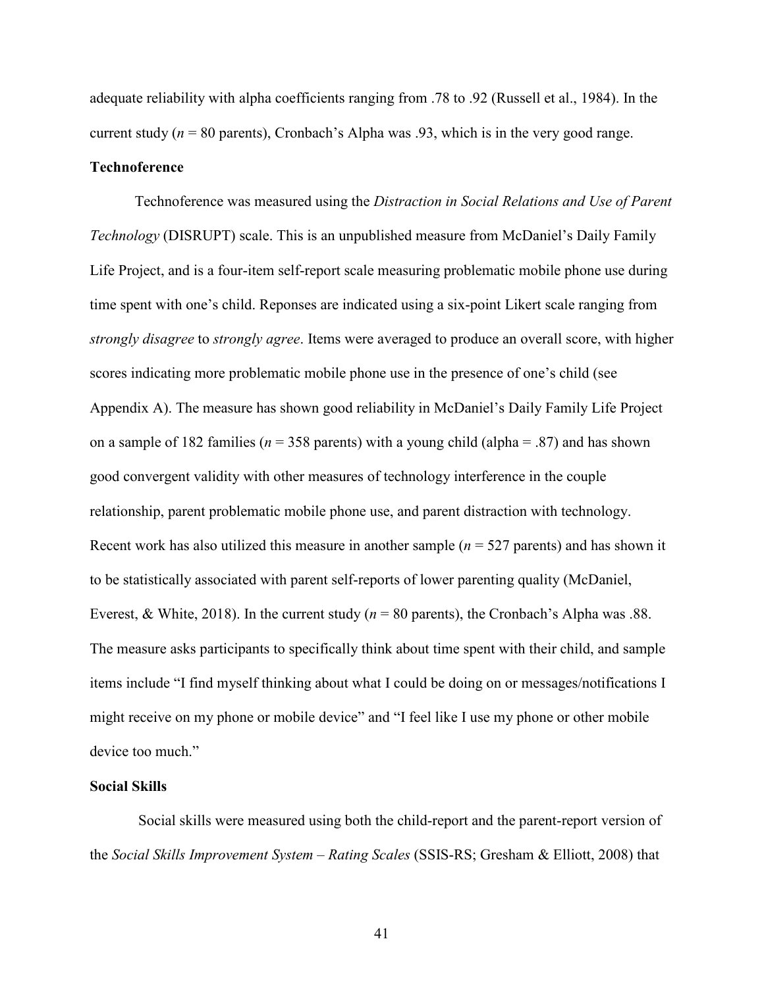adequate reliability with alpha coefficients ranging from .78 to .92 (Russell et al., 1984). In the current study (*n* = 80 parents), Cronbach's Alpha was .93, which is in the very good range.

# **Technoference**

Technoference was measured using the *Distraction in Social Relations and Use of Parent Technology* (DISRUPT) scale. This is an unpublished measure from McDaniel's Daily Family Life Project, and is a four-item self-report scale measuring problematic mobile phone use during time spent with one's child. Reponses are indicated using a six-point Likert scale ranging from *strongly disagree* to *strongly agree*. Items were averaged to produce an overall score, with higher scores indicating more problematic mobile phone use in the presence of one's child (see Appendix A). The measure has shown good reliability in McDaniel's Daily Family Life Project on a sample of 182 families ( $n = 358$  parents) with a young child (alpha = .87) and has shown good convergent validity with other measures of technology interference in the couple relationship, parent problematic mobile phone use, and parent distraction with technology. Recent work has also utilized this measure in another sample  $(n = 527$  parents) and has shown it to be statistically associated with parent self-reports of lower parenting quality (McDaniel, Everest, & White, 2018). In the current study (*n* = 80 parents), the Cronbach's Alpha was .88. The measure asks participants to specifically think about time spent with their child, and sample items include "I find myself thinking about what I could be doing on or messages/notifications I might receive on my phone or mobile device" and "I feel like I use my phone or other mobile device too much."

# **Social Skills**

 Social skills were measured using both the child-report and the parent-report version of the *Social Skills Improvement System – Rating Scales* (SSIS-RS; Gresham & Elliott, 2008) that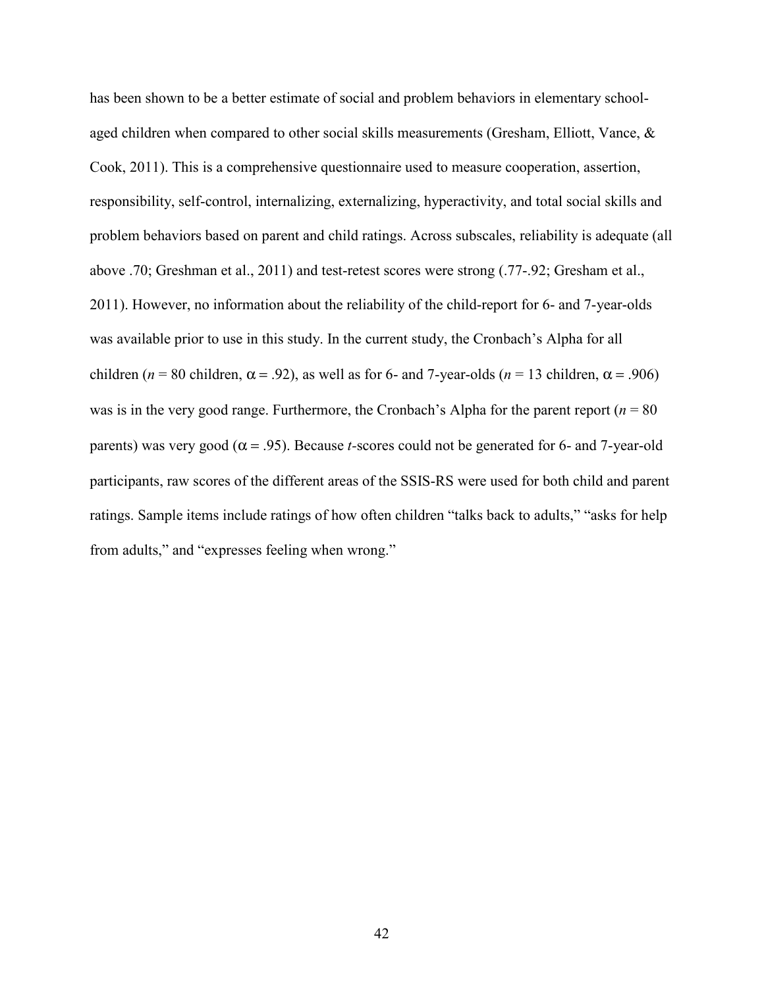has been shown to be a better estimate of social and problem behaviors in elementary schoolaged children when compared to other social skills measurements (Gresham, Elliott, Vance, & Cook, 2011). This is a comprehensive questionnaire used to measure cooperation, assertion, responsibility, self-control, internalizing, externalizing, hyperactivity, and total social skills and problem behaviors based on parent and child ratings. Across subscales, reliability is adequate (all above .70; Greshman et al., 2011) and test-retest scores were strong (.77-.92; Gresham et al., 2011). However, no information about the reliability of the child-report for 6- and 7-year-olds was available prior to use in this study. In the current study, the Cronbach's Alpha for all children ( $n = 80$  children,  $\alpha = .92$ ), as well as for 6- and 7-year-olds ( $n = 13$  children,  $\alpha = .906$ ) was is in the very good range. Furthermore, the Cronbach's Alpha for the parent report ( $n = 80$ ) parents) was very good ( $\alpha$  = .95). Because *t*-scores could not be generated for 6- and 7-year-old participants, raw scores of the different areas of the SSIS-RS were used for both child and parent ratings. Sample items include ratings of how often children "talks back to adults," "asks for help from adults," and "expresses feeling when wrong."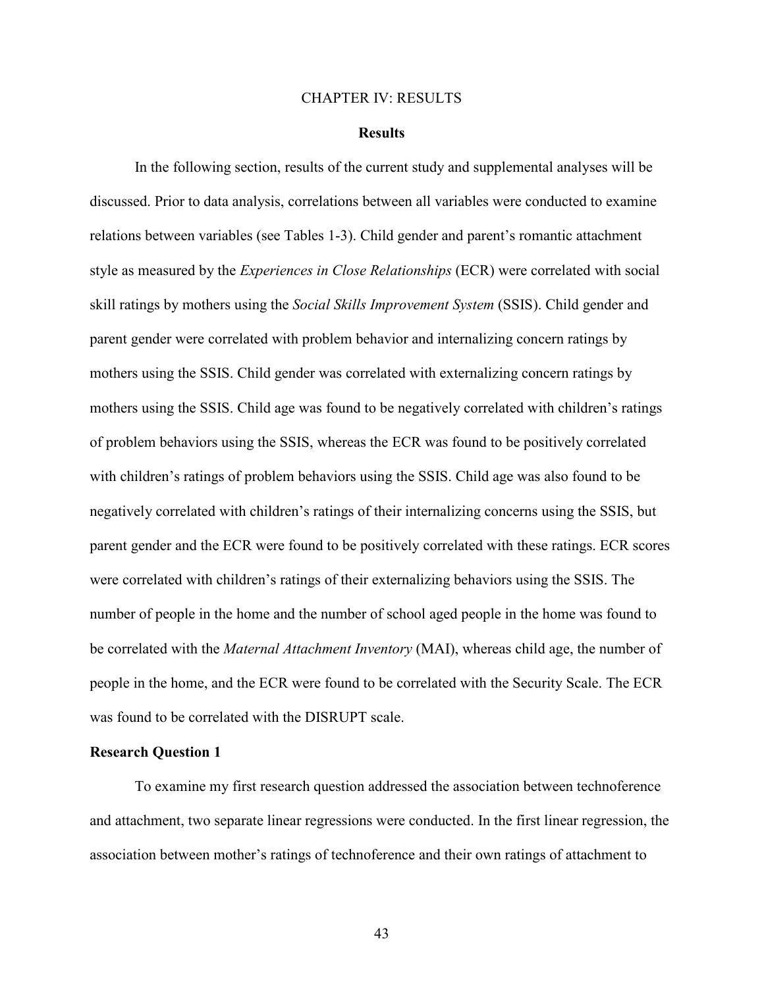#### CHAPTER IV: RESULTS

#### **Results**

In the following section, results of the current study and supplemental analyses will be discussed. Prior to data analysis, correlations between all variables were conducted to examine relations between variables (see Tables 1-3). Child gender and parent's romantic attachment style as measured by the *Experiences in Close Relationships* (ECR) were correlated with social skill ratings by mothers using the *Social Skills Improvement System* (SSIS). Child gender and parent gender were correlated with problem behavior and internalizing concern ratings by mothers using the SSIS. Child gender was correlated with externalizing concern ratings by mothers using the SSIS. Child age was found to be negatively correlated with children's ratings of problem behaviors using the SSIS, whereas the ECR was found to be positively correlated with children's ratings of problem behaviors using the SSIS. Child age was also found to be negatively correlated with children's ratings of their internalizing concerns using the SSIS, but parent gender and the ECR were found to be positively correlated with these ratings. ECR scores were correlated with children's ratings of their externalizing behaviors using the SSIS. The number of people in the home and the number of school aged people in the home was found to be correlated with the *Maternal Attachment Inventory* (MAI), whereas child age, the number of people in the home, and the ECR were found to be correlated with the Security Scale. The ECR was found to be correlated with the DISRUPT scale.

#### **Research Question 1**

 To examine my first research question addressed the association between technoference and attachment, two separate linear regressions were conducted. In the first linear regression, the association between mother's ratings of technoference and their own ratings of attachment to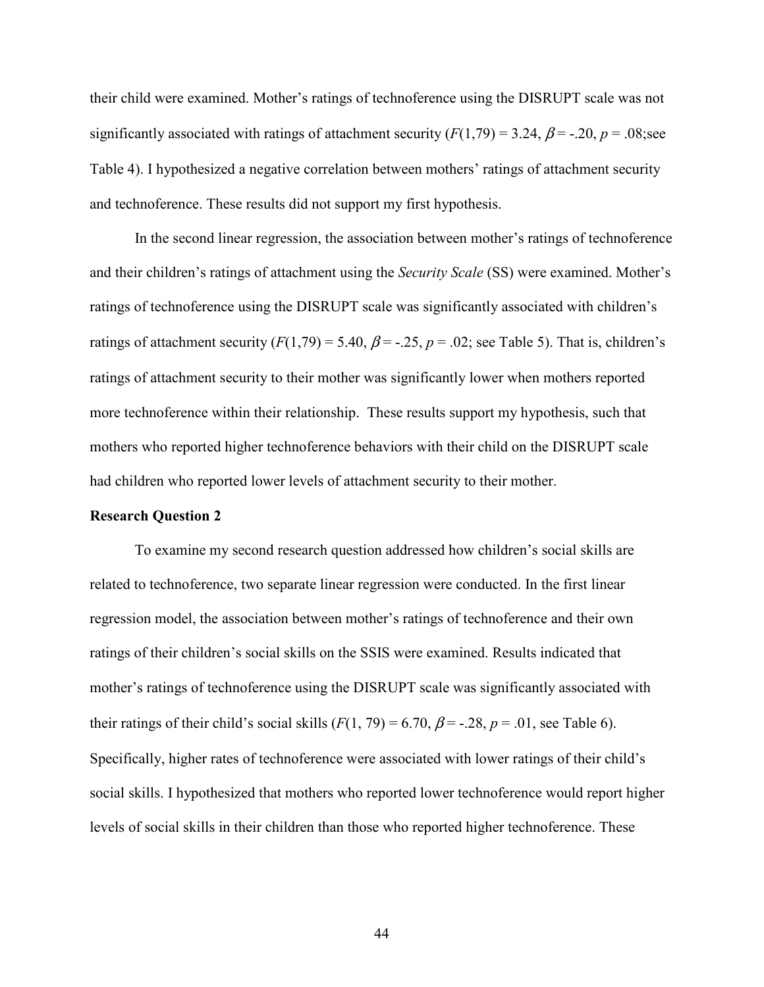their child were examined. Mother's ratings of technoference using the DISRUPT scale was not significantly associated with ratings of attachment security  $(F(1,79) = 3.24, \beta = -0.20, p = 0.08$ ; see Table 4). I hypothesized a negative correlation between mothers' ratings of attachment security and technoference. These results did not support my first hypothesis.

In the second linear regression, the association between mother's ratings of technoference and their children's ratings of attachment using the *Security Scale* (SS) were examined. Mother's ratings of technoference using the DISRUPT scale was significantly associated with children's ratings of attachment security  $(F(1,79) = 5.40, \beta = -.25, p = .02$ ; see Table 5). That is, children's ratings of attachment security to their mother was significantly lower when mothers reported more technoference within their relationship. These results support my hypothesis, such that mothers who reported higher technoference behaviors with their child on the DISRUPT scale had children who reported lower levels of attachment security to their mother.

# **Research Question 2**

 To examine my second research question addressed how children's social skills are related to technoference, two separate linear regression were conducted. In the first linear regression model, the association between mother's ratings of technoference and their own ratings of their children's social skills on the SSIS were examined. Results indicated that mother's ratings of technoference using the DISRUPT scale was significantly associated with their ratings of their child's social skills  $(F(1, 79) = 6.70, \beta = -.28, p = .01$ , see Table 6). Specifically, higher rates of technoference were associated with lower ratings of their child's social skills. I hypothesized that mothers who reported lower technoference would report higher levels of social skills in their children than those who reported higher technoference. These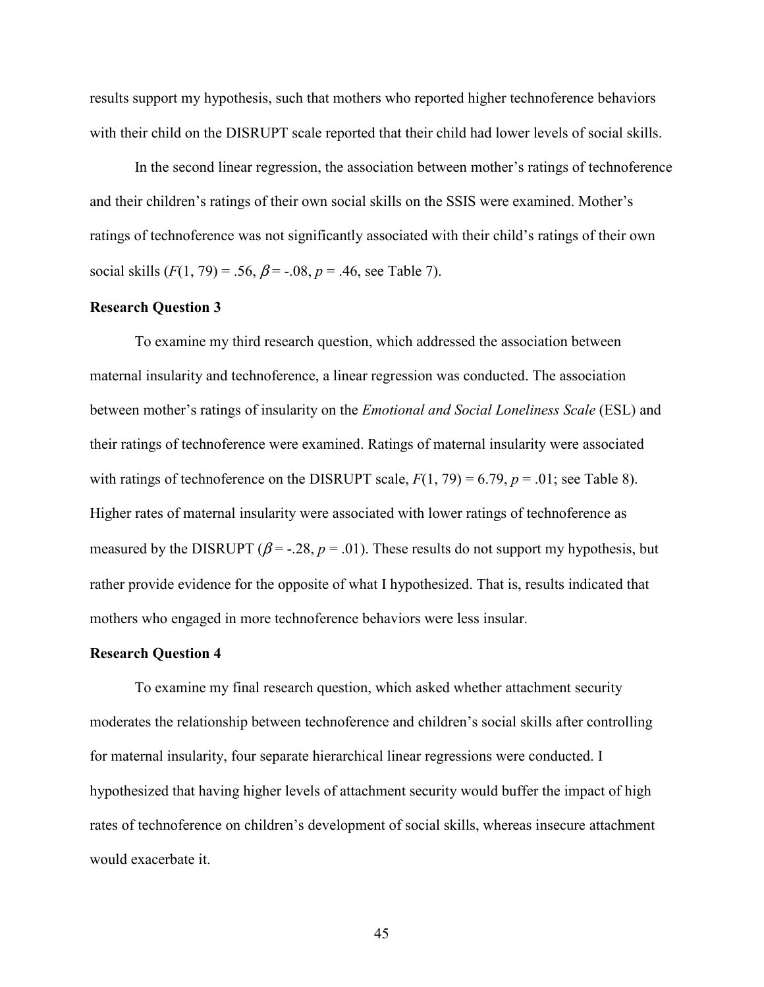results support my hypothesis, such that mothers who reported higher technoference behaviors with their child on the DISRUPT scale reported that their child had lower levels of social skills.

In the second linear regression, the association between mother's ratings of technoference and their children's ratings of their own social skills on the SSIS were examined. Mother's ratings of technoference was not significantly associated with their child's ratings of their own social skills  $(F(1, 79) = .56, \beta = .08, p = .46, \text{ see Table 7}).$ 

## **Research Question 3**

 To examine my third research question, which addressed the association between maternal insularity and technoference, a linear regression was conducted. The association between mother's ratings of insularity on the *Emotional and Social Loneliness Scale* (ESL) and their ratings of technoference were examined. Ratings of maternal insularity were associated with ratings of technoference on the DISRUPT scale,  $F(1, 79) = 6.79$ ,  $p = .01$ ; see Table 8). Higher rates of maternal insularity were associated with lower ratings of technoference as measured by the DISRUPT ( $\beta$  = -.28,  $p = .01$ ). These results do not support my hypothesis, but rather provide evidence for the opposite of what I hypothesized. That is, results indicated that mothers who engaged in more technoference behaviors were less insular.

# **Research Question 4**

 To examine my final research question, which asked whether attachment security moderates the relationship between technoference and children's social skills after controlling for maternal insularity, four separate hierarchical linear regressions were conducted. I hypothesized that having higher levels of attachment security would buffer the impact of high rates of technoference on children's development of social skills, whereas insecure attachment would exacerbate it.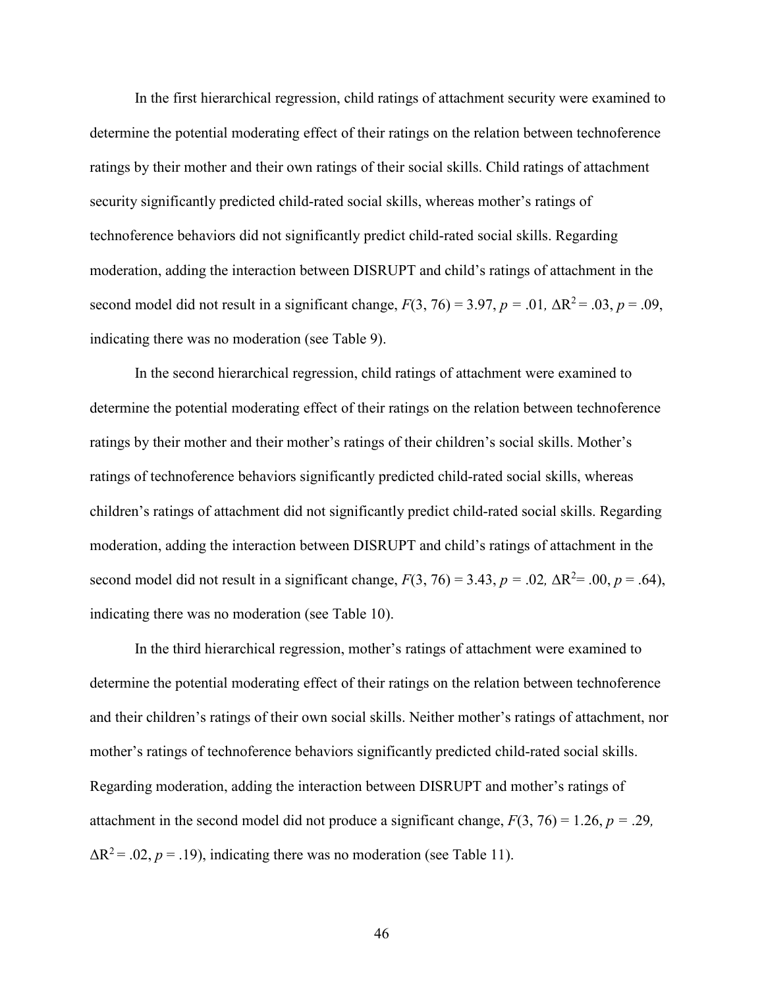In the first hierarchical regression, child ratings of attachment security were examined to determine the potential moderating effect of their ratings on the relation between technoference ratings by their mother and their own ratings of their social skills. Child ratings of attachment security significantly predicted child-rated social skills, whereas mother's ratings of technoference behaviors did not significantly predict child-rated social skills. Regarding moderation, adding the interaction between DISRUPT and child's ratings of attachment in the second model did not result in a significant change,  $F(3, 76) = 3.97$ ,  $p = .01$ ,  $\Delta R^2 = .03$ ,  $p = .09$ , indicating there was no moderation (see Table 9).

In the second hierarchical regression, child ratings of attachment were examined to determine the potential moderating effect of their ratings on the relation between technoference ratings by their mother and their mother's ratings of their children's social skills. Mother's ratings of technoference behaviors significantly predicted child-rated social skills, whereas children's ratings of attachment did not significantly predict child-rated social skills. Regarding moderation, adding the interaction between DISRUPT and child's ratings of attachment in the second model did not result in a significant change,  $F(3, 76) = 3.43$ ,  $p = .02$ ,  $\Delta R^2 = .00$ ,  $p = .64$ ), indicating there was no moderation (see Table 10).

In the third hierarchical regression, mother's ratings of attachment were examined to determine the potential moderating effect of their ratings on the relation between technoference and their children's ratings of their own social skills. Neither mother's ratings of attachment, nor mother's ratings of technoference behaviors significantly predicted child-rated social skills. Regarding moderation, adding the interaction between DISRUPT and mother's ratings of attachment in the second model did not produce a significant change,  $F(3, 76) = 1.26$ ,  $p = .29$ ,  $\Delta R^2$  = .02, *p* = .19), indicating there was no moderation (see Table 11).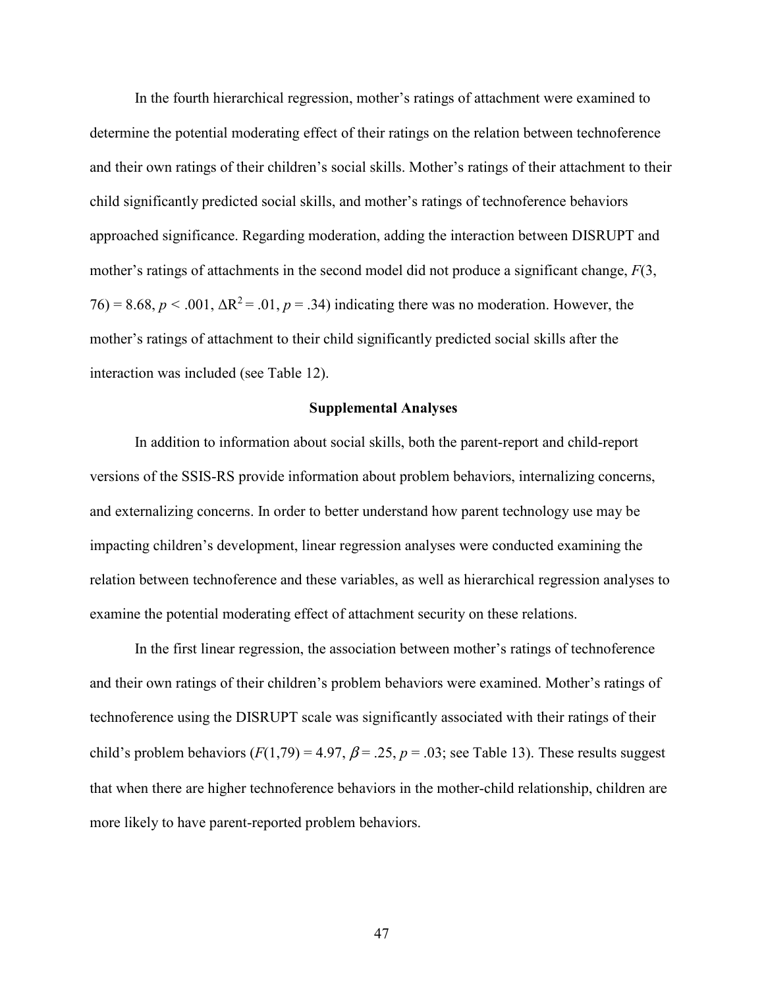In the fourth hierarchical regression, mother's ratings of attachment were examined to determine the potential moderating effect of their ratings on the relation between technoference and their own ratings of their children's social skills. Mother's ratings of their attachment to their child significantly predicted social skills, and mother's ratings of technoference behaviors approached significance. Regarding moderation, adding the interaction between DISRUPT and mother's ratings of attachments in the second model did not produce a significant change, *F*(3,  $76 = 8.68$ ,  $p < .001$ ,  $\Delta R^2 = .01$ ,  $p = .34$ ) indicating there was no moderation. However, the mother's ratings of attachment to their child significantly predicted social skills after the interaction was included (see Table 12).

## **Supplemental Analyses**

In addition to information about social skills, both the parent-report and child-report versions of the SSIS-RS provide information about problem behaviors, internalizing concerns, and externalizing concerns. In order to better understand how parent technology use may be impacting children's development, linear regression analyses were conducted examining the relation between technoference and these variables, as well as hierarchical regression analyses to examine the potential moderating effect of attachment security on these relations.

 In the first linear regression, the association between mother's ratings of technoference and their own ratings of their children's problem behaviors were examined. Mother's ratings of technoference using the DISRUPT scale was significantly associated with their ratings of their child's problem behaviors  $(F(1,79) = 4.97, \beta = .25, p = .03$ ; see Table 13). These results suggest that when there are higher technoference behaviors in the mother-child relationship, children are more likely to have parent-reported problem behaviors.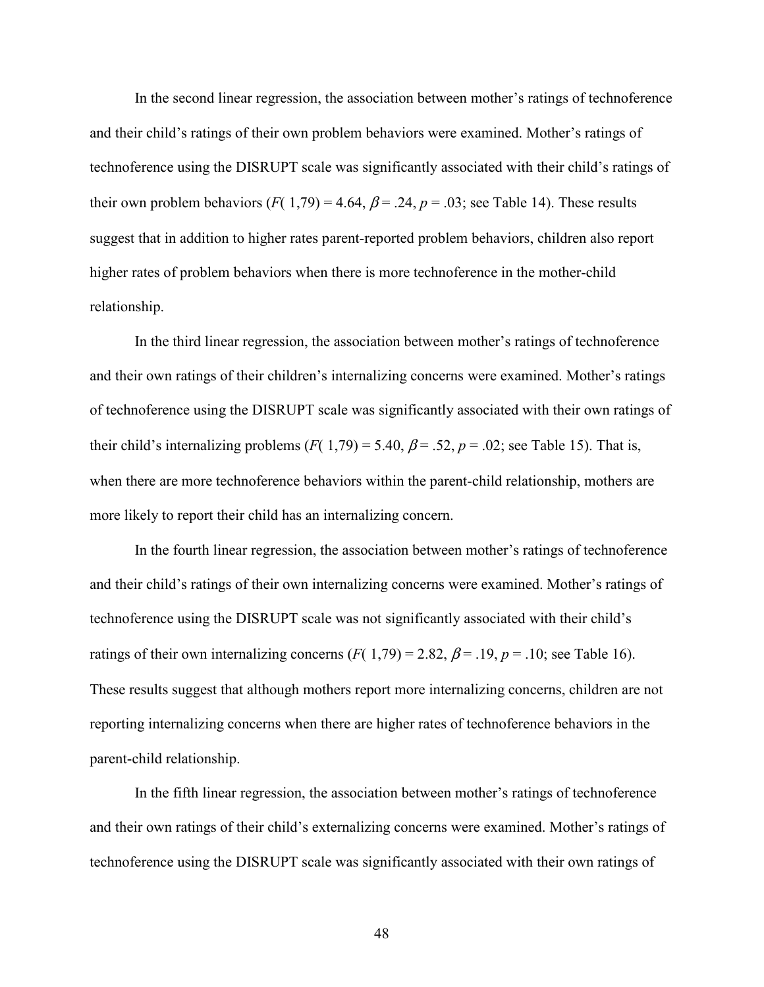In the second linear regression, the association between mother's ratings of technoference and their child's ratings of their own problem behaviors were examined. Mother's ratings of technoference using the DISRUPT scale was significantly associated with their child's ratings of their own problem behaviors ( $F(1,79) = 4.64$ ,  $\beta = .24$ ,  $p = .03$ ; see Table 14). These results suggest that in addition to higher rates parent-reported problem behaviors, children also report higher rates of problem behaviors when there is more technoference in the mother-child relationship.

 In the third linear regression, the association between mother's ratings of technoference and their own ratings of their children's internalizing concerns were examined. Mother's ratings of technoference using the DISRUPT scale was significantly associated with their own ratings of their child's internalizing problems ( $F(1,79) = 5.40$ ,  $\beta = .52$ ,  $p = .02$ ; see Table 15). That is, when there are more technoference behaviors within the parent-child relationship, mothers are more likely to report their child has an internalizing concern.

 In the fourth linear regression, the association between mother's ratings of technoference and their child's ratings of their own internalizing concerns were examined. Mother's ratings of technoference using the DISRUPT scale was not significantly associated with their child's ratings of their own internalizing concerns  $(F(1,79) = 2.82, \beta = .19, p = .10)$ ; see Table 16). These results suggest that although mothers report more internalizing concerns, children are not reporting internalizing concerns when there are higher rates of technoference behaviors in the parent-child relationship.

 In the fifth linear regression, the association between mother's ratings of technoference and their own ratings of their child's externalizing concerns were examined. Mother's ratings of technoference using the DISRUPT scale was significantly associated with their own ratings of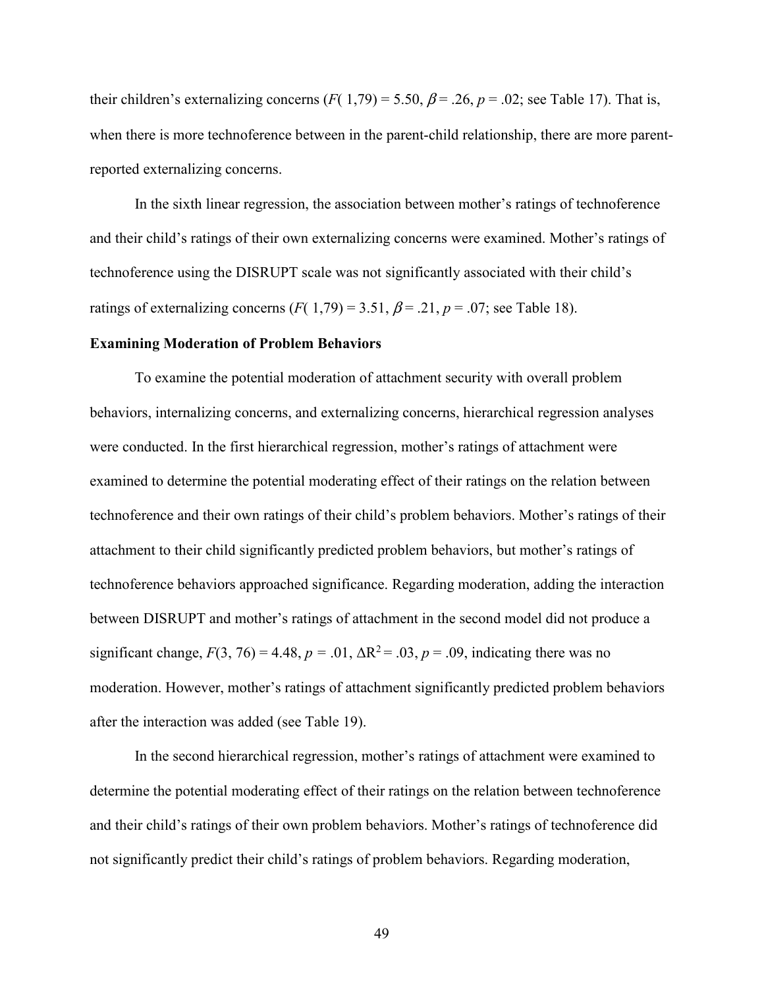their children's externalizing concerns ( $F(1,79) = 5.50$ ,  $\beta = .26$ ,  $p = .02$ ; see Table 17). That is, when there is more technoference between in the parent-child relationship, there are more parentreported externalizing concerns.

 In the sixth linear regression, the association between mother's ratings of technoference and their child's ratings of their own externalizing concerns were examined. Mother's ratings of technoference using the DISRUPT scale was not significantly associated with their child's ratings of externalizing concerns  $(F(1,79) = 3.51, \beta = .21, p = .07$ ; see Table 18).

# **Examining Moderation of Problem Behaviors**

 To examine the potential moderation of attachment security with overall problem behaviors, internalizing concerns, and externalizing concerns, hierarchical regression analyses were conducted. In the first hierarchical regression, mother's ratings of attachment were examined to determine the potential moderating effect of their ratings on the relation between technoference and their own ratings of their child's problem behaviors. Mother's ratings of their attachment to their child significantly predicted problem behaviors, but mother's ratings of technoference behaviors approached significance. Regarding moderation, adding the interaction between DISRUPT and mother's ratings of attachment in the second model did not produce a significant change,  $F(3, 76) = 4.48$ ,  $p = .01$ ,  $\Delta R^2 = .03$ ,  $p = .09$ , indicating there was no moderation. However, mother's ratings of attachment significantly predicted problem behaviors after the interaction was added (see Table 19).

 In the second hierarchical regression, mother's ratings of attachment were examined to determine the potential moderating effect of their ratings on the relation between technoference and their child's ratings of their own problem behaviors. Mother's ratings of technoference did not significantly predict their child's ratings of problem behaviors. Regarding moderation,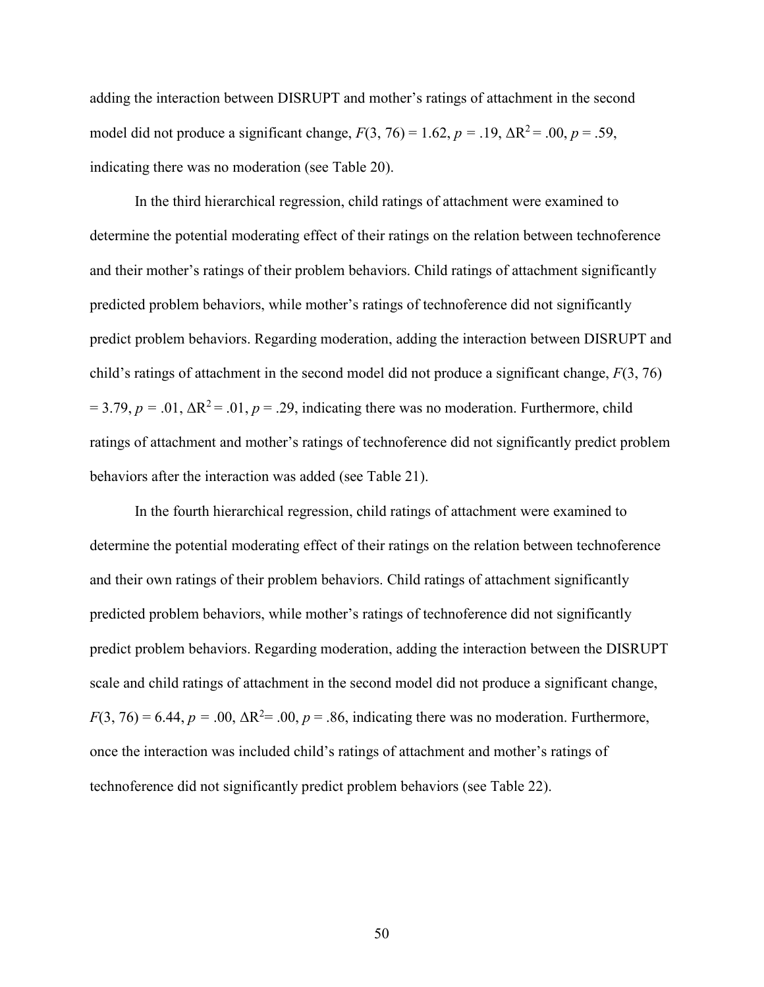adding the interaction between DISRUPT and mother's ratings of attachment in the second model did not produce a significant change,  $F(3, 76) = 1.62$ ,  $p = .19$ ,  $\Delta R^2 = .00$ ,  $p = .59$ , indicating there was no moderation (see Table 20).

 In the third hierarchical regression, child ratings of attachment were examined to determine the potential moderating effect of their ratings on the relation between technoference and their mother's ratings of their problem behaviors. Child ratings of attachment significantly predicted problem behaviors, while mother's ratings of technoference did not significantly predict problem behaviors. Regarding moderation, adding the interaction between DISRUPT and child's ratings of attachment in the second model did not produce a significant change, *F*(3, 76)  $= 3.79, p = .01, \Delta R^2 = .01, p = .29$ , indicating there was no moderation. Furthermore, child ratings of attachment and mother's ratings of technoference did not significantly predict problem behaviors after the interaction was added (see Table 21).

 In the fourth hierarchical regression, child ratings of attachment were examined to determine the potential moderating effect of their ratings on the relation between technoference and their own ratings of their problem behaviors. Child ratings of attachment significantly predicted problem behaviors, while mother's ratings of technoference did not significantly predict problem behaviors. Regarding moderation, adding the interaction between the DISRUPT scale and child ratings of attachment in the second model did not produce a significant change,  $F(3, 76) = 6.44$ ,  $p = .00$ ,  $\Delta R^2 = .00$ ,  $p = .86$ , indicating there was no moderation. Furthermore, once the interaction was included child's ratings of attachment and mother's ratings of technoference did not significantly predict problem behaviors (see Table 22).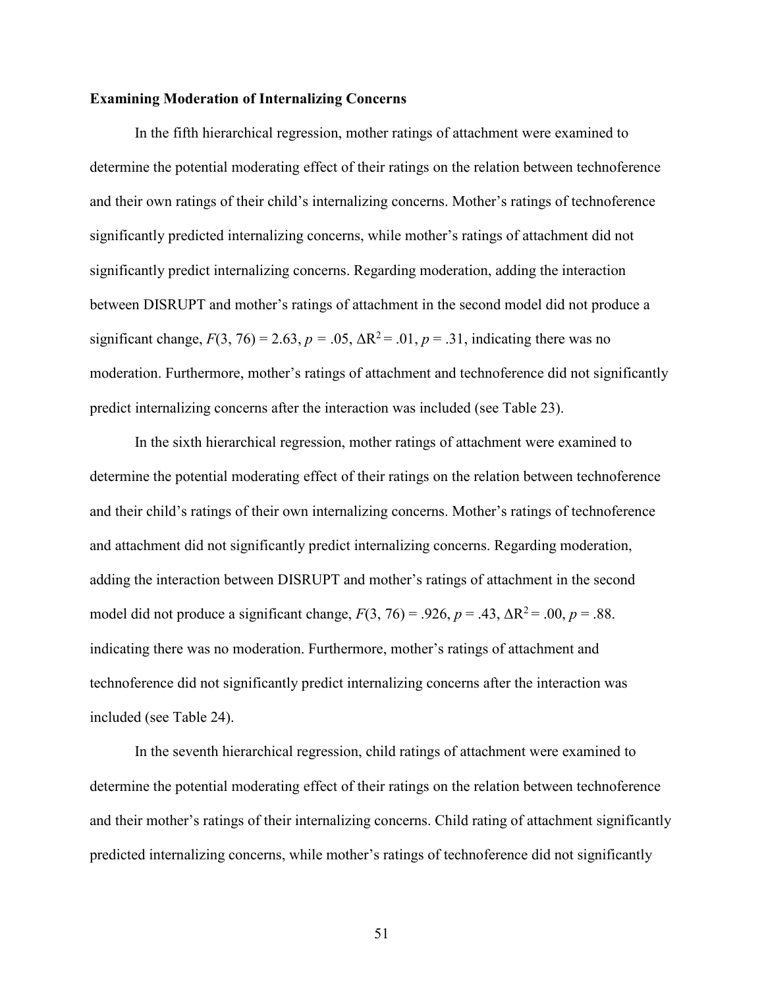## **Examining Moderation of Internalizing Concerns**

 In the fifth hierarchical regression, mother ratings of attachment were examined to determine the potential moderating effect of their ratings on the relation between technoference and their own ratings of their child's internalizing concerns. Mother's ratings of technoference significantly predicted internalizing concerns, while mother's ratings of attachment did not significantly predict internalizing concerns. Regarding moderation, adding the interaction between DISRUPT and mother's ratings of attachment in the second model did not produce a significant change,  $F(3, 76) = 2.63$ ,  $p = .05$ ,  $\Delta R^2 = .01$ ,  $p = .31$ , indicating there was no moderation. Furthermore, mother's ratings of attachment and technoference did not significantly predict internalizing concerns after the interaction was included (see Table 23).

 In the sixth hierarchical regression, mother ratings of attachment were examined to determine the potential moderating effect of their ratings on the relation between technoference and their child's ratings of their own internalizing concerns. Mother's ratings of technoference and attachment did not significantly predict internalizing concerns. Regarding moderation, adding the interaction between DISRUPT and mother's ratings of attachment in the second model did not produce a significant change,  $F(3, 76) = .926$ ,  $p = .43$ ,  $\Delta R^2 = .00$ ,  $p = .88$ . indicating there was no moderation. Furthermore, mother's ratings of attachment and technoference did not significantly predict internalizing concerns after the interaction was included (see Table 24).

 In the seventh hierarchical regression, child ratings of attachment were examined to determine the potential moderating effect of their ratings on the relation between technoference and their mother's ratings of their internalizing concerns. Child rating of attachment significantly predicted internalizing concerns, while mother's ratings of technoference did not significantly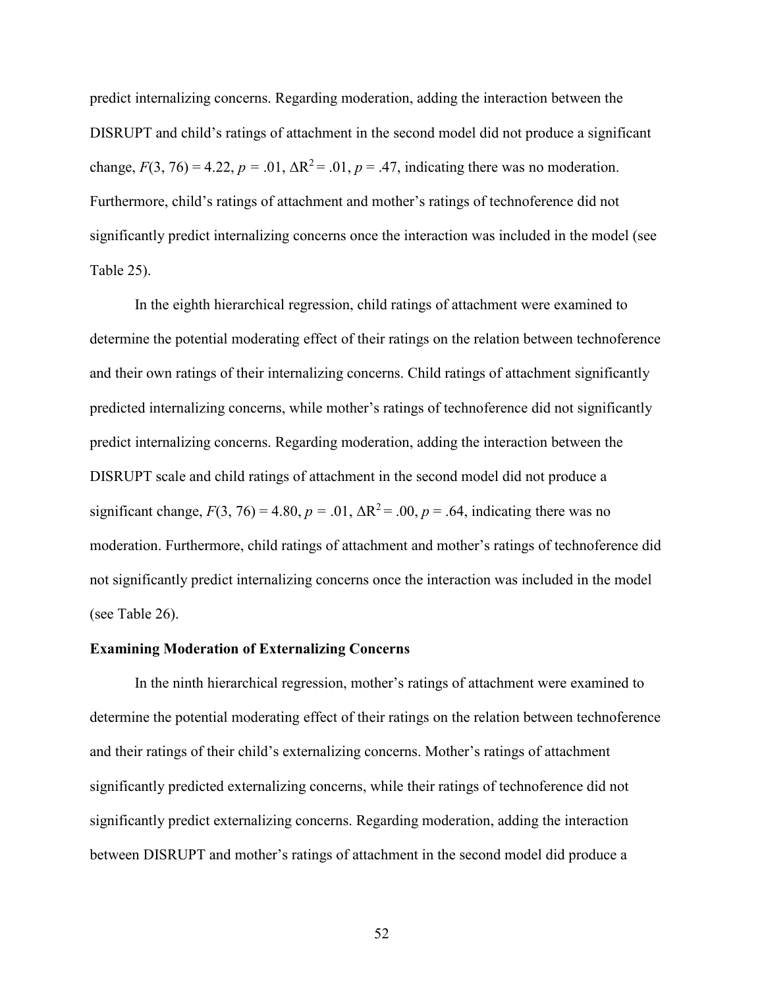predict internalizing concerns. Regarding moderation, adding the interaction between the DISRUPT and child's ratings of attachment in the second model did not produce a significant change,  $F(3, 76) = 4.22$ ,  $p = .01$ ,  $\Delta R^2 = .01$ ,  $p = .47$ , indicating there was no moderation. Furthermore, child's ratings of attachment and mother's ratings of technoference did not significantly predict internalizing concerns once the interaction was included in the model (see Table 25).

 In the eighth hierarchical regression, child ratings of attachment were examined to determine the potential moderating effect of their ratings on the relation between technoference and their own ratings of their internalizing concerns. Child ratings of attachment significantly predicted internalizing concerns, while mother's ratings of technoference did not significantly predict internalizing concerns. Regarding moderation, adding the interaction between the DISRUPT scale and child ratings of attachment in the second model did not produce a significant change,  $F(3, 76) = 4.80$ ,  $p = .01$ ,  $\Delta R^2 = .00$ ,  $p = .64$ , indicating there was no moderation. Furthermore, child ratings of attachment and mother's ratings of technoference did not significantly predict internalizing concerns once the interaction was included in the model (see Table 26).

## **Examining Moderation of Externalizing Concerns**

 In the ninth hierarchical regression, mother's ratings of attachment were examined to determine the potential moderating effect of their ratings on the relation between technoference and their ratings of their child's externalizing concerns. Mother's ratings of attachment significantly predicted externalizing concerns, while their ratings of technoference did not significantly predict externalizing concerns. Regarding moderation, adding the interaction between DISRUPT and mother's ratings of attachment in the second model did produce a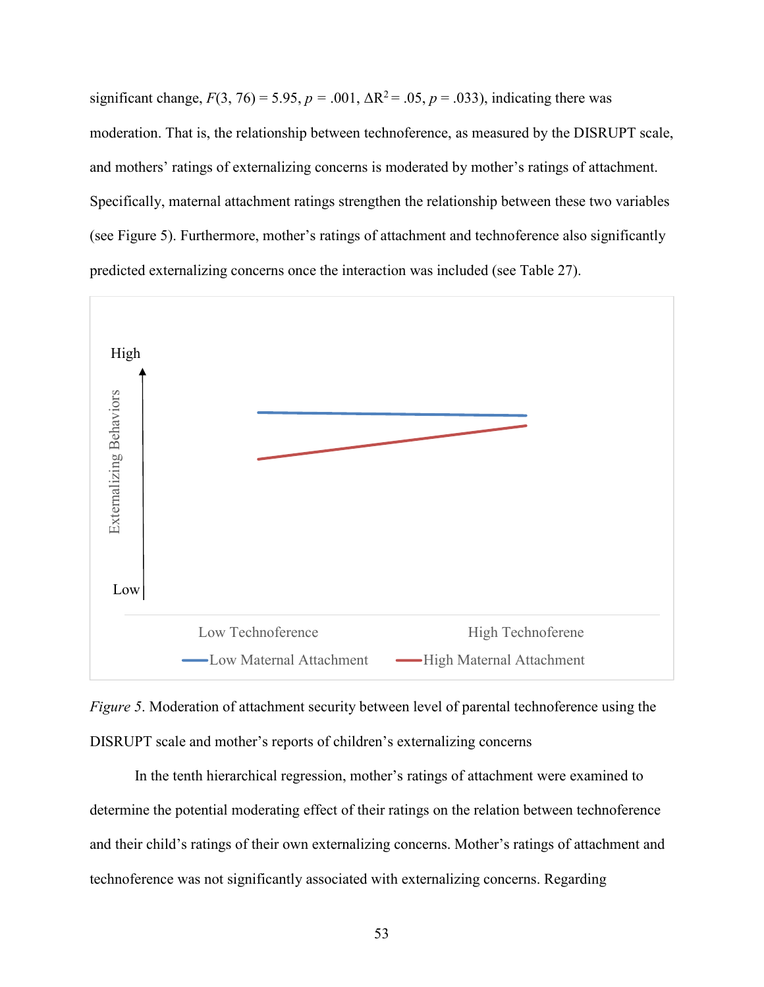significant change,  $F(3, 76) = 5.95$ ,  $p = .001$ ,  $\Delta R^2 = .05$ ,  $p = .033$ ), indicating there was moderation. That is, the relationship between technoference, as measured by the DISRUPT scale, and mothers' ratings of externalizing concerns is moderated by mother's ratings of attachment. Specifically, maternal attachment ratings strengthen the relationship between these two variables (see Figure 5). Furthermore, mother's ratings of attachment and technoference also significantly predicted externalizing concerns once the interaction was included (see Table 27).



*Figure 5*. Moderation of attachment security between level of parental technoference using the DISRUPT scale and mother's reports of children's externalizing concerns

 In the tenth hierarchical regression, mother's ratings of attachment were examined to determine the potential moderating effect of their ratings on the relation between technoference and their child's ratings of their own externalizing concerns. Mother's ratings of attachment and technoference was not significantly associated with externalizing concerns. Regarding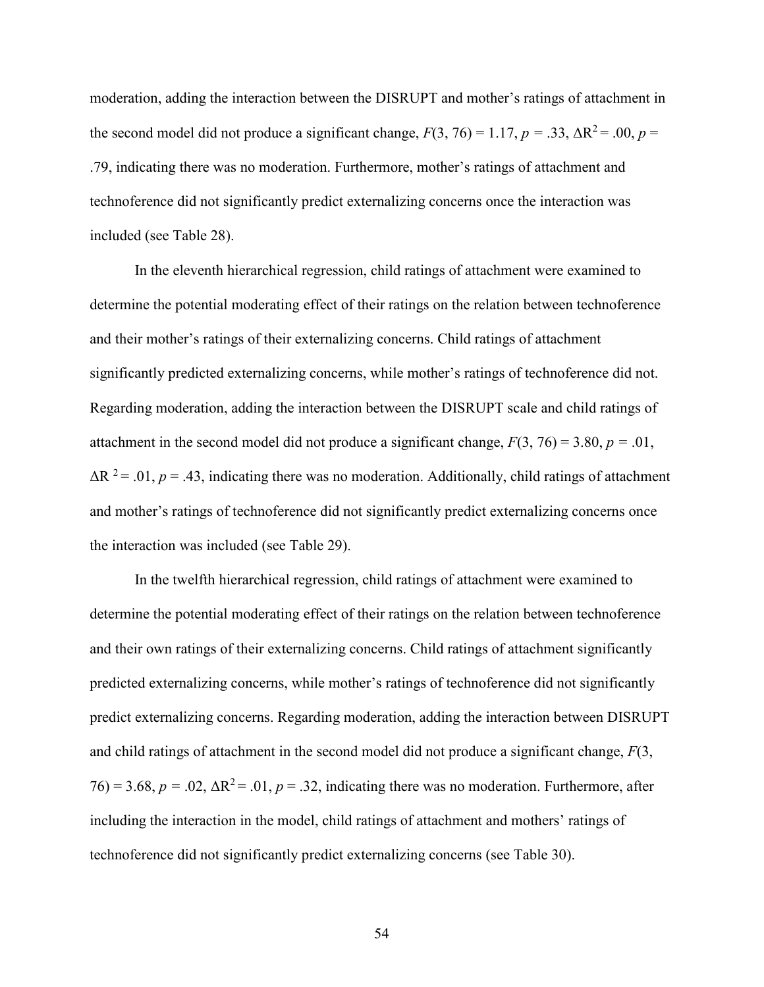moderation, adding the interaction between the DISRUPT and mother's ratings of attachment in the second model did not produce a significant change,  $F(3, 76) = 1.17$ ,  $p = .33$ ,  $\Delta R^2 = .00$ ,  $p =$ .79, indicating there was no moderation. Furthermore, mother's ratings of attachment and technoference did not significantly predict externalizing concerns once the interaction was included (see Table 28).

 In the eleventh hierarchical regression, child ratings of attachment were examined to determine the potential moderating effect of their ratings on the relation between technoference and their mother's ratings of their externalizing concerns. Child ratings of attachment significantly predicted externalizing concerns, while mother's ratings of technoference did not. Regarding moderation, adding the interaction between the DISRUPT scale and child ratings of attachment in the second model did not produce a significant change,  $F(3, 76) = 3.80$ ,  $p = .01$ ,  $\Delta R$ <sup>2</sup> = .01, *p* = .43, indicating there was no moderation. Additionally, child ratings of attachment and mother's ratings of technoference did not significantly predict externalizing concerns once the interaction was included (see Table 29).

 In the twelfth hierarchical regression, child ratings of attachment were examined to determine the potential moderating effect of their ratings on the relation between technoference and their own ratings of their externalizing concerns. Child ratings of attachment significantly predicted externalizing concerns, while mother's ratings of technoference did not significantly predict externalizing concerns. Regarding moderation, adding the interaction between DISRUPT and child ratings of attachment in the second model did not produce a significant change, *F*(3,  $76$ ) = 3.68,  $p = .02$ ,  $\Delta R^2 = .01$ ,  $p = .32$ , indicating there was no moderation. Furthermore, after including the interaction in the model, child ratings of attachment and mothers' ratings of technoference did not significantly predict externalizing concerns (see Table 30).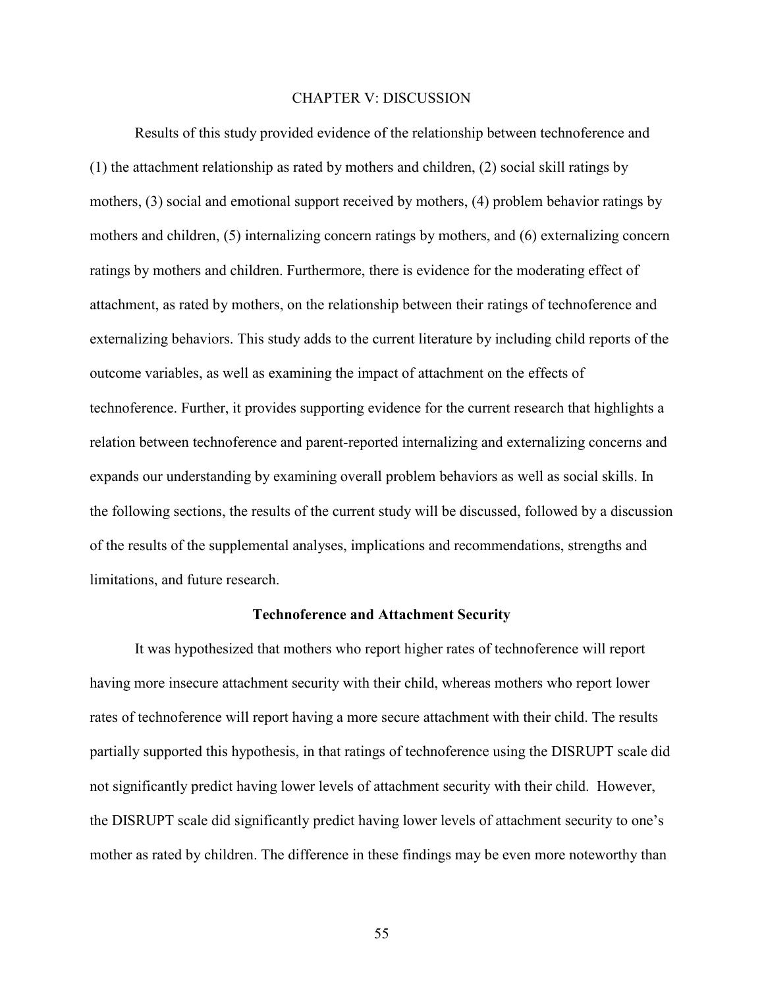# CHAPTER V: DISCUSSION

Results of this study provided evidence of the relationship between technoference and (1) the attachment relationship as rated by mothers and children, (2) social skill ratings by mothers, (3) social and emotional support received by mothers, (4) problem behavior ratings by mothers and children, (5) internalizing concern ratings by mothers, and (6) externalizing concern ratings by mothers and children. Furthermore, there is evidence for the moderating effect of attachment, as rated by mothers, on the relationship between their ratings of technoference and externalizing behaviors. This study adds to the current literature by including child reports of the outcome variables, as well as examining the impact of attachment on the effects of technoference. Further, it provides supporting evidence for the current research that highlights a relation between technoference and parent-reported internalizing and externalizing concerns and expands our understanding by examining overall problem behaviors as well as social skills. In the following sections, the results of the current study will be discussed, followed by a discussion of the results of the supplemental analyses, implications and recommendations, strengths and limitations, and future research.

#### **Technoference and Attachment Security**

It was hypothesized that mothers who report higher rates of technoference will report having more insecure attachment security with their child, whereas mothers who report lower rates of technoference will report having a more secure attachment with their child. The results partially supported this hypothesis, in that ratings of technoference using the DISRUPT scale did not significantly predict having lower levels of attachment security with their child. However, the DISRUPT scale did significantly predict having lower levels of attachment security to one's mother as rated by children. The difference in these findings may be even more noteworthy than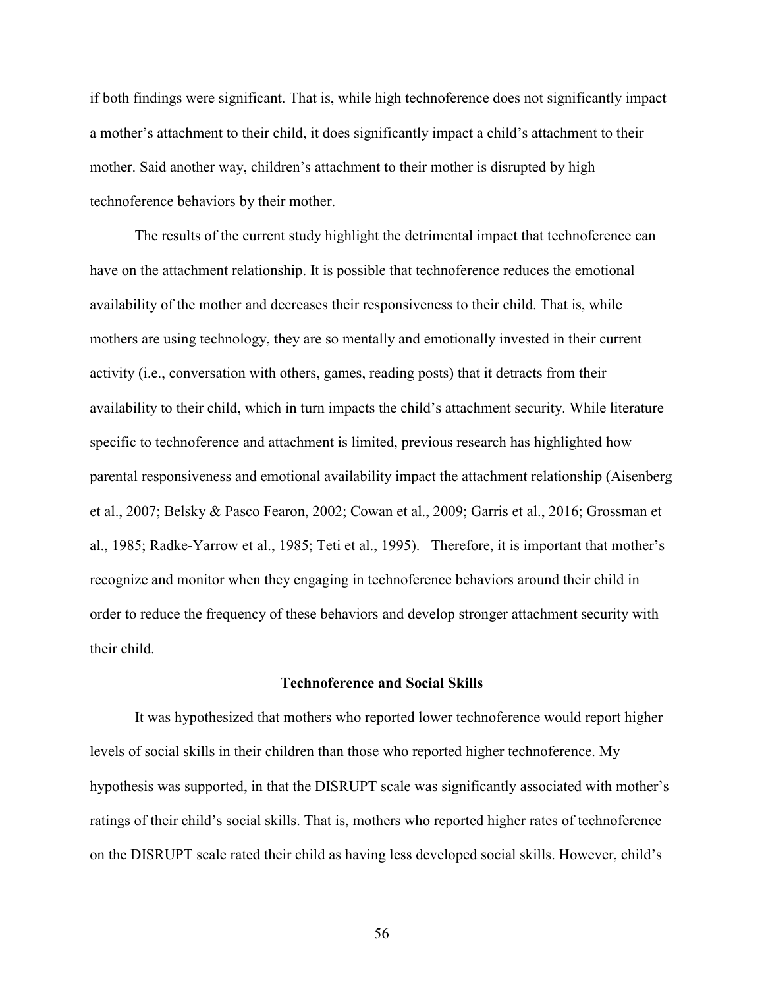if both findings were significant. That is, while high technoference does not significantly impact a mother's attachment to their child, it does significantly impact a child's attachment to their mother. Said another way, children's attachment to their mother is disrupted by high technoference behaviors by their mother.

The results of the current study highlight the detrimental impact that technoference can have on the attachment relationship. It is possible that technoference reduces the emotional availability of the mother and decreases their responsiveness to their child. That is, while mothers are using technology, they are so mentally and emotionally invested in their current activity (i.e., conversation with others, games, reading posts) that it detracts from their availability to their child, which in turn impacts the child's attachment security. While literature specific to technoference and attachment is limited, previous research has highlighted how parental responsiveness and emotional availability impact the attachment relationship (Aisenberg et al., 2007; Belsky & Pasco Fearon, 2002; Cowan et al., 2009; Garris et al., 2016; Grossman et al., 1985; Radke-Yarrow et al., 1985; Teti et al., 1995). Therefore, it is important that mother's recognize and monitor when they engaging in technoference behaviors around their child in order to reduce the frequency of these behaviors and develop stronger attachment security with their child.

#### **Technoference and Social Skills**

 It was hypothesized that mothers who reported lower technoference would report higher levels of social skills in their children than those who reported higher technoference. My hypothesis was supported, in that the DISRUPT scale was significantly associated with mother's ratings of their child's social skills. That is, mothers who reported higher rates of technoference on the DISRUPT scale rated their child as having less developed social skills. However, child's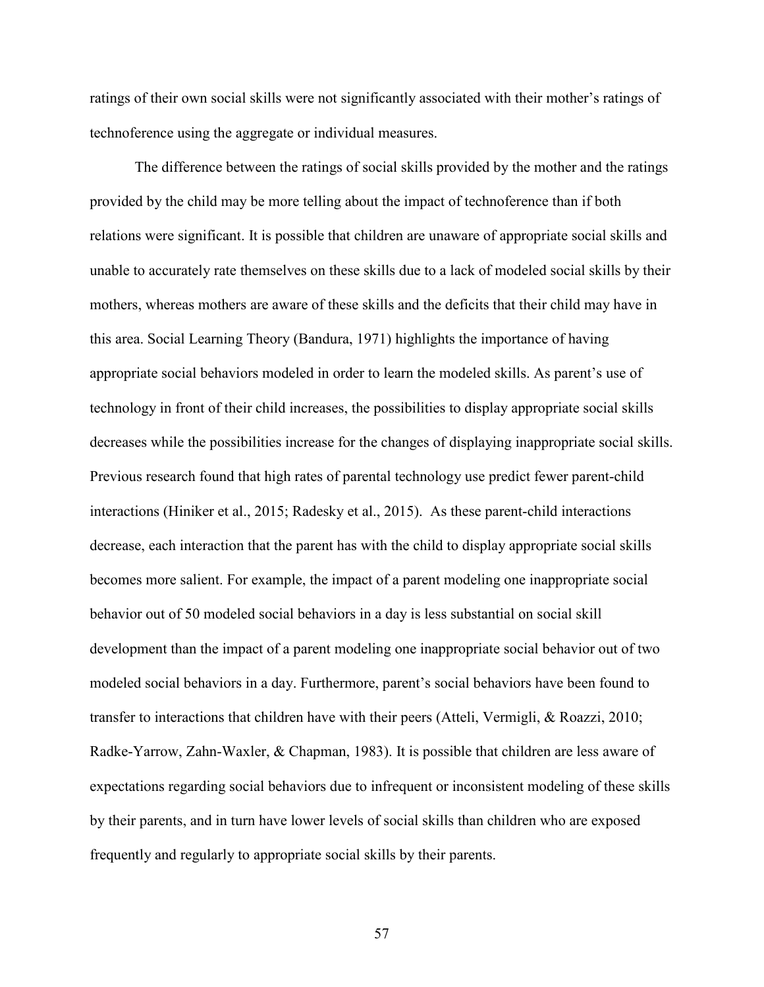ratings of their own social skills were not significantly associated with their mother's ratings of technoference using the aggregate or individual measures.

The difference between the ratings of social skills provided by the mother and the ratings provided by the child may be more telling about the impact of technoference than if both relations were significant. It is possible that children are unaware of appropriate social skills and unable to accurately rate themselves on these skills due to a lack of modeled social skills by their mothers, whereas mothers are aware of these skills and the deficits that their child may have in this area. Social Learning Theory (Bandura, 1971) highlights the importance of having appropriate social behaviors modeled in order to learn the modeled skills. As parent's use of technology in front of their child increases, the possibilities to display appropriate social skills decreases while the possibilities increase for the changes of displaying inappropriate social skills. Previous research found that high rates of parental technology use predict fewer parent-child interactions (Hiniker et al., 2015; Radesky et al., 2015). As these parent-child interactions decrease, each interaction that the parent has with the child to display appropriate social skills becomes more salient. For example, the impact of a parent modeling one inappropriate social behavior out of 50 modeled social behaviors in a day is less substantial on social skill development than the impact of a parent modeling one inappropriate social behavior out of two modeled social behaviors in a day. Furthermore, parent's social behaviors have been found to transfer to interactions that children have with their peers (Atteli, Vermigli, & Roazzi, 2010; Radke-Yarrow, Zahn-Waxler, & Chapman, 1983). It is possible that children are less aware of expectations regarding social behaviors due to infrequent or inconsistent modeling of these skills by their parents, and in turn have lower levels of social skills than children who are exposed frequently and regularly to appropriate social skills by their parents.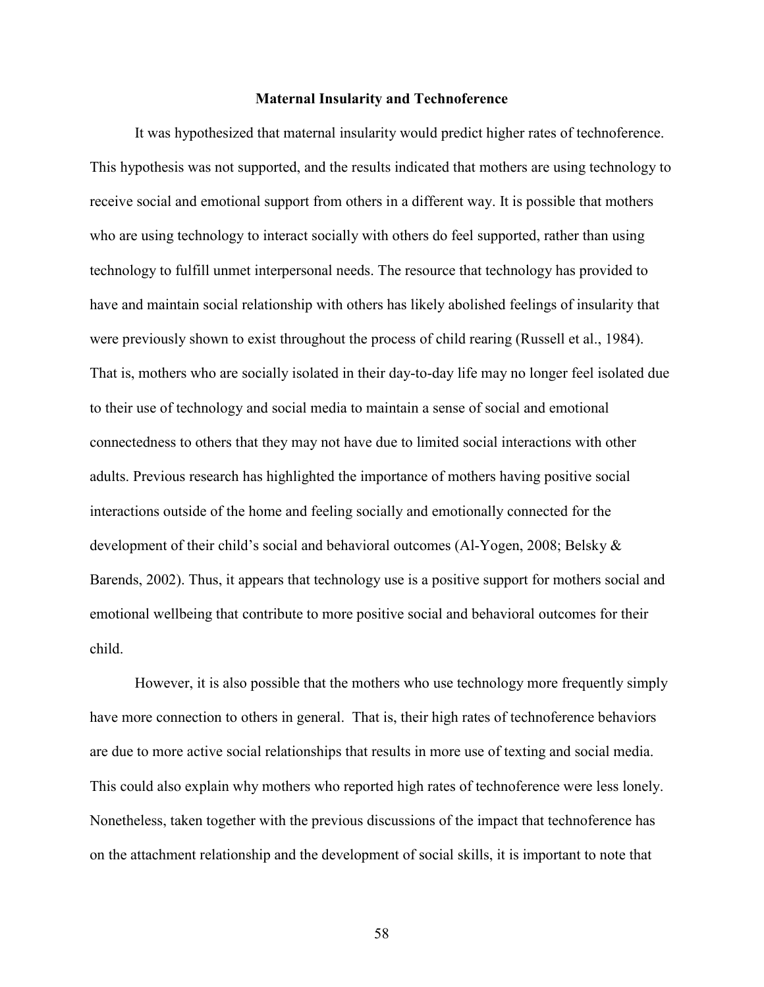## **Maternal Insularity and Technoference**

 It was hypothesized that maternal insularity would predict higher rates of technoference. This hypothesis was not supported, and the results indicated that mothers are using technology to receive social and emotional support from others in a different way. It is possible that mothers who are using technology to interact socially with others do feel supported, rather than using technology to fulfill unmet interpersonal needs. The resource that technology has provided to have and maintain social relationship with others has likely abolished feelings of insularity that were previously shown to exist throughout the process of child rearing (Russell et al., 1984). That is, mothers who are socially isolated in their day-to-day life may no longer feel isolated due to their use of technology and social media to maintain a sense of social and emotional connectedness to others that they may not have due to limited social interactions with other adults. Previous research has highlighted the importance of mothers having positive social interactions outside of the home and feeling socially and emotionally connected for the development of their child's social and behavioral outcomes (Al-Yogen, 2008; Belsky & Barends, 2002). Thus, it appears that technology use is a positive support for mothers social and emotional wellbeing that contribute to more positive social and behavioral outcomes for their child.

However, it is also possible that the mothers who use technology more frequently simply have more connection to others in general. That is, their high rates of technoference behaviors are due to more active social relationships that results in more use of texting and social media. This could also explain why mothers who reported high rates of technoference were less lonely. Nonetheless, taken together with the previous discussions of the impact that technoference has on the attachment relationship and the development of social skills, it is important to note that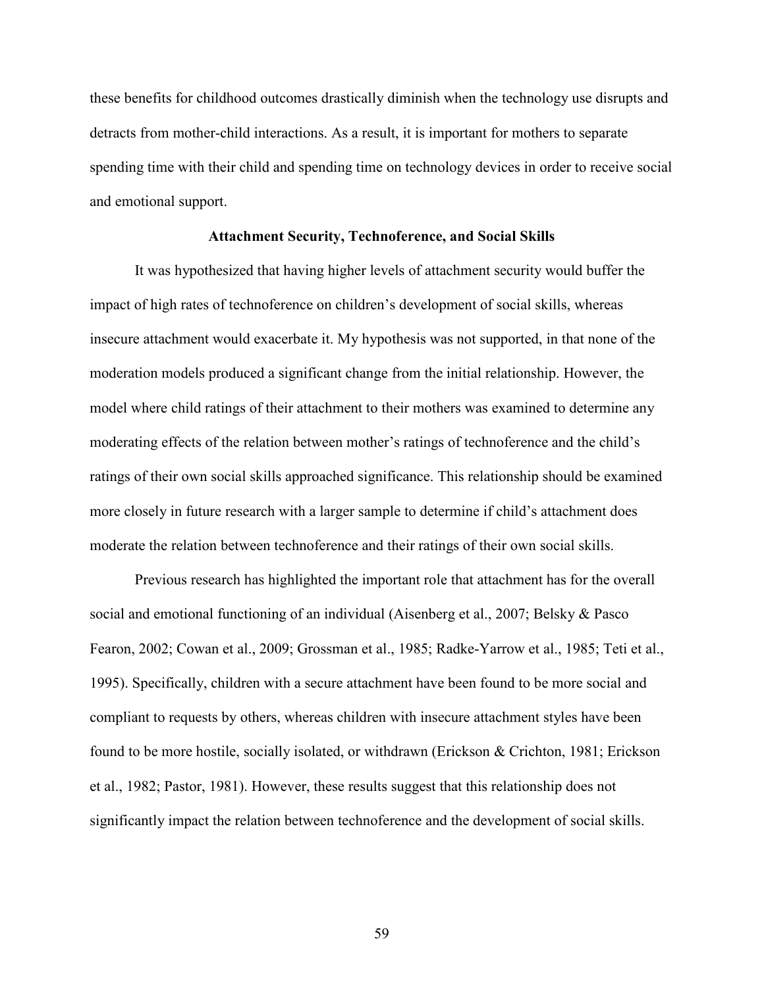these benefits for childhood outcomes drastically diminish when the technology use disrupts and detracts from mother-child interactions. As a result, it is important for mothers to separate spending time with their child and spending time on technology devices in order to receive social and emotional support.

## **Attachment Security, Technoference, and Social Skills**

 It was hypothesized that having higher levels of attachment security would buffer the impact of high rates of technoference on children's development of social skills, whereas insecure attachment would exacerbate it. My hypothesis was not supported, in that none of the moderation models produced a significant change from the initial relationship. However, the model where child ratings of their attachment to their mothers was examined to determine any moderating effects of the relation between mother's ratings of technoference and the child's ratings of their own social skills approached significance. This relationship should be examined more closely in future research with a larger sample to determine if child's attachment does moderate the relation between technoference and their ratings of their own social skills.

 Previous research has highlighted the important role that attachment has for the overall social and emotional functioning of an individual (Aisenberg et al., 2007; Belsky & Pasco Fearon, 2002; Cowan et al., 2009; Grossman et al., 1985; Radke-Yarrow et al., 1985; Teti et al., 1995). Specifically, children with a secure attachment have been found to be more social and compliant to requests by others, whereas children with insecure attachment styles have been found to be more hostile, socially isolated, or withdrawn (Erickson & Crichton, 1981; Erickson et al., 1982; Pastor, 1981). However, these results suggest that this relationship does not significantly impact the relation between technoference and the development of social skills.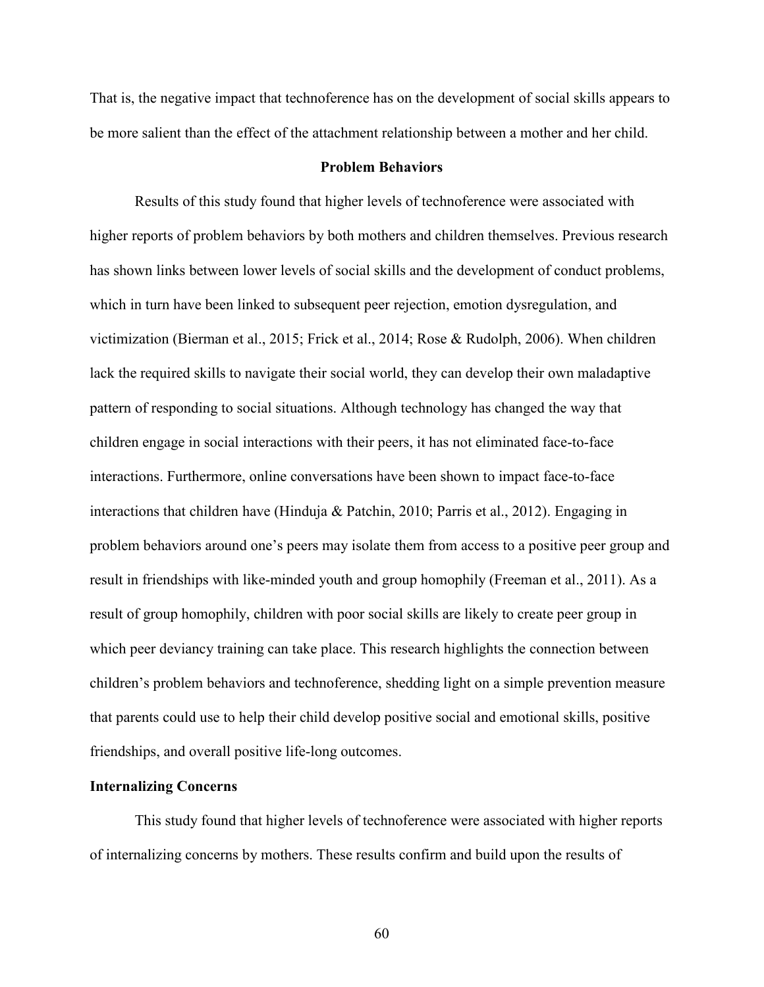That is, the negative impact that technoference has on the development of social skills appears to be more salient than the effect of the attachment relationship between a mother and her child.

# **Problem Behaviors**

Results of this study found that higher levels of technoference were associated with higher reports of problem behaviors by both mothers and children themselves. Previous research has shown links between lower levels of social skills and the development of conduct problems, which in turn have been linked to subsequent peer rejection, emotion dysregulation, and victimization (Bierman et al., 2015; Frick et al., 2014; Rose & Rudolph, 2006). When children lack the required skills to navigate their social world, they can develop their own maladaptive pattern of responding to social situations. Although technology has changed the way that children engage in social interactions with their peers, it has not eliminated face-to-face interactions. Furthermore, online conversations have been shown to impact face-to-face interactions that children have (Hinduja & Patchin, 2010; Parris et al., 2012). Engaging in problem behaviors around one's peers may isolate them from access to a positive peer group and result in friendships with like-minded youth and group homophily (Freeman et al., 2011). As a result of group homophily, children with poor social skills are likely to create peer group in which peer deviancy training can take place. This research highlights the connection between children's problem behaviors and technoference, shedding light on a simple prevention measure that parents could use to help their child develop positive social and emotional skills, positive friendships, and overall positive life-long outcomes.

#### **Internalizing Concerns**

 This study found that higher levels of technoference were associated with higher reports of internalizing concerns by mothers. These results confirm and build upon the results of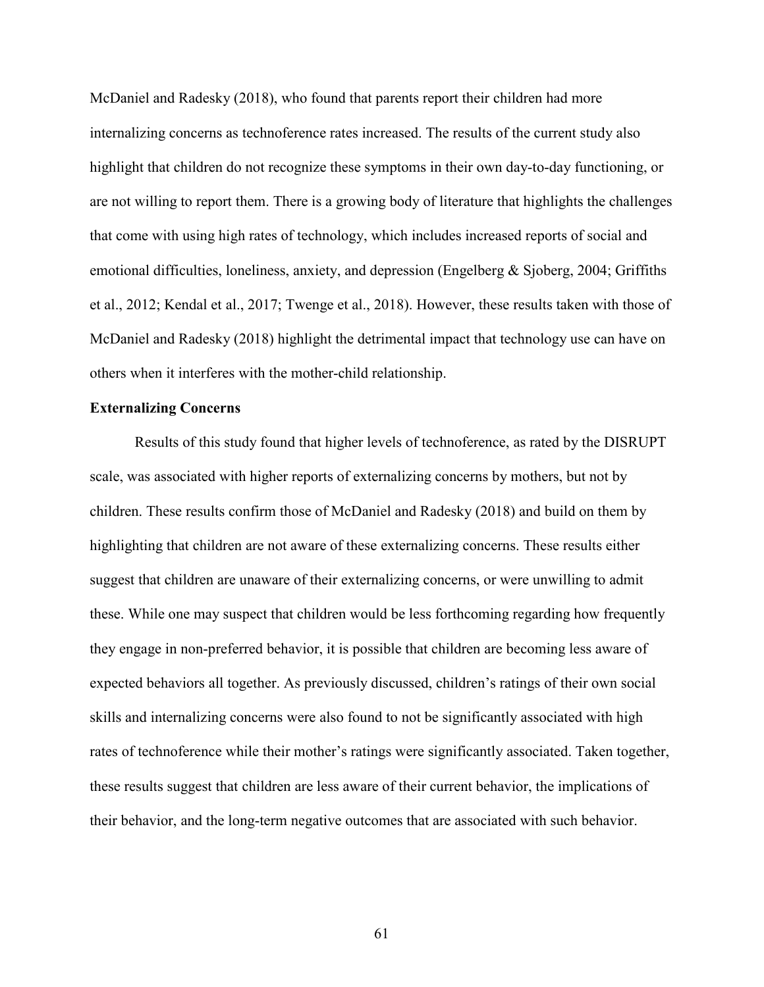McDaniel and Radesky (2018), who found that parents report their children had more internalizing concerns as technoference rates increased. The results of the current study also highlight that children do not recognize these symptoms in their own day-to-day functioning, or are not willing to report them. There is a growing body of literature that highlights the challenges that come with using high rates of technology, which includes increased reports of social and emotional difficulties, loneliness, anxiety, and depression (Engelberg & Sjoberg, 2004; Griffiths et al., 2012; Kendal et al., 2017; Twenge et al., 2018). However, these results taken with those of McDaniel and Radesky (2018) highlight the detrimental impact that technology use can have on others when it interferes with the mother-child relationship.

### **Externalizing Concerns**

Results of this study found that higher levels of technoference, as rated by the DISRUPT scale, was associated with higher reports of externalizing concerns by mothers, but not by children. These results confirm those of McDaniel and Radesky (2018) and build on them by highlighting that children are not aware of these externalizing concerns. These results either suggest that children are unaware of their externalizing concerns, or were unwilling to admit these. While one may suspect that children would be less forthcoming regarding how frequently they engage in non-preferred behavior, it is possible that children are becoming less aware of expected behaviors all together. As previously discussed, children's ratings of their own social skills and internalizing concerns were also found to not be significantly associated with high rates of technoference while their mother's ratings were significantly associated. Taken together, these results suggest that children are less aware of their current behavior, the implications of their behavior, and the long-term negative outcomes that are associated with such behavior.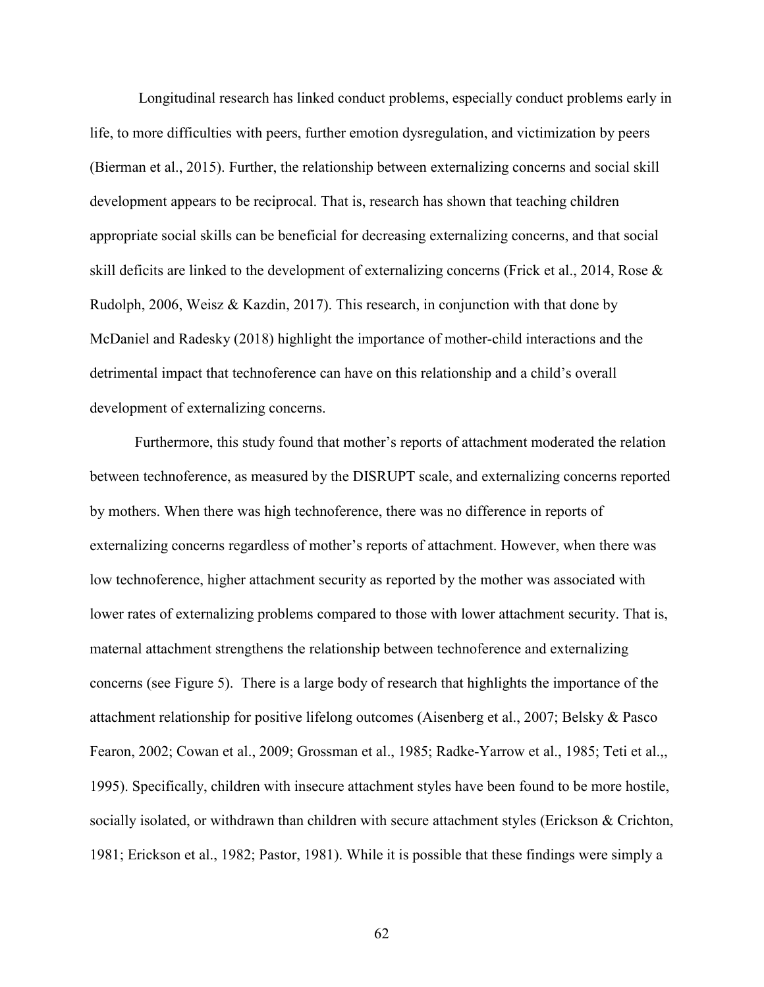Longitudinal research has linked conduct problems, especially conduct problems early in life, to more difficulties with peers, further emotion dysregulation, and victimization by peers (Bierman et al., 2015). Further, the relationship between externalizing concerns and social skill development appears to be reciprocal. That is, research has shown that teaching children appropriate social skills can be beneficial for decreasing externalizing concerns, and that social skill deficits are linked to the development of externalizing concerns (Frick et al., 2014, Rose & Rudolph, 2006, Weisz & Kazdin, 2017). This research, in conjunction with that done by McDaniel and Radesky (2018) highlight the importance of mother-child interactions and the detrimental impact that technoference can have on this relationship and a child's overall development of externalizing concerns.

 Furthermore, this study found that mother's reports of attachment moderated the relation between technoference, as measured by the DISRUPT scale, and externalizing concerns reported by mothers. When there was high technoference, there was no difference in reports of externalizing concerns regardless of mother's reports of attachment. However, when there was low technoference, higher attachment security as reported by the mother was associated with lower rates of externalizing problems compared to those with lower attachment security. That is, maternal attachment strengthens the relationship between technoference and externalizing concerns (see Figure 5). There is a large body of research that highlights the importance of the attachment relationship for positive lifelong outcomes (Aisenberg et al., 2007; Belsky & Pasco Fearon, 2002; Cowan et al., 2009; Grossman et al., 1985; Radke-Yarrow et al., 1985; Teti et al.,, 1995). Specifically, children with insecure attachment styles have been found to be more hostile, socially isolated, or withdrawn than children with secure attachment styles (Erickson & Crichton, 1981; Erickson et al., 1982; Pastor, 1981). While it is possible that these findings were simply a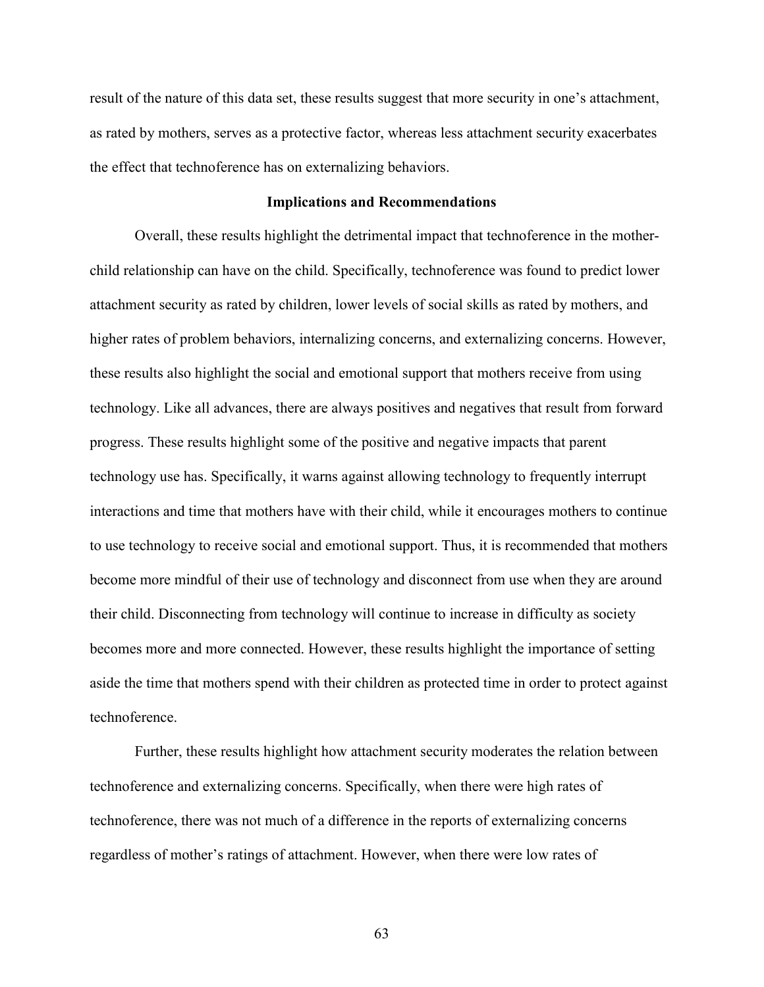result of the nature of this data set, these results suggest that more security in one's attachment, as rated by mothers, serves as a protective factor, whereas less attachment security exacerbates the effect that technoference has on externalizing behaviors.

### **Implications and Recommendations**

 Overall, these results highlight the detrimental impact that technoference in the motherchild relationship can have on the child. Specifically, technoference was found to predict lower attachment security as rated by children, lower levels of social skills as rated by mothers, and higher rates of problem behaviors, internalizing concerns, and externalizing concerns. However, these results also highlight the social and emotional support that mothers receive from using technology. Like all advances, there are always positives and negatives that result from forward progress. These results highlight some of the positive and negative impacts that parent technology use has. Specifically, it warns against allowing technology to frequently interrupt interactions and time that mothers have with their child, while it encourages mothers to continue to use technology to receive social and emotional support. Thus, it is recommended that mothers become more mindful of their use of technology and disconnect from use when they are around their child. Disconnecting from technology will continue to increase in difficulty as society becomes more and more connected. However, these results highlight the importance of setting aside the time that mothers spend with their children as protected time in order to protect against technoference.

 Further, these results highlight how attachment security moderates the relation between technoference and externalizing concerns. Specifically, when there were high rates of technoference, there was not much of a difference in the reports of externalizing concerns regardless of mother's ratings of attachment. However, when there were low rates of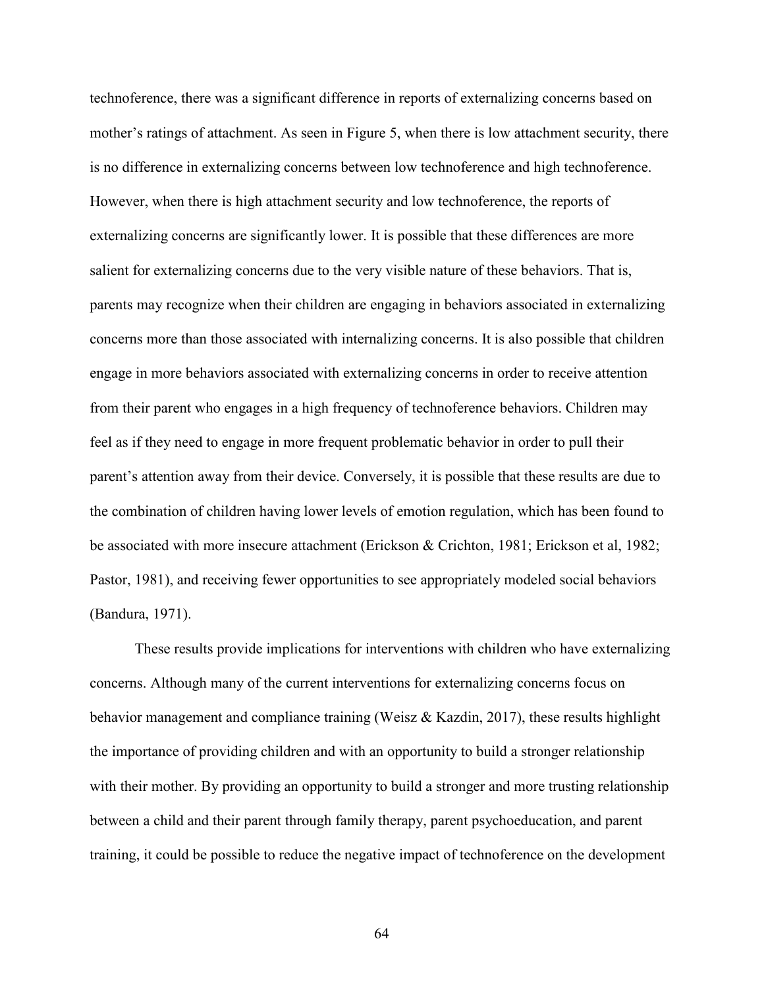technoference, there was a significant difference in reports of externalizing concerns based on mother's ratings of attachment. As seen in Figure 5, when there is low attachment security, there is no difference in externalizing concerns between low technoference and high technoference. However, when there is high attachment security and low technoference, the reports of externalizing concerns are significantly lower. It is possible that these differences are more salient for externalizing concerns due to the very visible nature of these behaviors. That is, parents may recognize when their children are engaging in behaviors associated in externalizing concerns more than those associated with internalizing concerns. It is also possible that children engage in more behaviors associated with externalizing concerns in order to receive attention from their parent who engages in a high frequency of technoference behaviors. Children may feel as if they need to engage in more frequent problematic behavior in order to pull their parent's attention away from their device. Conversely, it is possible that these results are due to the combination of children having lower levels of emotion regulation, which has been found to be associated with more insecure attachment (Erickson & Crichton, 1981; Erickson et al, 1982; Pastor, 1981), and receiving fewer opportunities to see appropriately modeled social behaviors (Bandura, 1971).

 These results provide implications for interventions with children who have externalizing concerns. Although many of the current interventions for externalizing concerns focus on behavior management and compliance training (Weisz & Kazdin, 2017), these results highlight the importance of providing children and with an opportunity to build a stronger relationship with their mother. By providing an opportunity to build a stronger and more trusting relationship between a child and their parent through family therapy, parent psychoeducation, and parent training, it could be possible to reduce the negative impact of technoference on the development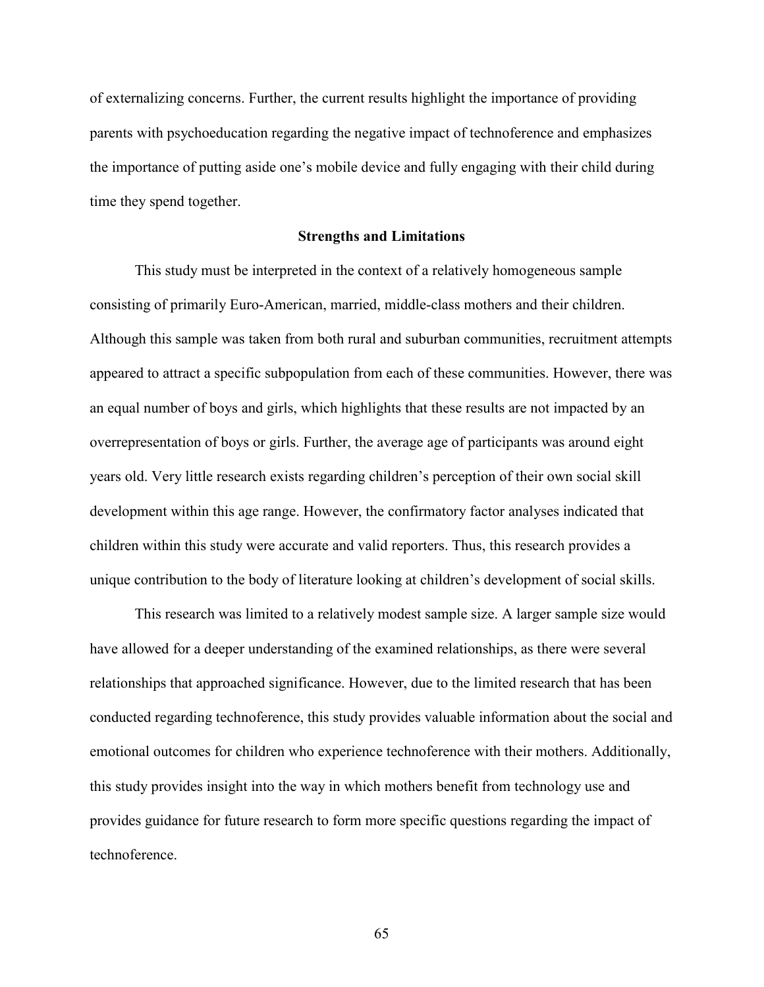of externalizing concerns. Further, the current results highlight the importance of providing parents with psychoeducation regarding the negative impact of technoference and emphasizes the importance of putting aside one's mobile device and fully engaging with their child during time they spend together.

### **Strengths and Limitations**

 This study must be interpreted in the context of a relatively homogeneous sample consisting of primarily Euro-American, married, middle-class mothers and their children. Although this sample was taken from both rural and suburban communities, recruitment attempts appeared to attract a specific subpopulation from each of these communities. However, there was an equal number of boys and girls, which highlights that these results are not impacted by an overrepresentation of boys or girls. Further, the average age of participants was around eight years old. Very little research exists regarding children's perception of their own social skill development within this age range. However, the confirmatory factor analyses indicated that children within this study were accurate and valid reporters. Thus, this research provides a unique contribution to the body of literature looking at children's development of social skills.

This research was limited to a relatively modest sample size. A larger sample size would have allowed for a deeper understanding of the examined relationships, as there were several relationships that approached significance. However, due to the limited research that has been conducted regarding technoference, this study provides valuable information about the social and emotional outcomes for children who experience technoference with their mothers. Additionally, this study provides insight into the way in which mothers benefit from technology use and provides guidance for future research to form more specific questions regarding the impact of technoference.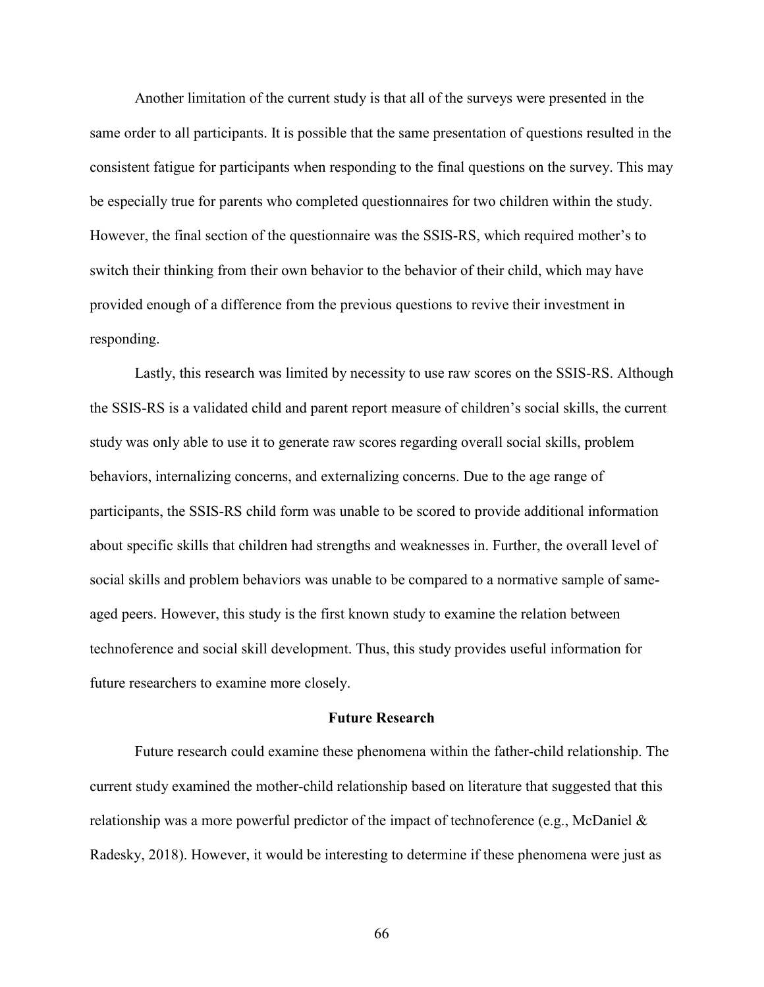Another limitation of the current study is that all of the surveys were presented in the same order to all participants. It is possible that the same presentation of questions resulted in the consistent fatigue for participants when responding to the final questions on the survey. This may be especially true for parents who completed questionnaires for two children within the study. However, the final section of the questionnaire was the SSIS-RS, which required mother's to switch their thinking from their own behavior to the behavior of their child, which may have provided enough of a difference from the previous questions to revive their investment in responding.

Lastly, this research was limited by necessity to use raw scores on the SSIS-RS. Although the SSIS-RS is a validated child and parent report measure of children's social skills, the current study was only able to use it to generate raw scores regarding overall social skills, problem behaviors, internalizing concerns, and externalizing concerns. Due to the age range of participants, the SSIS-RS child form was unable to be scored to provide additional information about specific skills that children had strengths and weaknesses in. Further, the overall level of social skills and problem behaviors was unable to be compared to a normative sample of sameaged peers. However, this study is the first known study to examine the relation between technoference and social skill development. Thus, this study provides useful information for future researchers to examine more closely.

### **Future Research**

 Future research could examine these phenomena within the father-child relationship. The current study examined the mother-child relationship based on literature that suggested that this relationship was a more powerful predictor of the impact of technoference (e.g., McDaniel & Radesky, 2018). However, it would be interesting to determine if these phenomena were just as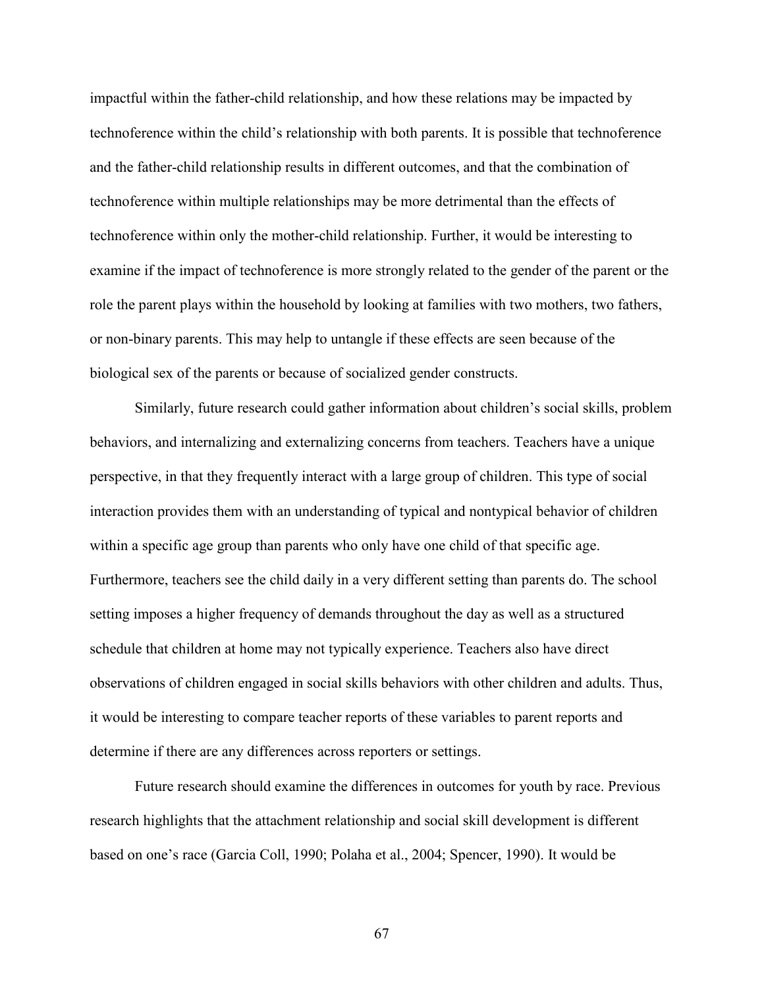impactful within the father-child relationship, and how these relations may be impacted by technoference within the child's relationship with both parents. It is possible that technoference and the father-child relationship results in different outcomes, and that the combination of technoference within multiple relationships may be more detrimental than the effects of technoference within only the mother-child relationship. Further, it would be interesting to examine if the impact of technoference is more strongly related to the gender of the parent or the role the parent plays within the household by looking at families with two mothers, two fathers, or non-binary parents. This may help to untangle if these effects are seen because of the biological sex of the parents or because of socialized gender constructs.

 Similarly, future research could gather information about children's social skills, problem behaviors, and internalizing and externalizing concerns from teachers. Teachers have a unique perspective, in that they frequently interact with a large group of children. This type of social interaction provides them with an understanding of typical and nontypical behavior of children within a specific age group than parents who only have one child of that specific age. Furthermore, teachers see the child daily in a very different setting than parents do. The school setting imposes a higher frequency of demands throughout the day as well as a structured schedule that children at home may not typically experience. Teachers also have direct observations of children engaged in social skills behaviors with other children and adults. Thus, it would be interesting to compare teacher reports of these variables to parent reports and determine if there are any differences across reporters or settings.

Future research should examine the differences in outcomes for youth by race. Previous research highlights that the attachment relationship and social skill development is different based on one's race (Garcia Coll, 1990; Polaha et al., 2004; Spencer, 1990). It would be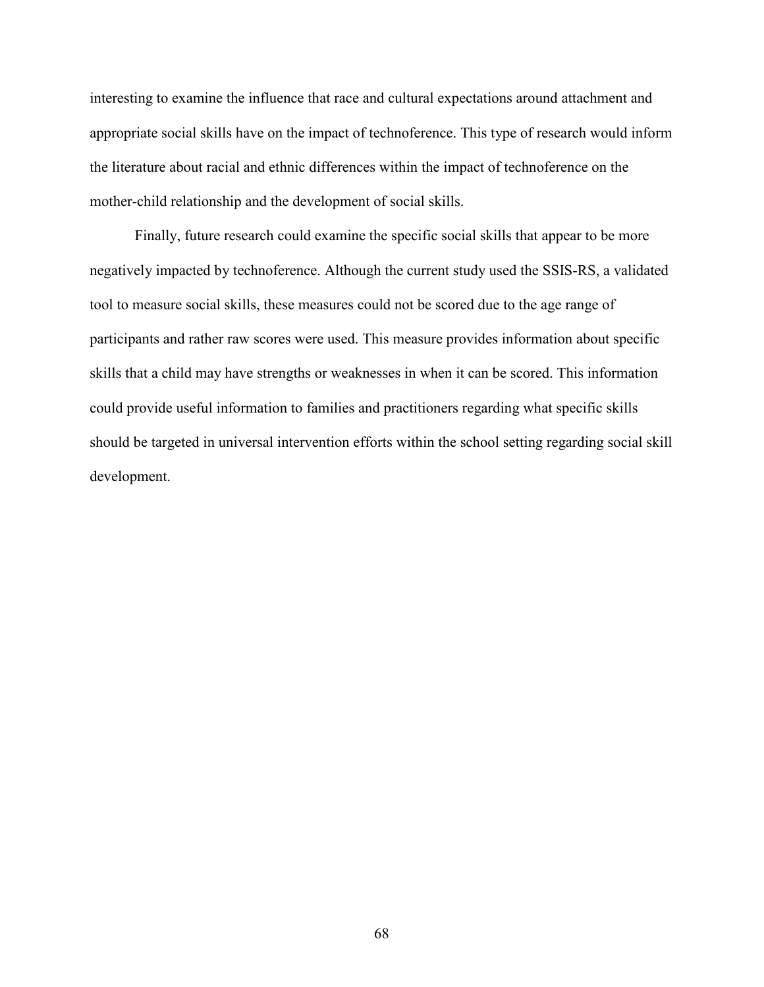interesting to examine the influence that race and cultural expectations around attachment and appropriate social skills have on the impact of technoference. This type of research would inform the literature about racial and ethnic differences within the impact of technoference on the mother-child relationship and the development of social skills.

 Finally, future research could examine the specific social skills that appear to be more negatively impacted by technoference. Although the current study used the SSIS-RS, a validated tool to measure social skills, these measures could not be scored due to the age range of participants and rather raw scores were used. This measure provides information about specific skills that a child may have strengths or weaknesses in when it can be scored. This information could provide useful information to families and practitioners regarding what specific skills should be targeted in universal intervention efforts within the school setting regarding social skill development.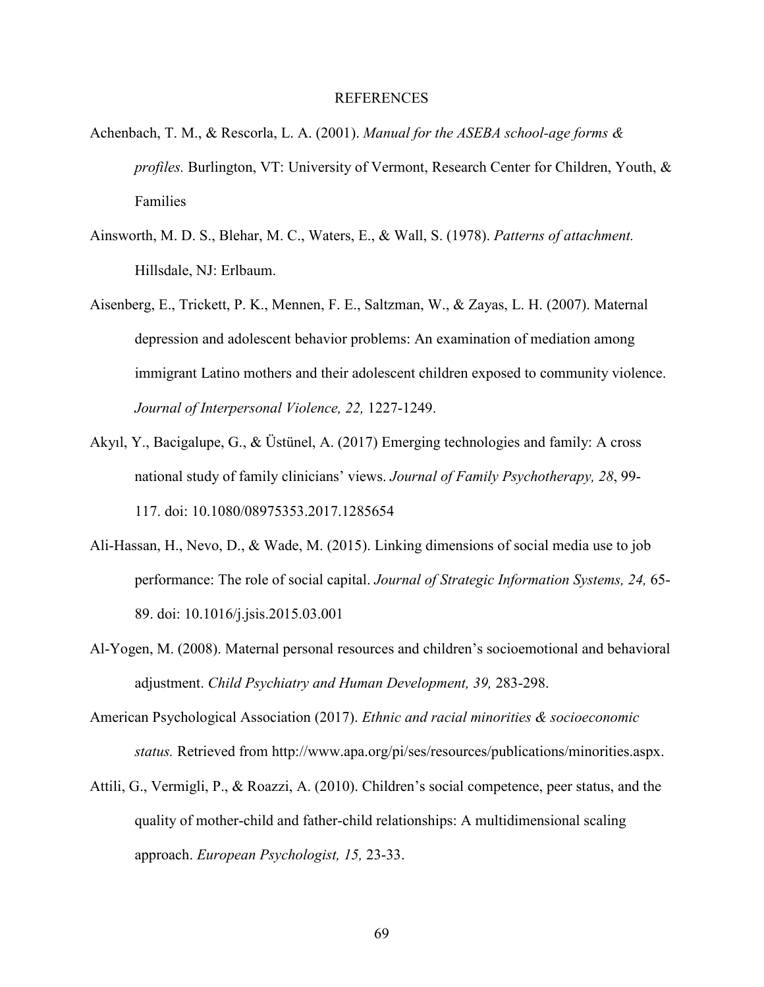#### REFERENCES

- Achenbach, T. M., & Rescorla, L. A. (2001). *Manual for the ASEBA school-age forms & profiles.* Burlington, VT: University of Vermont, Research Center for Children, Youth, & Families
- Ainsworth, M. D. S., Blehar, M. C., Waters, E., & Wall, S. (1978). *Patterns of attachment.*  Hillsdale, NJ: Erlbaum.
- Aisenberg, E., Trickett, P. K., Mennen, F. E., Saltzman, W., & Zayas, L. H. (2007). Maternal depression and adolescent behavior problems: An examination of mediation among immigrant Latino mothers and their adolescent children exposed to community violence. *Journal of Interpersonal Violence, 22,* 1227-1249.
- Akyıl, Y., Bacigalupe, G., & Üstünel, A. (2017) Emerging technologies and family: A cross national study of family clinicians' views. *Journal of Family Psychotherapy, 28*, 99- 117. doi: 10.1080/08975353.2017.1285654
- Ali-Hassan, H., Nevo, D., & Wade, M. (2015). Linking dimensions of social media use to job performance: The role of social capital. *Journal of Strategic Information Systems, 24,* 65- 89. doi: 10.1016/j.jsis.2015.03.001
- Al-Yogen, M. (2008). Maternal personal resources and children's socioemotional and behavioral adjustment. *Child Psychiatry and Human Development, 39,* 283-298.
- American Psychological Association (2017). *Ethnic and racial minorities & socioeconomic status.* Retrieved from http://www.apa.org/pi/ses/resources/publications/minorities.aspx.
- Attili, G., Vermigli, P., & Roazzi, A. (2010). Children's social competence, peer status, and the quality of mother-child and father-child relationships: A multidimensional scaling approach. *European Psychologist, 15,* 23-33.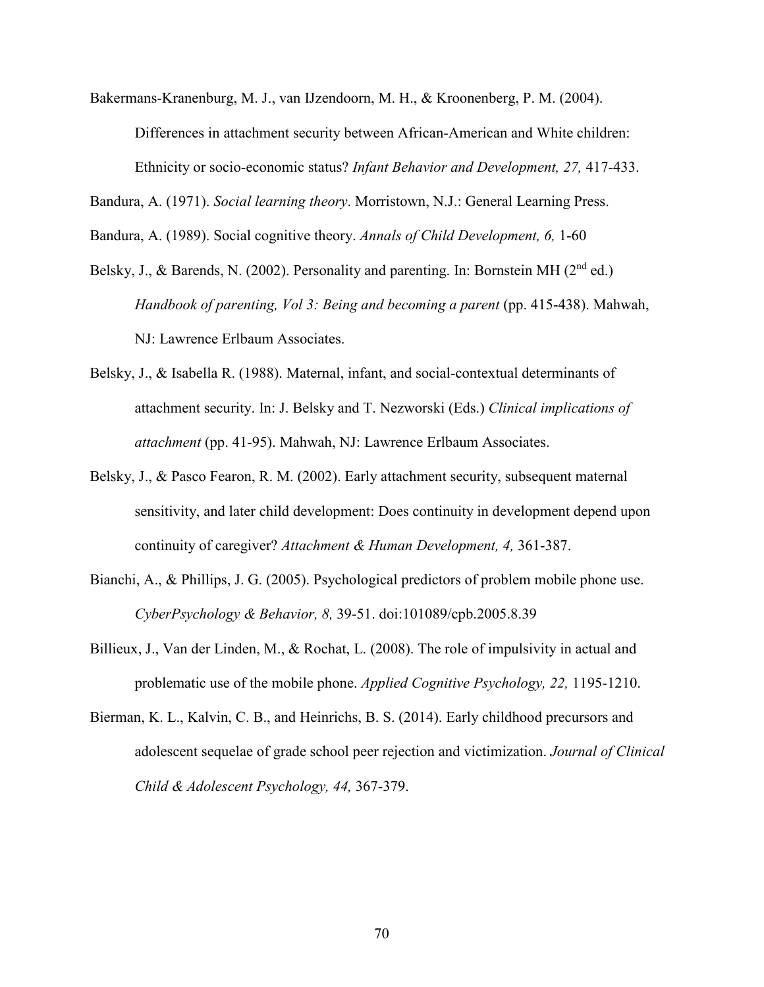Bakermans-Kranenburg, M. J., van IJzendoorn, M. H., & Kroonenberg, P. M. (2004).

Differences in attachment security between African-American and White children: Ethnicity or socio-economic status? *Infant Behavior and Development, 27,* 417-433.

Bandura, A. (1971). *Social learning theory*. Morristown, N.J.: General Learning Press.

Bandura, A. (1989). Social cognitive theory. *Annals of Child Development, 6,* 1-60

- Belsky, J., & Barends, N. (2002). Personality and parenting. In: Bornstein MH (2<sup>nd</sup> ed.) *Handbook of parenting, Vol 3: Being and becoming a parent* (pp. 415-438). Mahwah, NJ: Lawrence Erlbaum Associates.
- Belsky, J., & Isabella R. (1988). Maternal, infant, and social-contextual determinants of attachment security. In: J. Belsky and T. Nezworski (Eds.) *Clinical implications of attachment* (pp. 41-95). Mahwah, NJ: Lawrence Erlbaum Associates.
- Belsky, J., & Pasco Fearon, R. M. (2002). Early attachment security, subsequent maternal sensitivity, and later child development: Does continuity in development depend upon continuity of caregiver? *Attachment & Human Development, 4,* 361-387.
- Bianchi, A., & Phillips, J. G. (2005). Psychological predictors of problem mobile phone use. *CyberPsychology & Behavior, 8,* 39-51. doi:101089/cpb.2005.8.39
- Billieux, J., Van der Linden, M., & Rochat, L. (2008). The role of impulsivity in actual and problematic use of the mobile phone. *Applied Cognitive Psychology, 22,* 1195-1210.
- Bierman, K. L., Kalvin, C. B., and Heinrichs, B. S. (2014). Early childhood precursors and adolescent sequelae of grade school peer rejection and victimization. *Journal of Clinical Child & Adolescent Psychology, 44,* 367-379.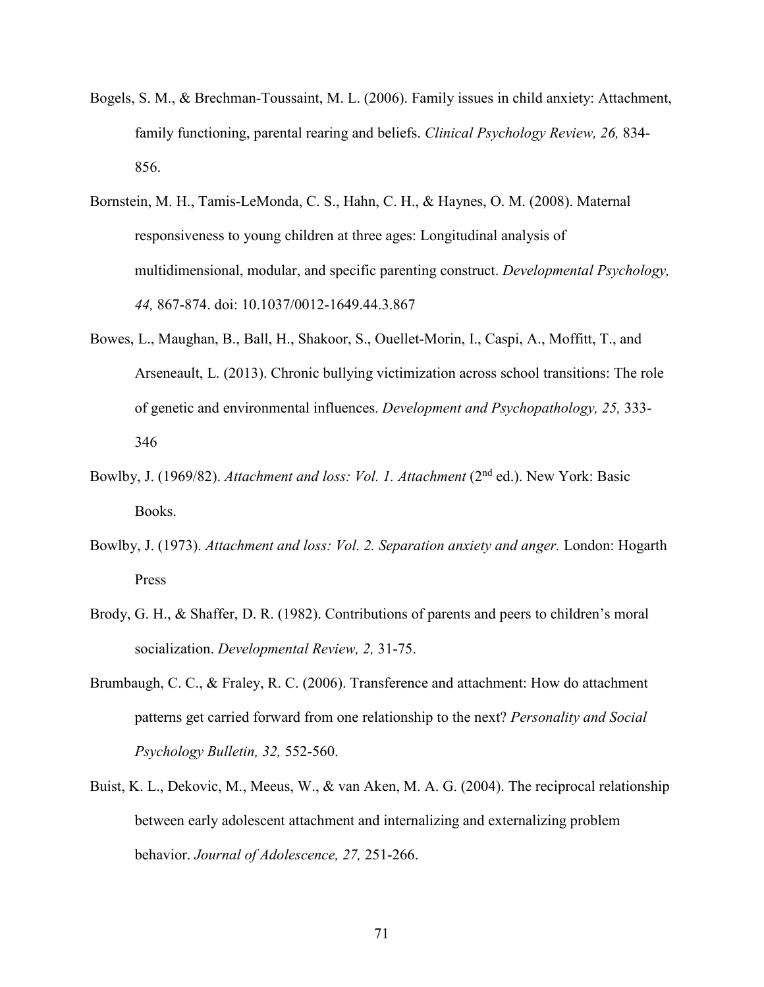- Bogels, S. M., & Brechman-Toussaint, M. L. (2006). Family issues in child anxiety: Attachment, family functioning, parental rearing and beliefs. *Clinical Psychology Review, 26,* 834- 856.
- Bornstein, M. H., Tamis-LeMonda, C. S., Hahn, C. H., & Haynes, O. M. (2008). Maternal responsiveness to young children at three ages: Longitudinal analysis of multidimensional, modular, and specific parenting construct. *Developmental Psychology, 44,* 867-874. doi: 10.1037/0012-1649.44.3.867
- Bowes, L., Maughan, B., Ball, H., Shakoor, S., Ouellet-Morin, I., Caspi, A., Moffitt, T., and Arseneault, L. (2013). Chronic bullying victimization across school transitions: The role of genetic and environmental influences. *Development and Psychopathology, 25,* 333- 346
- Bowlby, J. (1969/82). *Attachment and loss: Vol. 1. Attachment* (2<sup>nd</sup> ed.). New York: Basic Books.
- Bowlby, J. (1973). *Attachment and loss: Vol. 2. Separation anxiety and anger.* London: Hogarth Press
- Brody, G. H., & Shaffer, D. R. (1982). Contributions of parents and peers to children's moral socialization. *Developmental Review, 2,* 31-75.
- Brumbaugh, C. C., & Fraley, R. C. (2006). Transference and attachment: How do attachment patterns get carried forward from one relationship to the next? *Personality and Social Psychology Bulletin, 32,* 552-560.
- Buist, K. L., Dekovic, M., Meeus, W., & van Aken, M. A. G. (2004). The reciprocal relationship between early adolescent attachment and internalizing and externalizing problem behavior. *Journal of Adolescence, 27,* 251-266.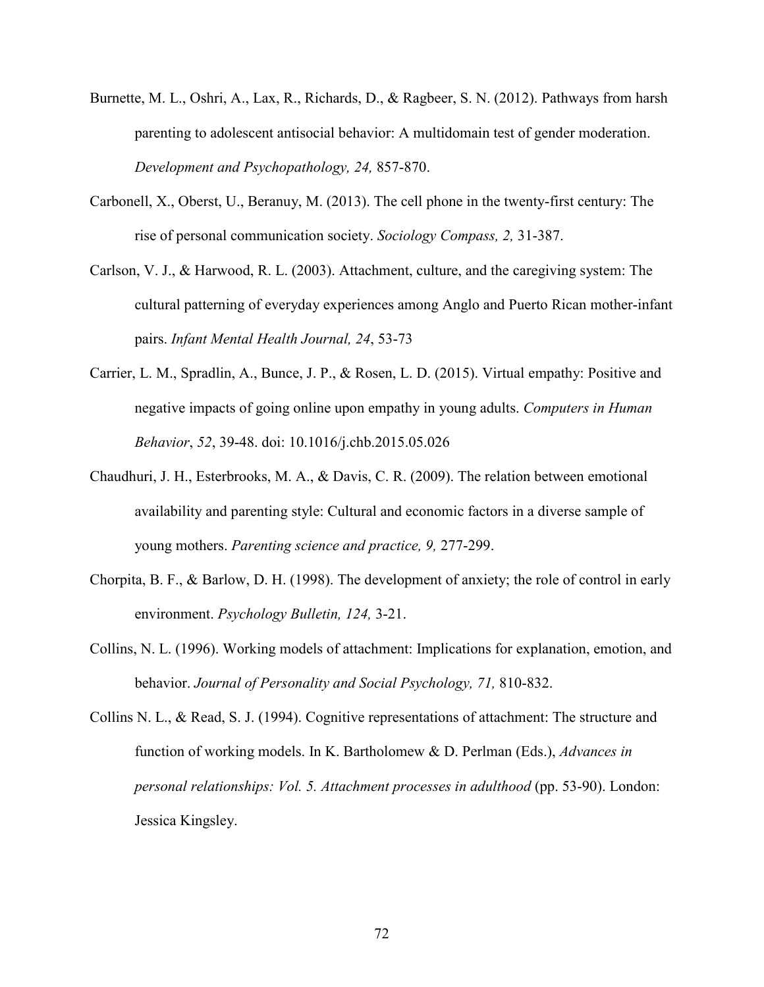- Burnette, M. L., Oshri, A., Lax, R., Richards, D., & Ragbeer, S. N. (2012). Pathways from harsh parenting to adolescent antisocial behavior: A multidomain test of gender moderation. *Development and Psychopathology, 24,* 857-870.
- Carbonell, X., Oberst, U., Beranuy, M. (2013). The cell phone in the twenty-first century: The rise of personal communication society. *Sociology Compass, 2,* 31-387.
- Carlson, V. J., & Harwood, R. L. (2003). Attachment, culture, and the caregiving system: The cultural patterning of everyday experiences among Anglo and Puerto Rican mother-infant pairs. *Infant Mental Health Journal, 24*, 53-73
- Carrier, L. M., Spradlin, A., Bunce, J. P., & Rosen, L. D. (2015). Virtual empathy: Positive and negative impacts of going online upon empathy in young adults. *Computers in Human Behavior*, *52*, 39-48. doi: 10.1016/j.chb.2015.05.026
- Chaudhuri, J. H., Esterbrooks, M. A., & Davis, C. R. (2009). The relation between emotional availability and parenting style: Cultural and economic factors in a diverse sample of young mothers. *Parenting science and practice, 9,* 277-299.
- Chorpita, B. F., & Barlow, D. H. (1998). The development of anxiety; the role of control in early environment. *Psychology Bulletin, 124,* 3-21.
- Collins, N. L. (1996). Working models of attachment: Implications for explanation, emotion, and behavior. *Journal of Personality and Social Psychology, 71,* 810-832.
- Collins N. L., & Read, S. J. (1994). Cognitive representations of attachment: The structure and function of working models. In K. Bartholomew & D. Perlman (Eds.), *Advances in personal relationships: Vol. 5. Attachment processes in adulthood* (pp. 53-90). London: Jessica Kingsley.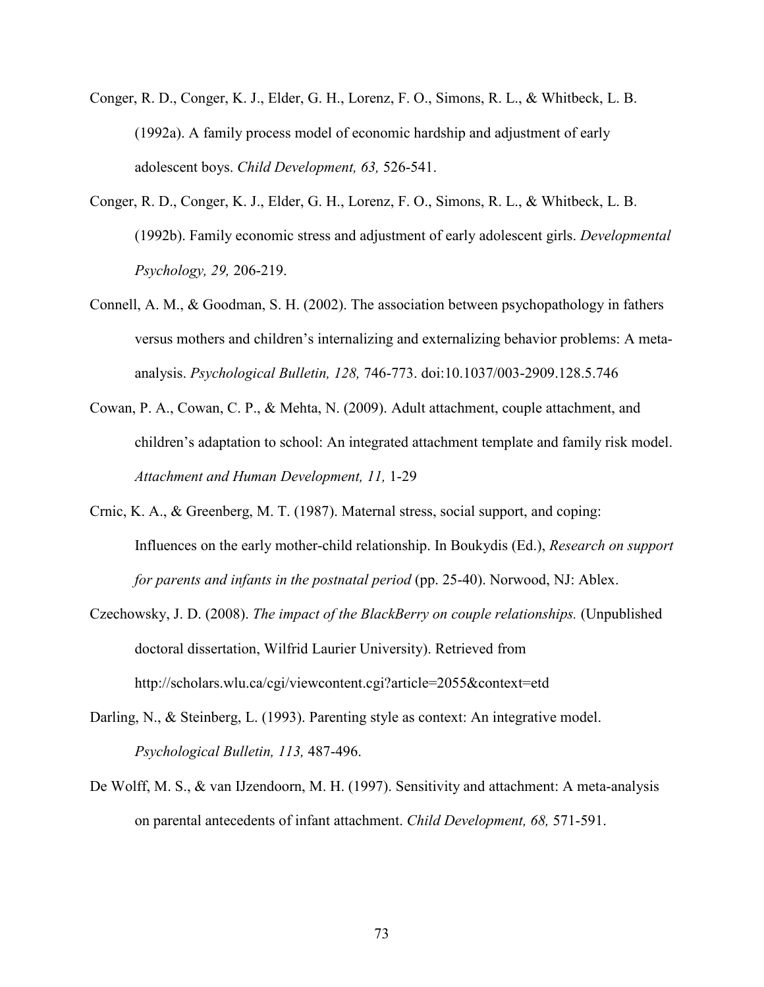- Conger, R. D., Conger, K. J., Elder, G. H., Lorenz, F. O., Simons, R. L., & Whitbeck, L. B. (1992a). A family process model of economic hardship and adjustment of early adolescent boys. *Child Development, 63,* 526-541.
- Conger, R. D., Conger, K. J., Elder, G. H., Lorenz, F. O., Simons, R. L., & Whitbeck, L. B. (1992b). Family economic stress and adjustment of early adolescent girls. *Developmental Psychology, 29,* 206-219.
- Connell, A. M., & Goodman, S. H. (2002). The association between psychopathology in fathers versus mothers and children's internalizing and externalizing behavior problems: A metaanalysis. *Psychological Bulletin, 128,* 746-773. doi:10.1037/003-2909.128.5.746
- Cowan, P. A., Cowan, C. P., & Mehta, N. (2009). Adult attachment, couple attachment, and children's adaptation to school: An integrated attachment template and family risk model. *Attachment and Human Development, 11,* 1-29
- Crnic, K. A., & Greenberg, M. T. (1987). Maternal stress, social support, and coping: Influences on the early mother-child relationship. In Boukydis (Ed.), *Research on support for parents and infants in the postnatal period* (pp. 25-40). Norwood, NJ: Ablex.
- Czechowsky, J. D. (2008). *The impact of the BlackBerry on couple relationships.* (Unpublished doctoral dissertation, Wilfrid Laurier University). Retrieved from http://scholars.wlu.ca/cgi/viewcontent.cgi?article=2055&context=etd
- Darling, N., & Steinberg, L. (1993). Parenting style as context: An integrative model. *Psychological Bulletin, 113,* 487-496.
- De Wolff, M. S., & van IJzendoorn, M. H. (1997). Sensitivity and attachment: A meta-analysis on parental antecedents of infant attachment. *Child Development, 68,* 571-591.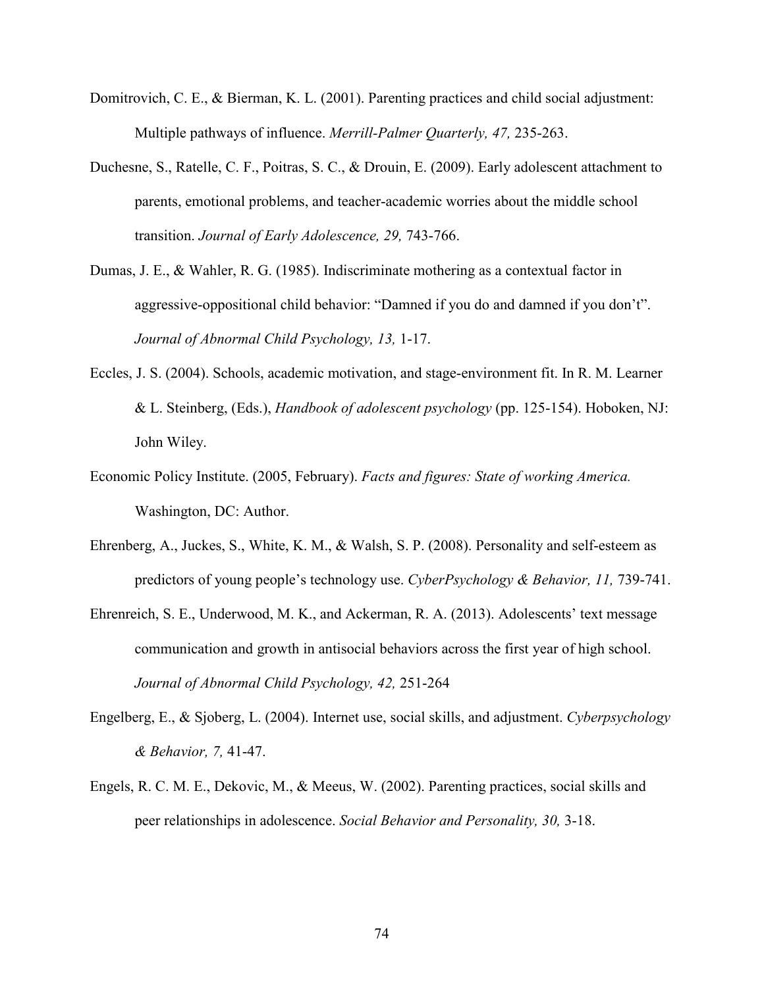- Domitrovich, C. E., & Bierman, K. L. (2001). Parenting practices and child social adjustment: Multiple pathways of influence. *Merrill-Palmer Quarterly, 47,* 235-263.
- Duchesne, S., Ratelle, C. F., Poitras, S. C., & Drouin, E. (2009). Early adolescent attachment to parents, emotional problems, and teacher-academic worries about the middle school transition. *Journal of Early Adolescence, 29,* 743-766.
- Dumas, J. E., & Wahler, R. G. (1985). Indiscriminate mothering as a contextual factor in aggressive-oppositional child behavior: "Damned if you do and damned if you don't". *Journal of Abnormal Child Psychology, 13,* 1-17.
- Eccles, J. S. (2004). Schools, academic motivation, and stage-environment fit. In R. M. Learner & L. Steinberg, (Eds.), *Handbook of adolescent psychology* (pp. 125-154). Hoboken, NJ: John Wiley.
- Economic Policy Institute. (2005, February). *Facts and figures: State of working America.*  Washington, DC: Author.
- Ehrenberg, A., Juckes, S., White, K. M., & Walsh, S. P. (2008). Personality and self-esteem as predictors of young people's technology use. *CyberPsychology & Behavior, 11,* 739-741.
- Ehrenreich, S. E., Underwood, M. K., and Ackerman, R. A. (2013). Adolescents' text message communication and growth in antisocial behaviors across the first year of high school. *Journal of Abnormal Child Psychology, 42,* 251-264
- Engelberg, E., & Sjoberg, L. (2004). Internet use, social skills, and adjustment. *Cyberpsychology & Behavior, 7,* 41-47.
- Engels, R. C. M. E., Dekovic, M., & Meeus, W. (2002). Parenting practices, social skills and peer relationships in adolescence. *Social Behavior and Personality, 30,* 3-18.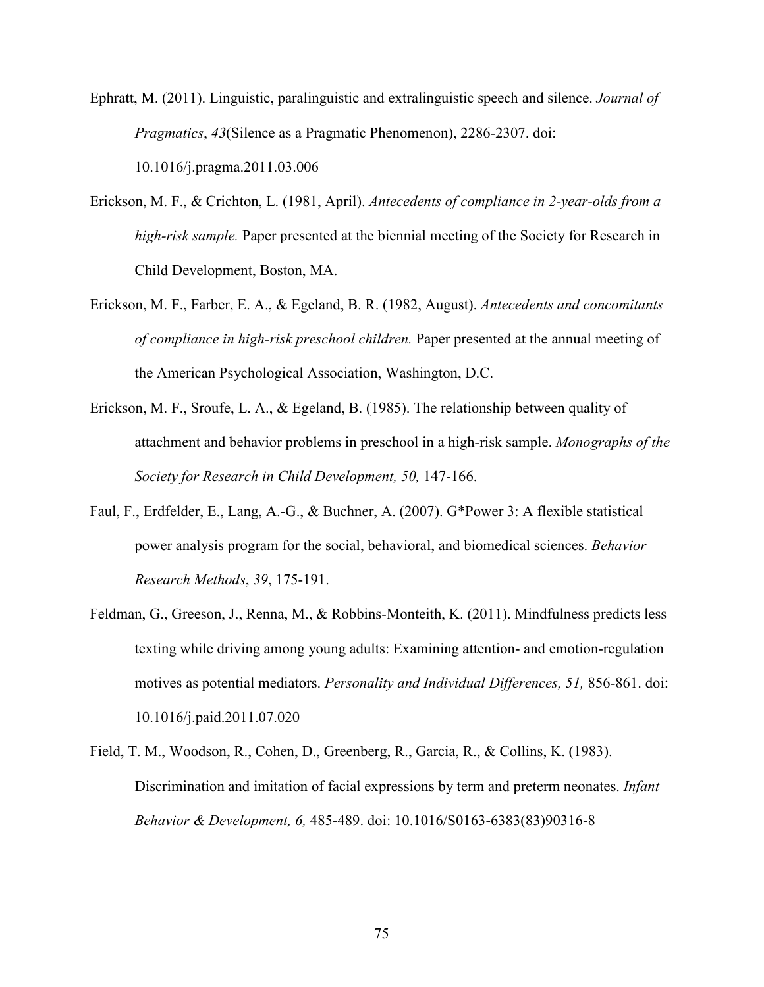Ephratt, M. (2011). Linguistic, paralinguistic and extralinguistic speech and silence. *Journal of Pragmatics*, *43*(Silence as a Pragmatic Phenomenon), 2286-2307. doi: 10.1016/j.pragma.2011.03.006

- Erickson, M. F., & Crichton, L. (1981, April). *Antecedents of compliance in 2-year-olds from a high-risk sample.* Paper presented at the biennial meeting of the Society for Research in Child Development, Boston, MA.
- Erickson, M. F., Farber, E. A., & Egeland, B. R. (1982, August). *Antecedents and concomitants of compliance in high-risk preschool children.* Paper presented at the annual meeting of the American Psychological Association, Washington, D.C.
- Erickson, M. F., Sroufe, L. A., & Egeland, B. (1985). The relationship between quality of attachment and behavior problems in preschool in a high-risk sample. *Monographs of the Society for Research in Child Development, 50,* 147-166.
- Faul, F., Erdfelder, E., Lang, A.-G., & Buchner, A. (2007). G\*Power 3: A flexible statistical power analysis program for the social, behavioral, and biomedical sciences. *Behavior Research Methods*, *39*, 175-191.
- Feldman, G., Greeson, J., Renna, M., & Robbins-Monteith, K. (2011). Mindfulness predicts less texting while driving among young adults: Examining attention- and emotion-regulation motives as potential mediators. *Personality and Individual Differences, 51,* 856-861. doi: 10.1016/j.paid.2011.07.020
- Field, T. M., Woodson, R., Cohen, D., Greenberg, R., Garcia, R., & Collins, K. (1983). Discrimination and imitation of facial expressions by term and preterm neonates. *Infant Behavior & Development, 6,* 485-489. doi: 10.1016/S0163-6383(83)90316-8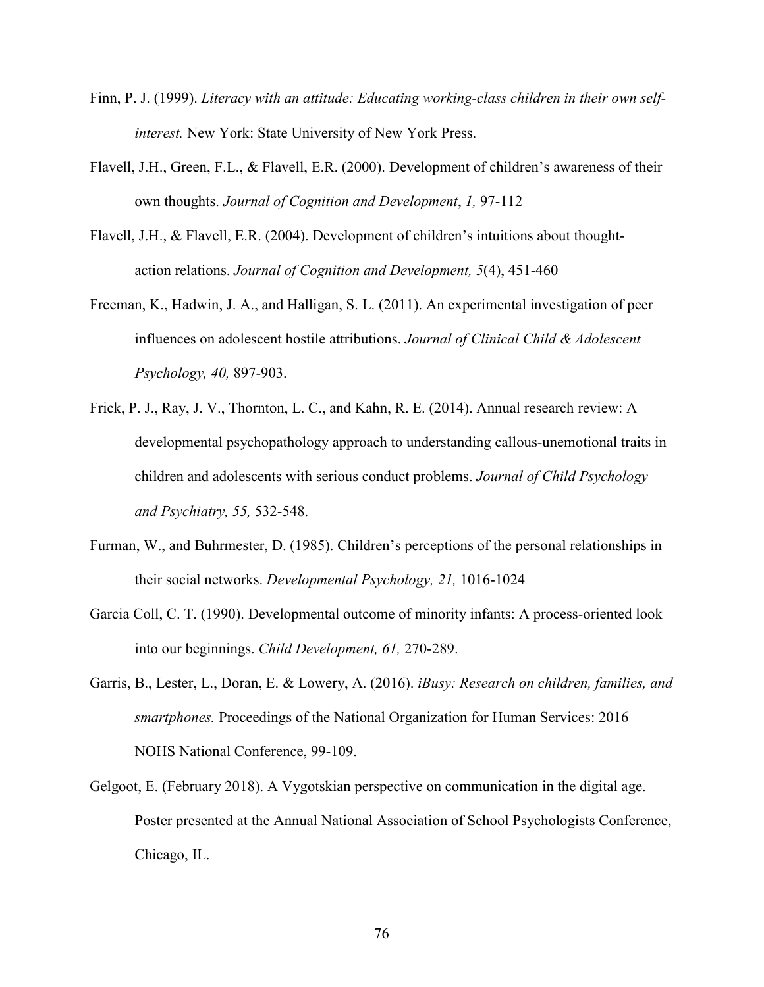- Finn, P. J. (1999). *Literacy with an attitude: Educating working-class children in their own selfinterest.* New York: State University of New York Press.
- Flavell, J.H., Green, F.L., & Flavell, E.R. (2000). Development of children's awareness of their own thoughts. *Journal of Cognition and Development*, *1,* 97-112
- Flavell, J.H., & Flavell, E.R. (2004). Development of children's intuitions about thoughtaction relations. *Journal of Cognition and Development, 5*(4), 451-460
- Freeman, K., Hadwin, J. A., and Halligan, S. L. (2011). An experimental investigation of peer influences on adolescent hostile attributions. *Journal of Clinical Child & Adolescent Psychology, 40,* 897-903.
- Frick, P. J., Ray, J. V., Thornton, L. C., and Kahn, R. E. (2014). Annual research review: A developmental psychopathology approach to understanding callous-unemotional traits in children and adolescents with serious conduct problems. *Journal of Child Psychology and Psychiatry, 55,* 532-548.
- Furman, W., and Buhrmester, D. (1985). Children's perceptions of the personal relationships in their social networks. *Developmental Psychology, 21,* 1016-1024
- Garcia Coll, C. T. (1990). Developmental outcome of minority infants: A process-oriented look into our beginnings. *Child Development, 61,* 270-289.
- Garris, B., Lester, L., Doran, E. & Lowery, A. (2016). *iBusy: Research on children, families, and smartphones.* Proceedings of the National Organization for Human Services: 2016 NOHS National Conference, 99-109.
- Gelgoot, E. (February 2018). A Vygotskian perspective on communication in the digital age. Poster presented at the Annual National Association of School Psychologists Conference, Chicago, IL.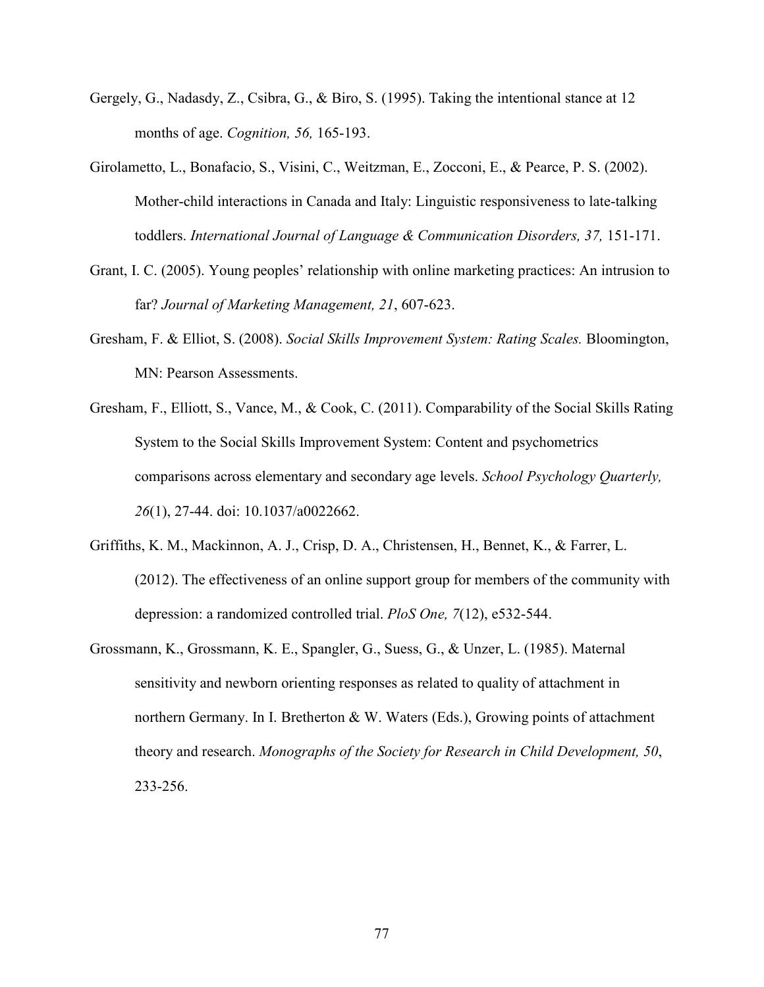- Gergely, G., Nadasdy, Z., Csibra, G., & Biro, S. (1995). Taking the intentional stance at 12 months of age. *Cognition, 56,* 165-193.
- Girolametto, L., Bonafacio, S., Visini, C., Weitzman, E., Zocconi, E., & Pearce, P. S. (2002). Mother-child interactions in Canada and Italy: Linguistic responsiveness to late-talking toddlers. *International Journal of Language & Communication Disorders, 37,* 151-171.
- Grant, I. C. (2005). Young peoples' relationship with online marketing practices: An intrusion to far? *Journal of Marketing Management, 21*, 607-623.
- Gresham, F. & Elliot, S. (2008). *Social Skills Improvement System: Rating Scales.* Bloomington, MN: Pearson Assessments.
- Gresham, F., Elliott, S., Vance, M., & Cook, C. (2011). Comparability of the Social Skills Rating System to the Social Skills Improvement System: Content and psychometrics comparisons across elementary and secondary age levels. *School Psychology Quarterly, 26*(1), 27-44. doi: 10.1037/a0022662.
- Griffiths, K. M., Mackinnon, A. J., Crisp, D. A., Christensen, H., Bennet, K., & Farrer, L. (2012). The effectiveness of an online support group for members of the community with depression: a randomized controlled trial. *PloS One, 7*(12), e532-544.
- Grossmann, K., Grossmann, K. E., Spangler, G., Suess, G., & Unzer, L. (1985). Maternal sensitivity and newborn orienting responses as related to quality of attachment in northern Germany. In I. Bretherton & W. Waters (Eds.), Growing points of attachment theory and research. *Monographs of the Society for Research in Child Development, 50*, 233-256.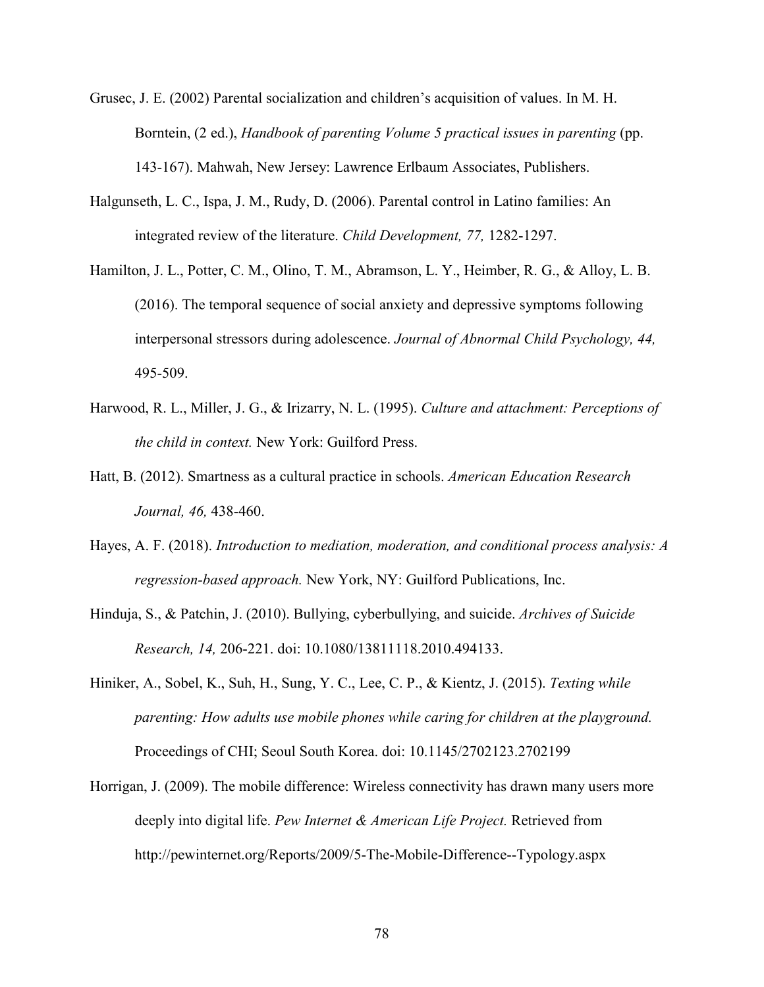- Grusec, J. E. (2002) Parental socialization and children's acquisition of values. In M. H. Borntein, (2 ed.), *Handbook of parenting Volume 5 practical issues in parenting* (pp. 143-167). Mahwah, New Jersey: Lawrence Erlbaum Associates, Publishers.
- Halgunseth, L. C., Ispa, J. M., Rudy, D. (2006). Parental control in Latino families: An integrated review of the literature. *Child Development, 77,* 1282-1297.
- Hamilton, J. L., Potter, C. M., Olino, T. M., Abramson, L. Y., Heimber, R. G., & Alloy, L. B. (2016). The temporal sequence of social anxiety and depressive symptoms following interpersonal stressors during adolescence. *Journal of Abnormal Child Psychology, 44,*  495-509.
- Harwood, R. L., Miller, J. G., & Irizarry, N. L. (1995). *Culture and attachment: Perceptions of the child in context.* New York: Guilford Press.
- Hatt, B. (2012). Smartness as a cultural practice in schools. *American Education Research Journal, 46,* 438-460.
- Hayes, A. F. (2018). *Introduction to mediation, moderation, and conditional process analysis: A regression-based approach.* New York, NY: Guilford Publications, Inc.
- Hinduja, S., & Patchin, J. (2010). Bullying, cyberbullying, and suicide. *Archives of Suicide Research, 14,* 206-221. doi: 10.1080/13811118.2010.494133.
- Hiniker, A., Sobel, K., Suh, H., Sung, Y. C., Lee, C. P., & Kientz, J. (2015). *Texting while parenting: How adults use mobile phones while caring for children at the playground.*  Proceedings of CHI; Seoul South Korea. doi: 10.1145/2702123.2702199
- Horrigan, J. (2009). The mobile difference: Wireless connectivity has drawn many users more deeply into digital life. *Pew Internet & American Life Project.* Retrieved from http://pewinternet.org/Reports/2009/5-The-Mobile-Difference--Typology.aspx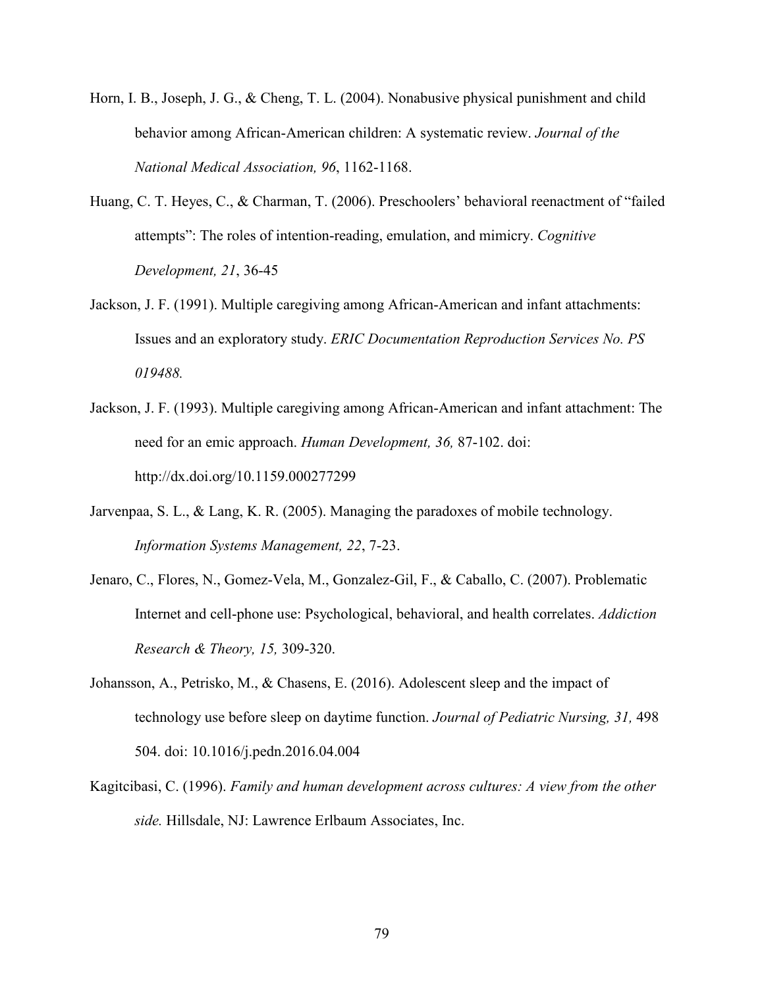- Horn, I. B., Joseph, J. G., & Cheng, T. L. (2004). Nonabusive physical punishment and child behavior among African-American children: A systematic review. *Journal of the National Medical Association, 96*, 1162-1168.
- Huang, C. T. Heyes, C., & Charman, T. (2006). Preschoolers' behavioral reenactment of "failed attempts": The roles of intention-reading, emulation, and mimicry. *Cognitive Development, 21*, 36-45
- Jackson, J. F. (1991). Multiple caregiving among African-American and infant attachments: Issues and an exploratory study. *ERIC Documentation Reproduction Services No. PS 019488.*
- Jackson, J. F. (1993). Multiple caregiving among African-American and infant attachment: The need for an emic approach. *Human Development, 36,* 87-102. doi: http://dx.doi.org/10.1159.000277299
- Jarvenpaa, S. L., & Lang, K. R. (2005). Managing the paradoxes of mobile technology. *Information Systems Management, 22*, 7-23.
- Jenaro, C., Flores, N., Gomez-Vela, M., Gonzalez-Gil, F., & Caballo, C. (2007). Problematic Internet and cell-phone use: Psychological, behavioral, and health correlates. *Addiction Research & Theory, 15,* 309-320.
- Johansson, A., Petrisko, M., & Chasens, E. (2016). Adolescent sleep and the impact of technology use before sleep on daytime function. *Journal of Pediatric Nursing, 31,* 498 504. doi: 10.1016/j.pedn.2016.04.004
- Kagitcibasi, C. (1996). *Family and human development across cultures: A view from the other side.* Hillsdale, NJ: Lawrence Erlbaum Associates, Inc.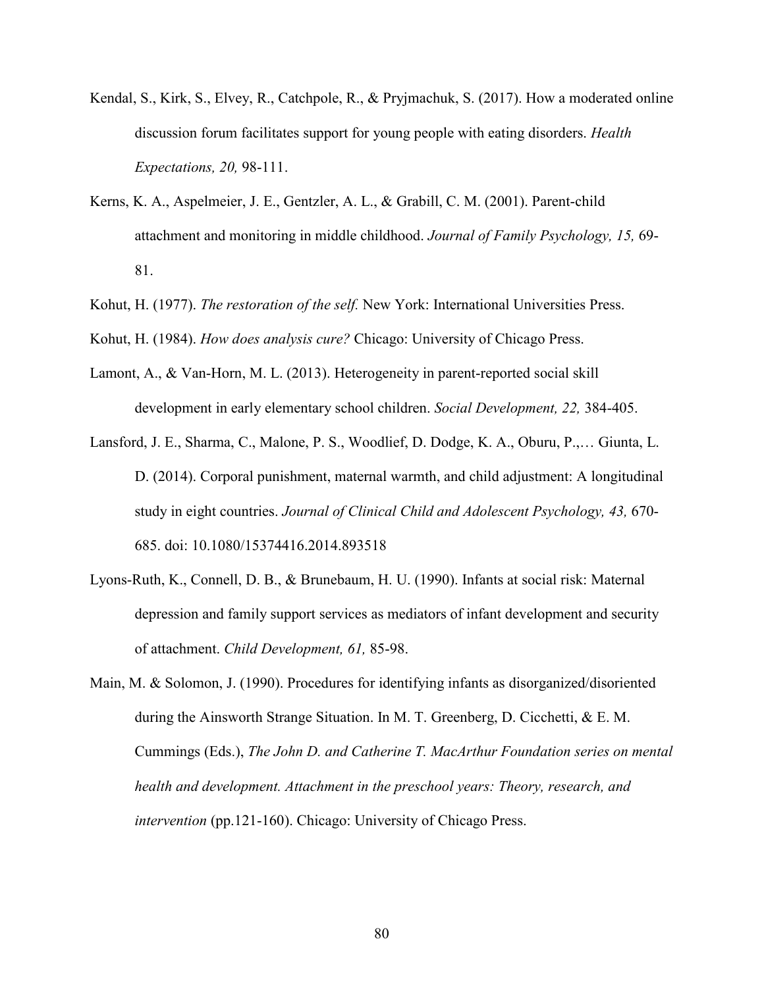- Kendal, S., Kirk, S., Elvey, R., Catchpole, R., & Pryjmachuk, S. (2017). How a moderated online discussion forum facilitates support for young people with eating disorders. *Health Expectations, 20,* 98-111.
- Kerns, K. A., Aspelmeier, J. E., Gentzler, A. L., & Grabill, C. M. (2001). Parent-child attachment and monitoring in middle childhood. *Journal of Family Psychology, 15,* 69- 81.
- Kohut, H. (1977). *The restoration of the self.* New York: International Universities Press.
- Kohut, H. (1984). *How does analysis cure?* Chicago: University of Chicago Press.
- Lamont, A., & Van-Horn, M. L. (2013). Heterogeneity in parent-reported social skill development in early elementary school children. *Social Development, 22,* 384-405.
- Lansford, J. E., Sharma, C., Malone, P. S., Woodlief, D. Dodge, K. A., Oburu, P.,… Giunta, L. D. (2014). Corporal punishment, maternal warmth, and child adjustment: A longitudinal study in eight countries. *Journal of Clinical Child and Adolescent Psychology, 43,* 670- 685. doi: 10.1080/15374416.2014.893518
- Lyons-Ruth, K., Connell, D. B., & Brunebaum, H. U. (1990). Infants at social risk: Maternal depression and family support services as mediators of infant development and security of attachment. *Child Development, 61,* 85-98.
- Main, M. & Solomon, J. (1990). Procedures for identifying infants as disorganized/disoriented during the Ainsworth Strange Situation. In M. T. Greenberg, D. Cicchetti, & E. M. Cummings (Eds.), *The John D. and Catherine T. MacArthur Foundation series on mental health and development. Attachment in the preschool years: Theory, research, and intervention* (pp.121-160). Chicago: University of Chicago Press.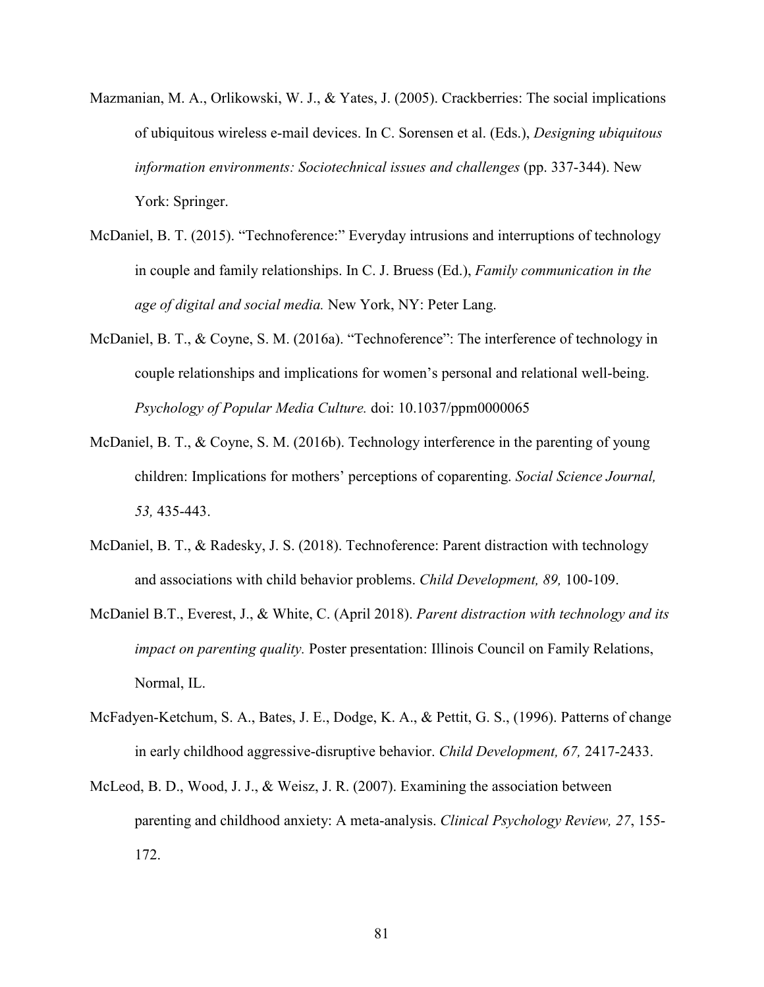- Mazmanian, M. A., Orlikowski, W. J., & Yates, J. (2005). Crackberries: The social implications of ubiquitous wireless e-mail devices. In C. Sorensen et al. (Eds.), *Designing ubiquitous information environments: Sociotechnical issues and challenges* (pp. 337-344). New York: Springer.
- McDaniel, B. T. (2015). "Technoference:" Everyday intrusions and interruptions of technology in couple and family relationships. In C. J. Bruess (Ed.), *Family communication in the age of digital and social media.* New York, NY: Peter Lang.
- McDaniel, B. T., & Coyne, S. M. (2016a). "Technoference": The interference of technology in couple relationships and implications for women's personal and relational well-being. *Psychology of Popular Media Culture.* doi: 10.1037/ppm0000065
- McDaniel, B. T., & Coyne, S. M. (2016b). Technology interference in the parenting of young children: Implications for mothers' perceptions of coparenting. *Social Science Journal, 53,* 435-443.
- McDaniel, B. T., & Radesky, J. S. (2018). Technoference: Parent distraction with technology and associations with child behavior problems. *Child Development, 89,* 100-109.
- McDaniel B.T., Everest, J., & White, C. (April 2018). *Parent distraction with technology and its impact on parenting quality.* Poster presentation: Illinois Council on Family Relations, Normal, IL.
- McFadyen-Ketchum, S. A., Bates, J. E., Dodge, K. A., & Pettit, G. S., (1996). Patterns of change in early childhood aggressive-disruptive behavior. *Child Development, 67,* 2417-2433.
- McLeod, B. D., Wood, J. J., & Weisz, J. R. (2007). Examining the association between parenting and childhood anxiety: A meta-analysis. *Clinical Psychology Review, 27*, 155- 172.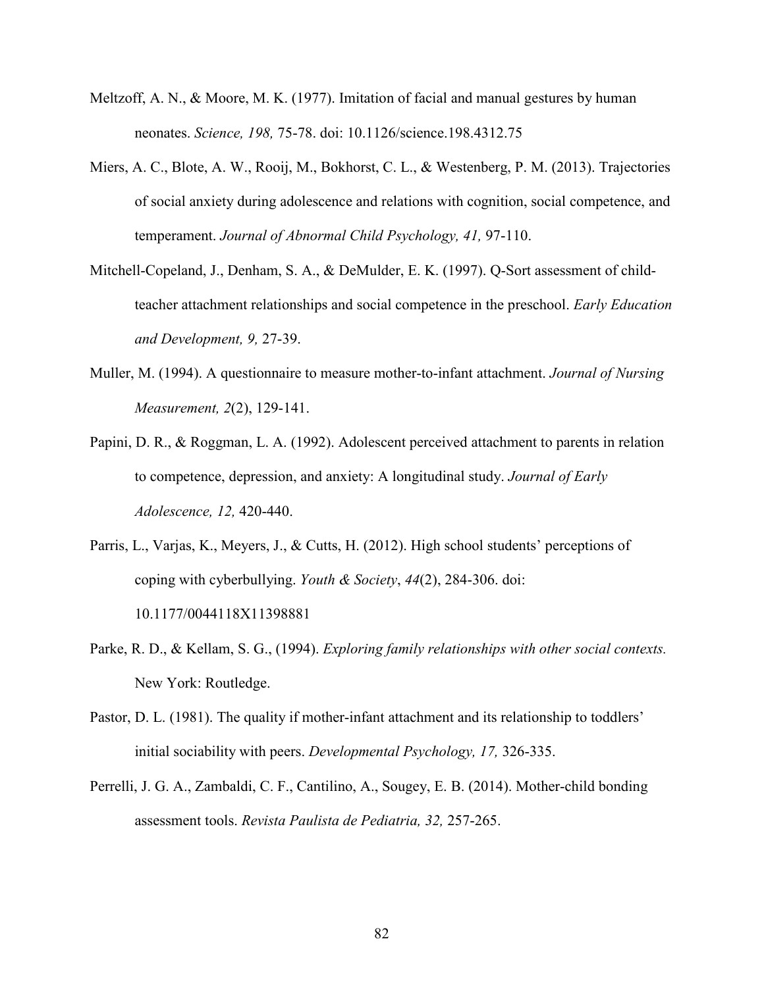- Meltzoff, A. N., & Moore, M. K. (1977). Imitation of facial and manual gestures by human neonates. *Science, 198,* 75-78. doi: 10.1126/science.198.4312.75
- Miers, A. C., Blote, A. W., Rooij, M., Bokhorst, C. L., & Westenberg, P. M. (2013). Trajectories of social anxiety during adolescence and relations with cognition, social competence, and temperament. *Journal of Abnormal Child Psychology, 41,* 97-110.
- Mitchell-Copeland, J., Denham, S. A., & DeMulder, E. K. (1997). Q-Sort assessment of childteacher attachment relationships and social competence in the preschool. *Early Education and Development, 9,* 27-39.
- Muller, M. (1994). A questionnaire to measure mother-to-infant attachment. *Journal of Nursing Measurement, 2*(2), 129-141.
- Papini, D. R., & Roggman, L. A. (1992). Adolescent perceived attachment to parents in relation to competence, depression, and anxiety: A longitudinal study. *Journal of Early Adolescence, 12,* 420-440.
- Parris, L., Varjas, K., Meyers, J., & Cutts, H. (2012). High school students' perceptions of coping with cyberbullying. *Youth & Society*, *44*(2), 284-306. doi: 10.1177/0044118X11398881
- Parke, R. D., & Kellam, S. G., (1994). *Exploring family relationships with other social contexts.*  New York: Routledge.
- Pastor, D. L. (1981). The quality if mother-infant attachment and its relationship to toddlers' initial sociability with peers. *Developmental Psychology, 17,* 326-335.
- Perrelli, J. G. A., Zambaldi, C. F., Cantilino, A., Sougey, E. B. (2014). Mother-child bonding assessment tools. *Revista Paulista de Pediatria, 32,* 257-265.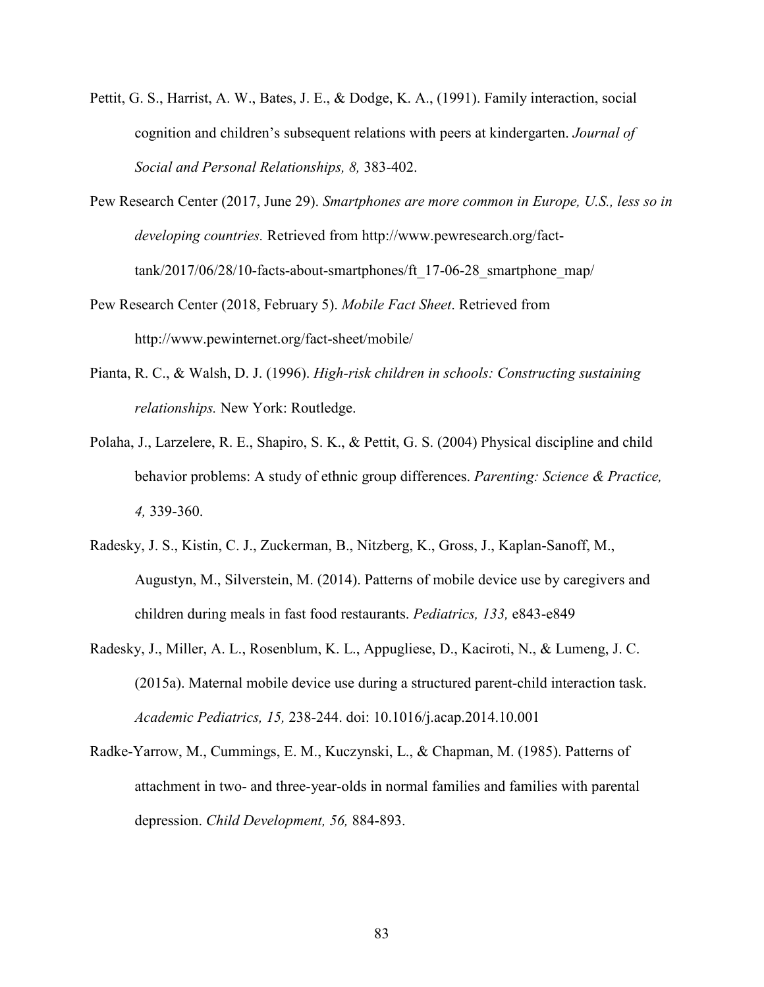- Pettit, G. S., Harrist, A. W., Bates, J. E., & Dodge, K. A., (1991). Family interaction, social cognition and children's subsequent relations with peers at kindergarten. *Journal of Social and Personal Relationships, 8,* 383-402.
- Pew Research Center (2017, June 29). *Smartphones are more common in Europe, U.S., less so in developing countries.* Retrieved from http://www.pewresearch.org/facttank/2017/06/28/10-facts-about-smartphones/ft\_17-06-28\_smartphone\_map/
- Pew Research Center (2018, February 5). *Mobile Fact Sheet*. Retrieved from http://www.pewinternet.org/fact-sheet/mobile/
- Pianta, R. C., & Walsh, D. J. (1996). *High-risk children in schools: Constructing sustaining relationships.* New York: Routledge.
- Polaha, J., Larzelere, R. E., Shapiro, S. K., & Pettit, G. S. (2004) Physical discipline and child behavior problems: A study of ethnic group differences. *Parenting: Science & Practice, 4,* 339-360.
- Radesky, J. S., Kistin, C. J., Zuckerman, B., Nitzberg, K., Gross, J., Kaplan-Sanoff, M., Augustyn, M., Silverstein, M. (2014). Patterns of mobile device use by caregivers and children during meals in fast food restaurants. *Pediatrics, 133,* e843-e849
- Radesky, J., Miller, A. L., Rosenblum, K. L., Appugliese, D., Kaciroti, N., & Lumeng, J. C. (2015a). Maternal mobile device use during a structured parent-child interaction task. *Academic Pediatrics, 15,* 238-244. doi: 10.1016/j.acap.2014.10.001
- Radke-Yarrow, M., Cummings, E. M., Kuczynski, L., & Chapman, M. (1985). Patterns of attachment in two- and three-year-olds in normal families and families with parental depression. *Child Development, 56,* 884-893.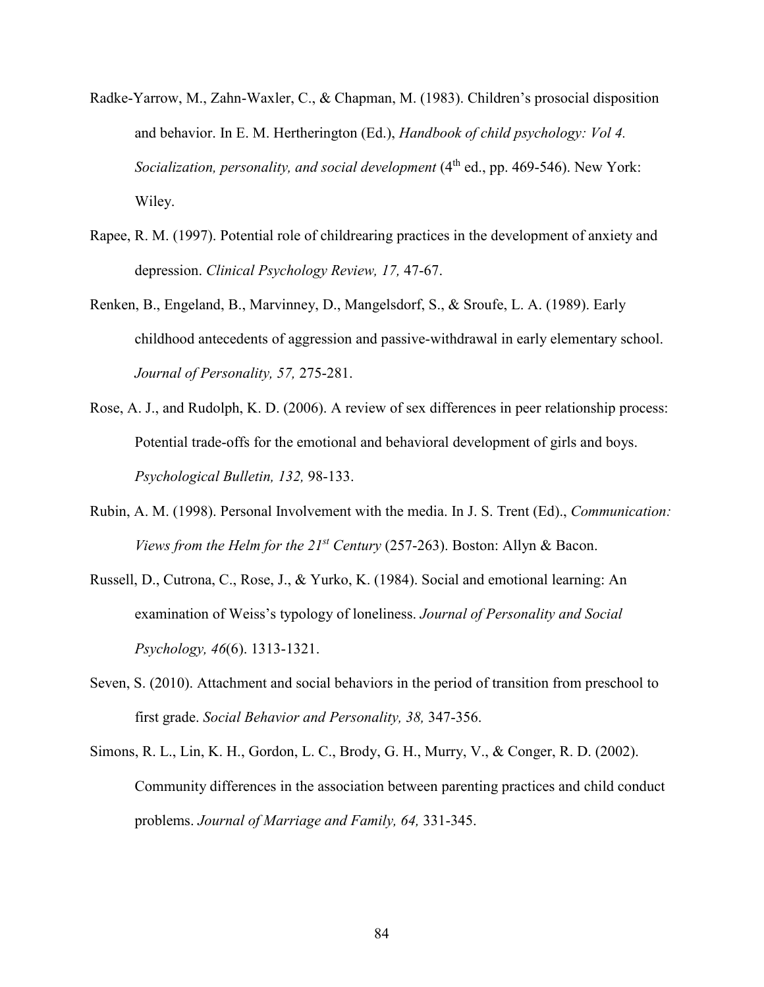- Radke-Yarrow, M., Zahn-Waxler, C., & Chapman, M. (1983). Children's prosocial disposition and behavior. In E. M. Hertherington (Ed.), *Handbook of child psychology: Vol 4. Socialization, personality, and social development* (4<sup>th</sup> ed., pp. 469-546). New York: Wiley.
- Rapee, R. M. (1997). Potential role of childrearing practices in the development of anxiety and depression. *Clinical Psychology Review, 17,* 47-67.
- Renken, B., Engeland, B., Marvinney, D., Mangelsdorf, S., & Sroufe, L. A. (1989). Early childhood antecedents of aggression and passive-withdrawal in early elementary school. *Journal of Personality, 57,* 275-281.
- Rose, A. J., and Rudolph, K. D. (2006). A review of sex differences in peer relationship process: Potential trade-offs for the emotional and behavioral development of girls and boys. *Psychological Bulletin, 132,* 98-133.
- Rubin, A. M. (1998). Personal Involvement with the media. In J. S. Trent (Ed)., *Communication: Views from the Helm for the 21st Century* (257-263). Boston: Allyn & Bacon.
- Russell, D., Cutrona, C., Rose, J., & Yurko, K. (1984). Social and emotional learning: An examination of Weiss's typology of loneliness. *Journal of Personality and Social Psychology, 46*(6). 1313-1321.
- Seven, S. (2010). Attachment and social behaviors in the period of transition from preschool to first grade. *Social Behavior and Personality, 38,* 347-356.
- Simons, R. L., Lin, K. H., Gordon, L. C., Brody, G. H., Murry, V., & Conger, R. D. (2002). Community differences in the association between parenting practices and child conduct problems. *Journal of Marriage and Family, 64,* 331-345.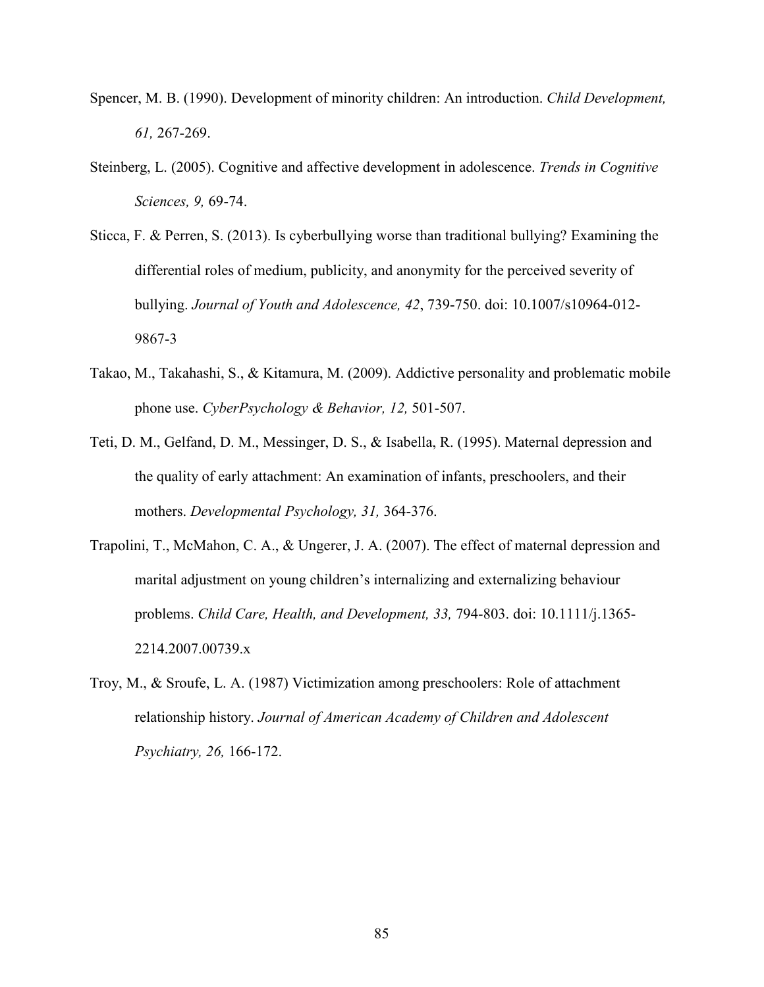- Spencer, M. B. (1990). Development of minority children: An introduction. *Child Development, 61,* 267-269.
- Steinberg, L. (2005). Cognitive and affective development in adolescence. *Trends in Cognitive Sciences, 9,* 69-74.
- Sticca, F. & Perren, S. (2013). Is cyberbullying worse than traditional bullying? Examining the differential roles of medium, publicity, and anonymity for the perceived severity of bullying. *Journal of Youth and Adolescence, 42*, 739-750. doi: 10.1007/s10964-012- 9867-3
- Takao, M., Takahashi, S., & Kitamura, M. (2009). Addictive personality and problematic mobile phone use. *CyberPsychology & Behavior, 12,* 501-507.
- Teti, D. M., Gelfand, D. M., Messinger, D. S., & Isabella, R. (1995). Maternal depression and the quality of early attachment: An examination of infants, preschoolers, and their mothers. *Developmental Psychology, 31,* 364-376.
- Trapolini, T., McMahon, C. A., & Ungerer, J. A. (2007). The effect of maternal depression and marital adjustment on young children's internalizing and externalizing behaviour problems. *Child Care, Health, and Development, 33,* 794-803. doi: 10.1111/j.1365- 2214.2007.00739.x
- Troy, M., & Sroufe, L. A. (1987) Victimization among preschoolers: Role of attachment relationship history. *Journal of American Academy of Children and Adolescent Psychiatry, 26,* 166-172.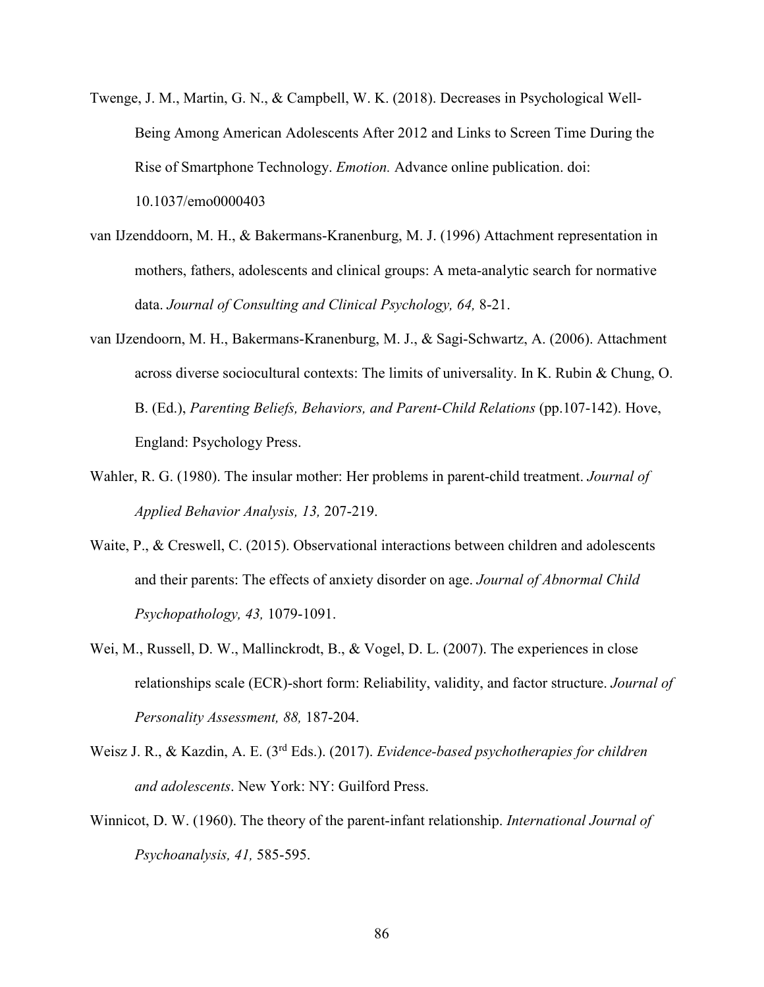- Twenge, J. M., Martin, G. N., & Campbell, W. K. (2018). Decreases in Psychological Well-Being Among American Adolescents After 2012 and Links to Screen Time During the Rise of Smartphone Technology. *Emotion.* Advance online publication. doi: 10.1037/emo0000403
- van IJzenddoorn, M. H., & Bakermans-Kranenburg, M. J. (1996) Attachment representation in mothers, fathers, adolescents and clinical groups: A meta-analytic search for normative data. *Journal of Consulting and Clinical Psychology, 64,* 8-21.
- van IJzendoorn, M. H., Bakermans-Kranenburg, M. J., & Sagi-Schwartz, A. (2006). Attachment across diverse sociocultural contexts: The limits of universality. In K. Rubin & Chung, O. B. (Ed.), *Parenting Beliefs, Behaviors, and Parent-Child Relations* (pp.107-142). Hove, England: Psychology Press.
- Wahler, R. G. (1980). The insular mother: Her problems in parent-child treatment. *Journal of Applied Behavior Analysis, 13,* 207-219.
- Waite, P., & Creswell, C. (2015). Observational interactions between children and adolescents and their parents: The effects of anxiety disorder on age. *Journal of Abnormal Child Psychopathology, 43,* 1079-1091.
- Wei, M., Russell, D. W., Mallinckrodt, B., & Vogel, D. L. (2007). The experiences in close relationships scale (ECR)-short form: Reliability, validity, and factor structure. *Journal of Personality Assessment, 88,* 187-204.
- Weisz J. R., & Kazdin, A. E. (3rd Eds.). (2017). *Evidence-based psychotherapies for children and adolescents*. New York: NY: Guilford Press.
- Winnicot, D. W. (1960). The theory of the parent-infant relationship. *International Journal of Psychoanalysis, 41,* 585-595.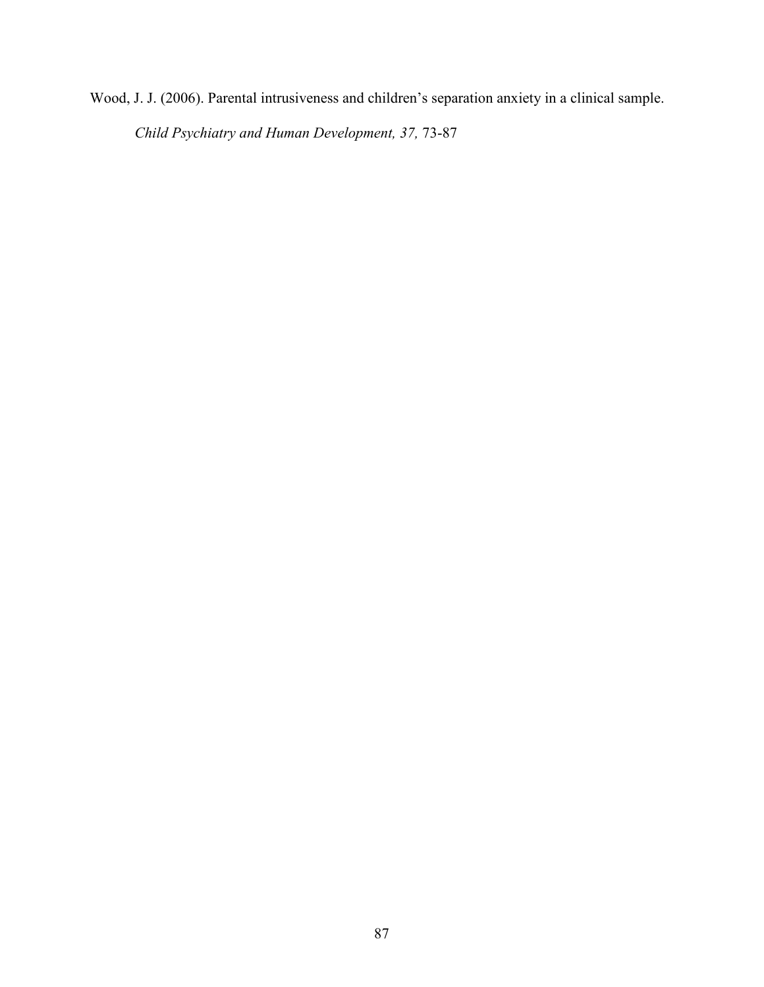Wood, J. J. (2006). Parental intrusiveness and children's separation anxiety in a clinical sample. *Child Psychiatry and Human Development, 37,* 73-87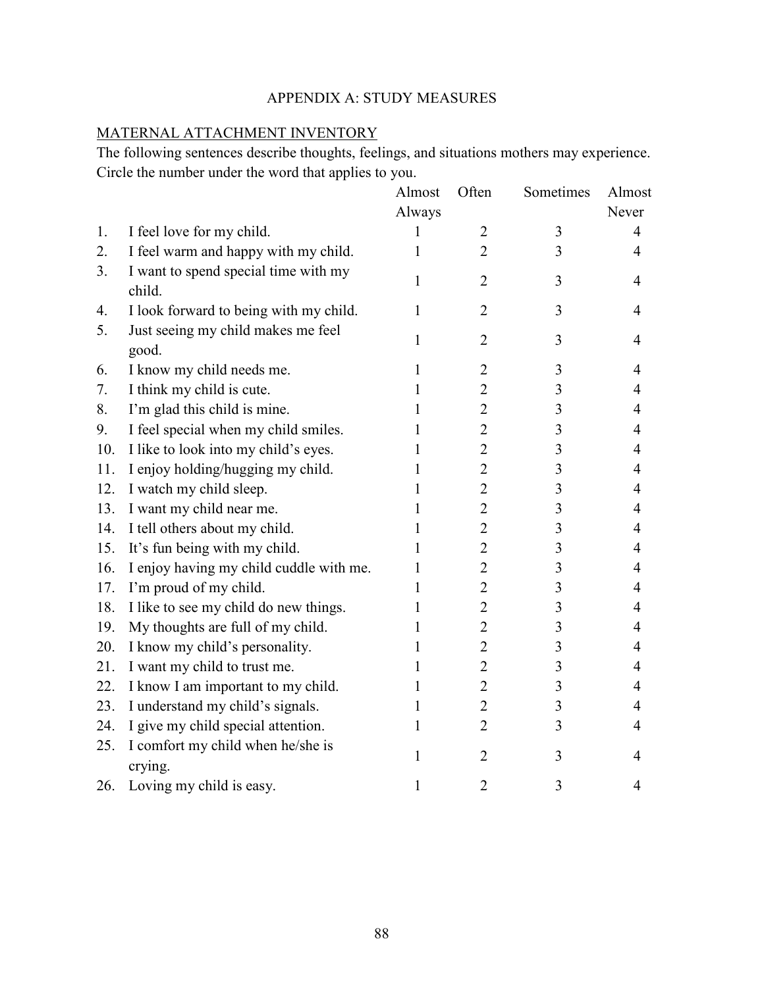# APPENDIX A: STUDY MEASURES

# MATERNAL ATTACHMENT INVENTORY

The following sentences describe thoughts, feelings, and situations mothers may experience. Circle the number under the word that applies to you.

|     |                                                | Almost | Often          | Sometimes      | Almost         |
|-----|------------------------------------------------|--------|----------------|----------------|----------------|
|     |                                                | Always |                |                | Never          |
| 1.  | I feel love for my child.                      | I      | $\overline{2}$ | 3              | $\overline{4}$ |
| 2.  | I feel warm and happy with my child.           | 1      | $\overline{2}$ | 3              | $\overline{4}$ |
| 3.  | I want to spend special time with my<br>child. | 1      | $\overline{2}$ | 3              | $\overline{4}$ |
| 4.  | I look forward to being with my child.         | 1      | $\overline{2}$ | 3              | 4              |
| 5.  | Just seeing my child makes me feel<br>good.    | 1      | $\overline{2}$ | 3              | $\overline{4}$ |
| 6.  | I know my child needs me.                      | 1      | $\overline{2}$ | 3              | $\overline{4}$ |
| 7.  | I think my child is cute.                      | 1      | $\overline{2}$ | 3              | 4              |
| 8.  | I'm glad this child is mine.                   | 1      | $\overline{2}$ | 3              | 4              |
| 9.  | I feel special when my child smiles.           | 1      | $\overline{2}$ | 3              | 4              |
| 10. | I like to look into my child's eyes.           | 1      | $\overline{2}$ | 3              | 4              |
| 11. | I enjoy holding/hugging my child.              | 1      | $\overline{2}$ | 3              | 4              |
| 12. | I watch my child sleep.                        | 1      | $\overline{2}$ | 3              | 4              |
| 13. | I want my child near me.                       | 1      | $\overline{2}$ | $\overline{3}$ | 4              |
| 14. | I tell others about my child.                  | 1      | $\overline{2}$ | 3              | 4              |
| 15. | It's fun being with my child.                  | 1      | $\overline{2}$ | 3              | 4              |
| 16. | I enjoy having my child cuddle with me.        | 1      | $\overline{2}$ | 3              | 4              |
| 17. | I'm proud of my child.                         | 1      | $\overline{2}$ | 3              | 4              |
| 18. | I like to see my child do new things.          | 1      | $\overline{2}$ | 3              | $\overline{4}$ |
| 19. | My thoughts are full of my child.              | 1      | $\overline{2}$ | 3              | 4              |
| 20. | I know my child's personality.                 | 1      | $\overline{2}$ | 3              | 4              |
| 21. | I want my child to trust me.                   | 1      | $\overline{2}$ | 3              | 4              |
| 22. | I know I am important to my child.             | 1      | $\overline{2}$ | 3              | $\overline{4}$ |
| 23. | I understand my child's signals.               | 1      | $\overline{2}$ | 3              | 4              |
| 24. | I give my child special attention.             | 1      | $\overline{2}$ | 3              | 4              |
| 25. | I comfort my child when he/she is<br>crying.   | 1      | $\overline{2}$ | 3              | 4              |
| 26. | Loving my child is easy.                       | 1      | $\overline{2}$ | 3              | $\overline{4}$ |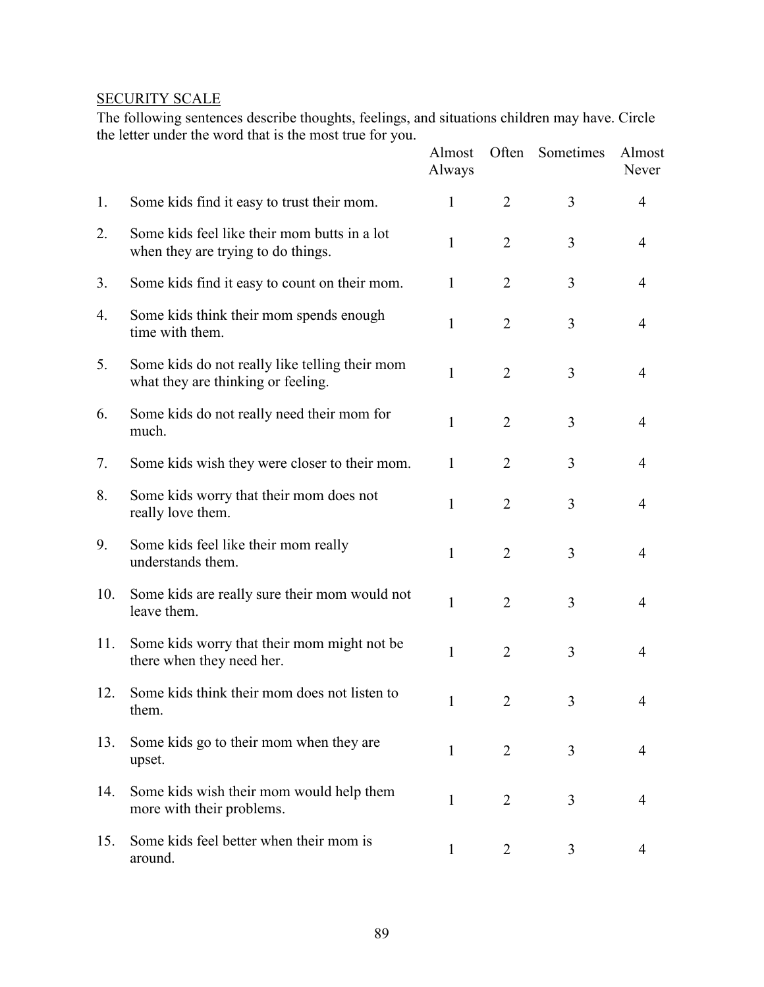# **SECURITY SCALE**

The following sentences describe thoughts, feelings, and situations children may have. Circle the letter under the word that is the most true for you.

|     |                                                                                      | Almost<br>Always | Often          | Sometimes | Almost<br>Never |
|-----|--------------------------------------------------------------------------------------|------------------|----------------|-----------|-----------------|
| 1.  | Some kids find it easy to trust their mom.                                           | 1                | $\overline{2}$ | 3         | $\overline{4}$  |
| 2.  | Some kids feel like their mom butts in a lot<br>when they are trying to do things.   | 1                | $\overline{2}$ | 3         | $\overline{4}$  |
| 3.  | Some kids find it easy to count on their mom.                                        | 1                | $\overline{2}$ | 3         | 4               |
| 4.  | Some kids think their mom spends enough<br>time with them.                           | $\mathbf{1}$     | $\overline{2}$ | 3         | 4               |
| 5.  | Some kids do not really like telling their mom<br>what they are thinking or feeling. | $\mathbf{1}$     | $\overline{2}$ | 3         | $\overline{4}$  |
| 6.  | Some kids do not really need their mom for<br>much.                                  | 1                | $\overline{2}$ | 3         | $\overline{4}$  |
| 7.  | Some kids wish they were closer to their mom.                                        | $\mathbf{1}$     | 2              | 3         | $\overline{4}$  |
| 8.  | Some kids worry that their mom does not<br>really love them.                         | $\mathbf{1}$     | $\overline{2}$ | 3         | $\overline{4}$  |
| 9.  | Some kids feel like their mom really<br>understands them.                            | 1                | $\overline{2}$ | 3         | 4               |
| 10. | Some kids are really sure their mom would not<br>leave them.                         | 1                | $\overline{2}$ | 3         | $\overline{4}$  |
| 11. | Some kids worry that their mom might not be.<br>there when they need her.            | 1                | $\overline{2}$ | 3         | $\overline{4}$  |
| 12. | Some kids think their mom does not listen to<br>them.                                | 1                | $\overline{2}$ | 3         | 4               |
| 13. | Some kids go to their mom when they are<br>upset.                                    | $\mathbf{1}$     | $\overline{2}$ | 3         | $\overline{4}$  |
| 14. | Some kids wish their mom would help them<br>more with their problems.                | $\mathbf{1}$     | $\overline{2}$ | 3         | 4               |
| 15. | Some kids feel better when their mom is<br>around.                                   | $\mathbf{1}$     | $\overline{2}$ | 3         | 4               |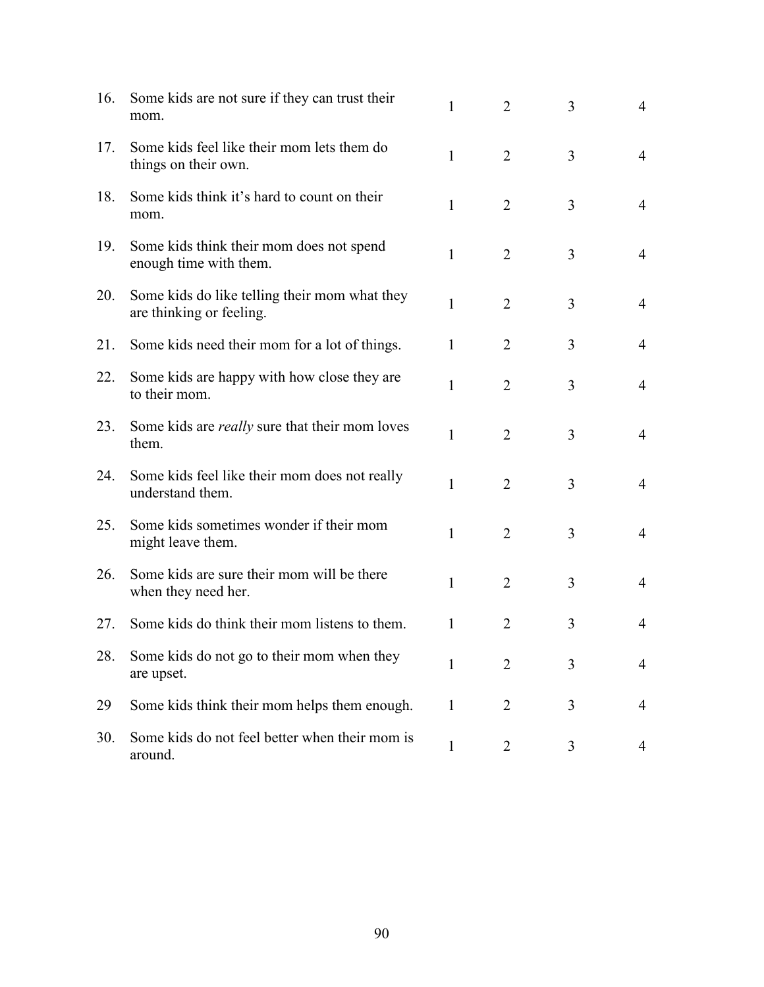| 16. | Some kids are not sure if they can trust their<br>mom.                    | 1            | 2              | 3 | $\overline{4}$ |
|-----|---------------------------------------------------------------------------|--------------|----------------|---|----------------|
| 17. | Some kids feel like their mom lets them do<br>things on their own.        | $\mathbf{1}$ | $\overline{2}$ | 3 | $\overline{4}$ |
| 18. | Some kids think it's hard to count on their<br>mom.                       | $\mathbf{1}$ | $\overline{2}$ | 3 | $\overline{4}$ |
| 19. | Some kids think their mom does not spend<br>enough time with them.        | $\mathbf{1}$ | $\overline{2}$ | 3 | $\overline{4}$ |
| 20. | Some kids do like telling their mom what they<br>are thinking or feeling. | $\mathbf{1}$ | $\overline{2}$ | 3 | $\overline{4}$ |
| 21. | Some kids need their mom for a lot of things.                             | $\mathbf{1}$ | $\overline{2}$ | 3 | 4              |
| 22. | Some kids are happy with how close they are<br>to their mom.              | $\mathbf{1}$ | $\overline{2}$ | 3 | $\overline{4}$ |
| 23. | Some kids are <i>really</i> sure that their mom loves<br>them.            | 1            | $\overline{2}$ | 3 | $\overline{4}$ |
| 24. | Some kids feel like their mom does not really<br>understand them.         | 1            | $\overline{2}$ | 3 | $\overline{4}$ |
| 25. | Some kids sometimes wonder if their mom<br>might leave them.              | 1            | $\overline{2}$ | 3 | $\overline{4}$ |
| 26. | Some kids are sure their mom will be there<br>when they need her.         | 1            | $\overline{2}$ | 3 | $\overline{4}$ |
| 27. | Some kids do think their mom listens to them.                             | $\mathbf{1}$ | 2              | 3 | 4              |
| 28. | Some kids do not go to their mom when they<br>are upset.                  | $\mathbf{1}$ | $\overline{2}$ | 3 | $\overline{4}$ |
| 29  | Some kids think their mom helps them enough.                              | $\mathbf{1}$ | 2              | 3 | 4              |
| 30. | Some kids do not feel better when their mom is<br>around.                 | $\mathbf{1}$ | $\overline{2}$ | 3 | 4              |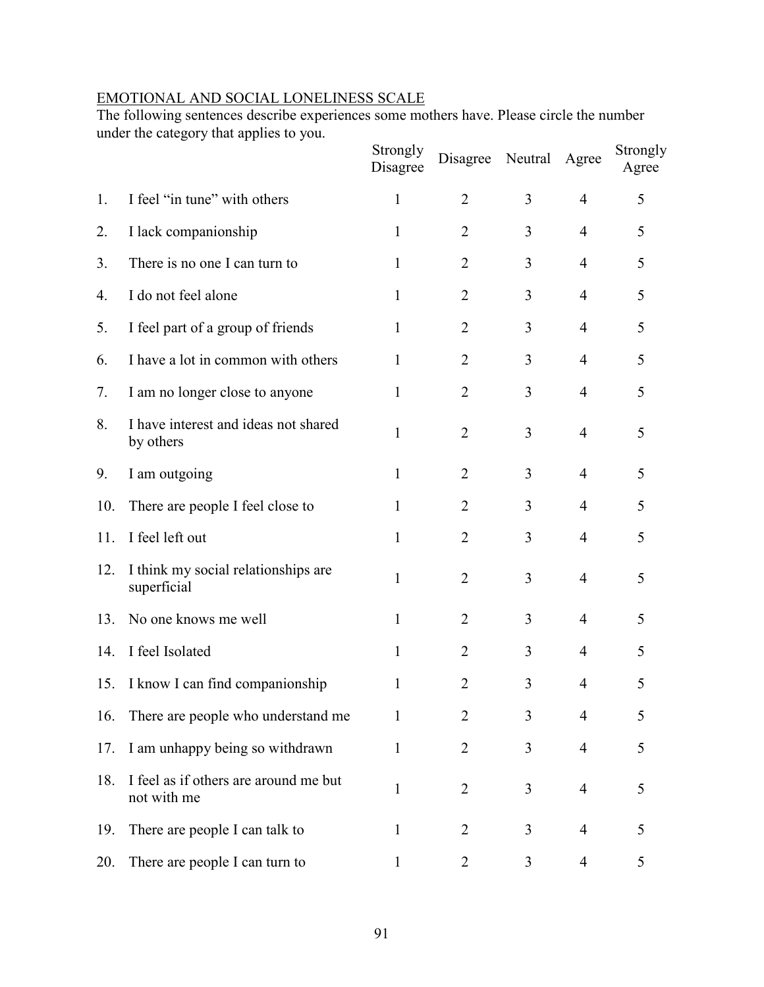## EMOTIONAL AND SOCIAL LONELINESS SCALE

The following sentences describe experiences some mothers have. Please circle the number under the category that applies to you.

|     |                                                      | Strongly<br>Disagree | Disagree       | Neutral        | Agree          | Strongly<br>Agree |
|-----|------------------------------------------------------|----------------------|----------------|----------------|----------------|-------------------|
| 1.  | I feel "in tune" with others                         | $\mathbf{1}$         | $\overline{2}$ | 3              | $\overline{4}$ | 5                 |
| 2.  | I lack companionship                                 | $\mathbf{1}$         | $\overline{2}$ | 3              | $\overline{4}$ | 5                 |
| 3.  | There is no one I can turn to                        | $\mathbf{1}$         | $\overline{2}$ | 3              | 4              | 5                 |
| 4.  | I do not feel alone                                  | $\mathbf{1}$         | $\overline{2}$ | 3              | $\overline{4}$ | 5                 |
| 5.  | I feel part of a group of friends                    | 1                    | $\overline{2}$ | 3              | $\overline{4}$ | 5                 |
| 6.  | I have a lot in common with others                   | 1                    | $\overline{2}$ | 3              | 4              | 5                 |
| 7.  | I am no longer close to anyone                       | 1                    | $\overline{2}$ | 3              | $\overline{4}$ | 5                 |
| 8.  | I have interest and ideas not shared<br>by others    | 1                    | $\overline{2}$ | 3              | $\overline{4}$ | 5                 |
| 9.  | I am outgoing                                        | 1                    | $\overline{2}$ | 3              | 4              | 5                 |
| 10. | There are people I feel close to                     | 1                    | $\overline{2}$ | 3              | 4              | 5                 |
| 11. | I feel left out                                      | 1                    | $\overline{2}$ | 3              | $\overline{4}$ | 5                 |
| 12. | I think my social relationships are<br>superficial   | 1                    | $\overline{2}$ | 3              | $\overline{4}$ | 5                 |
| 13. | No one knows me well                                 | $\mathbf{1}$         | $\overline{2}$ | 3              | $\overline{4}$ | 5                 |
| 14. | I feel Isolated                                      | $\mathbf{1}$         | $\overline{2}$ | 3              | 4              | 5                 |
| 15. | I know I can find companionship                      | 1                    | $\overline{2}$ | 3              | 4              | 5                 |
| 16. | There are people who understand me                   | $\mathbf{1}$         | $\overline{2}$ | 3              | 4              | 5                 |
| 17. | I am unhappy being so withdrawn                      | $\mathbf{1}$         | $\overline{2}$ | $\overline{3}$ | $\overline{4}$ | 5                 |
| 18. | I feel as if others are around me but<br>not with me | 1                    | $\overline{2}$ | 3              | 4              | 5                 |
| 19. | There are people I can talk to                       | 1                    | $\overline{2}$ | 3              | $\overline{4}$ | 5                 |
| 20. | There are people I can turn to                       | 1                    | 2              | 3              | 4              | 5                 |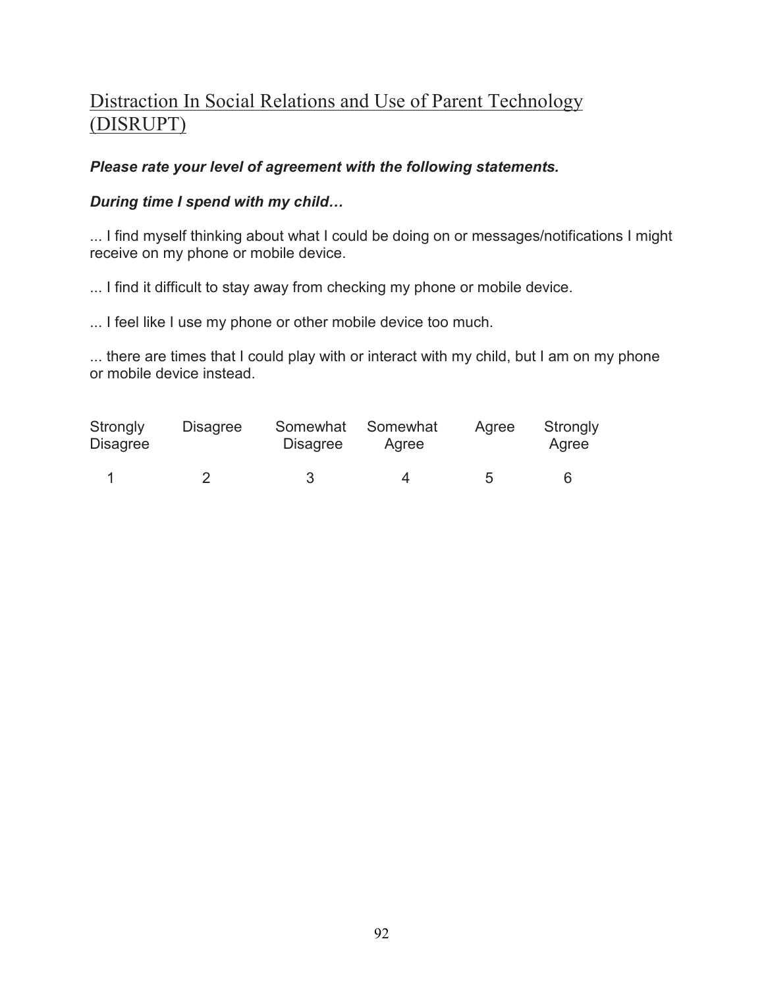# Distraction In Social Relations and Use of Parent Technology (DISRUPT)

# *Please rate your level of agreement with the following statements.*

# *During time I spend with my child…*

... I find myself thinking about what I could be doing on or messages/notifications I might receive on my phone or mobile device.

... I find it difficult to stay away from checking my phone or mobile device.

... I feel like I use my phone or other mobile device too much.

... there are times that I could play with or interact with my child, but I am on my phone or mobile device instead.

| Strongly<br>Disagree | <b>Disagree</b> | Somewhat<br><b>Disagree</b> | Somewhat<br>Agree | Agree | Strongly<br>Agree |
|----------------------|-----------------|-----------------------------|-------------------|-------|-------------------|
|                      |                 | ર                           |                   | 5     |                   |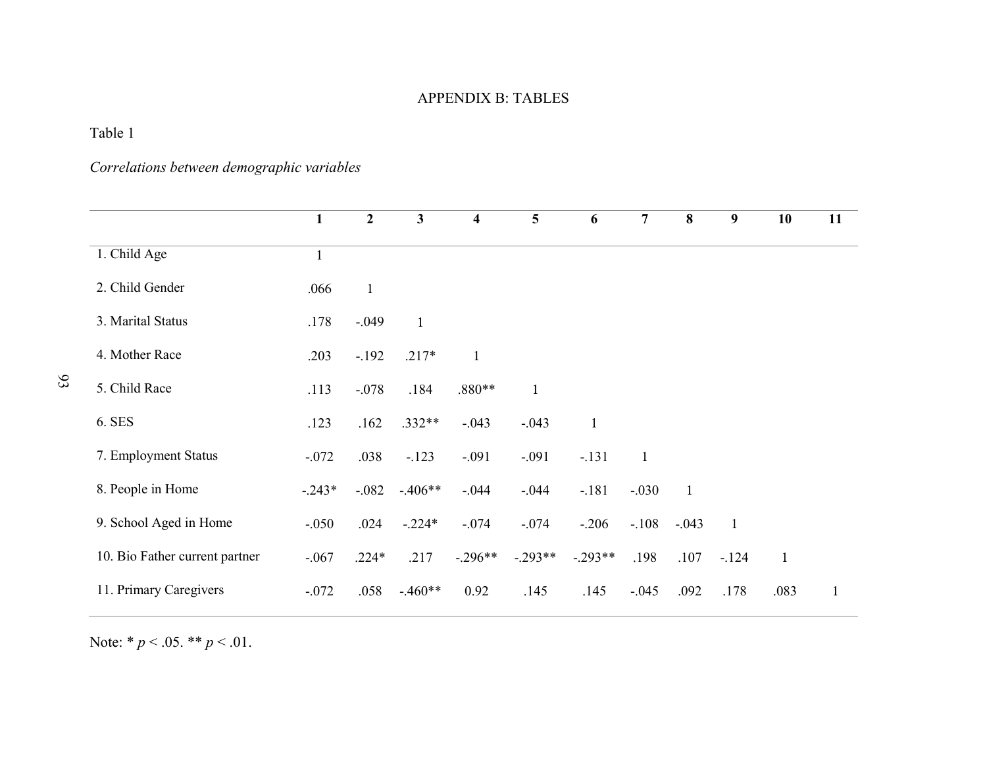## APPENDIX B: TABLES

Table 1

*Correlations between demographic variables* 

|                                | $\mathbf{1}$ | $\overline{2}$ | 3            | $\overline{\mathbf{4}}$ | $5\phantom{.0}$ | 6            | $\overline{7}$ | 8              | 9            | 10           | 11           |
|--------------------------------|--------------|----------------|--------------|-------------------------|-----------------|--------------|----------------|----------------|--------------|--------------|--------------|
| 1. Child Age                   | $\mathbf{1}$ |                |              |                         |                 |              |                |                |              |              |              |
| 2. Child Gender                | .066         | $\mathbf{1}$   |              |                         |                 |              |                |                |              |              |              |
| 3. Marital Status              | .178         | $-.049$        | $\mathbf{1}$ |                         |                 |              |                |                |              |              |              |
| 4. Mother Race                 | .203         | $-.192$        | $.217*$      | $\mathbf{1}$            |                 |              |                |                |              |              |              |
| 5. Child Race                  | .113         | $-.078$        | .184         | $.880**$                | $\mathbf{1}$    |              |                |                |              |              |              |
| 6. SES                         | .123         | .162           | $.332**$     | $-.043$                 | $-.043$         | $\mathbf{1}$ |                |                |              |              |              |
| 7. Employment Status           | $-.072$      | .038           | $-.123$      | $-.091$                 | $-.091$         | $-.131$      | $\mathbf{1}$   |                |              |              |              |
| 8. People in Home              | $-.243*$     | $-.082$        | $-.406**$    | $-0.044$                | $-0.044$        | $-.181$      | $-.030$        | $\overline{1}$ |              |              |              |
| 9. School Aged in Home         | $-.050$      | .024           | $-.224*$     | $-.074$                 | $-.074$         | $-.206$      | $-.108$        | $-.043$        | $\mathbf{1}$ |              |              |
| 10. Bio Father current partner | $-.067$      | $.224*$        | .217         | $-.296**$               | $-.293**$       | $-.293**$    | .198           | .107           | $-124$       | $\mathbf{1}$ |              |
| 11. Primary Caregivers         | $-.072$      | .058           | $-.460**$    | 0.92                    | .145            | .145         | $-.045$        | .092           | .178         | .083         | $\mathbf{1}$ |

Note: \* *p* < .05. \*\* *p* < .01.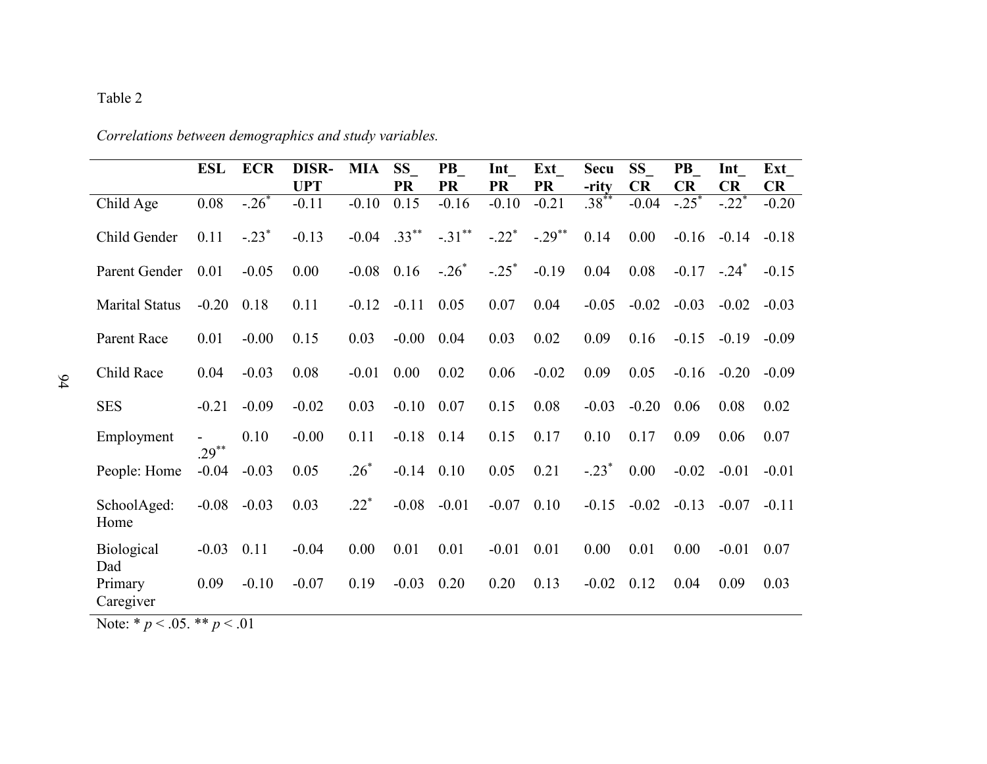## Table 2

|                          | <b>ESL</b> | <b>ECR</b> | <b>DISR-</b><br><b>UPT</b> | <b>MIA</b> | <b>SS</b><br><b>PR</b> | <b>PB</b><br><b>PR</b> | Int<br><b>PR</b>    | Ext<br><b>PR</b>     | <b>Secu</b><br>-rity | SS \<br><b>CR</b> | <b>PB</b><br><b>CR</b> | Int<br>CR | Ext<br><b>CR</b> |
|--------------------------|------------|------------|----------------------------|------------|------------------------|------------------------|---------------------|----------------------|----------------------|-------------------|------------------------|-----------|------------------|
| Child Age                | 0.08       | $-26$ *    | $-0.11$                    | $-0.10$    | 0.15                   | $-0.16$                | $-0.10$             | $-0.21$              | $.38***$             | $-0.04$           | $-.25$ <sup>*</sup>    | $-.22*$   | $-0.20$          |
| Child Gender             | 0.11       | $-.23*$    | $-0.13$                    | $-0.04$    | $.33***$               | $-.31***$              | $-.22$ <sup>*</sup> | $-.29$ <sup>**</sup> | 0.14                 | 0.00              | $-0.16$                | $-0.14$   | $-0.18$          |
| Parent Gender            | 0.01       | $-0.05$    | 0.00                       | $-0.08$    | 0.16                   | $-.26*$                | $-.25*$             | $-0.19$              | 0.04                 | 0.08              | $-0.17 - 24^*$         |           | $-0.15$          |
| <b>Marital Status</b>    | $-0.20$    | 0.18       | 0.11                       | $-0.12$    | $-0.11$                | 0.05                   | 0.07                | 0.04                 | $-0.05$              | $-0.02$           | $-0.03$                | $-0.02$   | $-0.03$          |
| Parent Race              | 0.01       | $-0.00$    | 0.15                       | 0.03       | $-0.00$                | 0.04                   | 0.03                | 0.02                 | 0.09                 | 0.16              | $-0.15$                | $-0.19$   | $-0.09$          |
| Child Race               | 0.04       | $-0.03$    | 0.08                       | $-0.01$    | 0.00                   | 0.02                   | 0.06                | $-0.02$              | 0.09                 | 0.05              | $-0.16$                | $-0.20$   | $-0.09$          |
| <b>SES</b>               | $-0.21$    | $-0.09$    | $-0.02$                    | 0.03       | $-0.10$                | 0.07                   | 0.15                | 0.08                 | $-0.03$              | $-0.20$           | 0.06                   | 0.08      | 0.02             |
| Employment               | $29^{**}$  | 0.10       | $-0.00$                    | 0.11       | $-0.18$                | 0.14                   | 0.15                | 0.17                 | 0.10                 | 0.17              | 0.09                   | 0.06      | 0.07             |
| People: Home             | $-0.04$    | $-0.03$    | 0.05                       | $.26*$     | $-0.14$                | 0.10                   | 0.05                | 0.21                 | $-.23*$              | 0.00              | $-0.02$                | $-0.01$   | $-0.01$          |
| SchoolAged:<br>Home      | $-0.08$    | $-0.03$    | 0.03                       | $.22*$     | $-0.08$                | $-0.01$                | $-0.07$             | 0.10                 | $-0.15$              | $-0.02$           | $-0.13$                | $-0.07$   | $-0.11$          |
| <b>Biological</b><br>Dad | $-0.03$    | 0.11       | $-0.04$                    | 0.00       | 0.01                   | 0.01                   | $-0.01$             | 0.01                 | 0.00                 | 0.01              | 0.00                   | $-0.01$   | 0.07             |
| Primary<br>Caregiver     | 0.09       | $-0.10$    | $-0.07$                    | 0.19       | $-0.03$                | 0.20                   | 0.20                | 0.13                 | $-0.02$              | 0.12              | 0.04                   | 0.09      | 0.03             |

*Correlations between demographics and study variables.*

Note: \* *p* < .05. \*\* *p* < .01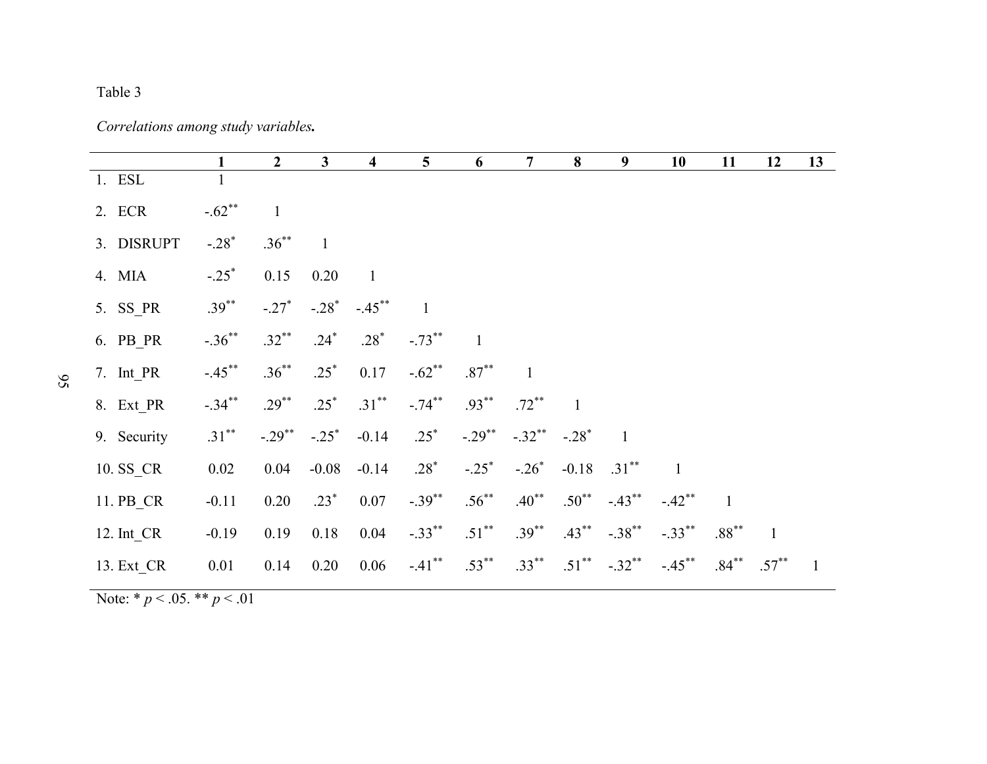## Table 3

*Correlations among study variables.* 

|             | 1                    | $2^{\circ}$          | $\mathbf{3}$ | $\overline{\mathbf{4}}$ | 5 <sup>5</sup> | 6                    | $7\overline{ }$ | 8            | 9                    | 10           | 11           | 12       | 13             |
|-------------|----------------------|----------------------|--------------|-------------------------|----------------|----------------------|-----------------|--------------|----------------------|--------------|--------------|----------|----------------|
| 1. ESL      |                      |                      |              |                         |                |                      |                 |              |                      |              |              |          |                |
| 2. ECR      | $-.62**$             | $\mathbf{1}$         |              |                         |                |                      |                 |              |                      |              |              |          |                |
| 3. DISRUPT  | $-.28*$              | $.36***$             | $\mathbf{1}$ |                         |                |                      |                 |              |                      |              |              |          |                |
| 4. MIA      | $-.25$ <sup>*</sup>  | 0.15                 | 0.20         | $\mathbf{1}$            |                |                      |                 |              |                      |              |              |          |                |
| 5. SS PR    | $.39***$             | $-.27*$              | $-.28^*$     | $-.45***$               |                |                      |                 |              |                      |              |              |          |                |
| 6. $PB$ PR  | $-.36$ <sup>**</sup> | $.32***$             | $.24*$       | $.28*$                  | $-.73***$      | $\overline{1}$       |                 |              |                      |              |              |          |                |
| 7. Int_PR   | $-.45***$            | $.36***$             | $.25*$       | 0.17                    | $-.62**$       | $.87**$              |                 |              |                      |              |              |          |                |
| 8. Ext PR   | $-.34***$            | $.29***$             | $.25*$       | $.31***$                | $-.74***$      | $.93***$             | $.72***$        | $\mathbf{1}$ |                      |              |              |          |                |
| 9. Security | $.31***$             | $-.29$ <sup>**</sup> | $-.25^*$     | $-0.14$                 | $.25*$         | $-.29$ <sup>**</sup> | $-.32$ **       | $-.28*$      | $\mathbf{1}$         |              |              |          |                |
| 10. SS_CR   | 0.02                 | 0.04                 | $-0.08$      | $-0.14$                 | $.28*$         | $-.25^*$             | $-.26*$         |              | $-0.18$ $.31^{**}$   | $\mathbf{1}$ |              |          |                |
| 11. PB CR   | $-0.11$              | 0.20                 | $.23*$       | 0.07                    | $-.39***$      | $.56^{**}$           | $.40**$         | $.50^{**}$   | $-.43$ <sup>**</sup> | $-.42**$     | $\mathbf{1}$ |          |                |
| 12. Int CR  | $-0.19$              | 0.19                 | 0.18         | 0.04                    | $-.33***$      | $.51***$             | $.39***$        | $.43***$     | $-.38$ <sup>**</sup> | $-.33***$    | $.88***$     |          |                |
| 13. Ext_CR  | 0.01                 | 0.14                 | 0.20         | 0.06                    | $-.41***$      | $.53***$             | $.33***$        | $.51***$     | $-.32**$             | $-.45***$    | $.84***$     | $.57***$ | $\overline{1}$ |

Note: \* *p* < .05. \*\* *p* < .01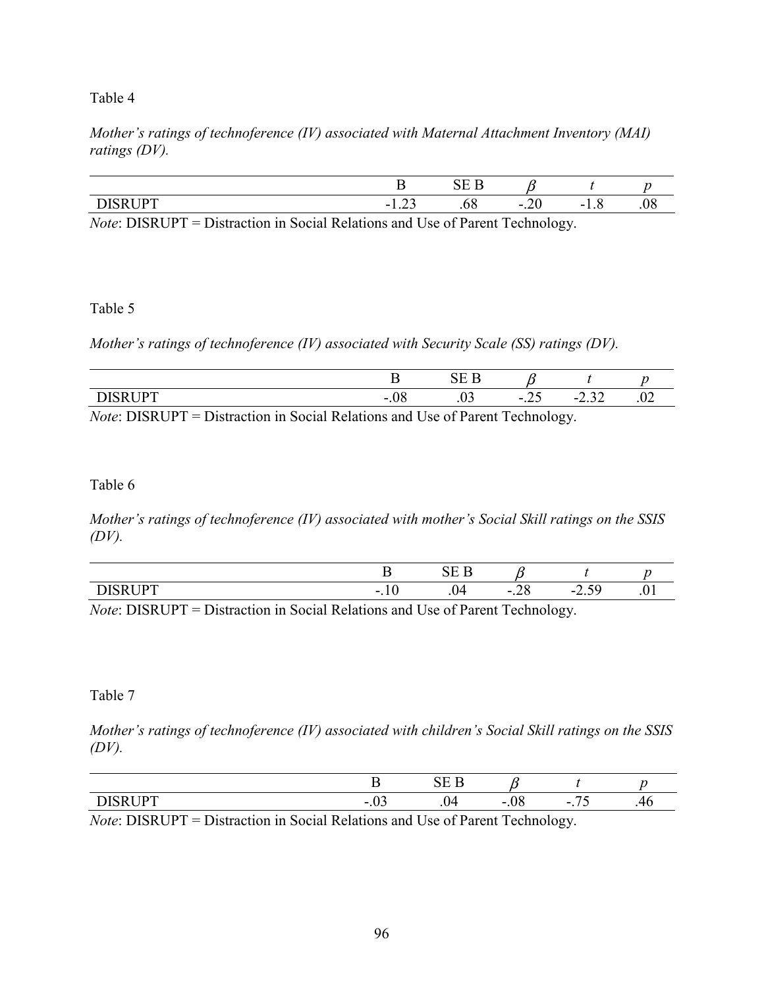## Table 4

*Mother's ratings of technoference (IV) associated with Maternal Attachment Inventory (MAI) ratings (DV).* 

|                                        |                     | $\sim$ $\blacksquare$<br>ь<br>.<br>$\sim$ |                          |              |            |
|----------------------------------------|---------------------|-------------------------------------------|--------------------------|--------------|------------|
| $\overline{r}$ and $\overline{r}$<br>ш | $\sim$<br>-<br>1.LJ | vσ                                        | $\sim$<br>-<br>$-\omega$ | -<br>$\cdot$ | $\bm{\nu}$ |

*Note*: DISRUPT = Distraction in Social Relations and Use of Parent Technology.

## Table 5

*Mother's ratings of technoference (IV) associated with Security Scale (SS) ratings (DV).* 

|        |                                        |                |                     |   |                                        | ຼ      |             |                            |             |
|--------|----------------------------------------|----------------|---------------------|---|----------------------------------------|--------|-------------|----------------------------|-------------|
|        | $\mathbf{r}$ $\mathbf{r}$<br>DIDILUI 1 |                |                     |   | - 1<br>.vo                             | .v.    | -<br>ب ہے . | $\sim$<br>-<br>–. <i>–</i> | $-\epsilon$ |
| $\sim$ | P(X X)                                 | $\sim$ $\cdot$ | $\sim$<br>$\bullet$ | . | $\mathbf{1}$ $\mathbf{v}$ $\mathbf{v}$ | $\sim$ | $\sim$      |                            |             |

*Note*: DISRUPT = Distraction in Social Relations and Use of Parent Technology.

Table 6

*Mother's ratings of technoference (IV) associated with mother's Social Skill ratings on the SSIS (DV).* 

| <b>TDF</b><br>. .<br>- | - | ∼.<br>- -<br>. . | $ -$<br>$\sim$<br>ر ب سه |  |
|------------------------|---|------------------|--------------------------|--|
|                        |   |                  |                          |  |

*Note*: DISRUPT = Distraction in Social Relations and Use of Parent Technology.

Table 7

*Mother's ratings of technoference (IV) associated with children's Social Skill ratings on the SSIS (DV).* 

| $\sim$ |  | $\sim$ | . . |
|--------|--|--------|-----|

*Note*: DISRUPT = Distraction in Social Relations and Use of Parent Technology.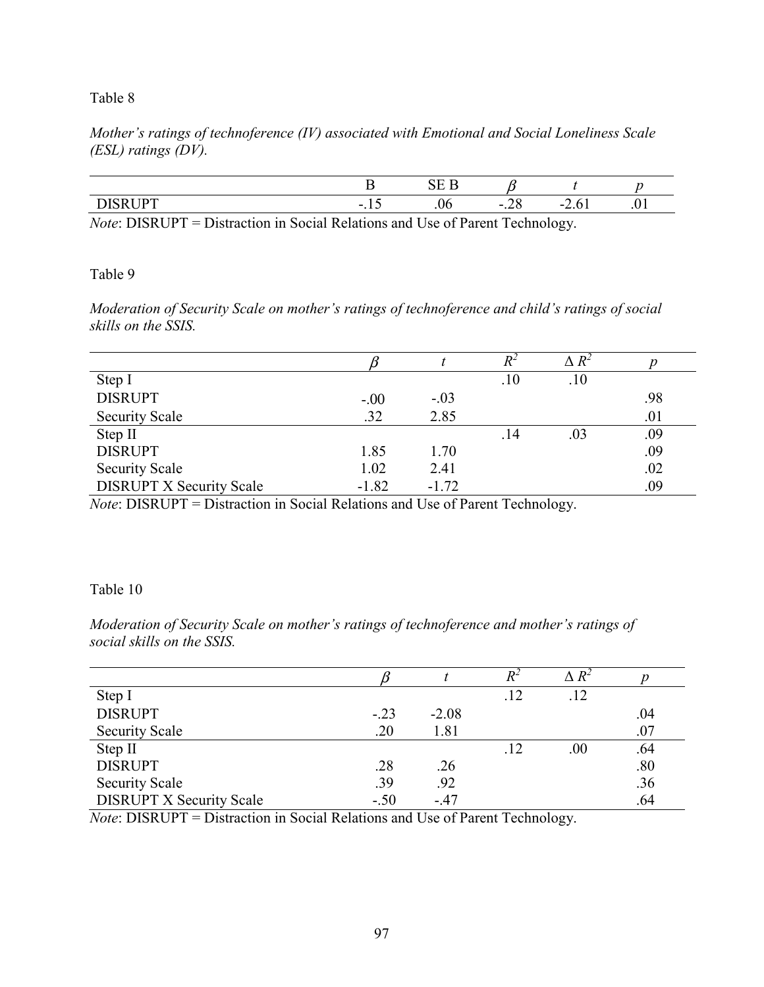*Mother's ratings of technoference (IV) associated with Emotional and Social Loneliness Scale (ESL) ratings (DV).* 

| - | - | - |  |
|---|---|---|--|

*Note*: DISRUPT = Distraction in Social Relations and Use of Parent Technology.

Table 9

*Moderation of Security Scale on mother's ratings of technoference and child's ratings of social skills on the SSIS.* 

|                                 |         |         | $R^2$ | $\Delta$ $R^2$ |     |
|---------------------------------|---------|---------|-------|----------------|-----|
| Step I                          |         |         | .10   | .10            |     |
| <b>DISRUPT</b>                  | $-.00$  | $-.03$  |       |                | .98 |
| <b>Security Scale</b>           | .32     | 2.85    |       |                | .01 |
| Step II                         |         |         | .14   | .03            | .09 |
| <b>DISRUPT</b>                  | 1.85    | 1.70    |       |                | .09 |
| <b>Security Scale</b>           | 1.02    | 2.41    |       |                | .02 |
| <b>DISRUPT X Security Scale</b> | $-1.82$ | $-1.72$ |       |                | .09 |

*Note*: DISRUPT = Distraction in Social Relations and Use of Parent Technology.

# Table 10

*Moderation of Security Scale on mother's ratings of technoference and mother's ratings of social skills on the SSIS.* 

|                                 |        |         |     | $\Delta$ $R^2$ |     |
|---------------------------------|--------|---------|-----|----------------|-----|
| Step I                          |        |         | .12 | .12            |     |
| <b>DISRUPT</b>                  | $-.23$ | $-2.08$ |     |                | .04 |
| <b>Security Scale</b>           | .20    | 1.81    |     |                | .07 |
| Step II                         |        |         | .12 | $.00\,$        | .64 |
| <b>DISRUPT</b>                  | .28    | .26     |     |                | .80 |
| <b>Security Scale</b>           | .39    | .92     |     |                | .36 |
| <b>DISRUPT X Security Scale</b> | $-.50$ | $-47$   |     |                | .64 |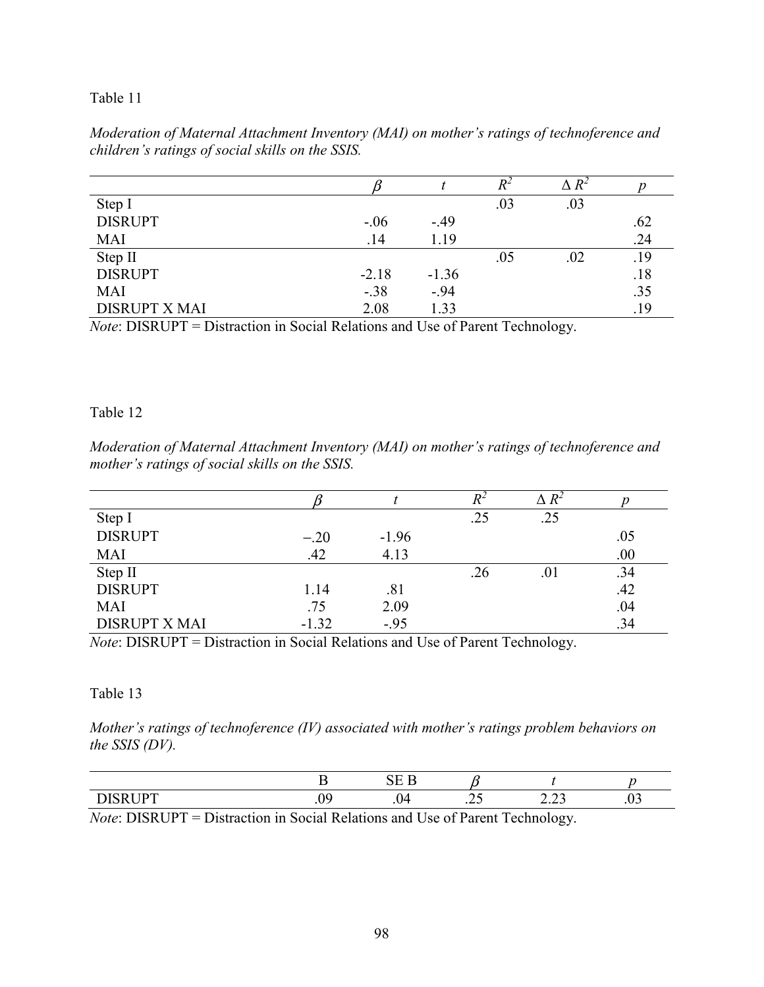|                      |         |         |     | $\Delta R^2$ |     |
|----------------------|---------|---------|-----|--------------|-----|
| Step I               |         |         | .03 | .03          |     |
| <b>DISRUPT</b>       | $-.06$  | $-.49$  |     |              | .62 |
| <b>MAI</b>           | .14     | 1.19    |     |              | .24 |
| Step II              |         |         | .05 | .02          | .19 |
| <b>DISRUPT</b>       | $-2.18$ | $-1.36$ |     |              | .18 |
| <b>MAI</b>           | $-.38$  | $-.94$  |     |              | .35 |
| <b>DISRUPT X MAI</b> | 2.08    | 1.33    |     |              | .19 |

*Moderation of Maternal Attachment Inventory (MAI) on mother's ratings of technoference and children's ratings of social skills on the SSIS.* 

*Note*: DISRUPT = Distraction in Social Relations and Use of Parent Technology.

#### Table 12

*Moderation of Maternal Attachment Inventory (MAI) on mother's ratings of technoference and mother's ratings of social skills on the SSIS.* 

|                      |         |         | $\,^2$ | $\Delta$ $R^2$ |     |
|----------------------|---------|---------|--------|----------------|-----|
| Step I               |         |         | .25    | .25            |     |
| <b>DISRUPT</b>       | $-.20$  | $-1.96$ |        |                | .05 |
| <b>MAI</b>           | .42     | 4.13    |        |                | .00 |
| Step II              |         |         | .26    | .01            | .34 |
| <b>DISRUPT</b>       | 1.14    | .81     |        |                | .42 |
| <b>MAI</b>           | .75     | 2.09    |        |                | .04 |
| <b>DISRUPT X MAI</b> | $-1.32$ | $-.95$  |        |                | .34 |

*Note*: DISRUPT = Distraction in Social Relations and Use of Parent Technology.

### Table 13

*Mother's ratings of technoference (IV) associated with mother's ratings problem behaviors on the SSIS (DV).* 

|                                               |   | $\sim$ $-$                         |                          |                                 |     |
|-----------------------------------------------|---|------------------------------------|--------------------------|---------------------------------|-----|
| $\mathbf{r}$ in $\mathbf{r}$<br>ш<br><b>.</b> | . | ı<br>$\checkmark$<br>$\sim$ $\sim$ | $\cdot$ – $\cdot$<br>. . | $\sim$<br>----<br>$\sim$ $\sim$ | .v. |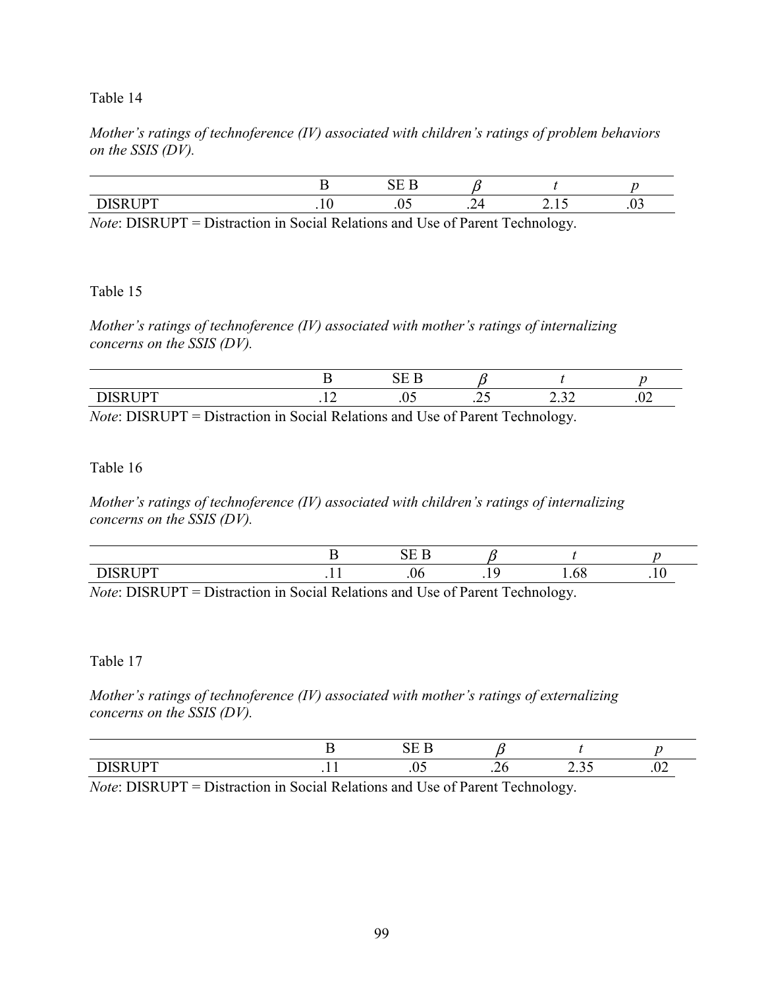## *Mother's ratings of technoference (IV) associated with children's ratings of problem behaviors on the SSIS (DV).*

| $-$<br>ш. |  | . – | - |  |
|-----------|--|-----|---|--|

*Note*: DISRUPT = Distraction in Social Relations and Use of Parent Technology.

#### Table 15

*Mother's ratings of technoference (IV) associated with mother's ratings of internalizing concerns on the SSIS (DV).* 

|           |        | ~     |      |                        |     |
|-----------|--------|-------|------|------------------------|-----|
| ----<br>╌ | -<br>. | . v J | ب سه | $\sim$ $\sim$<br>2.J P | .v4 |
|           |        |       |      |                        |     |

*Note*: DISRUPT = Distraction in Social Relations and Use of Parent Technology.

#### Table 16

*Mother's ratings of technoference (IV) associated with children's ratings of internalizing concerns on the SSIS (DV).* 

|                        |              |                    | $\sim$ $-$                             |                         |                       |       |
|------------------------|--------------|--------------------|----------------------------------------|-------------------------|-----------------------|-------|
| <b>TIDT</b><br>. .     |              | . .                | .U6.                                   |                         | $\sim$ $\sim$<br>1.00 | . . v |
| P(X X)<br>$\mathbf{v}$ | $\mathbf{r}$ | $\sim$<br>$\cdots$ | $\mathbf{1}$ $\mathbf{v}$ $\mathbf{v}$ | $\sim$ $\sim$<br>$\sim$ |                       |       |

*Note*: DISRUPT = Distraction in Social Relations and Use of Parent Technology.

### Table 17

*Mother's ratings of technoference (IV) associated with mother's ratings of externalizing concerns on the SSIS (DV).* 

| $ -$ | . | . – U | . | $\cdot$ $\sim$ $-$ |
|------|---|-------|---|--------------------|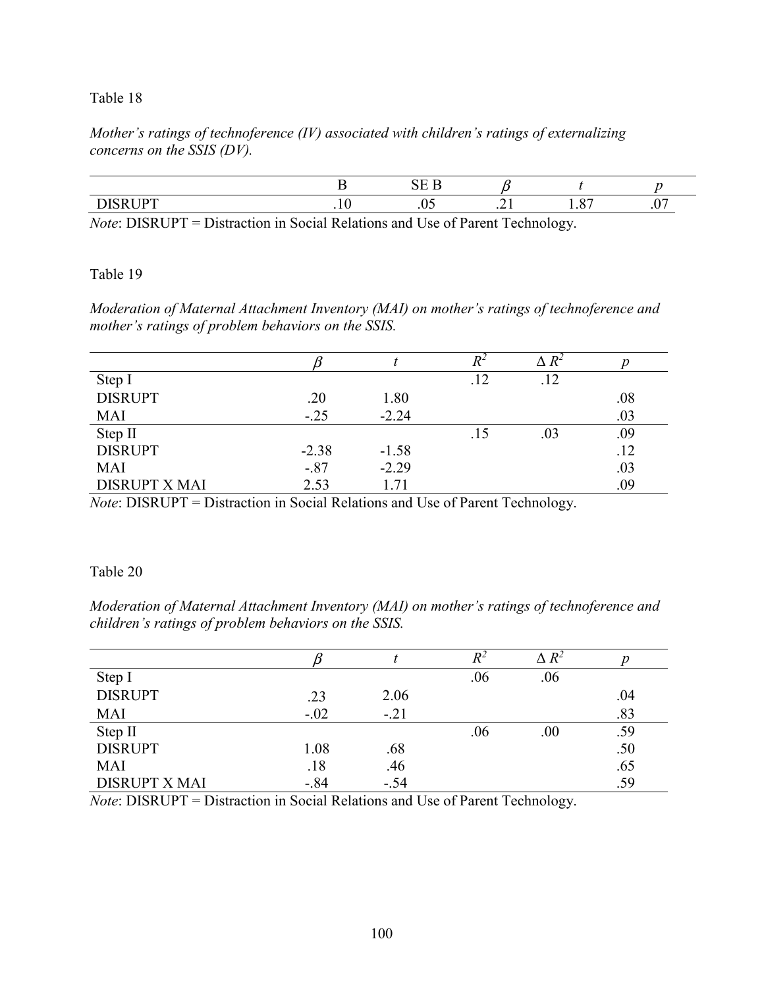*Mother's ratings of technoference (IV) associated with children's ratings of externalizing concerns on the SSIS (DV).* 

|  | - |    |   |
|--|---|----|---|
|  |   | יי | . |

*Note*: DISRUPT = Distraction in Social Relations and Use of Parent Technology.

### Table 19

*Moderation of Maternal Attachment Inventory (MAI) on mother's ratings of technoference and mother's ratings of problem behaviors on the SSIS.* 

|                      |         |         | $R^2$ | $\Delta$ $R^2$ |     |
|----------------------|---------|---------|-------|----------------|-----|
| Step I               |         |         | .12   | .12            |     |
| <b>DISRUPT</b>       | .20     | 1.80    |       |                | .08 |
| <b>MAI</b>           | $-.25$  | $-2.24$ |       |                | .03 |
| Step II              |         |         | .15   | .03            | .09 |
| <b>DISRUPT</b>       | $-2.38$ | $-1.58$ |       |                | .12 |
| <b>MAI</b>           | $-.87$  | $-2.29$ |       |                | .03 |
| <b>DISRUPT X MAI</b> | 2.53    | 1.71    |       |                | .09 |

*Note*: DISRUPT = Distraction in Social Relations and Use of Parent Technology.

### Table 20

*Moderation of Maternal Attachment Inventory (MAI) on mother's ratings of technoference and children's ratings of problem behaviors on the SSIS.* 

|                      |        |        | $\,^2$ | $\Delta$ $R^2$ |     |
|----------------------|--------|--------|--------|----------------|-----|
| Step I               |        |        | .06    | .06            |     |
| <b>DISRUPT</b>       | .23    | 2.06   |        |                | .04 |
| <b>MAI</b>           | $-.02$ | $-.21$ |        |                | .83 |
| Step II              |        |        | .06    | .00            | .59 |
| <b>DISRUPT</b>       | 1.08   | .68    |        |                | .50 |
| <b>MAI</b>           | .18    | .46    |        |                | .65 |
| <b>DISRUPT X MAI</b> | $-84$  | $-.54$ |        |                | .59 |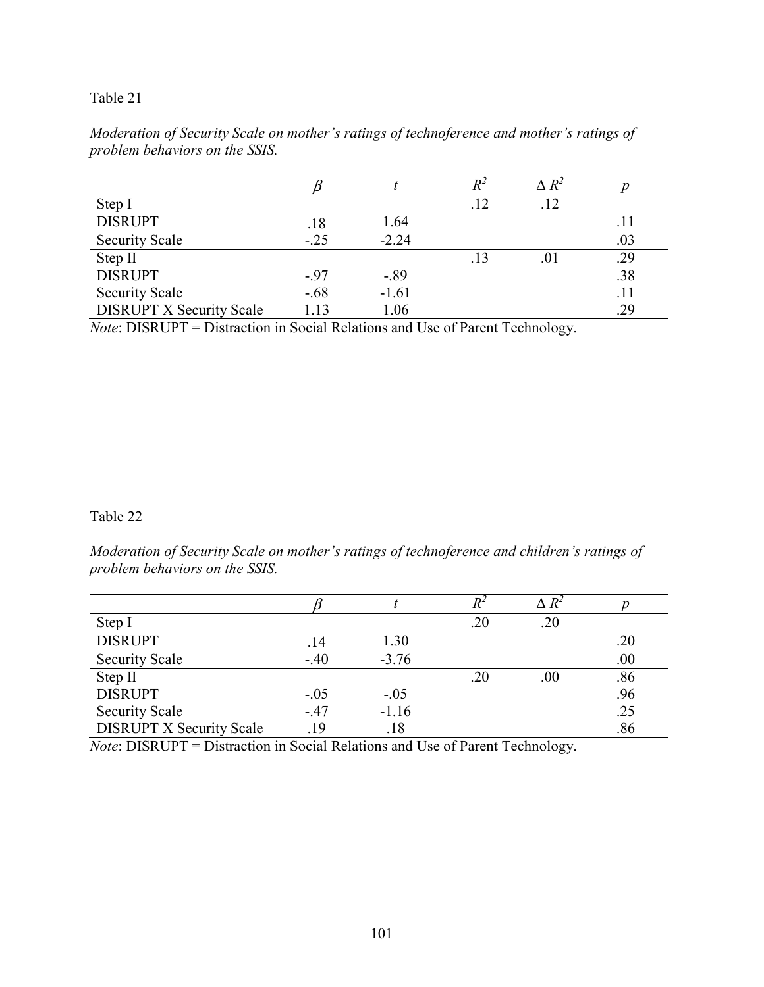|                                 |         |         | $R^2$ | $\Delta R^2$ |     |
|---------------------------------|---------|---------|-------|--------------|-----|
| Step I                          |         |         | .12   | .12          |     |
| <b>DISRUPT</b>                  | .18     | 1.64    |       |              | .11 |
| <b>Security Scale</b>           | $-.25$  | $-2.24$ |       |              | .03 |
| Step II                         |         |         | .13   | .01          | .29 |
| <b>DISRUPT</b>                  | $-.97$  | $-.89$  |       |              | .38 |
| <b>Security Scale</b>           | $-0.68$ | $-1.61$ |       |              | .11 |
| <b>DISRUPT X Security Scale</b> | 1.13    | 1.06    |       |              | .29 |

*Moderation of Security Scale on mother's ratings of technoference and mother's ratings of problem behaviors on the SSIS.* 

*Note*: DISRUPT = Distraction in Social Relations and Use of Parent Technology.

## Table 22

*Moderation of Security Scale on mother's ratings of technoference and children's ratings of problem behaviors on the SSIS.* 

|                                 |        |         | $\,^2$ | $\Delta$ $R^2$ |     |
|---------------------------------|--------|---------|--------|----------------|-----|
| Step I                          |        |         | .20    | .20            |     |
| <b>DISRUPT</b>                  | .14    | 1.30    |        |                | .20 |
| <b>Security Scale</b>           | $-40$  | $-3.76$ |        |                | .00 |
| Step II                         |        |         | .20    | .00            | .86 |
| <b>DISRUPT</b>                  | $-.05$ | $-.05$  |        |                | .96 |
| <b>Security Scale</b>           | $-47$  | $-1.16$ |        |                | .25 |
| <b>DISRUPT X Security Scale</b> | .19    | .18     |        |                | .86 |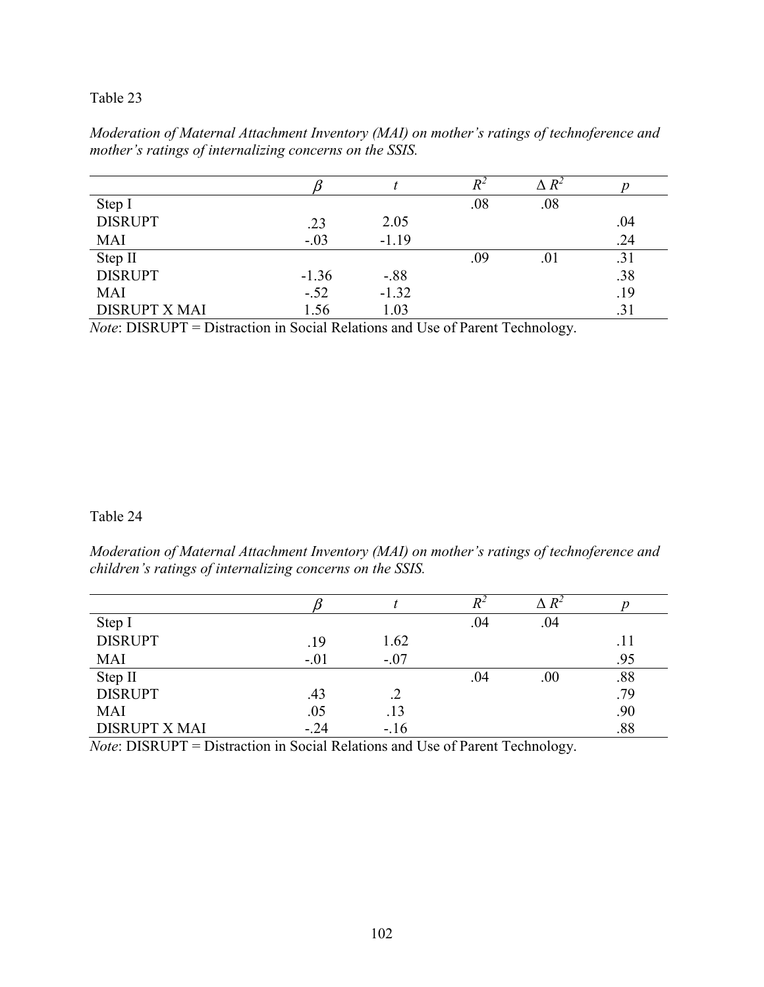| Moderation of Maternal Attachment Inventory (MAI) on mother's ratings of technoference and |  |
|--------------------------------------------------------------------------------------------|--|
| mother's ratings of internalizing concerns on the SSIS.                                    |  |

|                      |         |         | $R^2$ | $R^2$ |     |
|----------------------|---------|---------|-------|-------|-----|
| Step I               |         |         | .08   | .08   |     |
| <b>DISRUPT</b>       | .23     | 2.05    |       |       | .04 |
| <b>MAI</b>           | $-.03$  | $-1.19$ |       |       | .24 |
| Step II              |         |         | .09   | .01   | .31 |
| <b>DISRUPT</b>       | $-1.36$ | $-.88$  |       |       | .38 |
| <b>MAI</b>           | $-.52$  | $-1.32$ |       |       | .19 |
| <b>DISRUPT X MAI</b> | 1.56    | 1.03    |       |       | .31 |

*Note*: DISRUPT = Distraction in Social Relations and Use of Parent Technology.

## Table 24

*Moderation of Maternal Attachment Inventory (MAI) on mother's ratings of technoference and children's ratings of internalizing concerns on the SSIS.* 

|                      |        |        | $\,^2$ | $R^2$ |     |
|----------------------|--------|--------|--------|-------|-----|
| Step I               |        |        | .04    | .04   |     |
| <b>DISRUPT</b>       | .19    | 1.62   |        |       | .11 |
| <b>MAI</b>           | $-.01$ | $-.07$ |        |       | .95 |
| Step II              |        |        | .04    | .00.  | .88 |
| <b>DISRUPT</b>       | .43    |        |        |       | .79 |
| <b>MAI</b>           | .05    | .13    |        |       | .90 |
| <b>DISRUPT X MAI</b> | $-.24$ | $-16$  |        |       | .88 |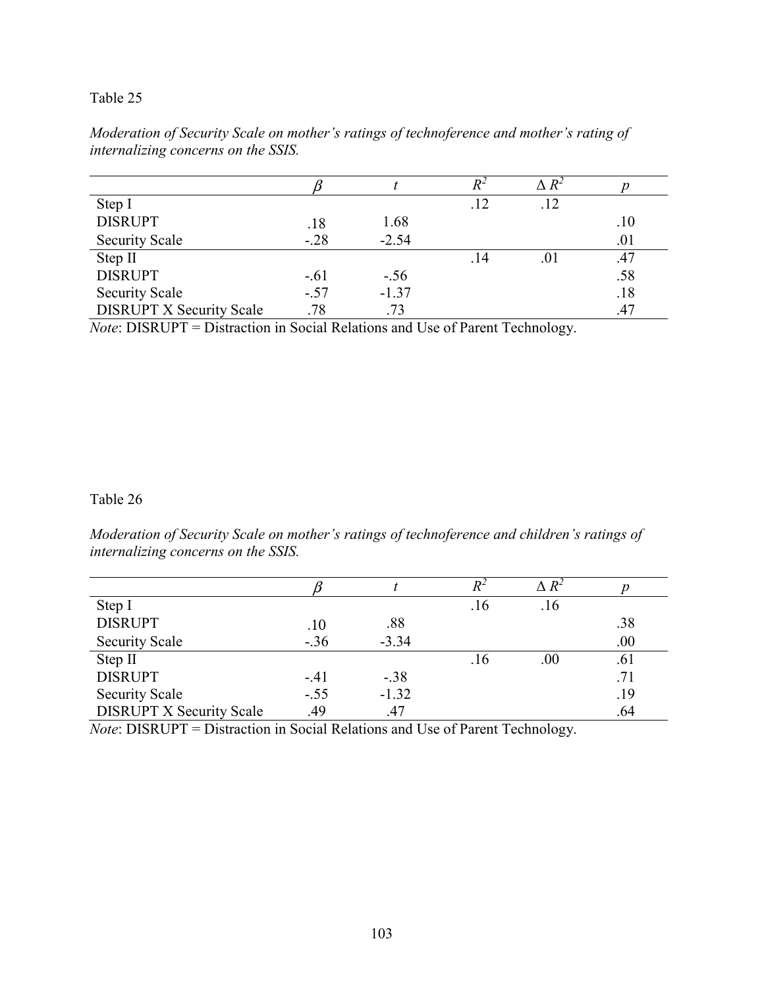|                                 |        |         | R-  | $\wedge\, R^2$ |     |
|---------------------------------|--------|---------|-----|----------------|-----|
| Step I                          |        |         | .12 | .12            |     |
| <b>DISRUPT</b>                  | .18    | 1.68    |     |                | .10 |
| <b>Security Scale</b>           | $-.28$ | $-2.54$ |     |                | .01 |
| Step II                         |        |         | .14 | .01            | .47 |
| <b>DISRUPT</b>                  | $-.61$ | $-.56$  |     |                | .58 |
| <b>Security Scale</b>           | $-.57$ | $-1.37$ |     |                | .18 |
| <b>DISRUPT X Security Scale</b> | .78    | .73     |     |                | .47 |

*Moderation of Security Scale on mother's ratings of technoference and mother's rating of internalizing concerns on the SSIS.* 

*Note*: DISRUPT = Distraction in Social Relations and Use of Parent Technology.

### Table 26

*Moderation of Security Scale on mother's ratings of technoference and children's ratings of internalizing concerns on the SSIS.* 

|                                 |        |         |     | $\Delta$ $R^2$ |     |
|---------------------------------|--------|---------|-----|----------------|-----|
| Step I                          |        |         | .16 | .16            |     |
| <b>DISRUPT</b>                  | .10    | .88     |     |                | .38 |
| <b>Security Scale</b>           | $-.36$ | $-3.34$ |     |                | .00 |
| Step II                         |        |         | .16 | $.00\,$        | .61 |
| <b>DISRUPT</b>                  | $-.41$ | $-.38$  |     |                | .71 |
| <b>Security Scale</b>           | $-.55$ | $-1.32$ |     |                | .19 |
| <b>DISRUPT X Security Scale</b> | .49    | .47     |     |                | .64 |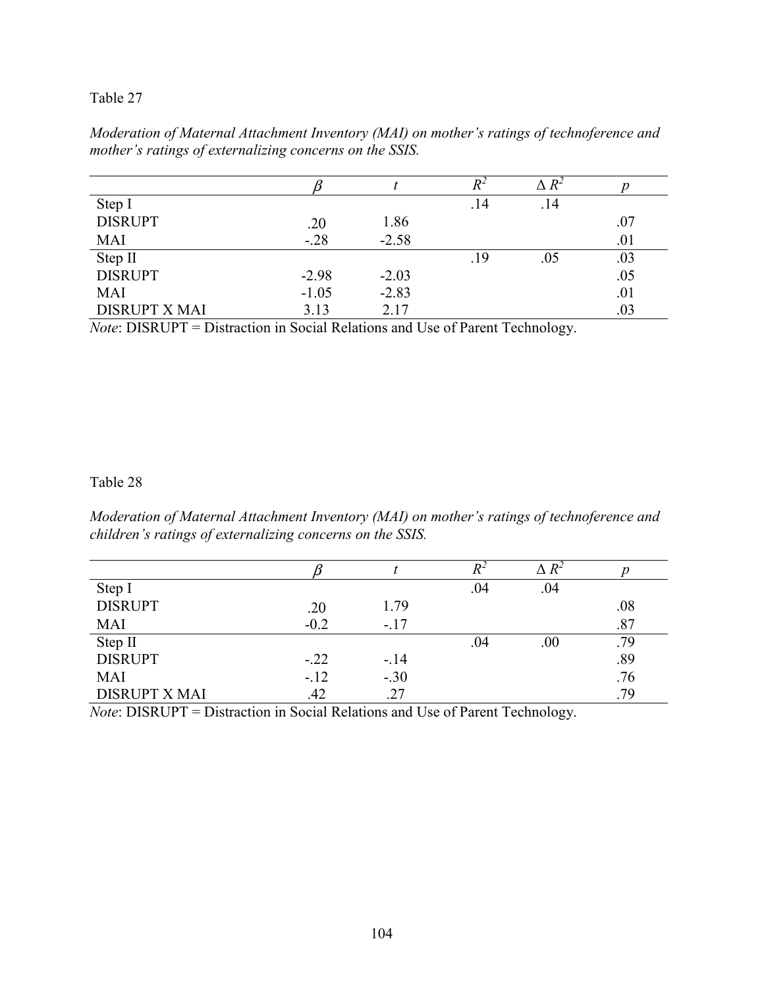| Moderation of Maternal Attachment Inventory (MAI) on mother's ratings of technoference and |
|--------------------------------------------------------------------------------------------|
| mother's ratings of externalizing concerns on the SSIS.                                    |

|                      |         |         | $R^2$ | $R^2$ |     |
|----------------------|---------|---------|-------|-------|-----|
| Step I               |         |         | .14   | .14   |     |
| <b>DISRUPT</b>       | .20     | 1.86    |       |       | .07 |
| <b>MAI</b>           | $-.28$  | $-2.58$ |       |       | .01 |
| Step II              |         |         | .19   | .05   | .03 |
| <b>DISRUPT</b>       | $-2.98$ | $-2.03$ |       |       | .05 |
| <b>MAI</b>           | $-1.05$ | $-2.83$ |       |       | .01 |
| <b>DISRUPT X MAI</b> | 3.13    | 2.17    |       |       | .03 |

*Note*: DISRUPT = Distraction in Social Relations and Use of Parent Technology.

### Table 28

*Moderation of Maternal Attachment Inventory (MAI) on mother's ratings of technoference and children's ratings of externalizing concerns on the SSIS.* 

|                      |        |        | $R^{\scriptscriptstyle{Z}}$ | $R^2$ |     |
|----------------------|--------|--------|-----------------------------|-------|-----|
| Step I               |        |        | .04                         | .04   |     |
| <b>DISRUPT</b>       | .20    | 1.79   |                             |       | .08 |
| <b>MAI</b>           | $-0.2$ | $-.17$ |                             |       | .87 |
| Step II              |        |        | .04                         | .00.  | .79 |
| <b>DISRUPT</b>       | $-.22$ | $-.14$ |                             |       | .89 |
| <b>MAI</b>           | $-12$  | $-.30$ |                             |       | .76 |
| <b>DISRUPT X MAI</b> | .42    | .27    |                             |       | .79 |